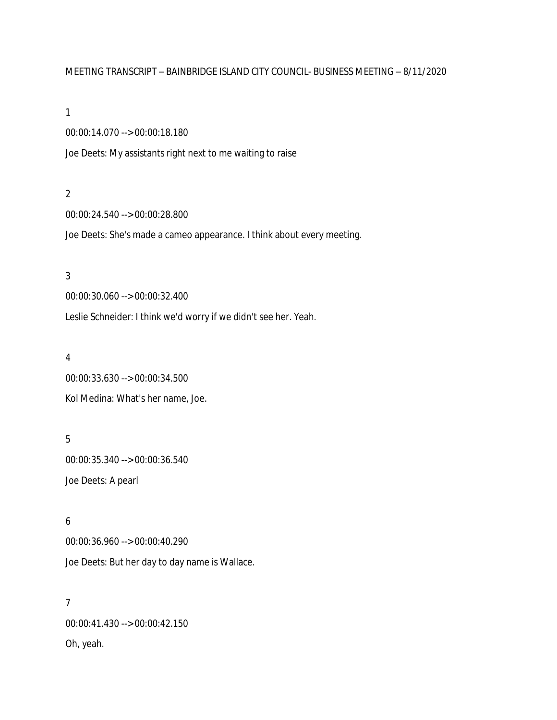# MEETING TRANSCRIPT – BAINBRIDGE ISLAND CITY COUNCIL- BUSINESS MEETING – 8/11/2020

#### 1

00:00:14.070 --> 00:00:18.180

Joe Deets: My assistants right next to me waiting to raise

#### 2

00:00:24.540 --> 00:00:28.800

Joe Deets: She's made a cameo appearance. I think about every meeting.

### 3

00:00:30.060 --> 00:00:32.400

Leslie Schneider: I think we'd worry if we didn't see her. Yeah.

### 4

00:00:33.630 --> 00:00:34.500 Kol Medina: What's her name, Joe.

# 5

00:00:35.340 --> 00:00:36.540 Joe Deets: A pearl

# 6

00:00:36.960 --> 00:00:40.290 Joe Deets: But her day to day name is Wallace.

# 7

00:00:41.430 --> 00:00:42.150 Oh, yeah.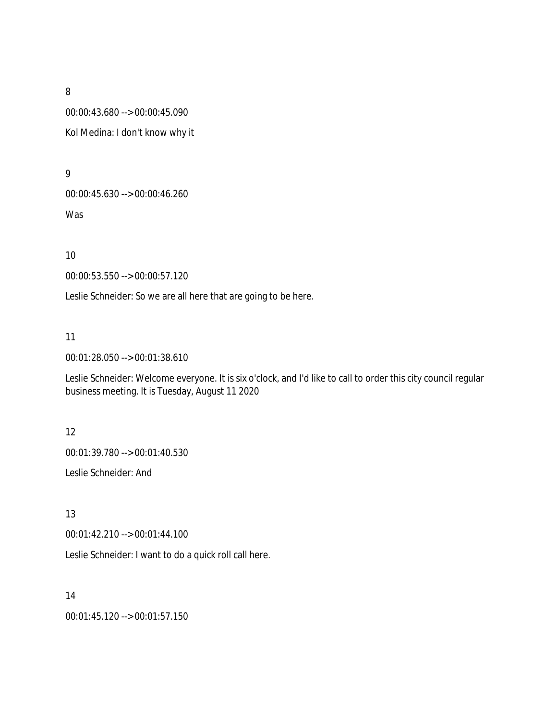00:00:43.680 --> 00:00:45.090 Kol Medina: I don't know why it

9

00:00:45.630 --> 00:00:46.260

Was

10

00:00:53.550 --> 00:00:57.120

Leslie Schneider: So we are all here that are going to be here.

11

00:01:28.050 --> 00:01:38.610

Leslie Schneider: Welcome everyone. It is six o'clock, and I'd like to call to order this city council regular business meeting. It is Tuesday, August 11 2020

12

00:01:39.780 --> 00:01:40.530

Leslie Schneider: And

13

00:01:42.210 --> 00:01:44.100

Leslie Schneider: I want to do a quick roll call here.

14

00:01:45.120 --> 00:01:57.150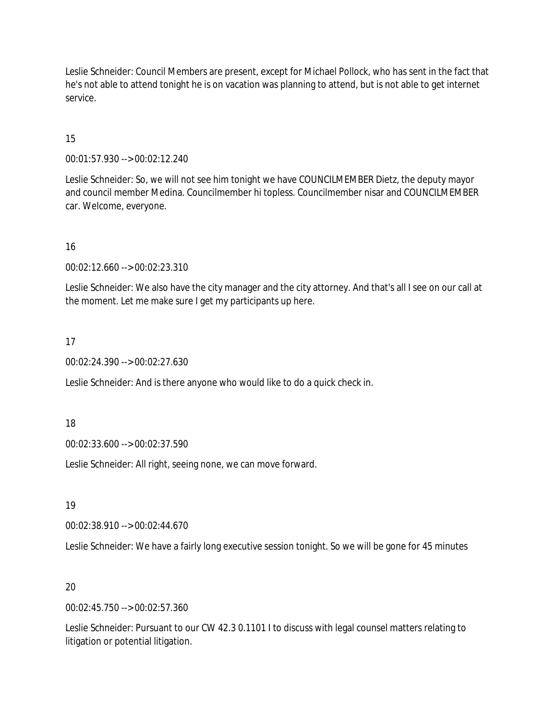Leslie Schneider: Council Members are present, except for Michael Pollock, who has sent in the fact that he's not able to attend tonight he is on vacation was planning to attend, but is not able to get internet service.

# 15

00:01:57.930 --> 00:02:12.240

Leslie Schneider: So, we will not see him tonight we have COUNCILMEMBER Dietz, the deputy mayor and council member Medina. Councilmember hi topless. Councilmember nisar and COUNCILMEMBER car. Welcome, everyone.

### 16

00:02:12.660 --> 00:02:23.310

Leslie Schneider: We also have the city manager and the city attorney. And that's all I see on our call at the moment. Let me make sure I get my participants up here.

### 17

00:02:24.390 --> 00:02:27.630

Leslie Schneider: And is there anyone who would like to do a quick check in.

18

00:02:33.600 --> 00:02:37.590

Leslie Schneider: All right, seeing none, we can move forward.

19

00:02:38.910 --> 00:02:44.670

Leslie Schneider: We have a fairly long executive session tonight. So we will be gone for 45 minutes

# 20

00:02:45.750 --> 00:02:57.360

Leslie Schneider: Pursuant to our CW 42.3 0.1101 I to discuss with legal counsel matters relating to litigation or potential litigation.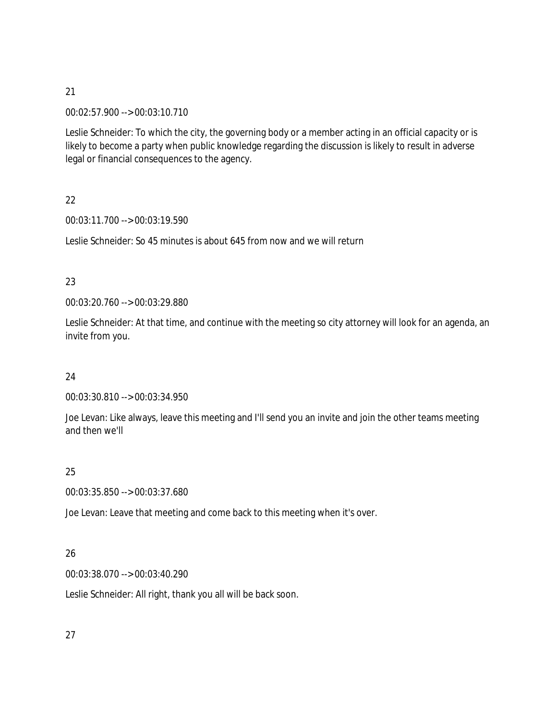00:02:57.900 --> 00:03:10.710

Leslie Schneider: To which the city, the governing body or a member acting in an official capacity or is likely to become a party when public knowledge regarding the discussion is likely to result in adverse legal or financial consequences to the agency.

22

00:03:11.700 --> 00:03:19.590

Leslie Schneider: So 45 minutes is about 645 from now and we will return

23

00:03:20.760 --> 00:03:29.880

Leslie Schneider: At that time, and continue with the meeting so city attorney will look for an agenda, an invite from you.

24

00:03:30.810 --> 00:03:34.950

Joe Levan: Like always, leave this meeting and I'll send you an invite and join the other teams meeting and then we'll

25

00:03:35.850 --> 00:03:37.680

Joe Levan: Leave that meeting and come back to this meeting when it's over.

# 26

00:03:38.070 --> 00:03:40.290

Leslie Schneider: All right, thank you all will be back soon.

27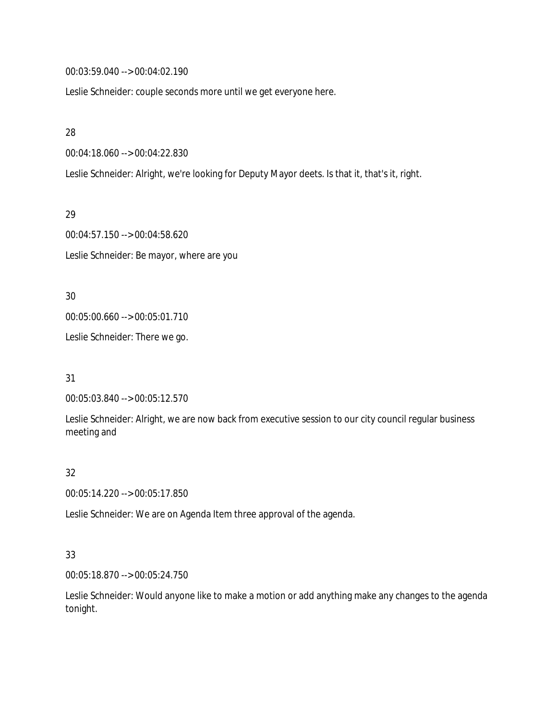00:03:59.040 --> 00:04:02.190

Leslie Schneider: couple seconds more until we get everyone here.

28

00:04:18.060 --> 00:04:22.830

Leslie Schneider: Alright, we're looking for Deputy Mayor deets. Is that it, that's it, right.

29

00:04:57.150 --> 00:04:58.620 Leslie Schneider: Be mayor, where are you

30

00:05:00.660 --> 00:05:01.710

Leslie Schneider: There we go.

31

00:05:03.840 --> 00:05:12.570

Leslie Schneider: Alright, we are now back from executive session to our city council regular business meeting and

### 32

00:05:14.220 --> 00:05:17.850

Leslie Schneider: We are on Agenda Item three approval of the agenda.

### 33

00:05:18.870 --> 00:05:24.750

Leslie Schneider: Would anyone like to make a motion or add anything make any changes to the agenda tonight.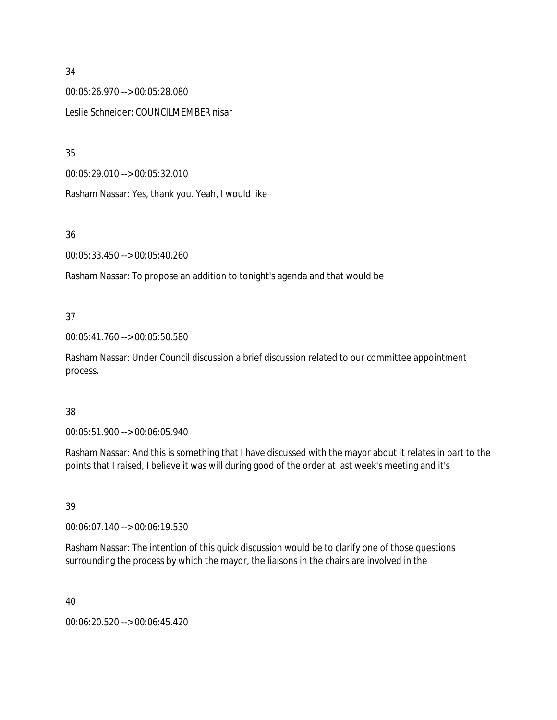00:05:26.970 --> 00:05:28.080 Leslie Schneider: COUNCILMEMBER nisar

35

00:05:29.010 --> 00:05:32.010

Rasham Nassar: Yes, thank you. Yeah, I would like

36

00:05:33.450 --> 00:05:40.260

Rasham Nassar: To propose an addition to tonight's agenda and that would be

# 37

00:05:41.760 --> 00:05:50.580

Rasham Nassar: Under Council discussion a brief discussion related to our committee appointment process.

# 38

00:05:51.900 --> 00:06:05.940

Rasham Nassar: And this is something that I have discussed with the mayor about it relates in part to the points that I raised, I believe it was will during good of the order at last week's meeting and it's

# 39

00:06:07.140 --> 00:06:19.530

Rasham Nassar: The intention of this quick discussion would be to clarify one of those questions surrounding the process by which the mayor, the liaisons in the chairs are involved in the

40

00:06:20.520 --> 00:06:45.420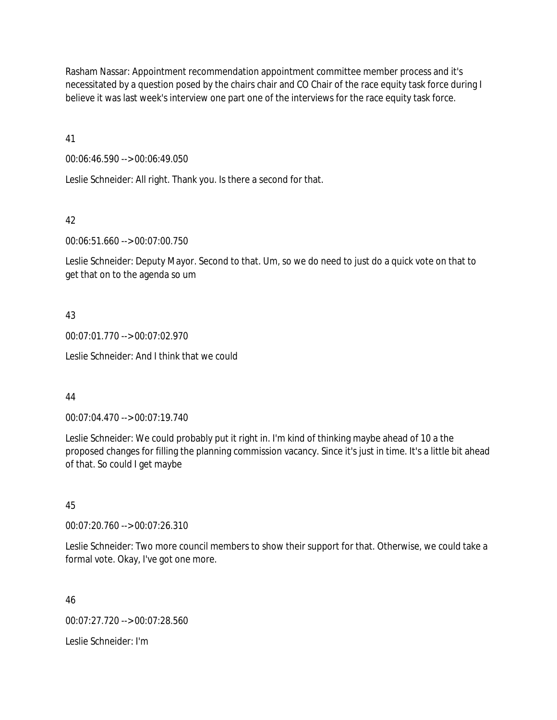Rasham Nassar: Appointment recommendation appointment committee member process and it's necessitated by a question posed by the chairs chair and CO Chair of the race equity task force during I believe it was last week's interview one part one of the interviews for the race equity task force.

41

00:06:46.590 --> 00:06:49.050

Leslie Schneider: All right. Thank you. Is there a second for that.

42

00:06:51.660 --> 00:07:00.750

Leslie Schneider: Deputy Mayor. Second to that. Um, so we do need to just do a quick vote on that to get that on to the agenda so um

# 43

00:07:01.770 --> 00:07:02.970

Leslie Schneider: And I think that we could

# 44

00:07:04.470 --> 00:07:19.740

Leslie Schneider: We could probably put it right in. I'm kind of thinking maybe ahead of 10 a the proposed changes for filling the planning commission vacancy. Since it's just in time. It's a little bit ahead of that. So could I get maybe

# 45

00:07:20.760 --> 00:07:26.310

Leslie Schneider: Two more council members to show their support for that. Otherwise, we could take a formal vote. Okay, I've got one more.

46

00:07:27.720 --> 00:07:28.560

Leslie Schneider: I'm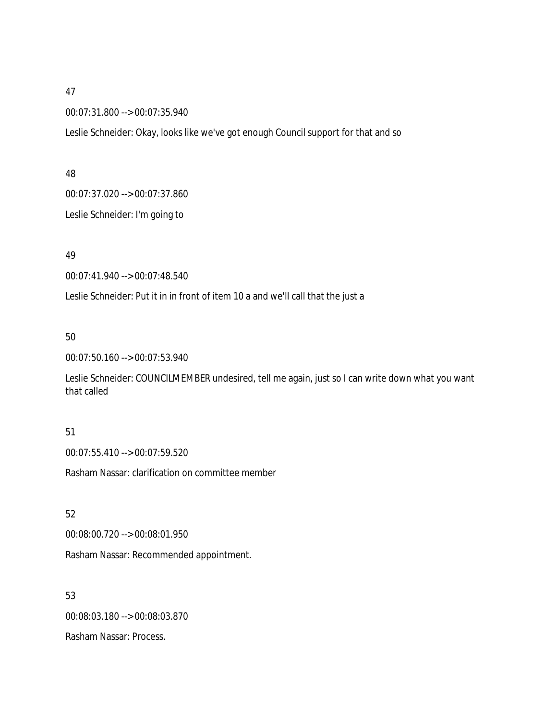00:07:31.800 --> 00:07:35.940

Leslie Schneider: Okay, looks like we've got enough Council support for that and so

### 48

00:07:37.020 --> 00:07:37.860

Leslie Schneider: I'm going to

# 49

00:07:41.940 --> 00:07:48.540

Leslie Schneider: Put it in in front of item 10 a and we'll call that the just a

# 50

00:07:50.160 --> 00:07:53.940

Leslie Schneider: COUNCILMEMBER undesired, tell me again, just so I can write down what you want that called

# 51

00:07:55.410 --> 00:07:59.520

Rasham Nassar: clarification on committee member

# 52

00:08:00.720 --> 00:08:01.950

Rasham Nassar: Recommended appointment.

# 53

00:08:03.180 --> 00:08:03.870

Rasham Nassar: Process.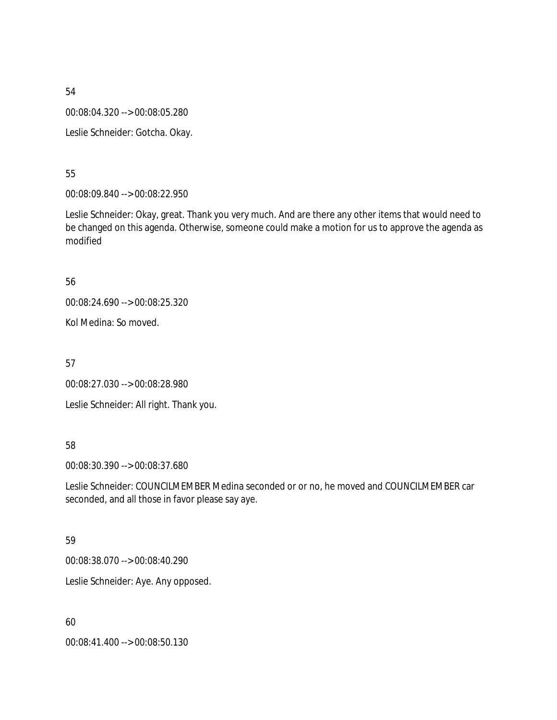54 00:08:04.320 --> 00:08:05.280 Leslie Schneider: Gotcha. Okay.

55

00:08:09.840 --> 00:08:22.950

Leslie Schneider: Okay, great. Thank you very much. And are there any other items that would need to be changed on this agenda. Otherwise, someone could make a motion for us to approve the agenda as modified

56

00:08:24.690 --> 00:08:25.320

Kol Medina: So moved.

57

00:08:27.030 --> 00:08:28.980

Leslie Schneider: All right. Thank you.

# 58

00:08:30.390 --> 00:08:37.680

Leslie Schneider: COUNCILMEMBER Medina seconded or or no, he moved and COUNCILMEMBER car seconded, and all those in favor please say aye.

# 59

00:08:38.070 --> 00:08:40.290

Leslie Schneider: Aye. Any opposed.

60

00:08:41.400 --> 00:08:50.130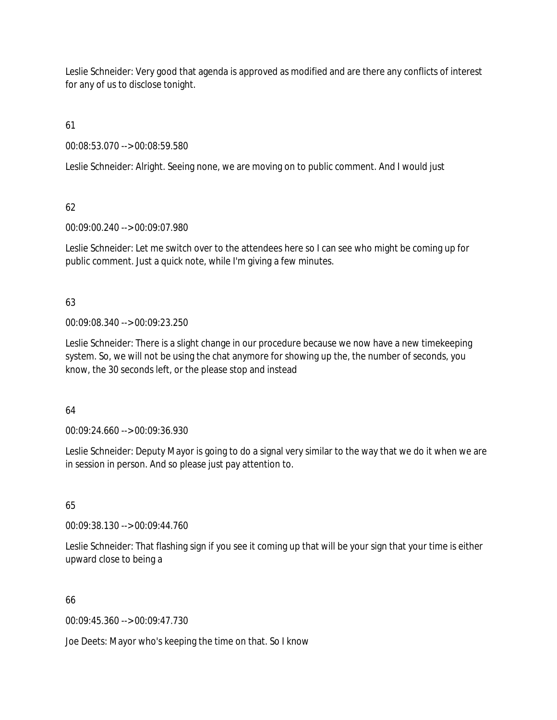Leslie Schneider: Very good that agenda is approved as modified and are there any conflicts of interest for any of us to disclose tonight.

61

00:08:53.070 --> 00:08:59.580

Leslie Schneider: Alright. Seeing none, we are moving on to public comment. And I would just

62

00:09:00.240 --> 00:09:07.980

Leslie Schneider: Let me switch over to the attendees here so I can see who might be coming up for public comment. Just a quick note, while I'm giving a few minutes.

63

00:09:08.340 --> 00:09:23.250

Leslie Schneider: There is a slight change in our procedure because we now have a new timekeeping system. So, we will not be using the chat anymore for showing up the, the number of seconds, you know, the 30 seconds left, or the please stop and instead

64

00:09:24.660 --> 00:09:36.930

Leslie Schneider: Deputy Mayor is going to do a signal very similar to the way that we do it when we are in session in person. And so please just pay attention to.

65

00:09:38.130 --> 00:09:44.760

Leslie Schneider: That flashing sign if you see it coming up that will be your sign that your time is either upward close to being a

66

00:09:45.360 --> 00:09:47.730

Joe Deets: Mayor who's keeping the time on that. So I know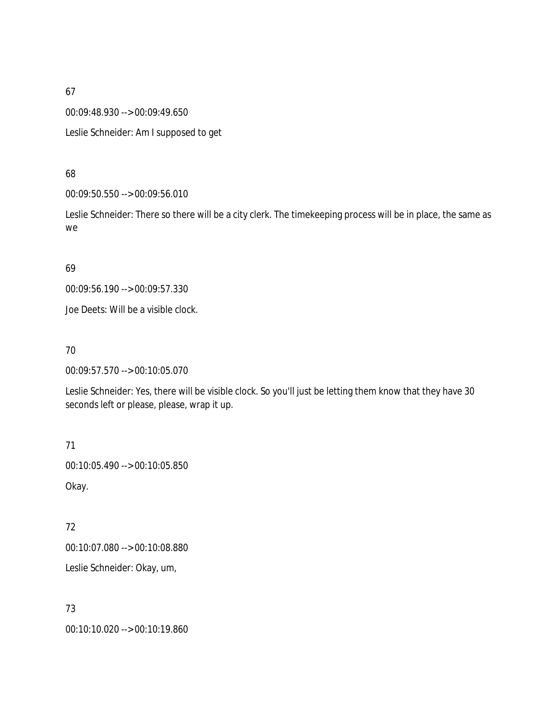00:09:48.930 --> 00:09:49.650

Leslie Schneider: Am I supposed to get

#### 68

00:09:50.550 --> 00:09:56.010

Leslie Schneider: There so there will be a city clerk. The timekeeping process will be in place, the same as we

### 69

00:09:56.190 --> 00:09:57.330

Joe Deets: Will be a visible clock.

### 70

00:09:57.570 --> 00:10:05.070

Leslie Schneider: Yes, there will be visible clock. So you'll just be letting them know that they have 30 seconds left or please, please, wrap it up.

71 00:10:05.490 --> 00:10:05.850 Okay.

# 72

00:10:07.080 --> 00:10:08.880

Leslie Schneider: Okay, um,

# 73

00:10:10.020 --> 00:10:19.860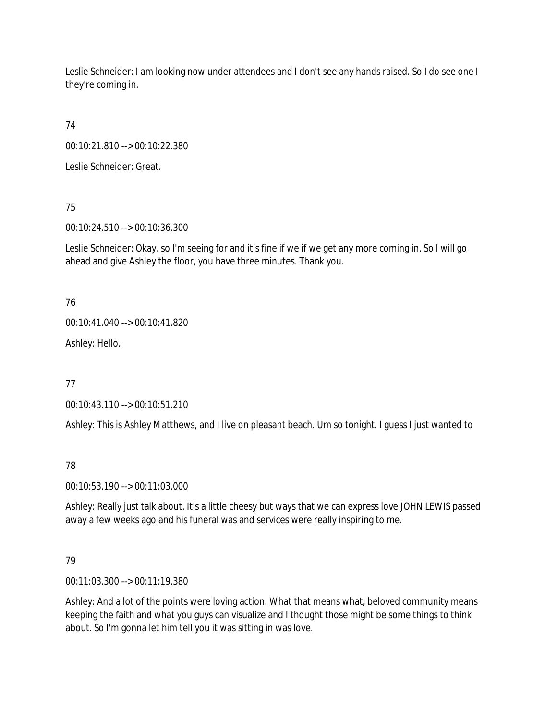Leslie Schneider: I am looking now under attendees and I don't see any hands raised. So I do see one I they're coming in.

74

00:10:21.810 --> 00:10:22.380

Leslie Schneider: Great.

75

00:10:24.510 --> 00:10:36.300

Leslie Schneider: Okay, so I'm seeing for and it's fine if we if we get any more coming in. So I will go ahead and give Ashley the floor, you have three minutes. Thank you.

76

00:10:41.040 --> 00:10:41.820

Ashley: Hello.

77

00:10:43.110 --> 00:10:51.210

Ashley: This is Ashley Matthews, and I live on pleasant beach. Um so tonight. I guess I just wanted to

78

00:10:53.190 --> 00:11:03.000

Ashley: Really just talk about. It's a little cheesy but ways that we can express love JOHN LEWIS passed away a few weeks ago and his funeral was and services were really inspiring to me.

# 79

00:11:03.300 --> 00:11:19.380

Ashley: And a lot of the points were loving action. What that means what, beloved community means keeping the faith and what you guys can visualize and I thought those might be some things to think about. So I'm gonna let him tell you it was sitting in was love.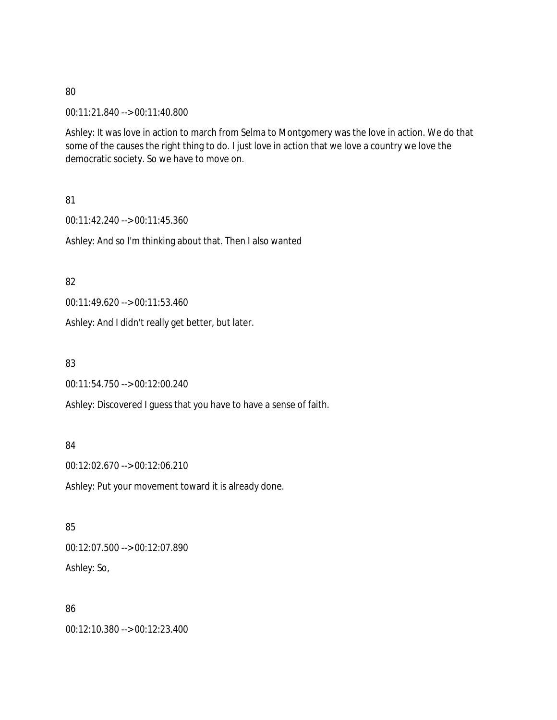00:11:21.840 --> 00:11:40.800

Ashley: It was love in action to march from Selma to Montgomery was the love in action. We do that some of the causes the right thing to do. I just love in action that we love a country we love the democratic society. So we have to move on.

81

00:11:42.240 --> 00:11:45.360

Ashley: And so I'm thinking about that. Then I also wanted

82

00:11:49.620 --> 00:11:53.460

Ashley: And I didn't really get better, but later.

83

00:11:54.750 --> 00:12:00.240

Ashley: Discovered I guess that you have to have a sense of faith.

84

00:12:02.670 --> 00:12:06.210

Ashley: Put your movement toward it is already done.

85

00:12:07.500 --> 00:12:07.890 Ashley: So,

86

00:12:10.380 --> 00:12:23.400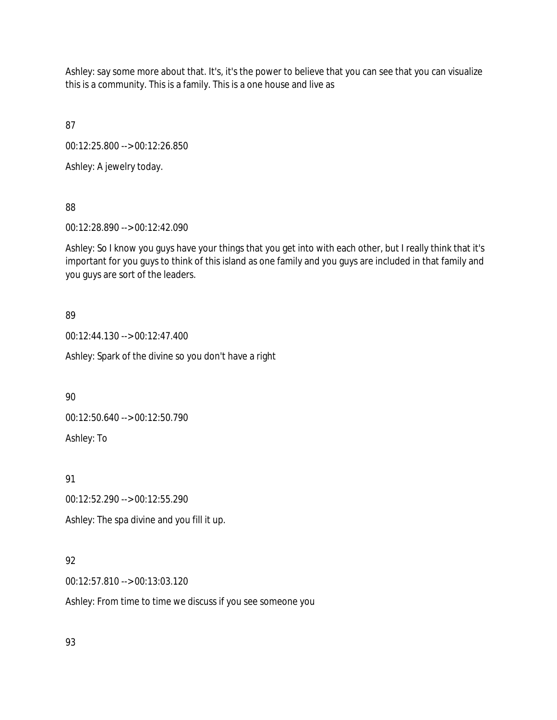Ashley: say some more about that. It's, it's the power to believe that you can see that you can visualize this is a community. This is a family. This is a one house and live as

87

00:12:25.800 --> 00:12:26.850

Ashley: A jewelry today.

88

00:12:28.890 --> 00:12:42.090

Ashley: So I know you guys have your things that you get into with each other, but I really think that it's important for you guys to think of this island as one family and you guys are included in that family and you guys are sort of the leaders.

### 89

00:12:44.130 --> 00:12:47.400

Ashley: Spark of the divine so you don't have a right

90

00:12:50.640 --> 00:12:50.790

Ashley: To

91

00:12:52.290 --> 00:12:55.290

Ashley: The spa divine and you fill it up.

# 92

00:12:57.810 --> 00:13:03.120

Ashley: From time to time we discuss if you see someone you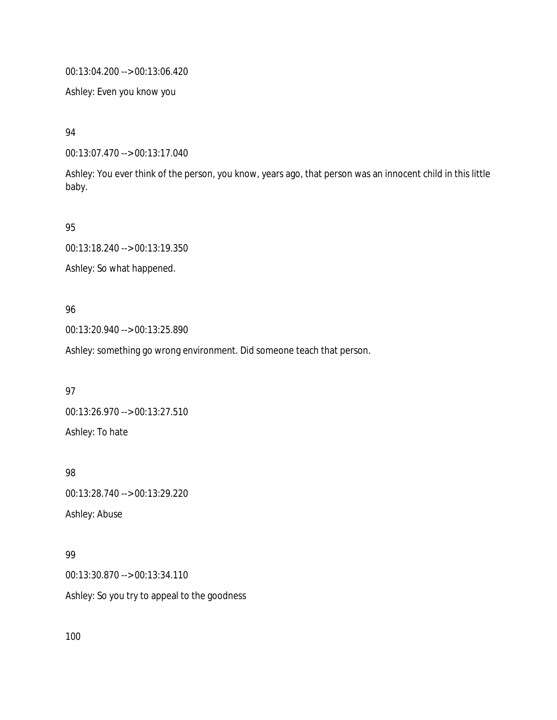00:13:04.200 --> 00:13:06.420

Ashley: Even you know you

94

00:13:07.470 --> 00:13:17.040

Ashley: You ever think of the person, you know, years ago, that person was an innocent child in this little baby.

95

00:13:18.240 --> 00:13:19.350

Ashley: So what happened.

### 96

00:13:20.940 --> 00:13:25.890

Ashley: something go wrong environment. Did someone teach that person.

97

00:13:26.970 --> 00:13:27.510 Ashley: To hate

98

00:13:28.740 --> 00:13:29.220

Ashley: Abuse

# 99

00:13:30.870 --> 00:13:34.110

Ashley: So you try to appeal to the goodness

100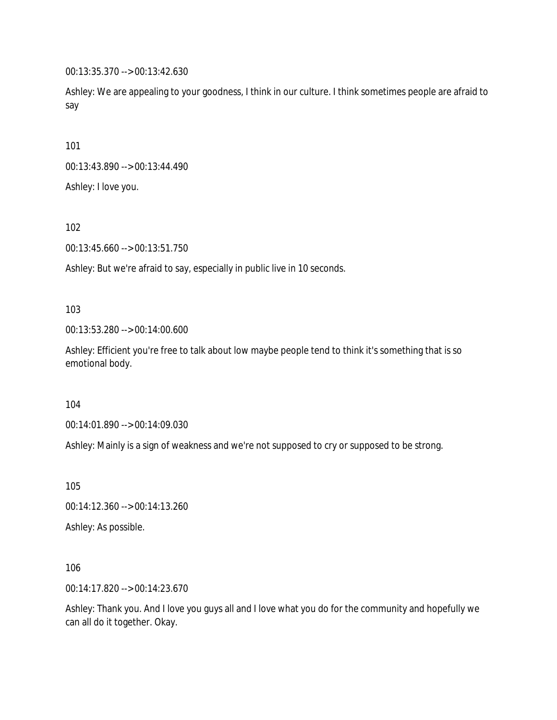00:13:35.370 --> 00:13:42.630

Ashley: We are appealing to your goodness, I think in our culture. I think sometimes people are afraid to say

101

00:13:43.890 --> 00:13:44.490

Ashley: I love you.

102

00:13:45.660 --> 00:13:51.750

Ashley: But we're afraid to say, especially in public live in 10 seconds.

103

00:13:53.280 --> 00:14:00.600

Ashley: Efficient you're free to talk about low maybe people tend to think it's something that is so emotional body.

104

00:14:01.890 --> 00:14:09.030

Ashley: Mainly is a sign of weakness and we're not supposed to cry or supposed to be strong.

105

00:14:12.360 --> 00:14:13.260

Ashley: As possible.

106

00:14:17.820 --> 00:14:23.670

Ashley: Thank you. And I love you guys all and I love what you do for the community and hopefully we can all do it together. Okay.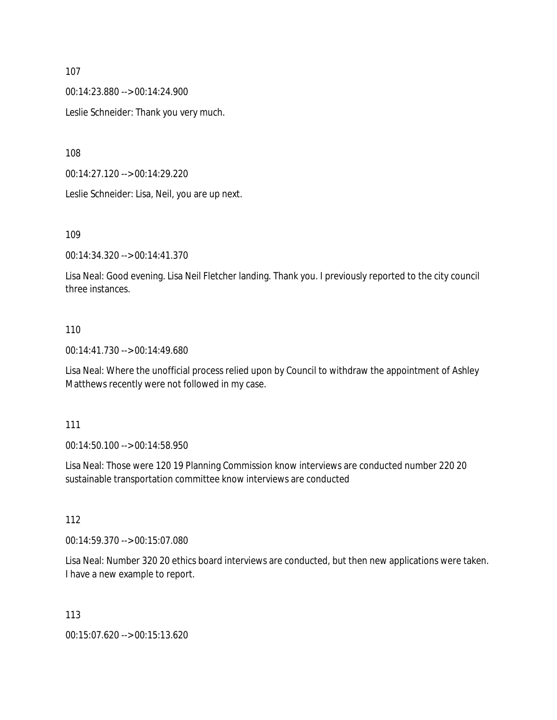00:14:23.880 --> 00:14:24.900

Leslie Schneider: Thank you very much.

108

00:14:27.120 --> 00:14:29.220

Leslie Schneider: Lisa, Neil, you are up next.

109

00:14:34.320 --> 00:14:41.370

Lisa Neal: Good evening. Lisa Neil Fletcher landing. Thank you. I previously reported to the city council three instances.

### 110

00:14:41.730 --> 00:14:49.680

Lisa Neal: Where the unofficial process relied upon by Council to withdraw the appointment of Ashley Matthews recently were not followed in my case.

111

00:14:50.100 --> 00:14:58.950

Lisa Neal: Those were 120 19 Planning Commission know interviews are conducted number 220 20 sustainable transportation committee know interviews are conducted

112

00:14:59.370 --> 00:15:07.080

Lisa Neal: Number 320 20 ethics board interviews are conducted, but then new applications were taken. I have a new example to report.

113

00:15:07.620 --> 00:15:13.620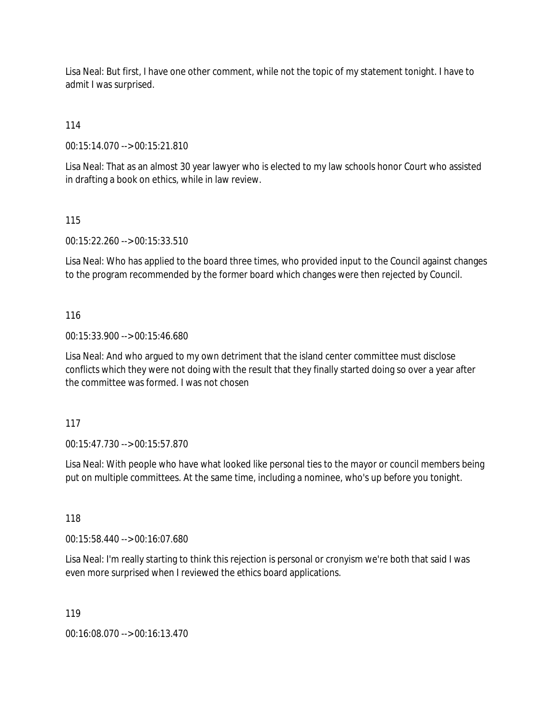Lisa Neal: But first, I have one other comment, while not the topic of my statement tonight. I have to admit I was surprised.

114

00:15:14.070 --> 00:15:21.810

Lisa Neal: That as an almost 30 year lawyer who is elected to my law schools honor Court who assisted in drafting a book on ethics, while in law review.

115

00:15:22.260 --> 00:15:33.510

Lisa Neal: Who has applied to the board three times, who provided input to the Council against changes to the program recommended by the former board which changes were then rejected by Council.

116

00:15:33.900 --> 00:15:46.680

Lisa Neal: And who argued to my own detriment that the island center committee must disclose conflicts which they were not doing with the result that they finally started doing so over a year after the committee was formed. I was not chosen

117

00:15:47.730 --> 00:15:57.870

Lisa Neal: With people who have what looked like personal ties to the mayor or council members being put on multiple committees. At the same time, including a nominee, who's up before you tonight.

118

00:15:58.440 --> 00:16:07.680

Lisa Neal: I'm really starting to think this rejection is personal or cronyism we're both that said I was even more surprised when I reviewed the ethics board applications.

119

00:16:08.070 --> 00:16:13.470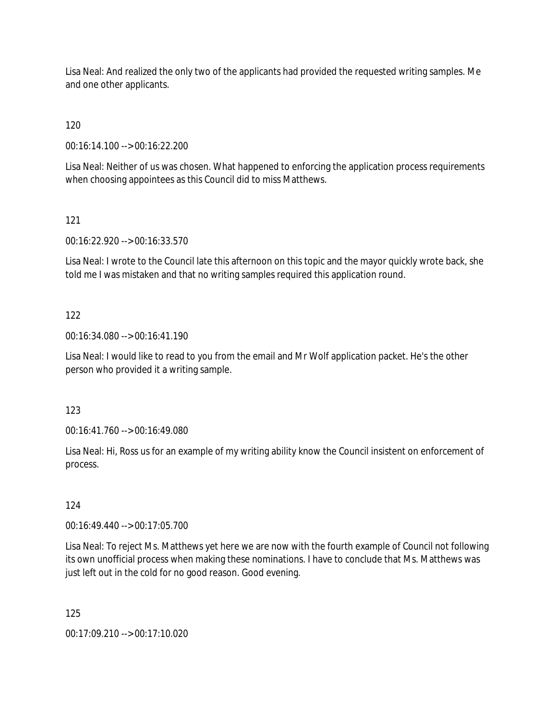Lisa Neal: And realized the only two of the applicants had provided the requested writing samples. Me and one other applicants.

120

00:16:14.100 --> 00:16:22.200

Lisa Neal: Neither of us was chosen. What happened to enforcing the application process requirements when choosing appointees as this Council did to miss Matthews.

121

00:16:22.920 --> 00:16:33.570

Lisa Neal: I wrote to the Council late this afternoon on this topic and the mayor quickly wrote back, she told me I was mistaken and that no writing samples required this application round.

# 122

00:16:34.080 --> 00:16:41.190

Lisa Neal: I would like to read to you from the email and Mr Wolf application packet. He's the other person who provided it a writing sample.

# 123

00:16:41.760 --> 00:16:49.080

Lisa Neal: Hi, Ross us for an example of my writing ability know the Council insistent on enforcement of process.

# 124

00:16:49.440 --> 00:17:05.700

Lisa Neal: To reject Ms. Matthews yet here we are now with the fourth example of Council not following its own unofficial process when making these nominations. I have to conclude that Ms. Matthews was just left out in the cold for no good reason. Good evening.

125

00:17:09.210 --> 00:17:10.020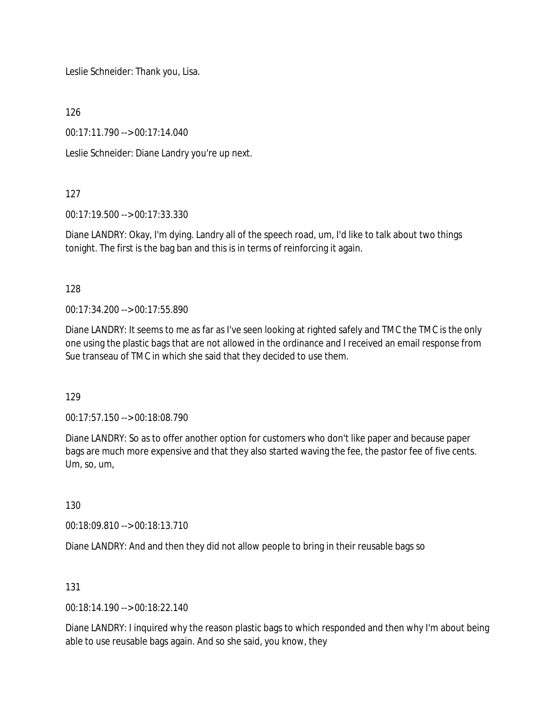Leslie Schneider: Thank you, Lisa.

126

00:17:11.790 --> 00:17:14.040

Leslie Schneider: Diane Landry you're up next.

### 127

00:17:19.500 --> 00:17:33.330

Diane LANDRY: Okay, I'm dying. Landry all of the speech road, um, I'd like to talk about two things tonight. The first is the bag ban and this is in terms of reinforcing it again.

128

00:17:34.200 --> 00:17:55.890

Diane LANDRY: It seems to me as far as I've seen looking at righted safely and TMC the TMC is the only one using the plastic bags that are not allowed in the ordinance and I received an email response from Sue transeau of TMC in which she said that they decided to use them.

129

00:17:57.150 --> 00:18:08.790

Diane LANDRY: So as to offer another option for customers who don't like paper and because paper bags are much more expensive and that they also started waving the fee, the pastor fee of five cents. Um, so, um,

130

00:18:09.810 --> 00:18:13.710

Diane LANDRY: And and then they did not allow people to bring in their reusable bags so

131

00:18:14.190 --> 00:18:22.140

Diane LANDRY: I inquired why the reason plastic bags to which responded and then why I'm about being able to use reusable bags again. And so she said, you know, they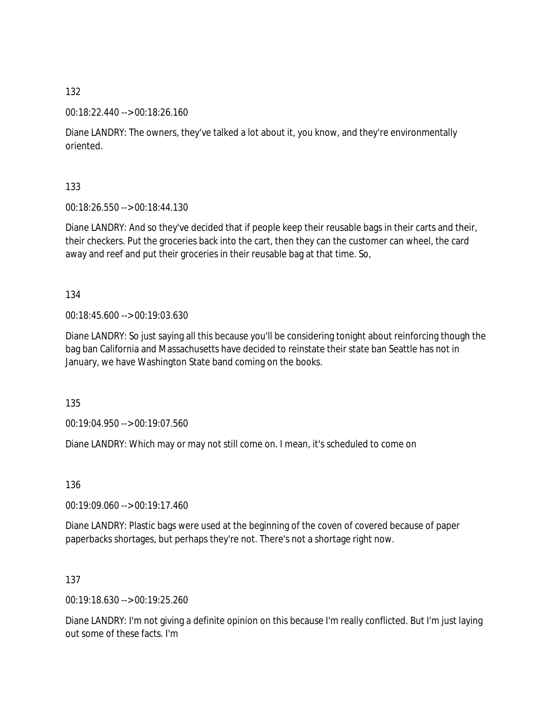00:18:22.440 --> 00:18:26.160

Diane LANDRY: The owners, they've talked a lot about it, you know, and they're environmentally oriented.

133

00:18:26.550 --> 00:18:44.130

Diane LANDRY: And so they've decided that if people keep their reusable bags in their carts and their, their checkers. Put the groceries back into the cart, then they can the customer can wheel, the card away and reef and put their groceries in their reusable bag at that time. So,

134

00:18:45.600 --> 00:19:03.630

Diane LANDRY: So just saying all this because you'll be considering tonight about reinforcing though the bag ban California and Massachusetts have decided to reinstate their state ban Seattle has not in January, we have Washington State band coming on the books.

135

00:19:04.950 --> 00:19:07.560

Diane LANDRY: Which may or may not still come on. I mean, it's scheduled to come on

136

00:19:09.060 --> 00:19:17.460

Diane LANDRY: Plastic bags were used at the beginning of the coven of covered because of paper paperbacks shortages, but perhaps they're not. There's not a shortage right now.

137

00:19:18.630 --> 00:19:25.260

Diane LANDRY: I'm not giving a definite opinion on this because I'm really conflicted. But I'm just laying out some of these facts. I'm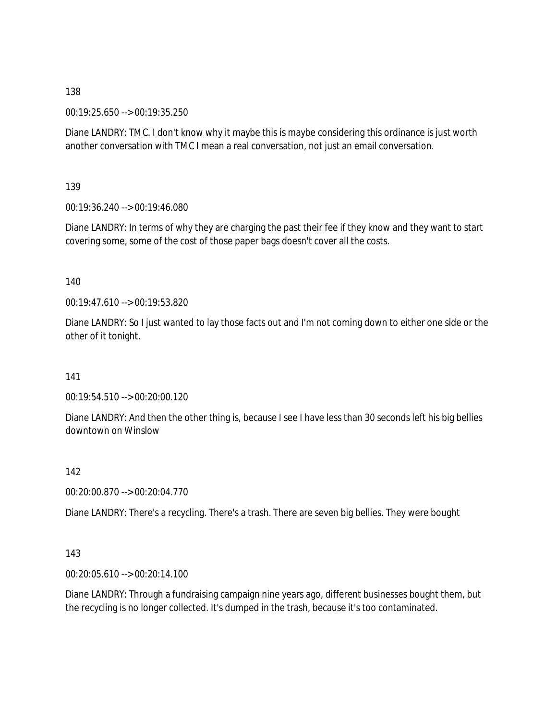00:19:25.650 --> 00:19:35.250

Diane LANDRY: TMC. I don't know why it maybe this is maybe considering this ordinance is just worth another conversation with TMC I mean a real conversation, not just an email conversation.

139

00:19:36.240 --> 00:19:46.080

Diane LANDRY: In terms of why they are charging the past their fee if they know and they want to start covering some, some of the cost of those paper bags doesn't cover all the costs.

140

00:19:47.610 --> 00:19:53.820

Diane LANDRY: So I just wanted to lay those facts out and I'm not coming down to either one side or the other of it tonight.

141

00:19:54.510 --> 00:20:00.120

Diane LANDRY: And then the other thing is, because I see I have less than 30 seconds left his big bellies downtown on Winslow

142

00:20:00.870 --> 00:20:04.770

Diane LANDRY: There's a recycling. There's a trash. There are seven big bellies. They were bought

143

00:20:05.610 --> 00:20:14.100

Diane LANDRY: Through a fundraising campaign nine years ago, different businesses bought them, but the recycling is no longer collected. It's dumped in the trash, because it's too contaminated.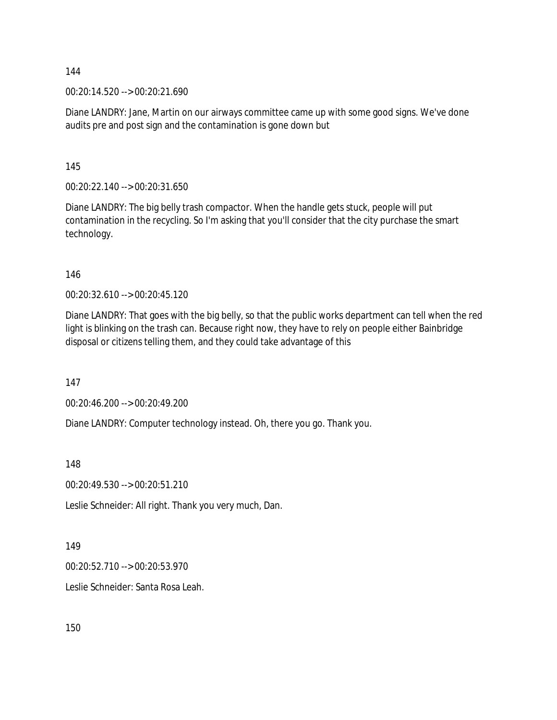00:20:14.520 --> 00:20:21.690

Diane LANDRY: Jane, Martin on our airways committee came up with some good signs. We've done audits pre and post sign and the contamination is gone down but

145

00:20:22.140 --> 00:20:31.650

Diane LANDRY: The big belly trash compactor. When the handle gets stuck, people will put contamination in the recycling. So I'm asking that you'll consider that the city purchase the smart technology.

146

00:20:32.610 --> 00:20:45.120

Diane LANDRY: That goes with the big belly, so that the public works department can tell when the red light is blinking on the trash can. Because right now, they have to rely on people either Bainbridge disposal or citizens telling them, and they could take advantage of this

147

00:20:46.200 --> 00:20:49.200

Diane LANDRY: Computer technology instead. Oh, there you go. Thank you.

148

00:20:49.530 --> 00:20:51.210

Leslie Schneider: All right. Thank you very much, Dan.

149

00:20:52.710 --> 00:20:53.970

Leslie Schneider: Santa Rosa Leah.

150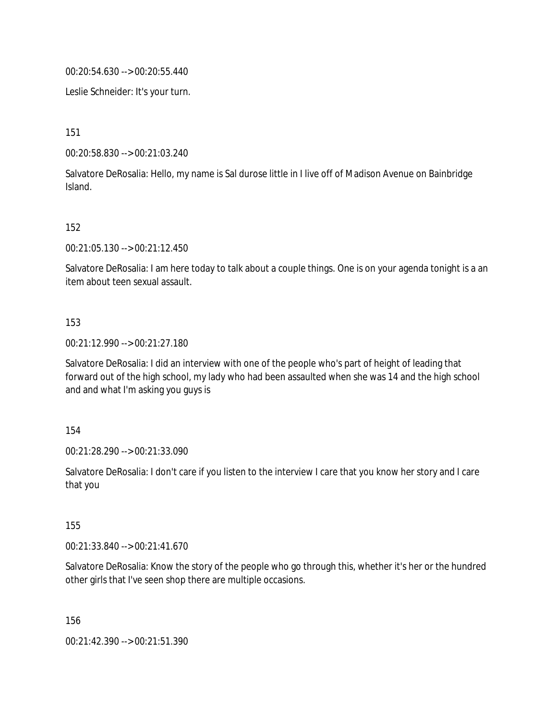00:20:54.630 --> 00:20:55.440

Leslie Schneider: It's your turn.

151

00:20:58.830 --> 00:21:03.240

Salvatore DeRosalia: Hello, my name is Sal durose little in I live off of Madison Avenue on Bainbridge Island.

### 152

00:21:05.130 --> 00:21:12.450

Salvatore DeRosalia: I am here today to talk about a couple things. One is on your agenda tonight is a an item about teen sexual assault.

### 153

00:21:12.990 --> 00:21:27.180

Salvatore DeRosalia: I did an interview with one of the people who's part of height of leading that forward out of the high school, my lady who had been assaulted when she was 14 and the high school and and what I'm asking you guys is

154

00:21:28.290 --> 00:21:33.090

Salvatore DeRosalia: I don't care if you listen to the interview I care that you know her story and I care that you

155

00:21:33.840 --> 00:21:41.670

Salvatore DeRosalia: Know the story of the people who go through this, whether it's her or the hundred other girls that I've seen shop there are multiple occasions.

156

00:21:42.390 --> 00:21:51.390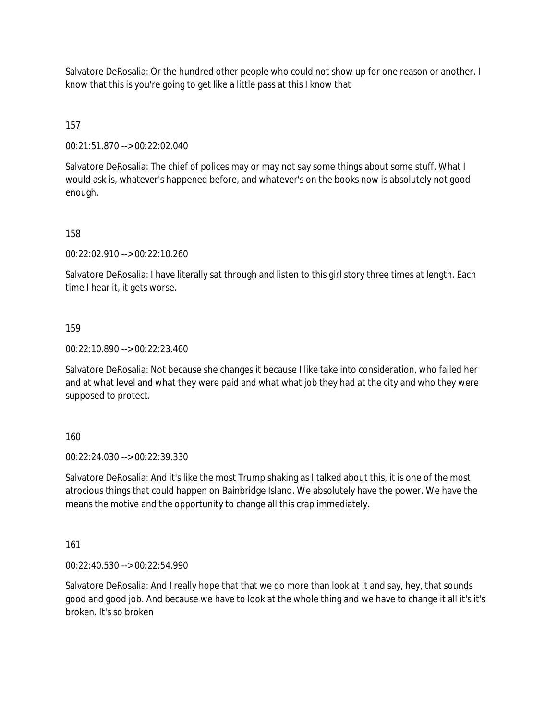Salvatore DeRosalia: Or the hundred other people who could not show up for one reason or another. I know that this is you're going to get like a little pass at this I know that

157

00:21:51.870 --> 00:22:02.040

Salvatore DeRosalia: The chief of polices may or may not say some things about some stuff. What I would ask is, whatever's happened before, and whatever's on the books now is absolutely not good enough.

158

00:22:02.910 --> 00:22:10.260

Salvatore DeRosalia: I have literally sat through and listen to this girl story three times at length. Each time I hear it, it gets worse.

159

00:22:10.890 --> 00:22:23.460

Salvatore DeRosalia: Not because she changes it because I like take into consideration, who failed her and at what level and what they were paid and what what job they had at the city and who they were supposed to protect.

160

00:22:24.030 --> 00:22:39.330

Salvatore DeRosalia: And it's like the most Trump shaking as I talked about this, it is one of the most atrocious things that could happen on Bainbridge Island. We absolutely have the power. We have the means the motive and the opportunity to change all this crap immediately.

161

00:22:40.530 --> 00:22:54.990

Salvatore DeRosalia: And I really hope that that we do more than look at it and say, hey, that sounds good and good job. And because we have to look at the whole thing and we have to change it all it's it's broken. It's so broken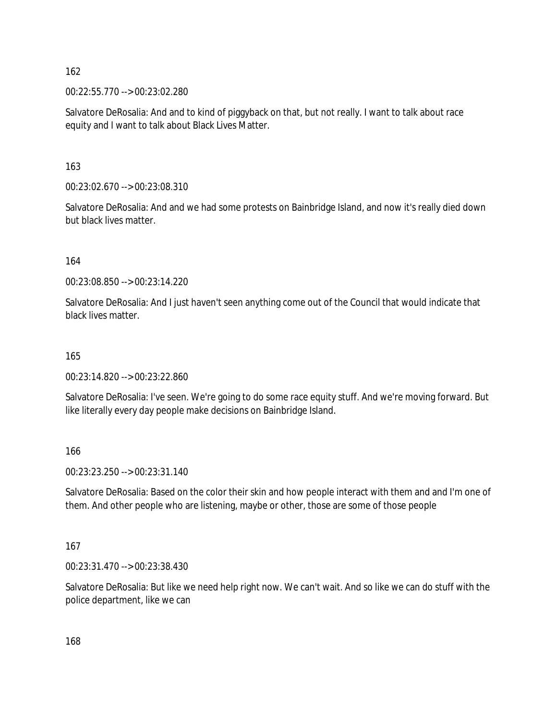00:22:55.770 --> 00:23:02.280

Salvatore DeRosalia: And and to kind of piggyback on that, but not really. I want to talk about race equity and I want to talk about Black Lives Matter.

163

00:23:02.670 --> 00:23:08.310

Salvatore DeRosalia: And and we had some protests on Bainbridge Island, and now it's really died down but black lives matter.

164

00:23:08.850 --> 00:23:14.220

Salvatore DeRosalia: And I just haven't seen anything come out of the Council that would indicate that black lives matter.

165

00:23:14.820 --> 00:23:22.860

Salvatore DeRosalia: I've seen. We're going to do some race equity stuff. And we're moving forward. But like literally every day people make decisions on Bainbridge Island.

166

00:23:23.250 --> 00:23:31.140

Salvatore DeRosalia: Based on the color their skin and how people interact with them and and I'm one of them. And other people who are listening, maybe or other, those are some of those people

167

00:23:31.470 --> 00:23:38.430

Salvatore DeRosalia: But like we need help right now. We can't wait. And so like we can do stuff with the police department, like we can

168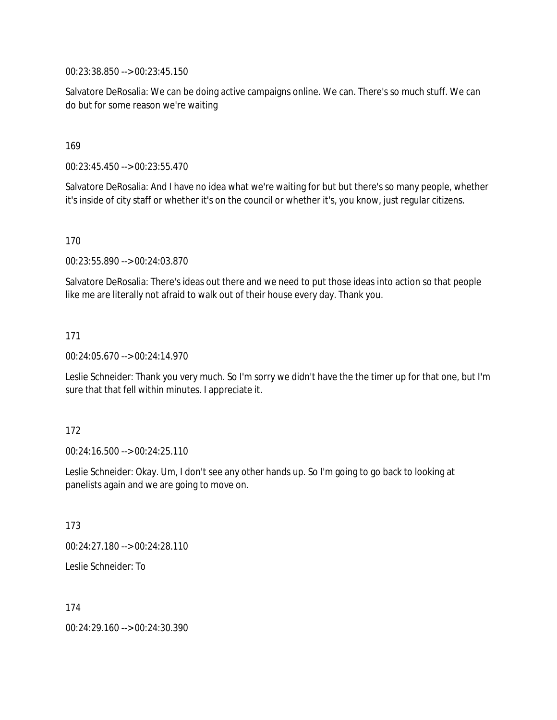00:23:38.850 --> 00:23:45.150

Salvatore DeRosalia: We can be doing active campaigns online. We can. There's so much stuff. We can do but for some reason we're waiting

169

00:23:45.450 --> 00:23:55.470

Salvatore DeRosalia: And I have no idea what we're waiting for but but there's so many people, whether it's inside of city staff or whether it's on the council or whether it's, you know, just regular citizens.

170

00:23:55.890 --> 00:24:03.870

Salvatore DeRosalia: There's ideas out there and we need to put those ideas into action so that people like me are literally not afraid to walk out of their house every day. Thank you.

171

00:24:05.670 --> 00:24:14.970

Leslie Schneider: Thank you very much. So I'm sorry we didn't have the the timer up for that one, but I'm sure that that fell within minutes. I appreciate it.

172

00:24:16.500 --> 00:24:25.110

Leslie Schneider: Okay. Um, I don't see any other hands up. So I'm going to go back to looking at panelists again and we are going to move on.

173

00:24:27.180 --> 00:24:28.110

Leslie Schneider: To

174

00:24:29.160 --> 00:24:30.390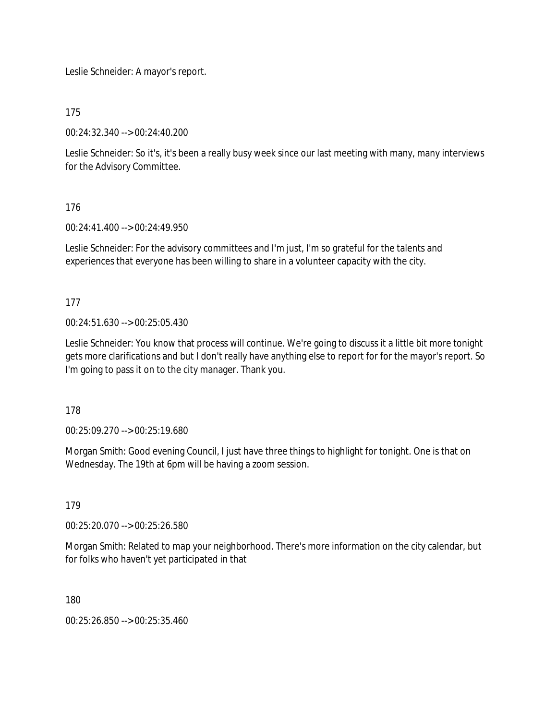Leslie Schneider: A mayor's report.

175

00:24:32.340 --> 00:24:40.200

Leslie Schneider: So it's, it's been a really busy week since our last meeting with many, many interviews for the Advisory Committee.

176

00:24:41.400 --> 00:24:49.950

Leslie Schneider: For the advisory committees and I'm just, I'm so grateful for the talents and experiences that everyone has been willing to share in a volunteer capacity with the city.

177

00:24:51.630 --> 00:25:05.430

Leslie Schneider: You know that process will continue. We're going to discuss it a little bit more tonight gets more clarifications and but I don't really have anything else to report for for the mayor's report. So I'm going to pass it on to the city manager. Thank you.

178

00:25:09.270 --> 00:25:19.680

Morgan Smith: Good evening Council, I just have three things to highlight for tonight. One is that on Wednesday. The 19th at 6pm will be having a zoom session.

179

00:25:20.070 --> 00:25:26.580

Morgan Smith: Related to map your neighborhood. There's more information on the city calendar, but for folks who haven't yet participated in that

180

00:25:26.850 --> 00:25:35.460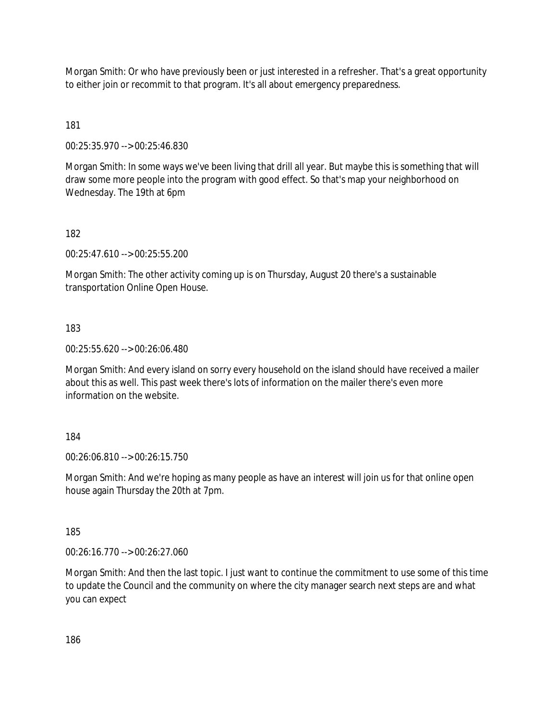Morgan Smith: Or who have previously been or just interested in a refresher. That's a great opportunity to either join or recommit to that program. It's all about emergency preparedness.

181

00:25:35.970 --> 00:25:46.830

Morgan Smith: In some ways we've been living that drill all year. But maybe this is something that will draw some more people into the program with good effect. So that's map your neighborhood on Wednesday. The 19th at 6pm

### 182

00:25:47.610 --> 00:25:55.200

Morgan Smith: The other activity coming up is on Thursday, August 20 there's a sustainable transportation Online Open House.

183

00:25:55.620 --> 00:26:06.480

Morgan Smith: And every island on sorry every household on the island should have received a mailer about this as well. This past week there's lots of information on the mailer there's even more information on the website.

### 184

00:26:06.810 --> 00:26:15.750

Morgan Smith: And we're hoping as many people as have an interest will join us for that online open house again Thursday the 20th at 7pm.

185

00:26:16.770 --> 00:26:27.060

Morgan Smith: And then the last topic. I just want to continue the commitment to use some of this time to update the Council and the community on where the city manager search next steps are and what you can expect

186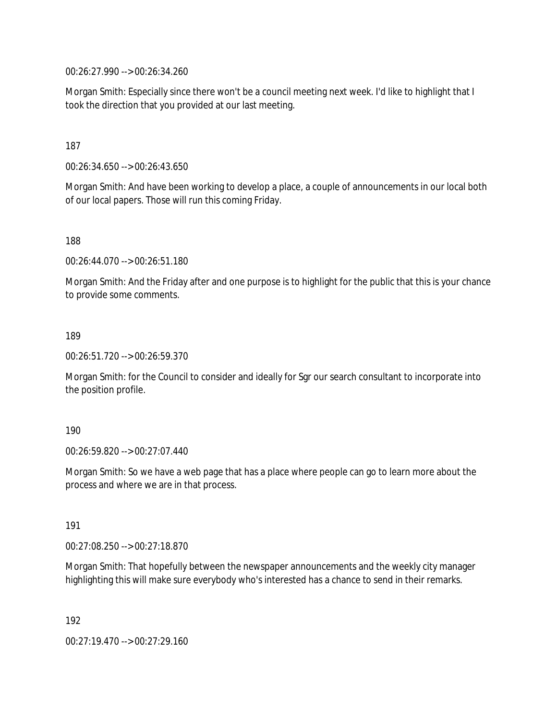00:26:27.990 --> 00:26:34.260

Morgan Smith: Especially since there won't be a council meeting next week. I'd like to highlight that I took the direction that you provided at our last meeting.

187

00:26:34.650 --> 00:26:43.650

Morgan Smith: And have been working to develop a place, a couple of announcements in our local both of our local papers. Those will run this coming Friday.

188

00:26:44.070 --> 00:26:51.180

Morgan Smith: And the Friday after and one purpose is to highlight for the public that this is your chance to provide some comments.

189

00:26:51.720 --> 00:26:59.370

Morgan Smith: for the Council to consider and ideally for Sgr our search consultant to incorporate into the position profile.

190

00:26:59.820 --> 00:27:07.440

Morgan Smith: So we have a web page that has a place where people can go to learn more about the process and where we are in that process.

191

00:27:08.250 --> 00:27:18.870

Morgan Smith: That hopefully between the newspaper announcements and the weekly city manager highlighting this will make sure everybody who's interested has a chance to send in their remarks.

192

00:27:19.470 --> 00:27:29.160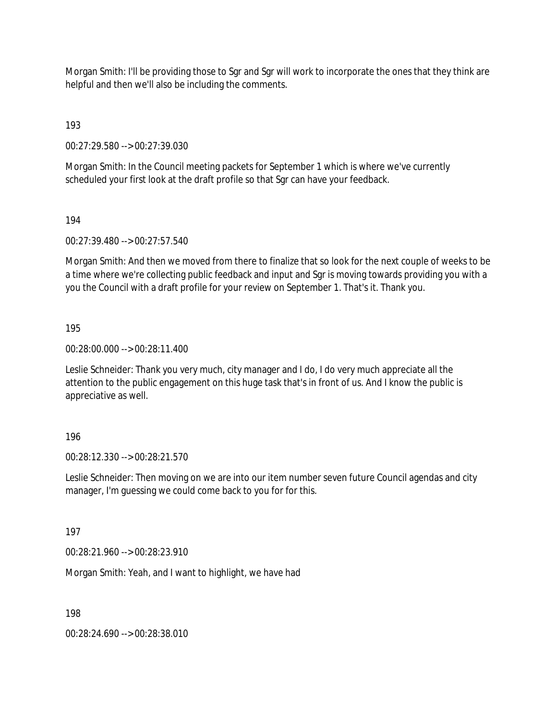Morgan Smith: I'll be providing those to Sgr and Sgr will work to incorporate the ones that they think are helpful and then we'll also be including the comments.

193

00:27:29.580 --> 00:27:39.030

Morgan Smith: In the Council meeting packets for September 1 which is where we've currently scheduled your first look at the draft profile so that Sgr can have your feedback.

194

00:27:39.480 --> 00:27:57.540

Morgan Smith: And then we moved from there to finalize that so look for the next couple of weeks to be a time where we're collecting public feedback and input and Sgr is moving towards providing you with a you the Council with a draft profile for your review on September 1. That's it. Thank you.

195

00:28:00.000 --> 00:28:11.400

Leslie Schneider: Thank you very much, city manager and I do, I do very much appreciate all the attention to the public engagement on this huge task that's in front of us. And I know the public is appreciative as well.

196

00:28:12.330 --> 00:28:21.570

Leslie Schneider: Then moving on we are into our item number seven future Council agendas and city manager, I'm guessing we could come back to you for for this.

197

00:28:21.960 --> 00:28:23.910

Morgan Smith: Yeah, and I want to highlight, we have had

198

00:28:24.690 --> 00:28:38.010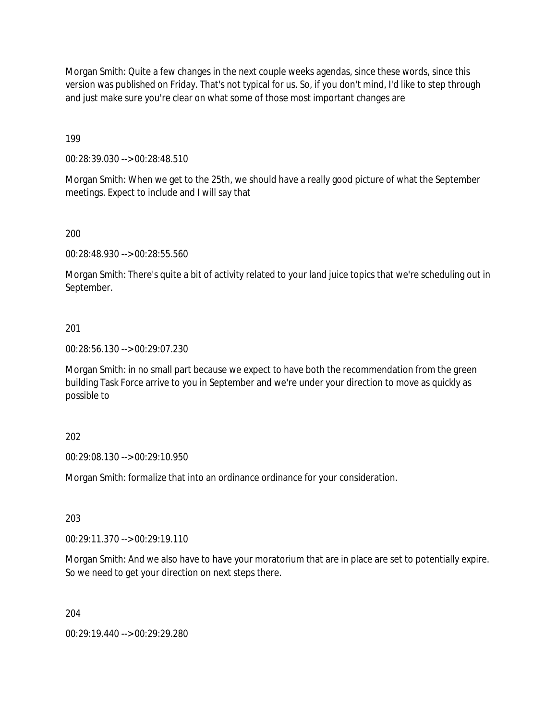Morgan Smith: Quite a few changes in the next couple weeks agendas, since these words, since this version was published on Friday. That's not typical for us. So, if you don't mind, I'd like to step through and just make sure you're clear on what some of those most important changes are

199

00:28:39.030 --> 00:28:48.510

Morgan Smith: When we get to the 25th, we should have a really good picture of what the September meetings. Expect to include and I will say that

200

00:28:48.930 --> 00:28:55.560

Morgan Smith: There's quite a bit of activity related to your land juice topics that we're scheduling out in September.

### 201

00:28:56.130 --> 00:29:07.230

Morgan Smith: in no small part because we expect to have both the recommendation from the green building Task Force arrive to you in September and we're under your direction to move as quickly as possible to

### 202

00:29:08.130 --> 00:29:10.950

Morgan Smith: formalize that into an ordinance ordinance for your consideration.

203

00:29:11.370 --> 00:29:19.110

Morgan Smith: And we also have to have your moratorium that are in place are set to potentially expire. So we need to get your direction on next steps there.

204

00:29:19.440 --> 00:29:29.280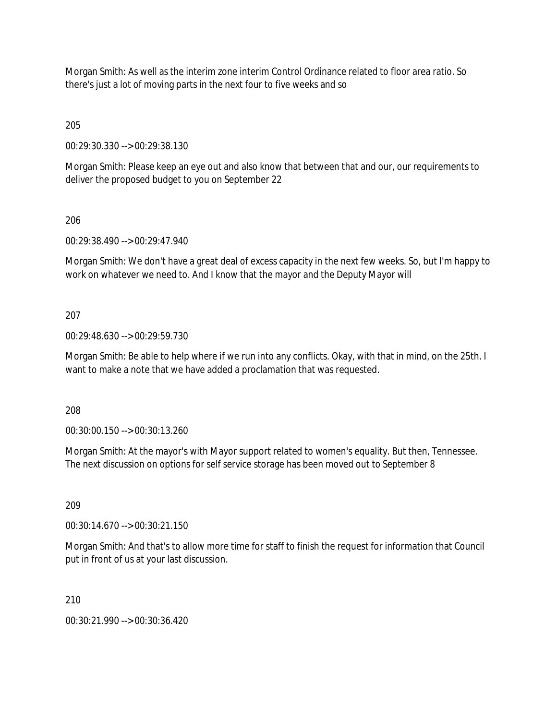Morgan Smith: As well as the interim zone interim Control Ordinance related to floor area ratio. So there's just a lot of moving parts in the next four to five weeks and so

205

00:29:30.330 --> 00:29:38.130

Morgan Smith: Please keep an eye out and also know that between that and our, our requirements to deliver the proposed budget to you on September 22

206

00:29:38.490 --> 00:29:47.940

Morgan Smith: We don't have a great deal of excess capacity in the next few weeks. So, but I'm happy to work on whatever we need to. And I know that the mayor and the Deputy Mayor will

207

00:29:48.630 --> 00:29:59.730

Morgan Smith: Be able to help where if we run into any conflicts. Okay, with that in mind, on the 25th. I want to make a note that we have added a proclamation that was requested.

208

00:30:00.150 --> 00:30:13.260

Morgan Smith: At the mayor's with Mayor support related to women's equality. But then, Tennessee. The next discussion on options for self service storage has been moved out to September 8

209

00:30:14.670 --> 00:30:21.150

Morgan Smith: And that's to allow more time for staff to finish the request for information that Council put in front of us at your last discussion.

210

00:30:21.990 --> 00:30:36.420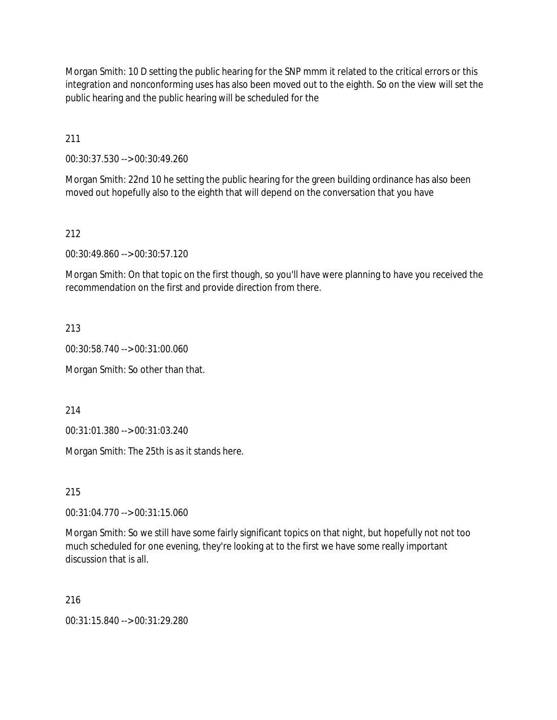Morgan Smith: 10 D setting the public hearing for the SNP mmm it related to the critical errors or this integration and nonconforming uses has also been moved out to the eighth. So on the view will set the public hearing and the public hearing will be scheduled for the

211

00:30:37.530 --> 00:30:49.260

Morgan Smith: 22nd 10 he setting the public hearing for the green building ordinance has also been moved out hopefully also to the eighth that will depend on the conversation that you have

212

00:30:49.860 --> 00:30:57.120

Morgan Smith: On that topic on the first though, so you'll have were planning to have you received the recommendation on the first and provide direction from there.

213

00:30:58.740 --> 00:31:00.060

Morgan Smith: So other than that.

214

00:31:01.380 --> 00:31:03.240

Morgan Smith: The 25th is as it stands here.

215

00:31:04.770 --> 00:31:15.060

Morgan Smith: So we still have some fairly significant topics on that night, but hopefully not not too much scheduled for one evening, they're looking at to the first we have some really important discussion that is all.

216

00:31:15.840 --> 00:31:29.280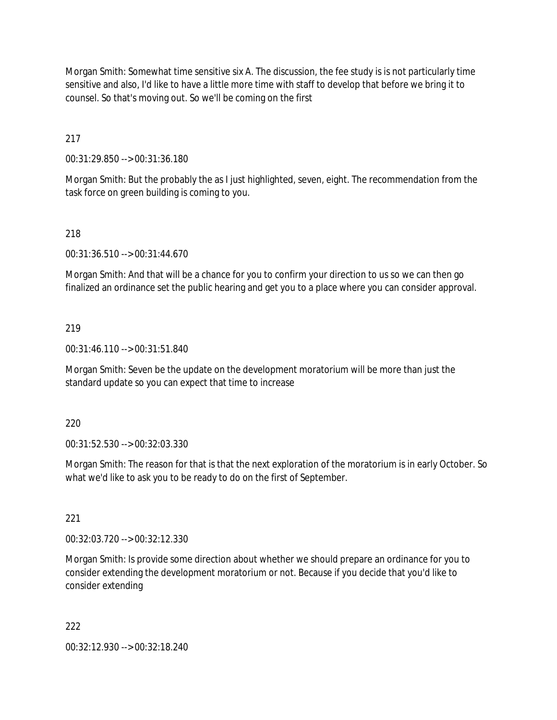Morgan Smith: Somewhat time sensitive six A. The discussion, the fee study is is not particularly time sensitive and also, I'd like to have a little more time with staff to develop that before we bring it to counsel. So that's moving out. So we'll be coming on the first

217

00:31:29.850 --> 00:31:36.180

Morgan Smith: But the probably the as I just highlighted, seven, eight. The recommendation from the task force on green building is coming to you.

### 218

00:31:36.510 --> 00:31:44.670

Morgan Smith: And that will be a chance for you to confirm your direction to us so we can then go finalized an ordinance set the public hearing and get you to a place where you can consider approval.

### 219

00:31:46.110 --> 00:31:51.840

Morgan Smith: Seven be the update on the development moratorium will be more than just the standard update so you can expect that time to increase

### 220

00:31:52.530 --> 00:32:03.330

Morgan Smith: The reason for that is that the next exploration of the moratorium is in early October. So what we'd like to ask you to be ready to do on the first of September.

### 221

00:32:03.720 --> 00:32:12.330

Morgan Smith: Is provide some direction about whether we should prepare an ordinance for you to consider extending the development moratorium or not. Because if you decide that you'd like to consider extending

### 222

00:32:12.930 --> 00:32:18.240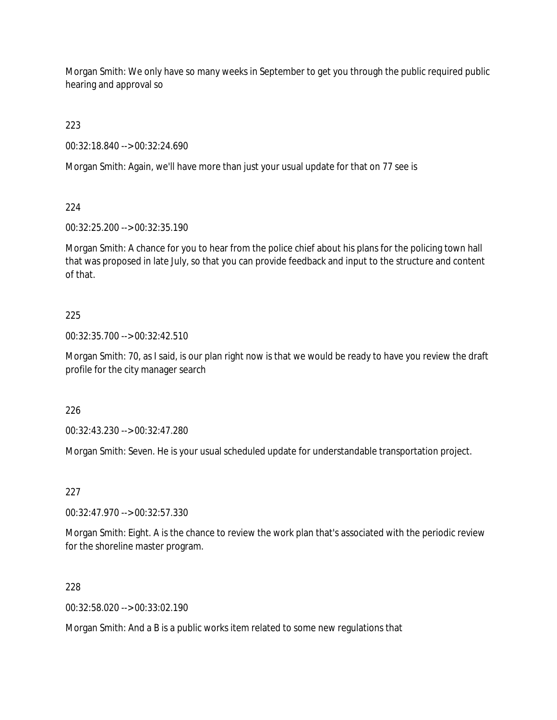Morgan Smith: We only have so many weeks in September to get you through the public required public hearing and approval so

223

00:32:18.840 --> 00:32:24.690

Morgan Smith: Again, we'll have more than just your usual update for that on 77 see is

224

00:32:25.200 --> 00:32:35.190

Morgan Smith: A chance for you to hear from the police chief about his plans for the policing town hall that was proposed in late July, so that you can provide feedback and input to the structure and content of that.

### 225

00:32:35.700 --> 00:32:42.510

Morgan Smith: 70, as I said, is our plan right now is that we would be ready to have you review the draft profile for the city manager search

226

00:32:43.230 --> 00:32:47.280

Morgan Smith: Seven. He is your usual scheduled update for understandable transportation project.

### 227

00:32:47.970 --> 00:32:57.330

Morgan Smith: Eight. A is the chance to review the work plan that's associated with the periodic review for the shoreline master program.

### 228

00:32:58.020 --> 00:33:02.190

Morgan Smith: And a B is a public works item related to some new regulations that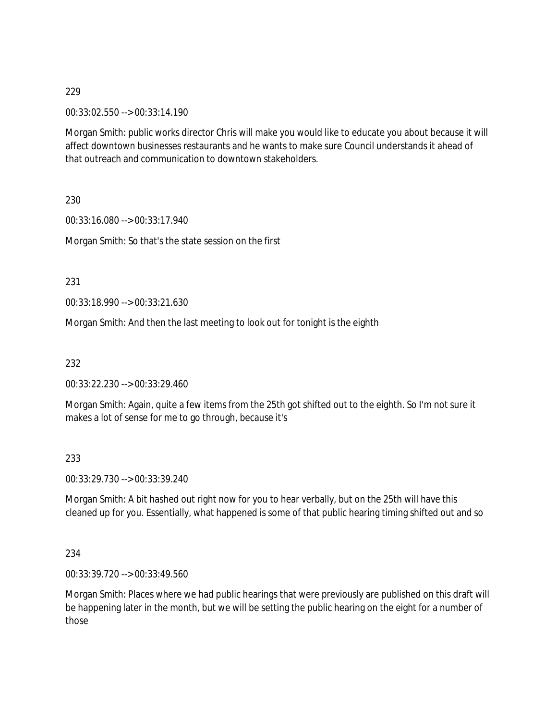00:33:02.550 --> 00:33:14.190

Morgan Smith: public works director Chris will make you would like to educate you about because it will affect downtown businesses restaurants and he wants to make sure Council understands it ahead of that outreach and communication to downtown stakeholders.

230

00:33:16.080 --> 00:33:17.940

Morgan Smith: So that's the state session on the first

231

00:33:18.990 --> 00:33:21.630

Morgan Smith: And then the last meeting to look out for tonight is the eighth

232

00:33:22.230 --> 00:33:29.460

Morgan Smith: Again, quite a few items from the 25th got shifted out to the eighth. So I'm not sure it makes a lot of sense for me to go through, because it's

233

00:33:29.730 --> 00:33:39.240

Morgan Smith: A bit hashed out right now for you to hear verbally, but on the 25th will have this cleaned up for you. Essentially, what happened is some of that public hearing timing shifted out and so

234

00:33:39.720 --> 00:33:49.560

Morgan Smith: Places where we had public hearings that were previously are published on this draft will be happening later in the month, but we will be setting the public hearing on the eight for a number of those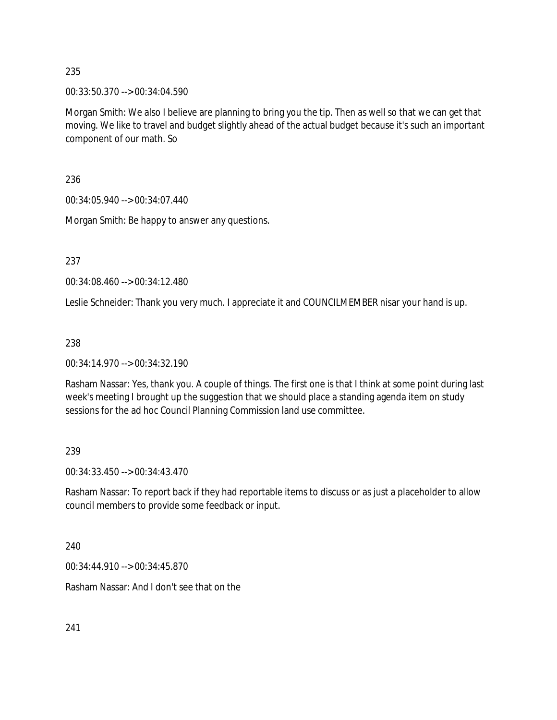00:33:50.370 --> 00:34:04.590

Morgan Smith: We also I believe are planning to bring you the tip. Then as well so that we can get that moving. We like to travel and budget slightly ahead of the actual budget because it's such an important component of our math. So

236

00:34:05.940 --> 00:34:07.440

Morgan Smith: Be happy to answer any questions.

237

00:34:08.460 --> 00:34:12.480

Leslie Schneider: Thank you very much. I appreciate it and COUNCILMEMBER nisar your hand is up.

238

00:34:14.970 --> 00:34:32.190

Rasham Nassar: Yes, thank you. A couple of things. The first one is that I think at some point during last week's meeting I brought up the suggestion that we should place a standing agenda item on study sessions for the ad hoc Council Planning Commission land use committee.

239

00:34:33.450 --> 00:34:43.470

Rasham Nassar: To report back if they had reportable items to discuss or as just a placeholder to allow council members to provide some feedback or input.

240

00:34:44.910 --> 00:34:45.870

Rasham Nassar: And I don't see that on the

241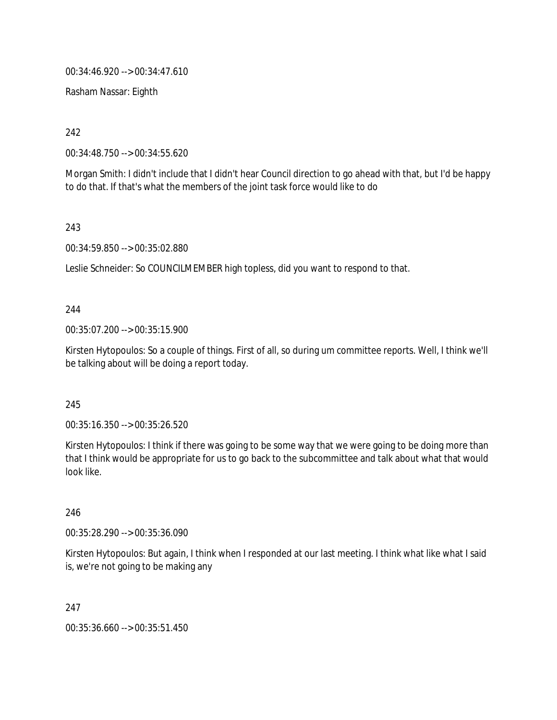00:34:46.920 --> 00:34:47.610

Rasham Nassar: Eighth

242

00:34:48.750 --> 00:34:55.620

Morgan Smith: I didn't include that I didn't hear Council direction to go ahead with that, but I'd be happy to do that. If that's what the members of the joint task force would like to do

243

00:34:59.850 --> 00:35:02.880

Leslie Schneider: So COUNCILMEMBER high topless, did you want to respond to that.

244

00:35:07.200 --> 00:35:15.900

Kirsten Hytopoulos: So a couple of things. First of all, so during um committee reports. Well, I think we'll be talking about will be doing a report today.

245

00:35:16.350 --> 00:35:26.520

Kirsten Hytopoulos: I think if there was going to be some way that we were going to be doing more than that I think would be appropriate for us to go back to the subcommittee and talk about what that would look like.

246

00:35:28.290 --> 00:35:36.090

Kirsten Hytopoulos: But again, I think when I responded at our last meeting. I think what like what I said is, we're not going to be making any

247

00:35:36.660 --> 00:35:51.450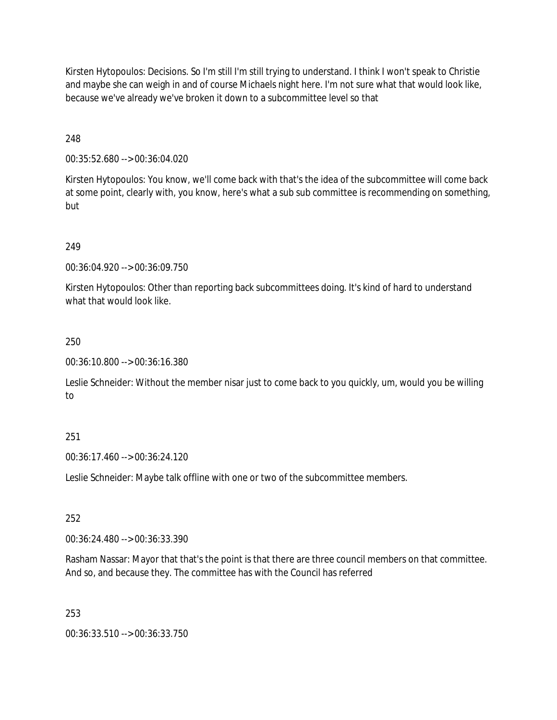Kirsten Hytopoulos: Decisions. So I'm still I'm still trying to understand. I think I won't speak to Christie and maybe she can weigh in and of course Michaels night here. I'm not sure what that would look like, because we've already we've broken it down to a subcommittee level so that

248

00:35:52.680 --> 00:36:04.020

Kirsten Hytopoulos: You know, we'll come back with that's the idea of the subcommittee will come back at some point, clearly with, you know, here's what a sub sub committee is recommending on something, but

## 249

00:36:04.920 --> 00:36:09.750

Kirsten Hytopoulos: Other than reporting back subcommittees doing. It's kind of hard to understand what that would look like.

### 250

00:36:10.800 --> 00:36:16.380

Leslie Schneider: Without the member nisar just to come back to you quickly, um, would you be willing to

### 251

00:36:17.460 --> 00:36:24.120

Leslie Schneider: Maybe talk offline with one or two of the subcommittee members.

### 252

00:36:24.480 --> 00:36:33.390

Rasham Nassar: Mayor that that's the point is that there are three council members on that committee. And so, and because they. The committee has with the Council has referred

### 253

00:36:33.510 --> 00:36:33.750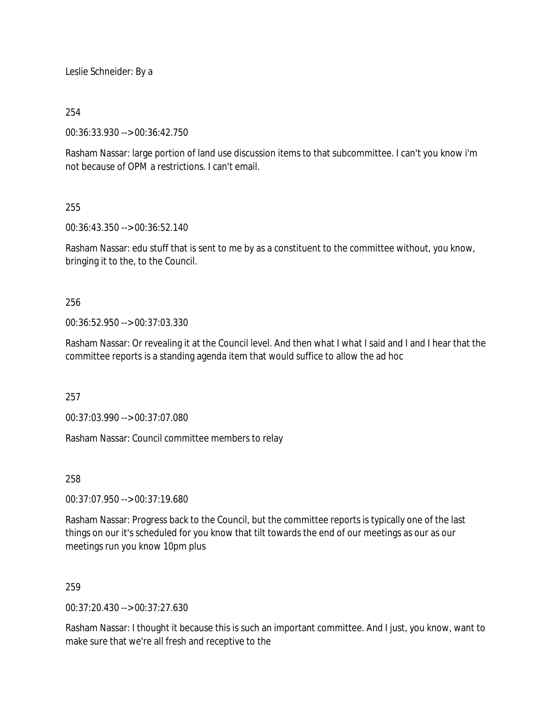Leslie Schneider: By a

## 254

00:36:33.930 --> 00:36:42.750

Rasham Nassar: large portion of land use discussion items to that subcommittee. I can't you know i'm not because of OPM a restrictions. I can't email.

## 255

00:36:43.350 --> 00:36:52.140

Rasham Nassar: edu stuff that is sent to me by as a constituent to the committee without, you know, bringing it to the, to the Council.

## 256

00:36:52.950 --> 00:37:03.330

Rasham Nassar: Or revealing it at the Council level. And then what I what I said and I and I hear that the committee reports is a standing agenda item that would suffice to allow the ad hoc

257

00:37:03.990 --> 00:37:07.080

Rasham Nassar: Council committee members to relay

258

00:37:07.950 --> 00:37:19.680

Rasham Nassar: Progress back to the Council, but the committee reports is typically one of the last things on our it's scheduled for you know that tilt towards the end of our meetings as our as our meetings run you know 10pm plus

## 259

00:37:20.430 --> 00:37:27.630

Rasham Nassar: I thought it because this is such an important committee. And I just, you know, want to make sure that we're all fresh and receptive to the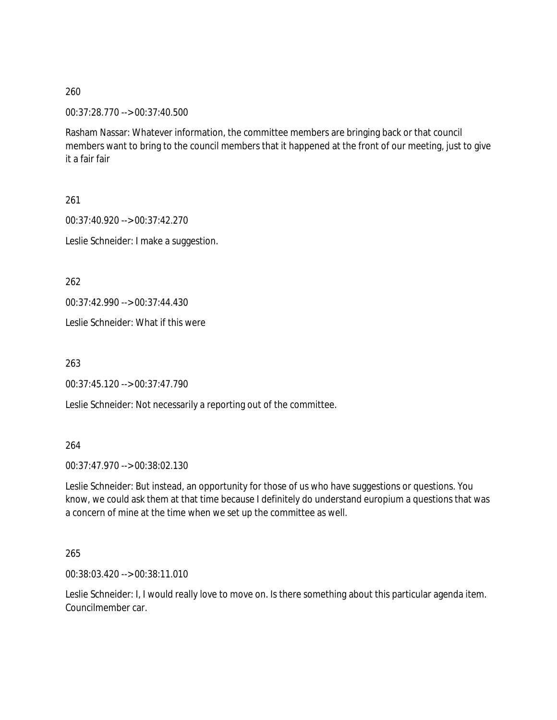00:37:28.770 --> 00:37:40.500

Rasham Nassar: Whatever information, the committee members are bringing back or that council members want to bring to the council members that it happened at the front of our meeting, just to give it a fair fair

261

00:37:40.920 --> 00:37:42.270 Leslie Schneider: I make a suggestion.

262

00:37:42.990 --> 00:37:44.430

Leslie Schneider: What if this were

263

00:37:45.120 --> 00:37:47.790

Leslie Schneider: Not necessarily a reporting out of the committee.

264

00:37:47.970 --> 00:38:02.130

Leslie Schneider: But instead, an opportunity for those of us who have suggestions or questions. You know, we could ask them at that time because I definitely do understand europium a questions that was a concern of mine at the time when we set up the committee as well.

265

00:38:03.420 --> 00:38:11.010

Leslie Schneider: I, I would really love to move on. Is there something about this particular agenda item. Councilmember car.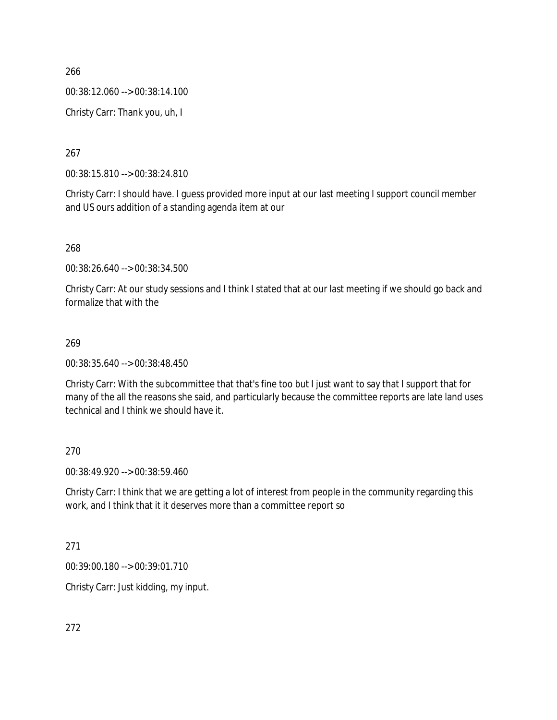00:38:12.060 --> 00:38:14.100

Christy Carr: Thank you, uh, I

267

00:38:15.810 --> 00:38:24.810

Christy Carr: I should have. I guess provided more input at our last meeting I support council member and US ours addition of a standing agenda item at our

268

00:38:26.640 --> 00:38:34.500

Christy Carr: At our study sessions and I think I stated that at our last meeting if we should go back and formalize that with the

## 269

00:38:35.640 --> 00:38:48.450

Christy Carr: With the subcommittee that that's fine too but I just want to say that I support that for many of the all the reasons she said, and particularly because the committee reports are late land uses technical and I think we should have it.

270

00:38:49.920 --> 00:38:59.460

Christy Carr: I think that we are getting a lot of interest from people in the community regarding this work, and I think that it it deserves more than a committee report so

271

00:39:00.180 --> 00:39:01.710

Christy Carr: Just kidding, my input.

272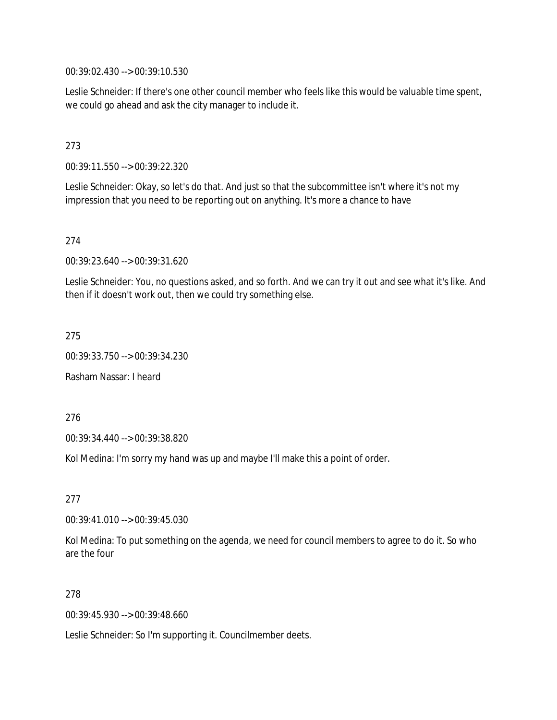00:39:02.430 --> 00:39:10.530

Leslie Schneider: If there's one other council member who feels like this would be valuable time spent, we could go ahead and ask the city manager to include it.

#### 273

00:39:11.550 --> 00:39:22.320

Leslie Schneider: Okay, so let's do that. And just so that the subcommittee isn't where it's not my impression that you need to be reporting out on anything. It's more a chance to have

#### 274

00:39:23.640 --> 00:39:31.620

Leslie Schneider: You, no questions asked, and so forth. And we can try it out and see what it's like. And then if it doesn't work out, then we could try something else.

#### 275

00:39:33.750 --> 00:39:34.230

Rasham Nassar: I heard

276

00:39:34.440 --> 00:39:38.820

Kol Medina: I'm sorry my hand was up and maybe I'll make this a point of order.

#### 277

00:39:41.010 --> 00:39:45.030

Kol Medina: To put something on the agenda, we need for council members to agree to do it. So who are the four

#### 278

00:39:45.930 --> 00:39:48.660

Leslie Schneider: So I'm supporting it. Councilmember deets.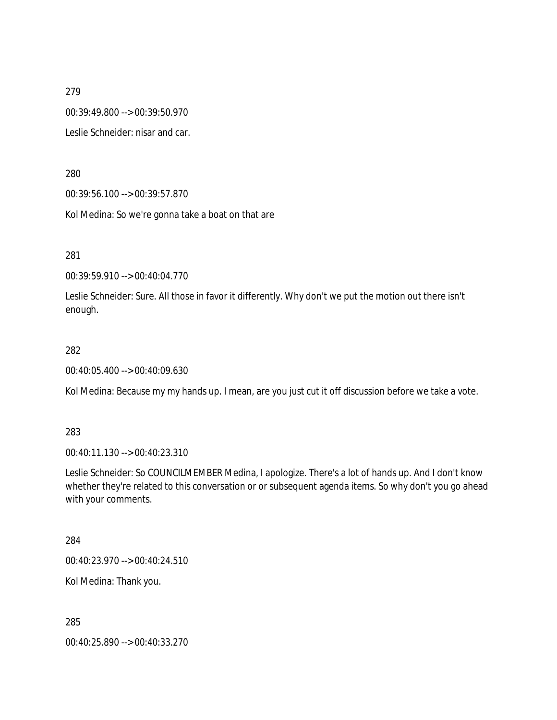00:39:49.800 --> 00:39:50.970

Leslie Schneider: nisar and car.

280

00:39:56.100 --> 00:39:57.870

Kol Medina: So we're gonna take a boat on that are

281

00:39:59.910 --> 00:40:04.770

Leslie Schneider: Sure. All those in favor it differently. Why don't we put the motion out there isn't enough.

#### 282

00:40:05.400 --> 00:40:09.630

Kol Medina: Because my my hands up. I mean, are you just cut it off discussion before we take a vote.

283

00:40:11.130 --> 00:40:23.310

Leslie Schneider: So COUNCILMEMBER Medina, I apologize. There's a lot of hands up. And I don't know whether they're related to this conversation or or subsequent agenda items. So why don't you go ahead with your comments.

284

00:40:23.970 --> 00:40:24.510

Kol Medina: Thank you.

285

00:40:25.890 --> 00:40:33.270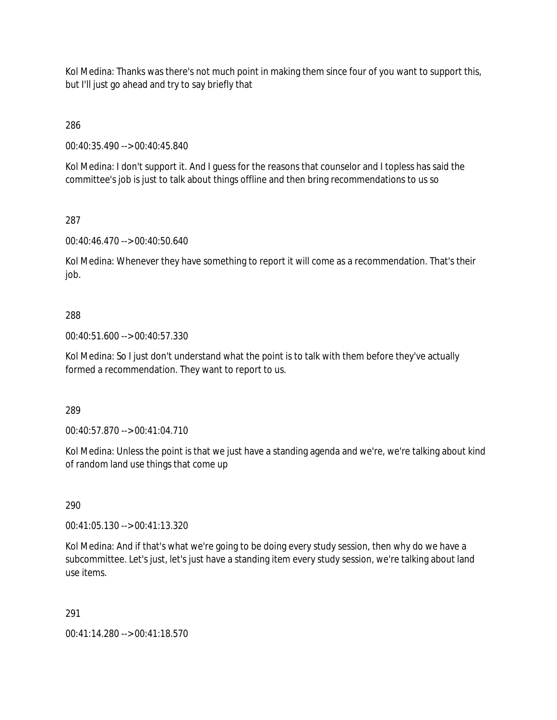Kol Medina: Thanks was there's not much point in making them since four of you want to support this, but I'll just go ahead and try to say briefly that

286

00:40:35.490 --> 00:40:45.840

Kol Medina: I don't support it. And I guess for the reasons that counselor and I topless has said the committee's job is just to talk about things offline and then bring recommendations to us so

## 287

00:40:46.470 --> 00:40:50.640

Kol Medina: Whenever they have something to report it will come as a recommendation. That's their job.

## 288

00:40:51.600 --> 00:40:57.330

Kol Medina: So I just don't understand what the point is to talk with them before they've actually formed a recommendation. They want to report to us.

289

00:40:57.870 --> 00:41:04.710

Kol Medina: Unless the point is that we just have a standing agenda and we're, we're talking about kind of random land use things that come up

### 290

00:41:05.130 --> 00:41:13.320

Kol Medina: And if that's what we're going to be doing every study session, then why do we have a subcommittee. Let's just, let's just have a standing item every study session, we're talking about land use items.

### 291

00:41:14.280 --> 00:41:18.570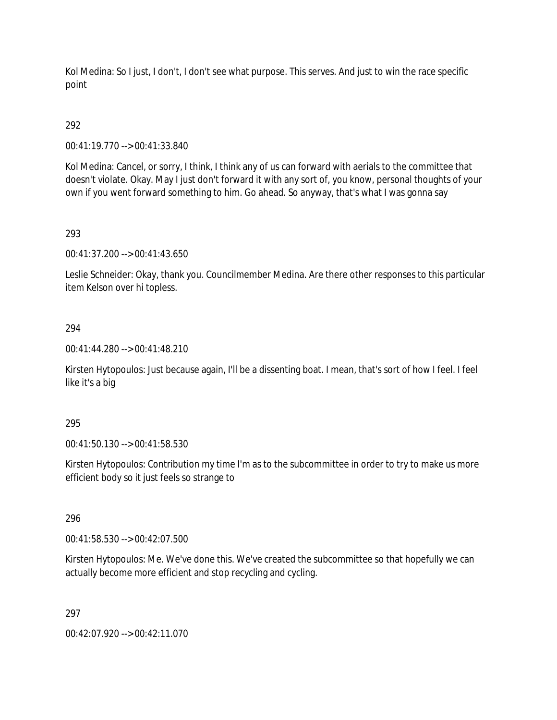Kol Medina: So I just, I don't, I don't see what purpose. This serves. And just to win the race specific point

# 292

00:41:19.770 --> 00:41:33.840

Kol Medina: Cancel, or sorry, I think, I think any of us can forward with aerials to the committee that doesn't violate. Okay. May I just don't forward it with any sort of, you know, personal thoughts of your own if you went forward something to him. Go ahead. So anyway, that's what I was gonna say

## 293

00:41:37.200 --> 00:41:43.650

Leslie Schneider: Okay, thank you. Councilmember Medina. Are there other responses to this particular item Kelson over hi topless.

### 294

00:41:44.280 --> 00:41:48.210

Kirsten Hytopoulos: Just because again, I'll be a dissenting boat. I mean, that's sort of how I feel. I feel like it's a big

### 295

00:41:50.130 --> 00:41:58.530

Kirsten Hytopoulos: Contribution my time I'm as to the subcommittee in order to try to make us more efficient body so it just feels so strange to

### 296

00:41:58.530 --> 00:42:07.500

Kirsten Hytopoulos: Me. We've done this. We've created the subcommittee so that hopefully we can actually become more efficient and stop recycling and cycling.

### 297

00:42:07.920 --> 00:42:11.070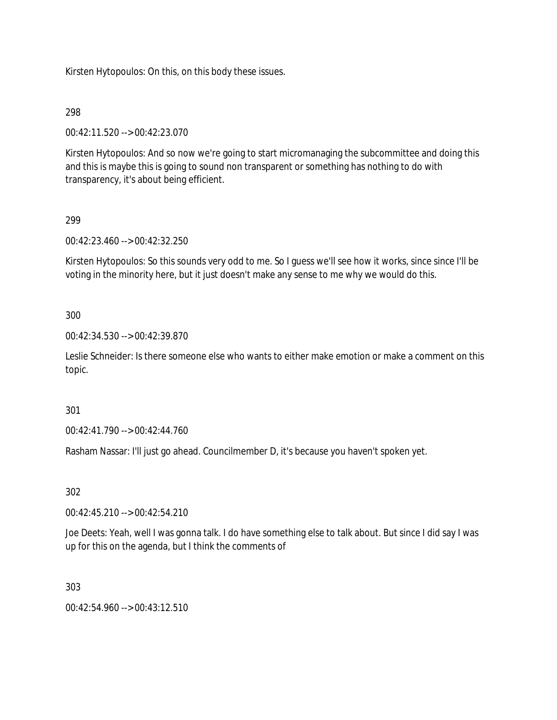Kirsten Hytopoulos: On this, on this body these issues.

### 298

00:42:11.520 --> 00:42:23.070

Kirsten Hytopoulos: And so now we're going to start micromanaging the subcommittee and doing this and this is maybe this is going to sound non transparent or something has nothing to do with transparency, it's about being efficient.

## 299

00:42:23.460 --> 00:42:32.250

Kirsten Hytopoulos: So this sounds very odd to me. So I guess we'll see how it works, since since I'll be voting in the minority here, but it just doesn't make any sense to me why we would do this.

### 300

00:42:34.530 --> 00:42:39.870

Leslie Schneider: Is there someone else who wants to either make emotion or make a comment on this topic.

### 301

00:42:41.790 --> 00:42:44.760

Rasham Nassar: I'll just go ahead. Councilmember D, it's because you haven't spoken yet.

### 302

00:42:45.210 --> 00:42:54.210

Joe Deets: Yeah, well I was gonna talk. I do have something else to talk about. But since I did say I was up for this on the agenda, but I think the comments of

### 303

 $00.42.54.960 -> 00.43.12.510$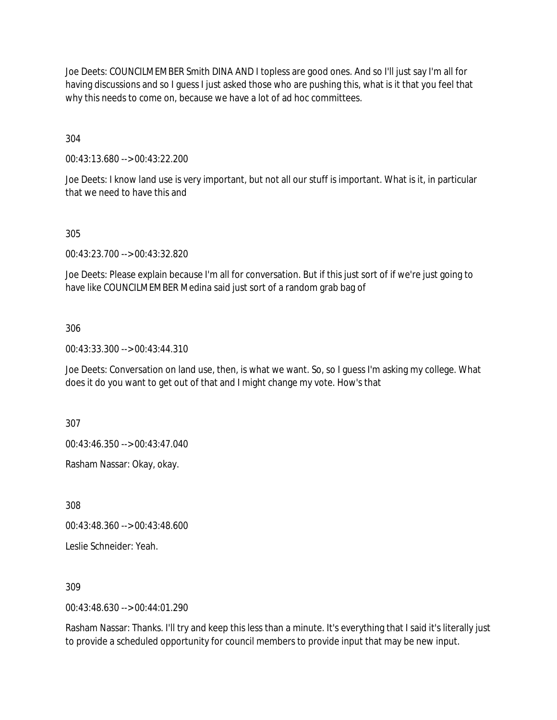Joe Deets: COUNCILMEMBER Smith DINA AND I topless are good ones. And so I'll just say I'm all for having discussions and so I guess I just asked those who are pushing this, what is it that you feel that why this needs to come on, because we have a lot of ad hoc committees.

304

00:43:13.680 --> 00:43:22.200

Joe Deets: I know land use is very important, but not all our stuff is important. What is it, in particular that we need to have this and

305

00:43:23.700 --> 00:43:32.820

Joe Deets: Please explain because I'm all for conversation. But if this just sort of if we're just going to have like COUNCILMEMBER Medina said just sort of a random grab bag of

306

00:43:33.300 --> 00:43:44.310

Joe Deets: Conversation on land use, then, is what we want. So, so I guess I'm asking my college. What does it do you want to get out of that and I might change my vote. How's that

307

00:43:46.350 --> 00:43:47.040

Rasham Nassar: Okay, okay.

308

00:43:48.360 --> 00:43:48.600

Leslie Schneider: Yeah.

309

00:43:48.630 --> 00:44:01.290

Rasham Nassar: Thanks. I'll try and keep this less than a minute. It's everything that I said it's literally just to provide a scheduled opportunity for council members to provide input that may be new input.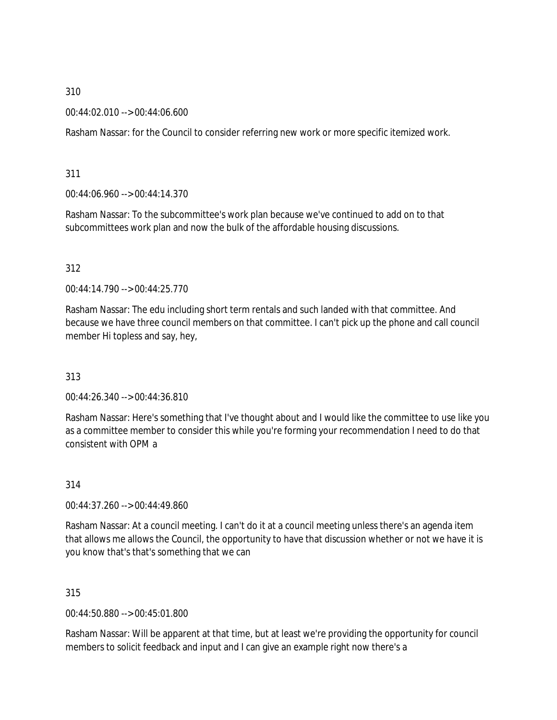00:44:02.010 --> 00:44:06.600

Rasham Nassar: for the Council to consider referring new work or more specific itemized work.

311

00:44:06.960 --> 00:44:14.370

Rasham Nassar: To the subcommittee's work plan because we've continued to add on to that subcommittees work plan and now the bulk of the affordable housing discussions.

312

00:44:14.790 --> 00:44:25.770

Rasham Nassar: The edu including short term rentals and such landed with that committee. And because we have three council members on that committee. I can't pick up the phone and call council member Hi topless and say, hey,

313

00:44:26.340 --> 00:44:36.810

Rasham Nassar: Here's something that I've thought about and I would like the committee to use like you as a committee member to consider this while you're forming your recommendation I need to do that consistent with OPM a

314

00:44:37.260 --> 00:44:49.860

Rasham Nassar: At a council meeting. I can't do it at a council meeting unless there's an agenda item that allows me allows the Council, the opportunity to have that discussion whether or not we have it is you know that's that's something that we can

315

00:44:50.880 --> 00:45:01.800

Rasham Nassar: Will be apparent at that time, but at least we're providing the opportunity for council members to solicit feedback and input and I can give an example right now there's a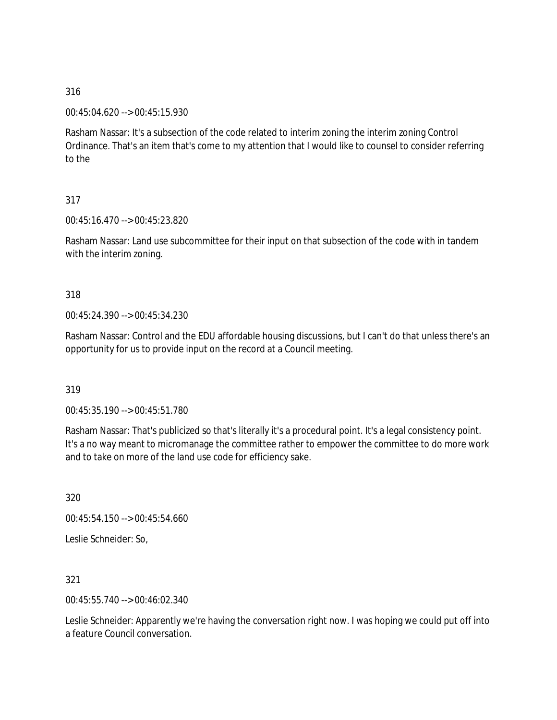00:45:04.620 --> 00:45:15.930

Rasham Nassar: It's a subsection of the code related to interim zoning the interim zoning Control Ordinance. That's an item that's come to my attention that I would like to counsel to consider referring to the

## 317

00:45:16.470 --> 00:45:23.820

Rasham Nassar: Land use subcommittee for their input on that subsection of the code with in tandem with the interim zoning.

### 318

00:45:24.390 --> 00:45:34.230

Rasham Nassar: Control and the EDU affordable housing discussions, but I can't do that unless there's an opportunity for us to provide input on the record at a Council meeting.

319

00:45:35.190 --> 00:45:51.780

Rasham Nassar: That's publicized so that's literally it's a procedural point. It's a legal consistency point. It's a no way meant to micromanage the committee rather to empower the committee to do more work and to take on more of the land use code for efficiency sake.

320

00:45:54.150 --> 00:45:54.660

Leslie Schneider: So,

321

00:45:55.740 --> 00:46:02.340

Leslie Schneider: Apparently we're having the conversation right now. I was hoping we could put off into a feature Council conversation.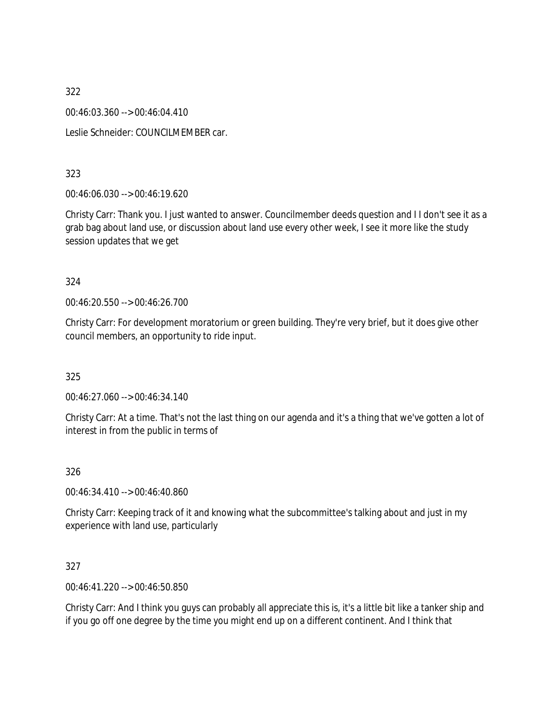00:46:03.360 --> 00:46:04.410

Leslie Schneider: COUNCILMEMBER car.

## 323

00:46:06.030 --> 00:46:19.620

Christy Carr: Thank you. I just wanted to answer. Councilmember deeds question and I I don't see it as a grab bag about land use, or discussion about land use every other week, I see it more like the study session updates that we get

### 324

00:46:20.550 --> 00:46:26.700

Christy Carr: For development moratorium or green building. They're very brief, but it does give other council members, an opportunity to ride input.

## 325

00:46:27.060 --> 00:46:34.140

Christy Carr: At a time. That's not the last thing on our agenda and it's a thing that we've gotten a lot of interest in from the public in terms of

## 326

00:46:34.410 --> 00:46:40.860

Christy Carr: Keeping track of it and knowing what the subcommittee's talking about and just in my experience with land use, particularly

## 327

00:46:41.220 --> 00:46:50.850

Christy Carr: And I think you guys can probably all appreciate this is, it's a little bit like a tanker ship and if you go off one degree by the time you might end up on a different continent. And I think that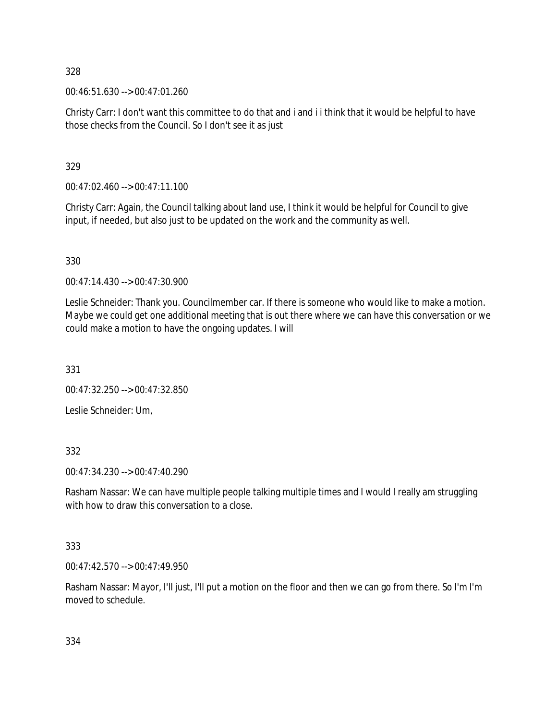00:46:51.630 --> 00:47:01.260

Christy Carr: I don't want this committee to do that and i and i i think that it would be helpful to have those checks from the Council. So I don't see it as just

329

00:47:02.460 --> 00:47:11.100

Christy Carr: Again, the Council talking about land use, I think it would be helpful for Council to give input, if needed, but also just to be updated on the work and the community as well.

330

00:47:14.430 --> 00:47:30.900

Leslie Schneider: Thank you. Councilmember car. If there is someone who would like to make a motion. Maybe we could get one additional meeting that is out there where we can have this conversation or we could make a motion to have the ongoing updates. I will

331

00:47:32.250 --> 00:47:32.850

Leslie Schneider: Um,

332

00:47:34.230 --> 00:47:40.290

Rasham Nassar: We can have multiple people talking multiple times and I would I really am struggling with how to draw this conversation to a close.

333

00:47:42.570 --> 00:47:49.950

Rasham Nassar: Mayor, I'll just, I'll put a motion on the floor and then we can go from there. So I'm I'm moved to schedule.

334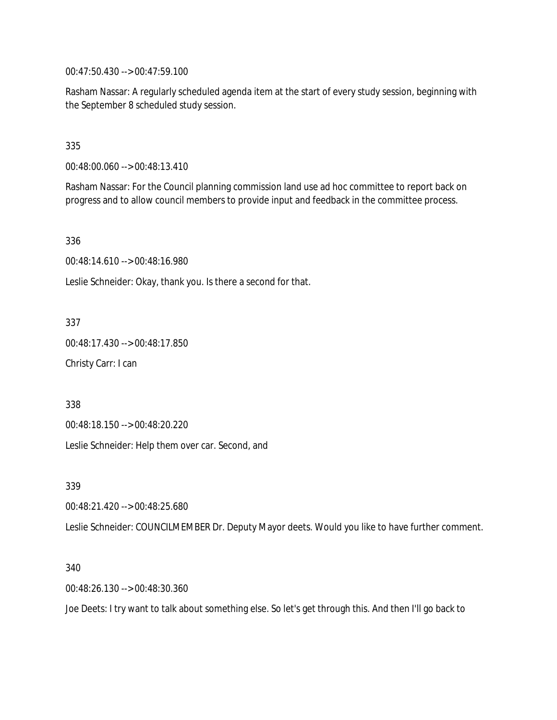00:47:50.430 --> 00:47:59.100

Rasham Nassar: A regularly scheduled agenda item at the start of every study session, beginning with the September 8 scheduled study session.

335

00:48:00.060 --> 00:48:13.410

Rasham Nassar: For the Council planning commission land use ad hoc committee to report back on progress and to allow council members to provide input and feedback in the committee process.

336

00:48:14.610 --> 00:48:16.980

Leslie Schneider: Okay, thank you. Is there a second for that.

337

00:48:17.430 --> 00:48:17.850

Christy Carr: I can

338

00:48:18.150 --> 00:48:20.220

Leslie Schneider: Help them over car. Second, and

339

00:48:21.420 --> 00:48:25.680

Leslie Schneider: COUNCILMEMBER Dr. Deputy Mayor deets. Would you like to have further comment.

340

00:48:26.130 --> 00:48:30.360

Joe Deets: I try want to talk about something else. So let's get through this. And then I'll go back to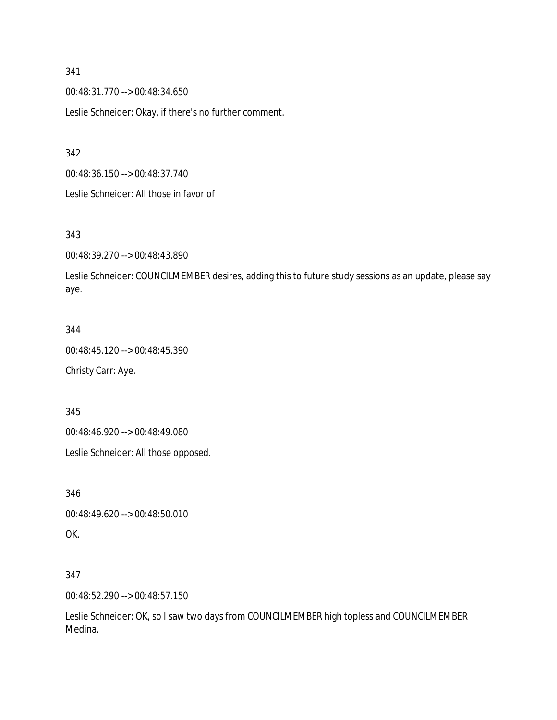00:48:31.770 --> 00:48:34.650

Leslie Schneider: Okay, if there's no further comment.

342

00:48:36.150 --> 00:48:37.740

Leslie Schneider: All those in favor of

### 343

00:48:39.270 --> 00:48:43.890

Leslie Schneider: COUNCILMEMBER desires, adding this to future study sessions as an update, please say aye.

#### 344

00:48:45.120 --> 00:48:45.390 Christy Carr: Aye.

345

00:48:46.920 --> 00:48:49.080

Leslie Schneider: All those opposed.

346 00:48:49.620 --> 00:48:50.010 OK.

### 347

00:48:52.290 --> 00:48:57.150

Leslie Schneider: OK, so I saw two days from COUNCILMEMBER high topless and COUNCILMEMBER Medina.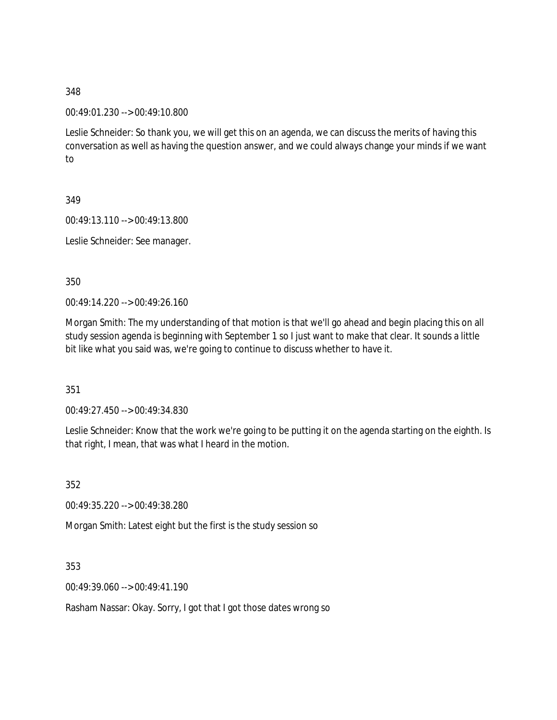00:49:01.230 --> 00:49:10.800

Leslie Schneider: So thank you, we will get this on an agenda, we can discuss the merits of having this conversation as well as having the question answer, and we could always change your minds if we want to

349

00:49:13.110 --> 00:49:13.800

Leslie Schneider: See manager.

350

00:49:14.220 --> 00:49:26.160

Morgan Smith: The my understanding of that motion is that we'll go ahead and begin placing this on all study session agenda is beginning with September 1 so I just want to make that clear. It sounds a little bit like what you said was, we're going to continue to discuss whether to have it.

351

00:49:27.450 --> 00:49:34.830

Leslie Schneider: Know that the work we're going to be putting it on the agenda starting on the eighth. Is that right, I mean, that was what I heard in the motion.

352

00:49:35.220 --> 00:49:38.280

Morgan Smith: Latest eight but the first is the study session so

353

00:49:39.060 --> 00:49:41.190

Rasham Nassar: Okay. Sorry, I got that I got those dates wrong so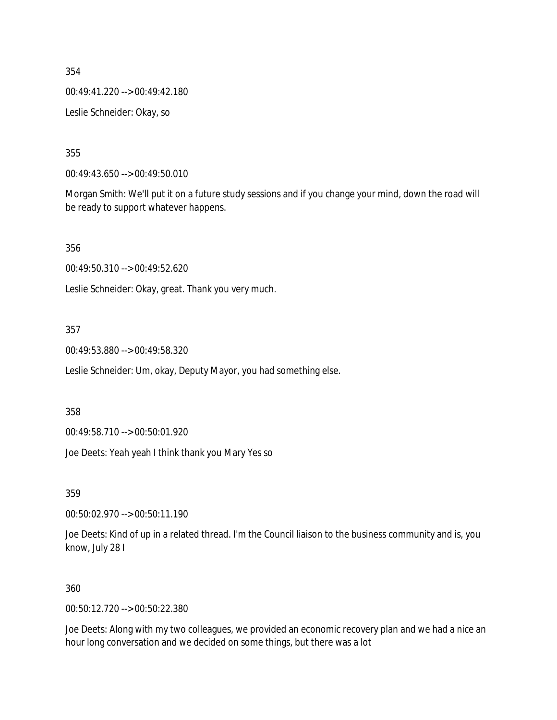00:49:41.220 --> 00:49:42.180

Leslie Schneider: Okay, so

355

00:49:43.650 --> 00:49:50.010

Morgan Smith: We'll put it on a future study sessions and if you change your mind, down the road will be ready to support whatever happens.

356

00:49:50.310 --> 00:49:52.620

Leslie Schneider: Okay, great. Thank you very much.

357

00:49:53.880 --> 00:49:58.320

Leslie Schneider: Um, okay, Deputy Mayor, you had something else.

358

00:49:58.710 --> 00:50:01.920

Joe Deets: Yeah yeah I think thank you Mary Yes so

359

00:50:02.970 --> 00:50:11.190

Joe Deets: Kind of up in a related thread. I'm the Council liaison to the business community and is, you know, July 28 I

#### 360

00:50:12.720 --> 00:50:22.380

Joe Deets: Along with my two colleagues, we provided an economic recovery plan and we had a nice an hour long conversation and we decided on some things, but there was a lot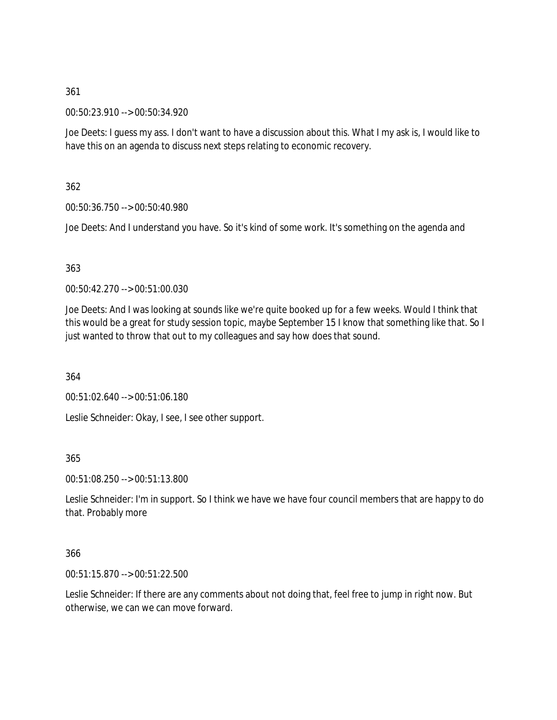00:50:23.910 --> 00:50:34.920

Joe Deets: I guess my ass. I don't want to have a discussion about this. What I my ask is, I would like to have this on an agenda to discuss next steps relating to economic recovery.

362

00:50:36.750 --> 00:50:40.980

Joe Deets: And I understand you have. So it's kind of some work. It's something on the agenda and

363

00:50:42.270 --> 00:51:00.030

Joe Deets: And I was looking at sounds like we're quite booked up for a few weeks. Would I think that this would be a great for study session topic, maybe September 15 I know that something like that. So I just wanted to throw that out to my colleagues and say how does that sound.

364

00:51:02.640 --> 00:51:06.180

Leslie Schneider: Okay, I see, I see other support.

365

00:51:08.250 --> 00:51:13.800

Leslie Schneider: I'm in support. So I think we have we have four council members that are happy to do that. Probably more

366

00:51:15.870 --> 00:51:22.500

Leslie Schneider: If there are any comments about not doing that, feel free to jump in right now. But otherwise, we can we can move forward.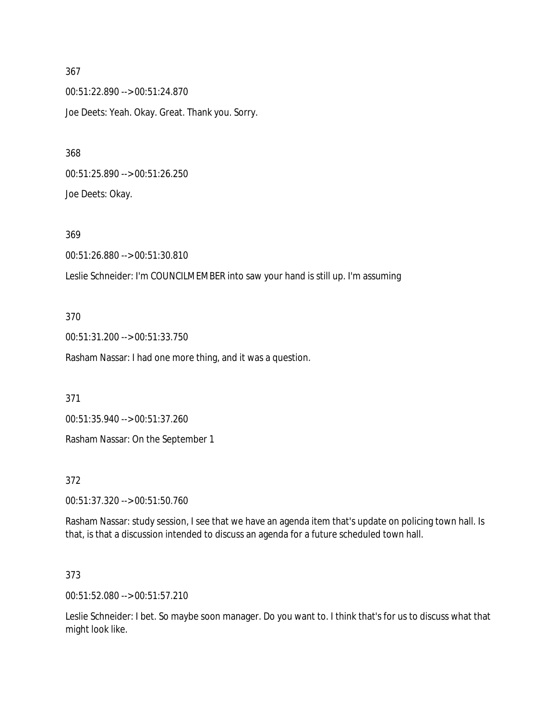00:51:22.890 --> 00:51:24.870 Joe Deets: Yeah. Okay. Great. Thank you. Sorry.

00:51:25.890 --> 00:51:26.250 Joe Deets: Okay.

369

00:51:26.880 --> 00:51:30.810

Leslie Schneider: I'm COUNCILMEMBER into saw your hand is still up. I'm assuming

370

00:51:31.200 --> 00:51:33.750

Rasham Nassar: I had one more thing, and it was a question.

371

00:51:35.940 --> 00:51:37.260

Rasham Nassar: On the September 1

372

00:51:37.320 --> 00:51:50.760

Rasham Nassar: study session, I see that we have an agenda item that's update on policing town hall. Is that, is that a discussion intended to discuss an agenda for a future scheduled town hall.

373

00:51:52.080 --> 00:51:57.210

Leslie Schneider: I bet. So maybe soon manager. Do you want to. I think that's for us to discuss what that might look like.

367

368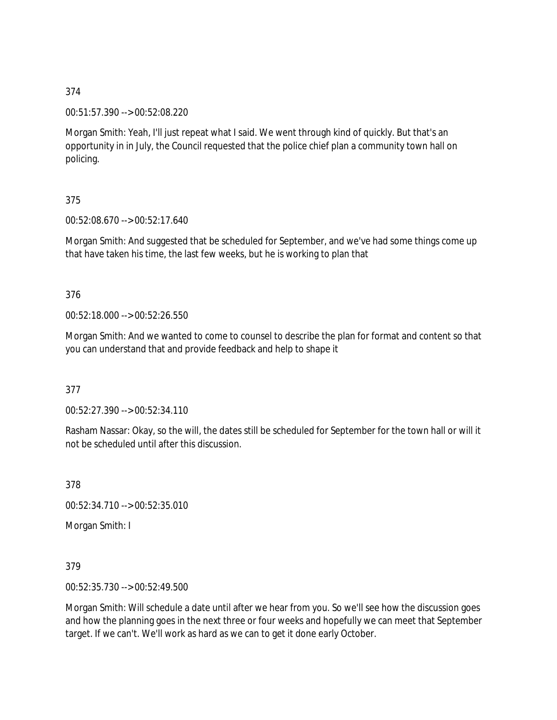00:51:57.390 --> 00:52:08.220

Morgan Smith: Yeah, I'll just repeat what I said. We went through kind of quickly. But that's an opportunity in in July, the Council requested that the police chief plan a community town hall on policing.

## 375

00:52:08.670 --> 00:52:17.640

Morgan Smith: And suggested that be scheduled for September, and we've had some things come up that have taken his time, the last few weeks, but he is working to plan that

### 376

00:52:18.000 --> 00:52:26.550

Morgan Smith: And we wanted to come to counsel to describe the plan for format and content so that you can understand that and provide feedback and help to shape it

### 377

00:52:27.390 --> 00:52:34.110

Rasham Nassar: Okay, so the will, the dates still be scheduled for September for the town hall or will it not be scheduled until after this discussion.

378

00:52:34.710 --> 00:52:35.010

Morgan Smith: I

379

00:52:35.730 --> 00:52:49.500

Morgan Smith: Will schedule a date until after we hear from you. So we'll see how the discussion goes and how the planning goes in the next three or four weeks and hopefully we can meet that September target. If we can't. We'll work as hard as we can to get it done early October.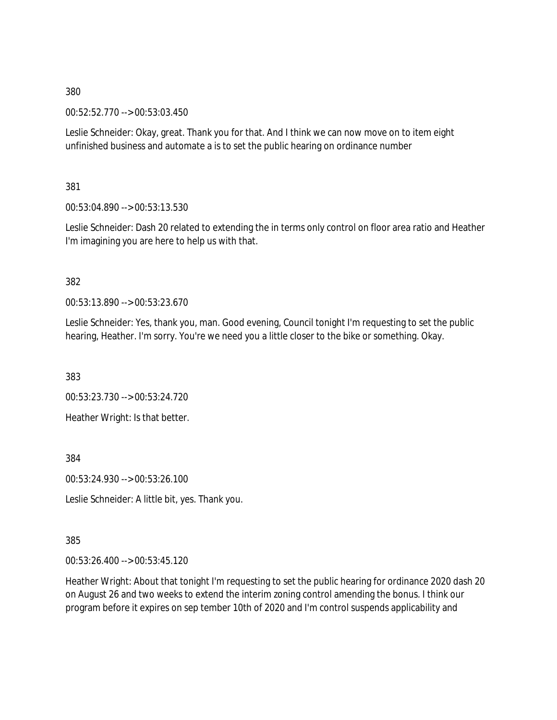00:52:52.770 --> 00:53:03.450

Leslie Schneider: Okay, great. Thank you for that. And I think we can now move on to item eight unfinished business and automate a is to set the public hearing on ordinance number

381

00:53:04.890 --> 00:53:13.530

Leslie Schneider: Dash 20 related to extending the in terms only control on floor area ratio and Heather I'm imagining you are here to help us with that.

#### 382

00:53:13.890 --> 00:53:23.670

Leslie Schneider: Yes, thank you, man. Good evening, Council tonight I'm requesting to set the public hearing, Heather. I'm sorry. You're we need you a little closer to the bike or something. Okay.

383

00:53:23.730 --> 00:53:24.720 Heather Wright: Is that better.

384

00:53:24.930 --> 00:53:26.100

Leslie Schneider: A little bit, yes. Thank you.

385

00:53:26.400 --> 00:53:45.120

Heather Wright: About that tonight I'm requesting to set the public hearing for ordinance 2020 dash 20 on August 26 and two weeks to extend the interim zoning control amending the bonus. I think our program before it expires on sep tember 10th of 2020 and I'm control suspends applicability and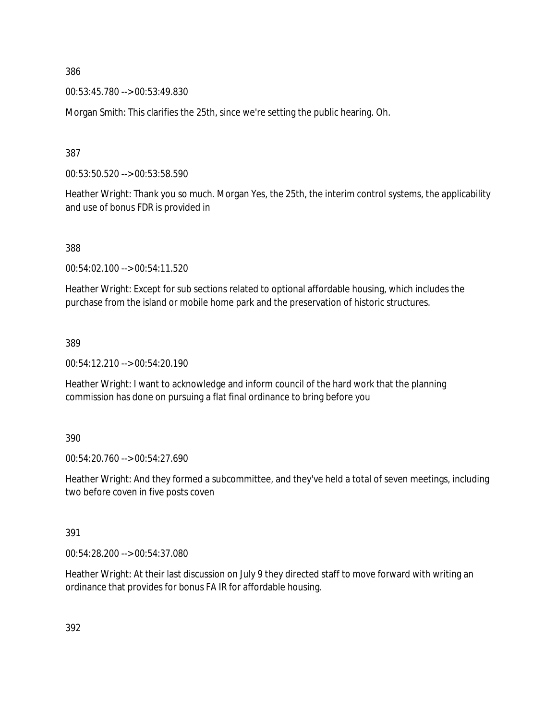00:53:45.780 --> 00:53:49.830

Morgan Smith: This clarifies the 25th, since we're setting the public hearing. Oh.

387

00:53:50.520 --> 00:53:58.590

Heather Wright: Thank you so much. Morgan Yes, the 25th, the interim control systems, the applicability and use of bonus FDR is provided in

388

00:54:02.100 --> 00:54:11.520

Heather Wright: Except for sub sections related to optional affordable housing, which includes the purchase from the island or mobile home park and the preservation of historic structures.

389

00:54:12.210 --> 00:54:20.190

Heather Wright: I want to acknowledge and inform council of the hard work that the planning commission has done on pursuing a flat final ordinance to bring before you

390

00:54:20.760 --> 00:54:27.690

Heather Wright: And they formed a subcommittee, and they've held a total of seven meetings, including two before coven in five posts coven

391

00:54:28.200 --> 00:54:37.080

Heather Wright: At their last discussion on July 9 they directed staff to move forward with writing an ordinance that provides for bonus FA IR for affordable housing.

392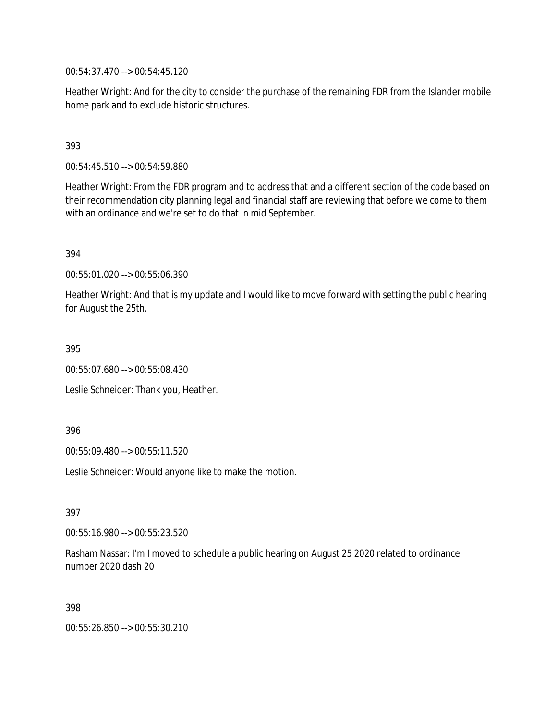00:54:37.470 --> 00:54:45.120

Heather Wright: And for the city to consider the purchase of the remaining FDR from the Islander mobile home park and to exclude historic structures.

### 393

00:54:45.510 --> 00:54:59.880

Heather Wright: From the FDR program and to address that and a different section of the code based on their recommendation city planning legal and financial staff are reviewing that before we come to them with an ordinance and we're set to do that in mid September.

394

00:55:01.020 --> 00:55:06.390

Heather Wright: And that is my update and I would like to move forward with setting the public hearing for August the 25th.

395

00:55:07.680 --> 00:55:08.430

Leslie Schneider: Thank you, Heather.

396

00:55:09.480 --> 00:55:11.520

Leslie Schneider: Would anyone like to make the motion.

397

00:55:16.980 --> 00:55:23.520

Rasham Nassar: I'm I moved to schedule a public hearing on August 25 2020 related to ordinance number 2020 dash 20

398

00:55:26.850 --> 00:55:30.210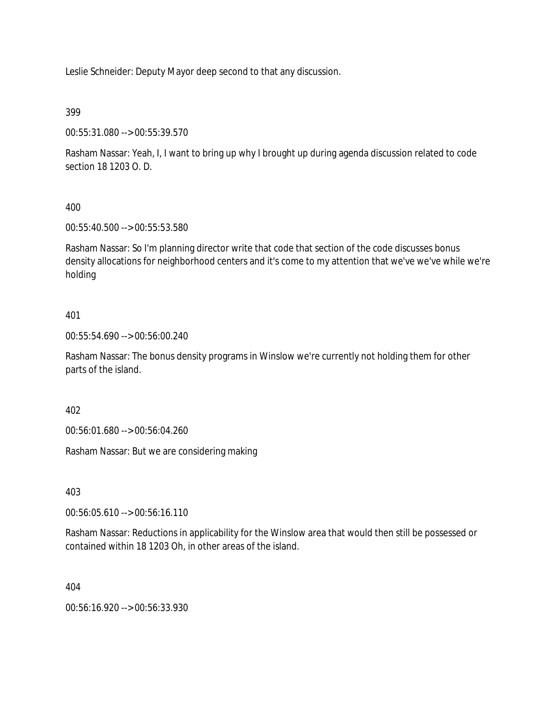Leslie Schneider: Deputy Mayor deep second to that any discussion.

399

00:55:31.080 --> 00:55:39.570

Rasham Nassar: Yeah, I, I want to bring up why I brought up during agenda discussion related to code section 18 1203 O. D.

400

00:55:40.500 --> 00:55:53.580

Rasham Nassar: So I'm planning director write that code that section of the code discusses bonus density allocations for neighborhood centers and it's come to my attention that we've we've while we're holding

## 401

00:55:54.690 --> 00:56:00.240

Rasham Nassar: The bonus density programs in Winslow we're currently not holding them for other parts of the island.

402

00:56:01.680 --> 00:56:04.260

Rasham Nassar: But we are considering making

403

00:56:05.610 --> 00:56:16.110

Rasham Nassar: Reductions in applicability for the Winslow area that would then still be possessed or contained within 18 1203 Oh, in other areas of the island.

404

00:56:16.920 --> 00:56:33.930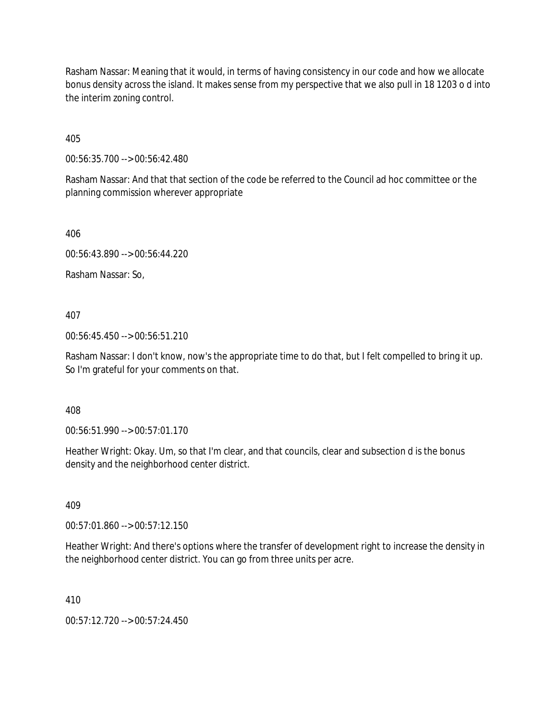Rasham Nassar: Meaning that it would, in terms of having consistency in our code and how we allocate bonus density across the island. It makes sense from my perspective that we also pull in 18 1203 o d into the interim zoning control.

405

00:56:35.700 --> 00:56:42.480

Rasham Nassar: And that that section of the code be referred to the Council ad hoc committee or the planning commission wherever appropriate

406

00:56:43.890 --> 00:56:44.220

Rasham Nassar: So,

407

00:56:45.450 --> 00:56:51.210

Rasham Nassar: I don't know, now's the appropriate time to do that, but I felt compelled to bring it up. So I'm grateful for your comments on that.

408

00:56:51.990 --> 00:57:01.170

Heather Wright: Okay. Um, so that I'm clear, and that councils, clear and subsection d is the bonus density and the neighborhood center district.

409

00:57:01.860 --> 00:57:12.150

Heather Wright: And there's options where the transfer of development right to increase the density in the neighborhood center district. You can go from three units per acre.

410

00:57:12.720 --> 00:57:24.450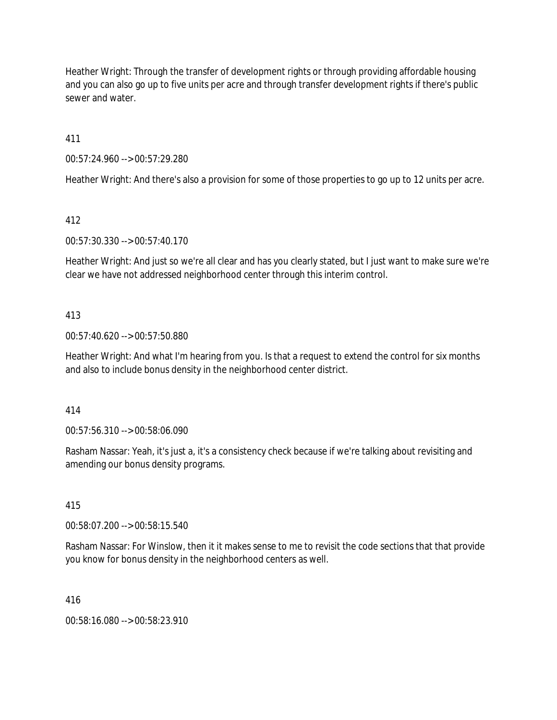Heather Wright: Through the transfer of development rights or through providing affordable housing and you can also go up to five units per acre and through transfer development rights if there's public sewer and water.

411

00:57:24.960 --> 00:57:29.280

Heather Wright: And there's also a provision for some of those properties to go up to 12 units per acre.

412

00:57:30.330 --> 00:57:40.170

Heather Wright: And just so we're all clear and has you clearly stated, but I just want to make sure we're clear we have not addressed neighborhood center through this interim control.

### 413

00:57:40.620 --> 00:57:50.880

Heather Wright: And what I'm hearing from you. Is that a request to extend the control for six months and also to include bonus density in the neighborhood center district.

414

00:57:56.310 --> 00:58:06.090

Rasham Nassar: Yeah, it's just a, it's a consistency check because if we're talking about revisiting and amending our bonus density programs.

415

00:58:07.200 --> 00:58:15.540

Rasham Nassar: For Winslow, then it it makes sense to me to revisit the code sections that that provide you know for bonus density in the neighborhood centers as well.

416

00:58:16.080 --> 00:58:23.910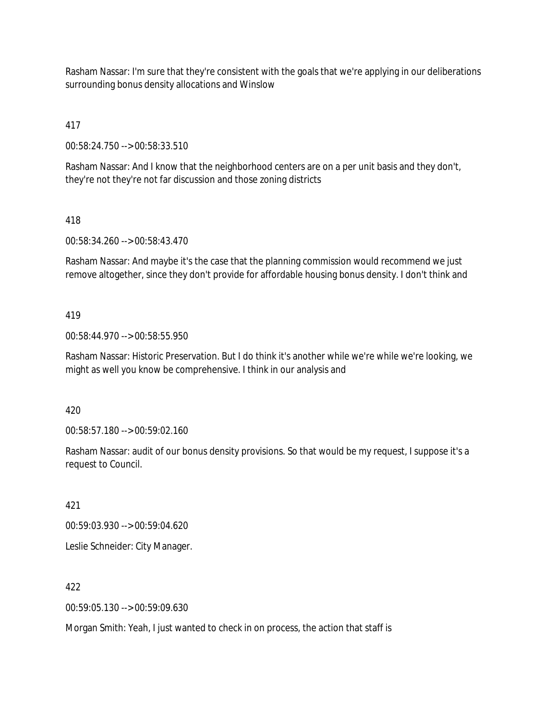Rasham Nassar: I'm sure that they're consistent with the goals that we're applying in our deliberations surrounding bonus density allocations and Winslow

417

00:58:24.750 --> 00:58:33.510

Rasham Nassar: And I know that the neighborhood centers are on a per unit basis and they don't, they're not they're not far discussion and those zoning districts

## 418

00:58:34.260 --> 00:58:43.470

Rasham Nassar: And maybe it's the case that the planning commission would recommend we just remove altogether, since they don't provide for affordable housing bonus density. I don't think and

## 419

00:58:44.970 --> 00:58:55.950

Rasham Nassar: Historic Preservation. But I do think it's another while we're while we're looking, we might as well you know be comprehensive. I think in our analysis and

420

00:58:57.180 --> 00:59:02.160

Rasham Nassar: audit of our bonus density provisions. So that would be my request, I suppose it's a request to Council.

421

00:59:03.930 --> 00:59:04.620

Leslie Schneider: City Manager.

422

00:59:05.130 --> 00:59:09.630

Morgan Smith: Yeah, I just wanted to check in on process, the action that staff is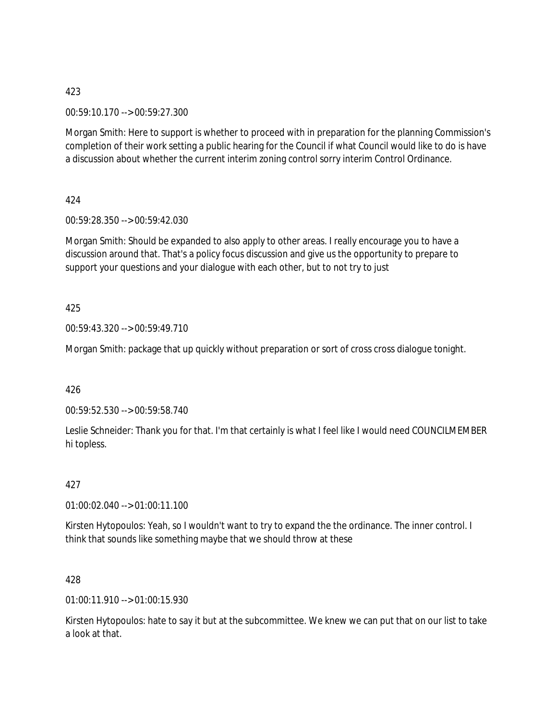00:59:10.170 --> 00:59:27.300

Morgan Smith: Here to support is whether to proceed with in preparation for the planning Commission's completion of their work setting a public hearing for the Council if what Council would like to do is have a discussion about whether the current interim zoning control sorry interim Control Ordinance.

424

00:59:28.350 --> 00:59:42.030

Morgan Smith: Should be expanded to also apply to other areas. I really encourage you to have a discussion around that. That's a policy focus discussion and give us the opportunity to prepare to support your questions and your dialogue with each other, but to not try to just

425

00:59:43.320 --> 00:59:49.710

Morgan Smith: package that up quickly without preparation or sort of cross cross dialogue tonight.

426

00:59:52.530 --> 00:59:58.740

Leslie Schneider: Thank you for that. I'm that certainly is what I feel like I would need COUNCILMEMBER hi topless.

427

01:00:02.040 --> 01:00:11.100

Kirsten Hytopoulos: Yeah, so I wouldn't want to try to expand the the ordinance. The inner control. I think that sounds like something maybe that we should throw at these

428

01:00:11.910 --> 01:00:15.930

Kirsten Hytopoulos: hate to say it but at the subcommittee. We knew we can put that on our list to take a look at that.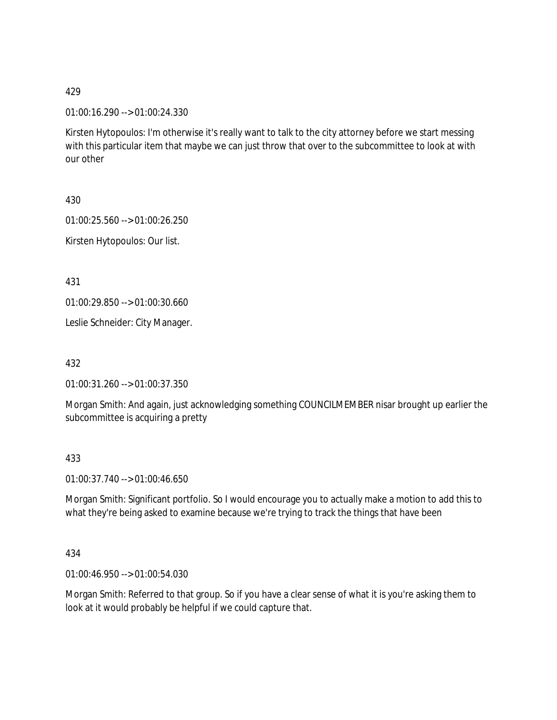01:00:16.290 --> 01:00:24.330

Kirsten Hytopoulos: I'm otherwise it's really want to talk to the city attorney before we start messing with this particular item that maybe we can just throw that over to the subcommittee to look at with our other

430

01:00:25.560 --> 01:00:26.250

Kirsten Hytopoulos: Our list.

431

01:00:29.850 --> 01:00:30.660

Leslie Schneider: City Manager.

432

01:00:31.260 --> 01:00:37.350

Morgan Smith: And again, just acknowledging something COUNCILMEMBER nisar brought up earlier the subcommittee is acquiring a pretty

433

01:00:37.740 --> 01:00:46.650

Morgan Smith: Significant portfolio. So I would encourage you to actually make a motion to add this to what they're being asked to examine because we're trying to track the things that have been

434

01:00:46.950 --> 01:00:54.030

Morgan Smith: Referred to that group. So if you have a clear sense of what it is you're asking them to look at it would probably be helpful if we could capture that.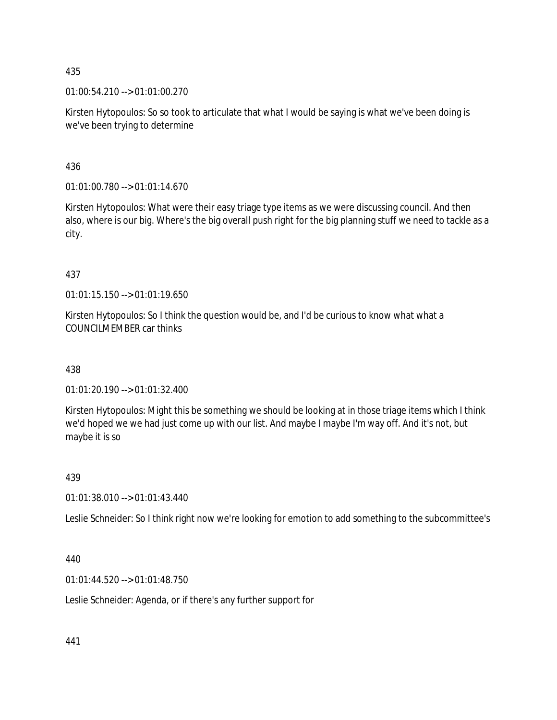01:00:54.210 --> 01:01:00.270

Kirsten Hytopoulos: So so took to articulate that what I would be saying is what we've been doing is we've been trying to determine

436

01:01:00.780 --> 01:01:14.670

Kirsten Hytopoulos: What were their easy triage type items as we were discussing council. And then also, where is our big. Where's the big overall push right for the big planning stuff we need to tackle as a city.

## 437

01:01:15.150 --> 01:01:19.650

Kirsten Hytopoulos: So I think the question would be, and I'd be curious to know what what a COUNCILMEMBER car thinks

438

01:01:20.190 --> 01:01:32.400

Kirsten Hytopoulos: Might this be something we should be looking at in those triage items which I think we'd hoped we we had just come up with our list. And maybe I maybe I'm way off. And it's not, but maybe it is so

439

01:01:38.010 --> 01:01:43.440

Leslie Schneider: So I think right now we're looking for emotion to add something to the subcommittee's

### 440

01:01:44.520 --> 01:01:48.750

Leslie Schneider: Agenda, or if there's any further support for

441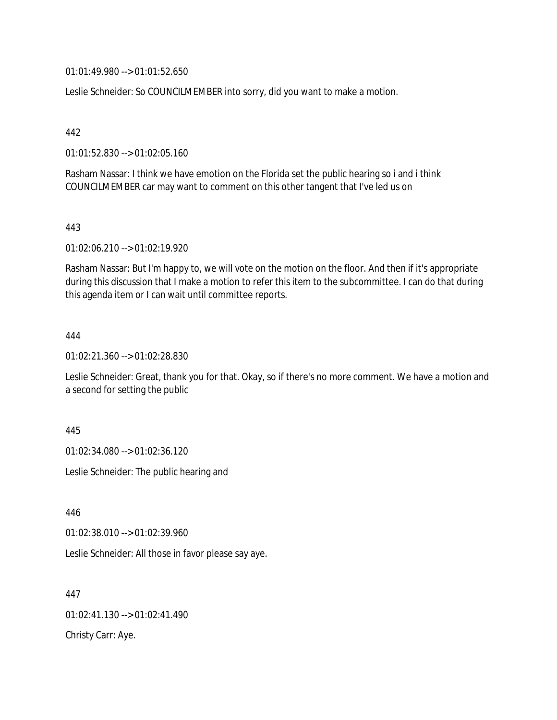01:01:49.980 --> 01:01:52.650

Leslie Schneider: So COUNCILMEMBER into sorry, did you want to make a motion.

442

01:01:52.830 --> 01:02:05.160

Rasham Nassar: I think we have emotion on the Florida set the public hearing so i and i think COUNCILMEMBER car may want to comment on this other tangent that I've led us on

443

01:02:06.210 --> 01:02:19.920

Rasham Nassar: But I'm happy to, we will vote on the motion on the floor. And then if it's appropriate during this discussion that I make a motion to refer this item to the subcommittee. I can do that during this agenda item or I can wait until committee reports.

444

01:02:21.360 --> 01:02:28.830

Leslie Schneider: Great, thank you for that. Okay, so if there's no more comment. We have a motion and a second for setting the public

445

01:02:34.080 --> 01:02:36.120

Leslie Schneider: The public hearing and

446

01:02:38.010 --> 01:02:39.960

Leslie Schneider: All those in favor please say aye.

447 01:02:41.130 --> 01:02:41.490 Christy Carr: Aye.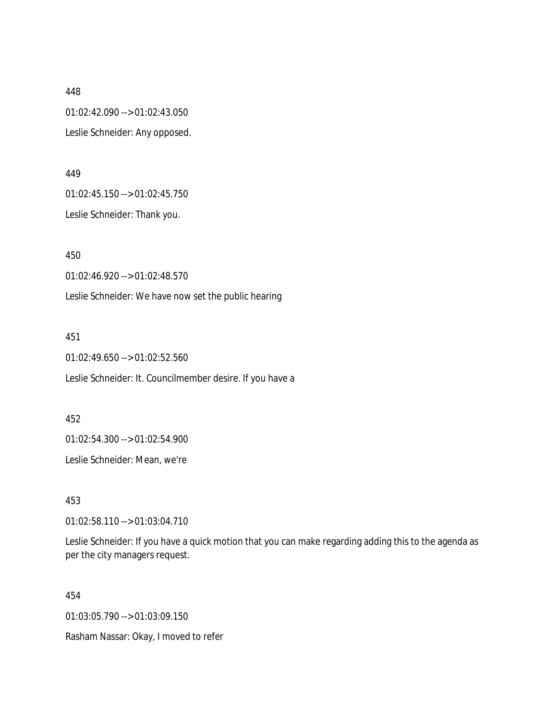448 01:02:42.090 --> 01:02:43.050 Leslie Schneider: Any opposed.

449

01:02:45.150 --> 01:02:45.750

Leslie Schneider: Thank you.

450

01:02:46.920 --> 01:02:48.570

Leslie Schneider: We have now set the public hearing

451

01:02:49.650 --> 01:02:52.560

Leslie Schneider: It. Councilmember desire. If you have a

452

01:02:54.300 --> 01:02:54.900

Leslie Schneider: Mean, we're

453

01:02:58.110 --> 01:03:04.710

Leslie Schneider: If you have a quick motion that you can make regarding adding this to the agenda as per the city managers request.

454

01:03:05.790 --> 01:03:09.150

Rasham Nassar: Okay, I moved to refer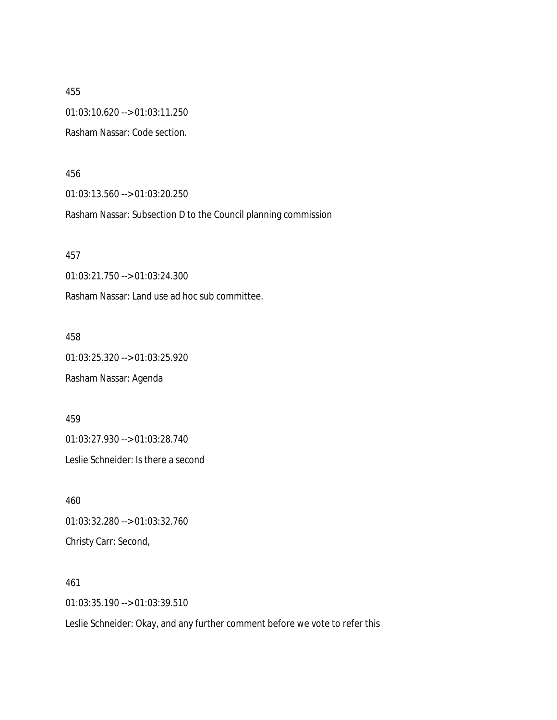455 01:03:10.620 --> 01:03:11.250 Rasham Nassar: Code section.

456

01:03:13.560 --> 01:03:20.250

Rasham Nassar: Subsection D to the Council planning commission

457

01:03:21.750 --> 01:03:24.300

Rasham Nassar: Land use ad hoc sub committee.

458

01:03:25.320 --> 01:03:25.920

Rasham Nassar: Agenda

459

01:03:27.930 --> 01:03:28.740

Leslie Schneider: Is there a second

460 01:03:32.280 --> 01:03:32.760 Christy Carr: Second,

461 01:03:35.190 --> 01:03:39.510

Leslie Schneider: Okay, and any further comment before we vote to refer this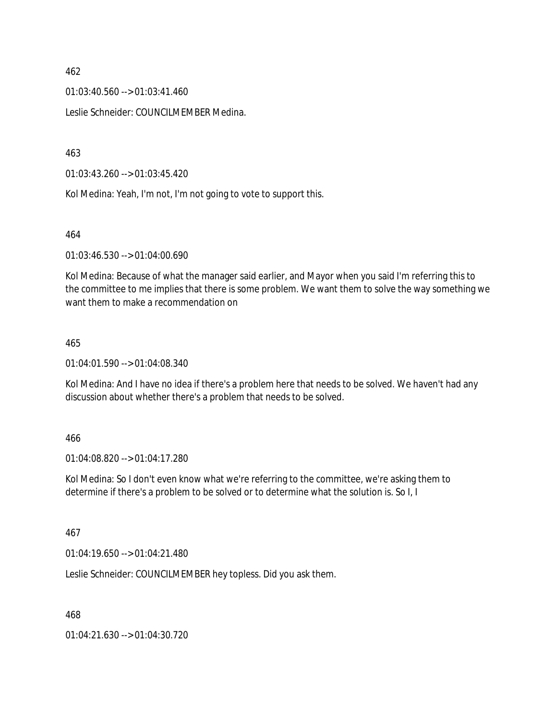$01:03:40.560 \rightarrow 01:03:41.460$ 

Leslie Schneider: COUNCILMEMBER Medina.

463

01:03:43.260 --> 01:03:45.420

Kol Medina: Yeah, I'm not, I'm not going to vote to support this.

464

01:03:46.530 --> 01:04:00.690

Kol Medina: Because of what the manager said earlier, and Mayor when you said I'm referring this to the committee to me implies that there is some problem. We want them to solve the way something we want them to make a recommendation on

#### 465

01:04:01.590 --> 01:04:08.340

Kol Medina: And I have no idea if there's a problem here that needs to be solved. We haven't had any discussion about whether there's a problem that needs to be solved.

### 466

01:04:08.820 --> 01:04:17.280

Kol Medina: So I don't even know what we're referring to the committee, we're asking them to determine if there's a problem to be solved or to determine what the solution is. So I, I

### 467

01:04:19.650 --> 01:04:21.480

Leslie Schneider: COUNCILMEMBER hey topless. Did you ask them.

468

01:04:21.630 --> 01:04:30.720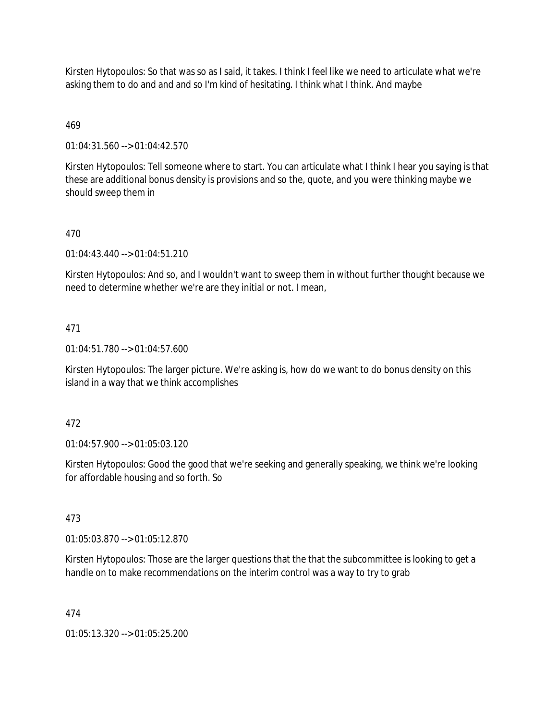Kirsten Hytopoulos: So that was so as I said, it takes. I think I feel like we need to articulate what we're asking them to do and and and so I'm kind of hesitating. I think what I think. And maybe

## 469

01:04:31.560 --> 01:04:42.570

Kirsten Hytopoulos: Tell someone where to start. You can articulate what I think I hear you saying is that these are additional bonus density is provisions and so the, quote, and you were thinking maybe we should sweep them in

## 470

01:04:43.440 --> 01:04:51.210

Kirsten Hytopoulos: And so, and I wouldn't want to sweep them in without further thought because we need to determine whether we're are they initial or not. I mean,

### 471

01:04:51.780 --> 01:04:57.600

Kirsten Hytopoulos: The larger picture. We're asking is, how do we want to do bonus density on this island in a way that we think accomplishes

### 472

01:04:57.900 --> 01:05:03.120

Kirsten Hytopoulos: Good the good that we're seeking and generally speaking, we think we're looking for affordable housing and so forth. So

### 473

01:05:03.870 --> 01:05:12.870

Kirsten Hytopoulos: Those are the larger questions that the that the subcommittee is looking to get a handle on to make recommendations on the interim control was a way to try to grab

### 474

01:05:13.320 --> 01:05:25.200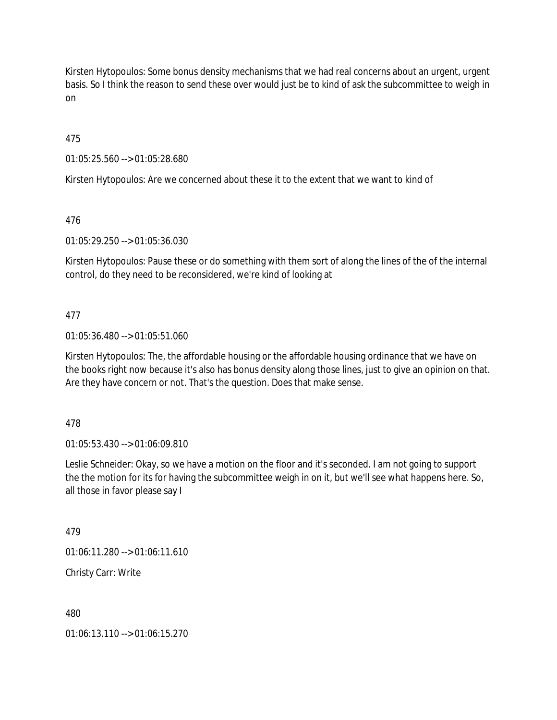Kirsten Hytopoulos: Some bonus density mechanisms that we had real concerns about an urgent, urgent basis. So I think the reason to send these over would just be to kind of ask the subcommittee to weigh in on

475

01:05:25.560 --> 01:05:28.680

Kirsten Hytopoulos: Are we concerned about these it to the extent that we want to kind of

476

01:05:29.250 --> 01:05:36.030

Kirsten Hytopoulos: Pause these or do something with them sort of along the lines of the of the internal control, do they need to be reconsidered, we're kind of looking at

## 477

01:05:36.480 --> 01:05:51.060

Kirsten Hytopoulos: The, the affordable housing or the affordable housing ordinance that we have on the books right now because it's also has bonus density along those lines, just to give an opinion on that. Are they have concern or not. That's the question. Does that make sense.

478

01:05:53.430 --> 01:06:09.810

Leslie Schneider: Okay, so we have a motion on the floor and it's seconded. I am not going to support the the motion for its for having the subcommittee weigh in on it, but we'll see what happens here. So, all those in favor please say I

479

01:06:11.280 --> 01:06:11.610

Christy Carr: Write

480

01:06:13.110 --> 01:06:15.270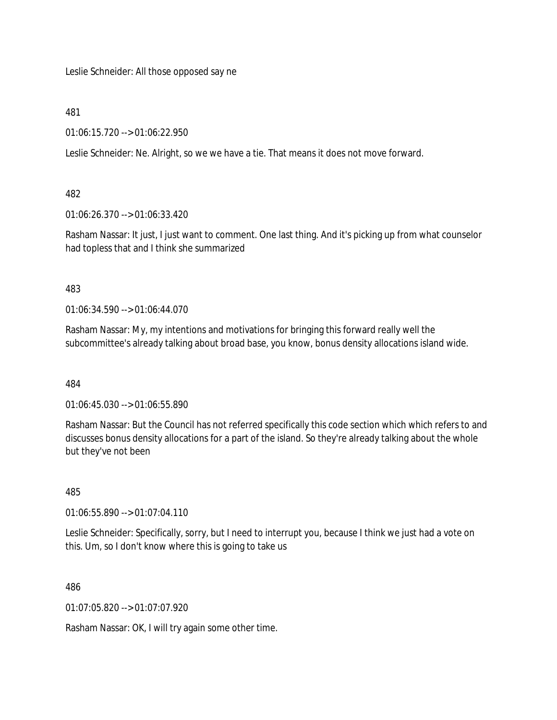Leslie Schneider: All those opposed say ne

481

01:06:15.720 --> 01:06:22.950

Leslie Schneider: Ne. Alright, so we we have a tie. That means it does not move forward.

482

01:06:26.370 --> 01:06:33.420

Rasham Nassar: It just, I just want to comment. One last thing. And it's picking up from what counselor had topless that and I think she summarized

483

01:06:34.590 --> 01:06:44.070

Rasham Nassar: My, my intentions and motivations for bringing this forward really well the subcommittee's already talking about broad base, you know, bonus density allocations island wide.

484

01:06:45.030 --> 01:06:55.890

Rasham Nassar: But the Council has not referred specifically this code section which which refers to and discusses bonus density allocations for a part of the island. So they're already talking about the whole but they've not been

485

01:06:55.890 --> 01:07:04.110

Leslie Schneider: Specifically, sorry, but I need to interrupt you, because I think we just had a vote on this. Um, so I don't know where this is going to take us

486

01:07:05.820 --> 01:07:07.920

Rasham Nassar: OK, I will try again some other time.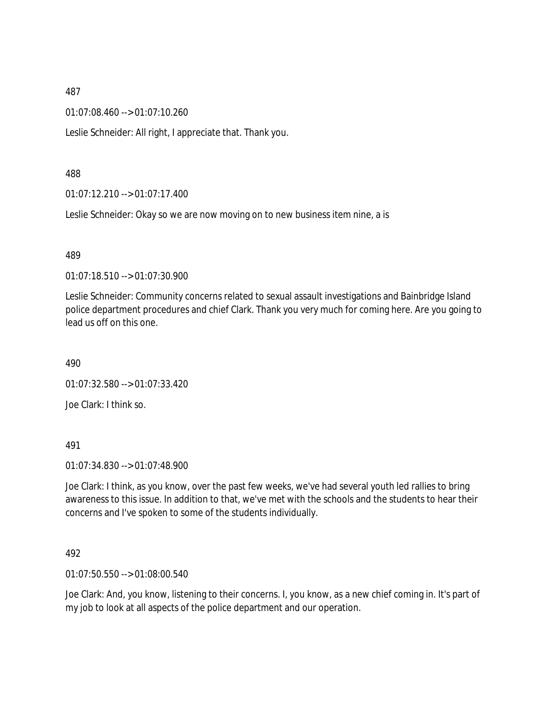01:07:08.460 --> 01:07:10.260

Leslie Schneider: All right, I appreciate that. Thank you.

#### 488

01:07:12.210 --> 01:07:17.400

Leslie Schneider: Okay so we are now moving on to new business item nine, a is

#### 489

01:07:18.510 --> 01:07:30.900

Leslie Schneider: Community concerns related to sexual assault investigations and Bainbridge Island police department procedures and chief Clark. Thank you very much for coming here. Are you going to lead us off on this one.

490

01:07:32.580 --> 01:07:33.420

Joe Clark: I think so.

### 491

01:07:34.830 --> 01:07:48.900

Joe Clark: I think, as you know, over the past few weeks, we've had several youth led rallies to bring awareness to this issue. In addition to that, we've met with the schools and the students to hear their concerns and I've spoken to some of the students individually.

#### 492

01:07:50.550 --> 01:08:00.540

Joe Clark: And, you know, listening to their concerns. I, you know, as a new chief coming in. It's part of my job to look at all aspects of the police department and our operation.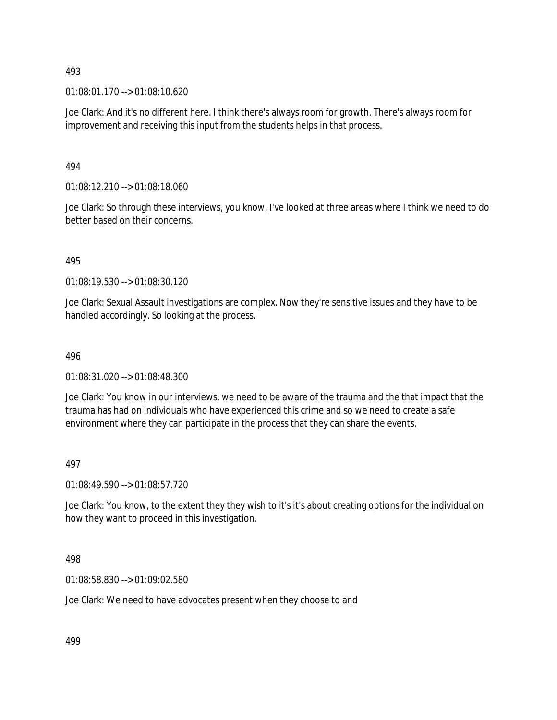01:08:01.170 --> 01:08:10.620

Joe Clark: And it's no different here. I think there's always room for growth. There's always room for improvement and receiving this input from the students helps in that process.

### 494

01:08:12.210 --> 01:08:18.060

Joe Clark: So through these interviews, you know, I've looked at three areas where I think we need to do better based on their concerns.

### 495

01:08:19.530 --> 01:08:30.120

Joe Clark: Sexual Assault investigations are complex. Now they're sensitive issues and they have to be handled accordingly. So looking at the process.

#### 496

01:08:31.020 --> 01:08:48.300

Joe Clark: You know in our interviews, we need to be aware of the trauma and the that impact that the trauma has had on individuals who have experienced this crime and so we need to create a safe environment where they can participate in the process that they can share the events.

### 497

01:08:49.590 --> 01:08:57.720

Joe Clark: You know, to the extent they they wish to it's it's about creating options for the individual on how they want to proceed in this investigation.

#### 498

01:08:58.830 --> 01:09:02.580

Joe Clark: We need to have advocates present when they choose to and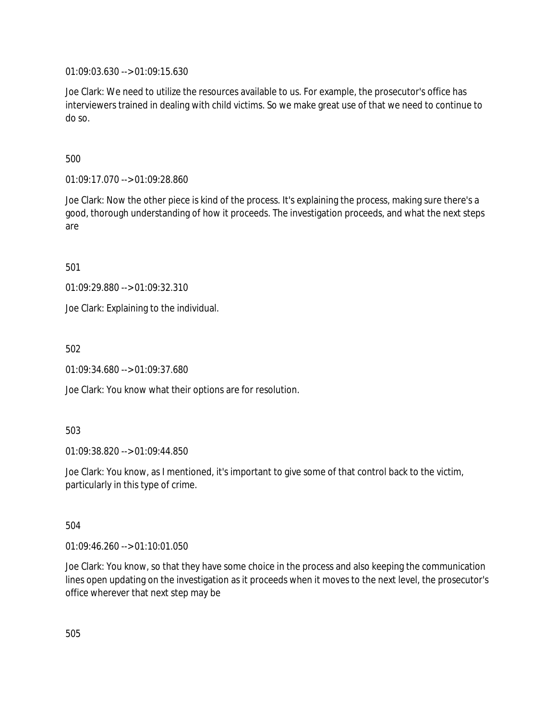01:09:03.630 --> 01:09:15.630

Joe Clark: We need to utilize the resources available to us. For example, the prosecutor's office has interviewers trained in dealing with child victims. So we make great use of that we need to continue to do so.

500

01:09:17.070 --> 01:09:28.860

Joe Clark: Now the other piece is kind of the process. It's explaining the process, making sure there's a good, thorough understanding of how it proceeds. The investigation proceeds, and what the next steps are

501

01:09:29.880 --> 01:09:32.310

Joe Clark: Explaining to the individual.

502

01:09:34.680 --> 01:09:37.680

Joe Clark: You know what their options are for resolution.

503

01:09:38.820 --> 01:09:44.850

Joe Clark: You know, as I mentioned, it's important to give some of that control back to the victim, particularly in this type of crime.

504

01:09:46.260 --> 01:10:01.050

Joe Clark: You know, so that they have some choice in the process and also keeping the communication lines open updating on the investigation as it proceeds when it moves to the next level, the prosecutor's office wherever that next step may be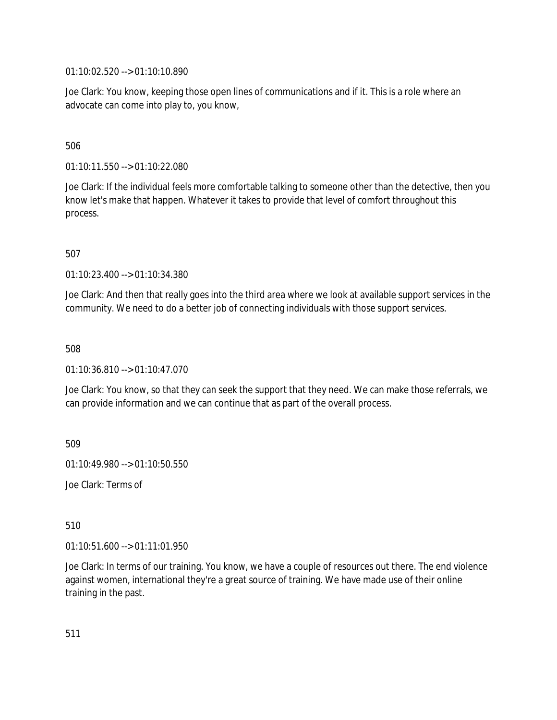01:10:02.520 --> 01:10:10.890

Joe Clark: You know, keeping those open lines of communications and if it. This is a role where an advocate can come into play to, you know,

506

01:10:11.550 --> 01:10:22.080

Joe Clark: If the individual feels more comfortable talking to someone other than the detective, then you know let's make that happen. Whatever it takes to provide that level of comfort throughout this process.

507

01:10:23.400 --> 01:10:34.380

Joe Clark: And then that really goes into the third area where we look at available support services in the community. We need to do a better job of connecting individuals with those support services.

508

01:10:36.810 --> 01:10:47.070

Joe Clark: You know, so that they can seek the support that they need. We can make those referrals, we can provide information and we can continue that as part of the overall process.

509

01:10:49.980 --> 01:10:50.550

Joe Clark: Terms of

510

01:10:51.600 --> 01:11:01.950

Joe Clark: In terms of our training. You know, we have a couple of resources out there. The end violence against women, international they're a great source of training. We have made use of their online training in the past.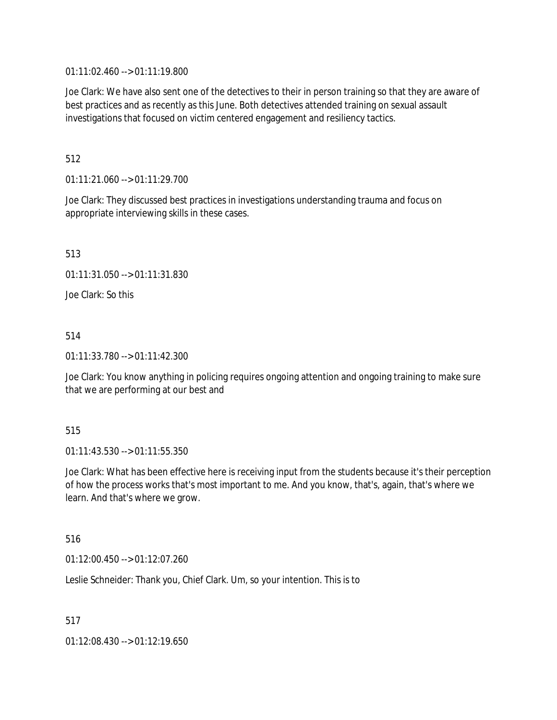01:11:02.460 --> 01:11:19.800

Joe Clark: We have also sent one of the detectives to their in person training so that they are aware of best practices and as recently as this June. Both detectives attended training on sexual assault investigations that focused on victim centered engagement and resiliency tactics.

## 512

01:11:21.060 --> 01:11:29.700

Joe Clark: They discussed best practices in investigations understanding trauma and focus on appropriate interviewing skills in these cases.

513

01:11:31.050 --> 01:11:31.830

Joe Clark: So this

## 514

01:11:33.780 --> 01:11:42.300

Joe Clark: You know anything in policing requires ongoing attention and ongoing training to make sure that we are performing at our best and

### 515

01:11:43.530 --> 01:11:55.350

Joe Clark: What has been effective here is receiving input from the students because it's their perception of how the process works that's most important to me. And you know, that's, again, that's where we learn. And that's where we grow.

### 516

01:12:00.450 --> 01:12:07.260

Leslie Schneider: Thank you, Chief Clark. Um, so your intention. This is to

517

01:12:08.430 --> 01:12:19.650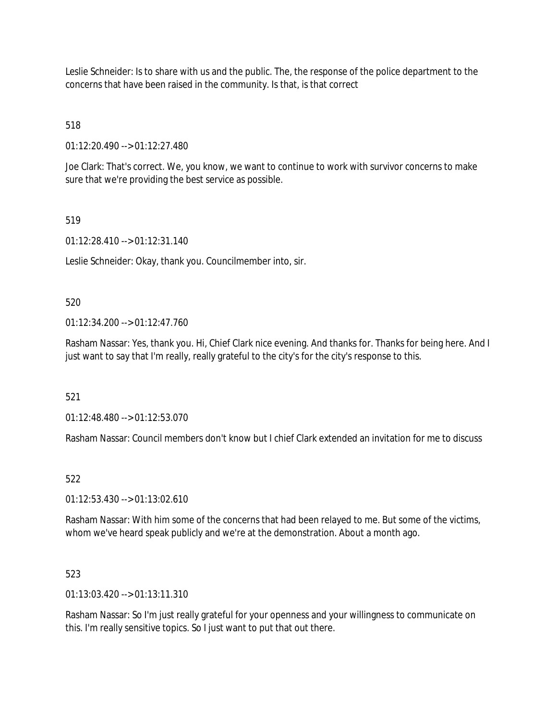Leslie Schneider: Is to share with us and the public. The, the response of the police department to the concerns that have been raised in the community. Is that, is that correct

# 518

01:12:20.490 --> 01:12:27.480

Joe Clark: That's correct. We, you know, we want to continue to work with survivor concerns to make sure that we're providing the best service as possible.

# 519

01:12:28.410 --> 01:12:31.140

Leslie Schneider: Okay, thank you. Councilmember into, sir.

## 520

01:12:34.200 --> 01:12:47.760

Rasham Nassar: Yes, thank you. Hi, Chief Clark nice evening. And thanks for. Thanks for being here. And I just want to say that I'm really, really grateful to the city's for the city's response to this.

### 521

01:12:48.480 --> 01:12:53.070

Rasham Nassar: Council members don't know but I chief Clark extended an invitation for me to discuss

### 522

01:12:53.430 --> 01:13:02.610

Rasham Nassar: With him some of the concerns that had been relayed to me. But some of the victims, whom we've heard speak publicly and we're at the demonstration. About a month ago.

### 523

01:13:03.420 --> 01:13:11.310

Rasham Nassar: So I'm just really grateful for your openness and your willingness to communicate on this. I'm really sensitive topics. So I just want to put that out there.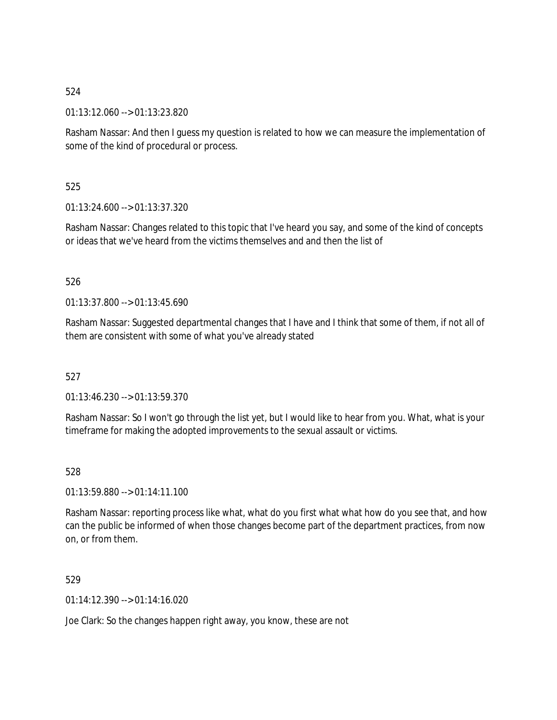01:13:12.060 --> 01:13:23.820

Rasham Nassar: And then I guess my question is related to how we can measure the implementation of some of the kind of procedural or process.

525

01:13:24.600 --> 01:13:37.320

Rasham Nassar: Changes related to this topic that I've heard you say, and some of the kind of concepts or ideas that we've heard from the victims themselves and and then the list of

### 526

01:13:37.800 --> 01:13:45.690

Rasham Nassar: Suggested departmental changes that I have and I think that some of them, if not all of them are consistent with some of what you've already stated

527

01:13:46.230 --> 01:13:59.370

Rasham Nassar: So I won't go through the list yet, but I would like to hear from you. What, what is your timeframe for making the adopted improvements to the sexual assault or victims.

528

01:13:59.880 --> 01:14:11.100

Rasham Nassar: reporting process like what, what do you first what what how do you see that, and how can the public be informed of when those changes become part of the department practices, from now on, or from them.

529

01:14:12.390 --> 01:14:16.020

Joe Clark: So the changes happen right away, you know, these are not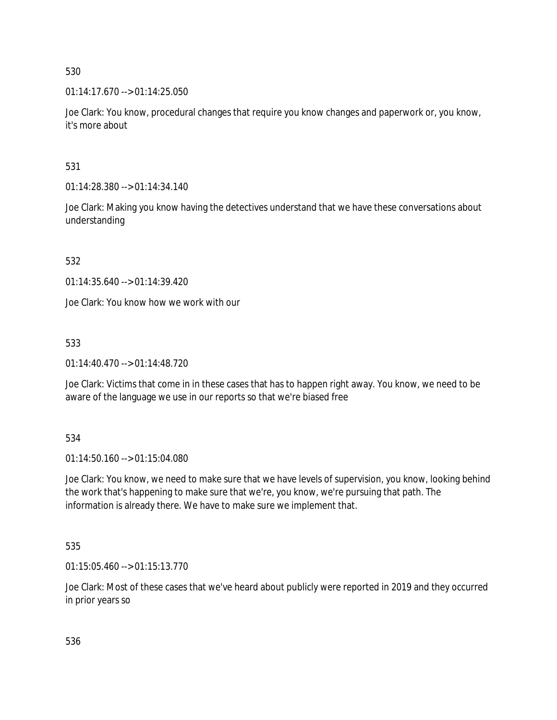01:14:17.670 --> 01:14:25.050

Joe Clark: You know, procedural changes that require you know changes and paperwork or, you know, it's more about

531

01:14:28.380 --> 01:14:34.140

Joe Clark: Making you know having the detectives understand that we have these conversations about understanding

532

01:14:35.640 --> 01:14:39.420

Joe Clark: You know how we work with our

533

01:14:40.470 --> 01:14:48.720

Joe Clark: Victims that come in in these cases that has to happen right away. You know, we need to be aware of the language we use in our reports so that we're biased free

534

01:14:50.160 --> 01:15:04.080

Joe Clark: You know, we need to make sure that we have levels of supervision, you know, looking behind the work that's happening to make sure that we're, you know, we're pursuing that path. The information is already there. We have to make sure we implement that.

535

01:15:05.460 --> 01:15:13.770

Joe Clark: Most of these cases that we've heard about publicly were reported in 2019 and they occurred in prior years so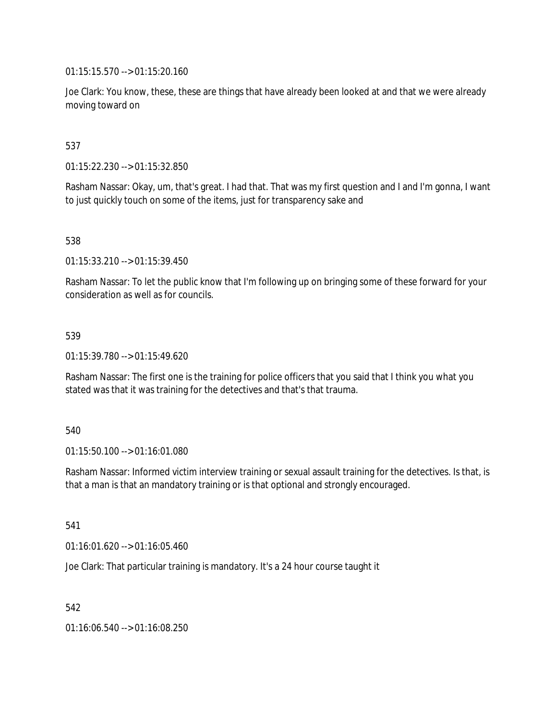01:15:15.570 --> 01:15:20.160

Joe Clark: You know, these, these are things that have already been looked at and that we were already moving toward on

## 537

01:15:22.230 --> 01:15:32.850

Rasham Nassar: Okay, um, that's great. I had that. That was my first question and I and I'm gonna, I want to just quickly touch on some of the items, just for transparency sake and

538

01:15:33.210 --> 01:15:39.450

Rasham Nassar: To let the public know that I'm following up on bringing some of these forward for your consideration as well as for councils.

### 539

01:15:39.780 --> 01:15:49.620

Rasham Nassar: The first one is the training for police officers that you said that I think you what you stated was that it was training for the detectives and that's that trauma.

### 540

01:15:50.100 --> 01:16:01.080

Rasham Nassar: Informed victim interview training or sexual assault training for the detectives. Is that, is that a man is that an mandatory training or is that optional and strongly encouraged.

541

01:16:01.620 --> 01:16:05.460

Joe Clark: That particular training is mandatory. It's a 24 hour course taught it

542

01:16:06.540 --> 01:16:08.250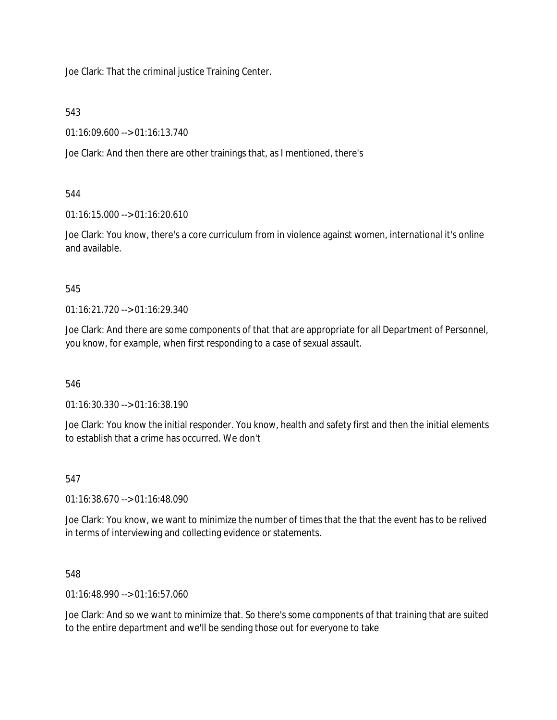Joe Clark: That the criminal justice Training Center.

543

01:16:09.600 --> 01:16:13.740

Joe Clark: And then there are other trainings that, as I mentioned, there's

544

01:16:15.000 --> 01:16:20.610

Joe Clark: You know, there's a core curriculum from in violence against women, international it's online and available.

545

01:16:21.720 --> 01:16:29.340

Joe Clark: And there are some components of that that are appropriate for all Department of Personnel, you know, for example, when first responding to a case of sexual assault.

546

01:16:30.330 --> 01:16:38.190

Joe Clark: You know the initial responder. You know, health and safety first and then the initial elements to establish that a crime has occurred. We don't

547

01:16:38.670 --> 01:16:48.090

Joe Clark: You know, we want to minimize the number of times that the that the event has to be relived in terms of interviewing and collecting evidence or statements.

548

01:16:48.990 --> 01:16:57.060

Joe Clark: And so we want to minimize that. So there's some components of that training that are suited to the entire department and we'll be sending those out for everyone to take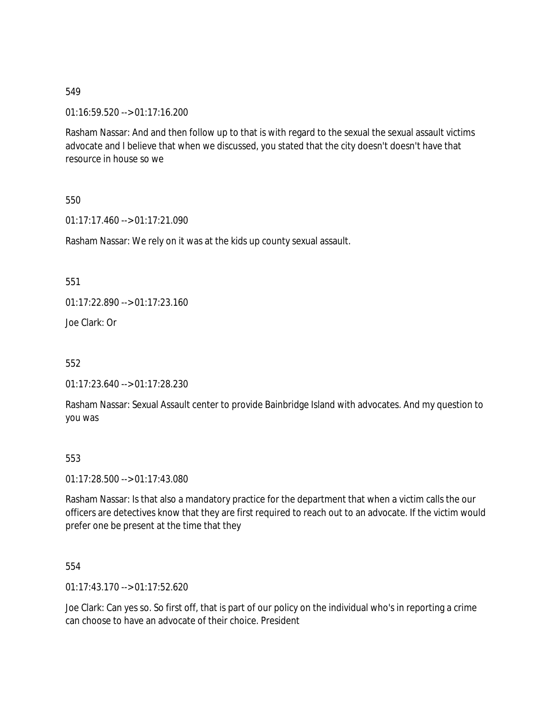01:16:59.520 --> 01:17:16.200

Rasham Nassar: And and then follow up to that is with regard to the sexual the sexual assault victims advocate and I believe that when we discussed, you stated that the city doesn't doesn't have that resource in house so we

550

01:17:17.460 --> 01:17:21.090

Rasham Nassar: We rely on it was at the kids up county sexual assault.

551

01:17:22.890 --> 01:17:23.160

Joe Clark: Or

552

01:17:23.640 --> 01:17:28.230

Rasham Nassar: Sexual Assault center to provide Bainbridge Island with advocates. And my question to you was

### 553

01:17:28.500 --> 01:17:43.080

Rasham Nassar: Is that also a mandatory practice for the department that when a victim calls the our officers are detectives know that they are first required to reach out to an advocate. If the victim would prefer one be present at the time that they

554

01:17:43.170 --> 01:17:52.620

Joe Clark: Can yes so. So first off, that is part of our policy on the individual who's in reporting a crime can choose to have an advocate of their choice. President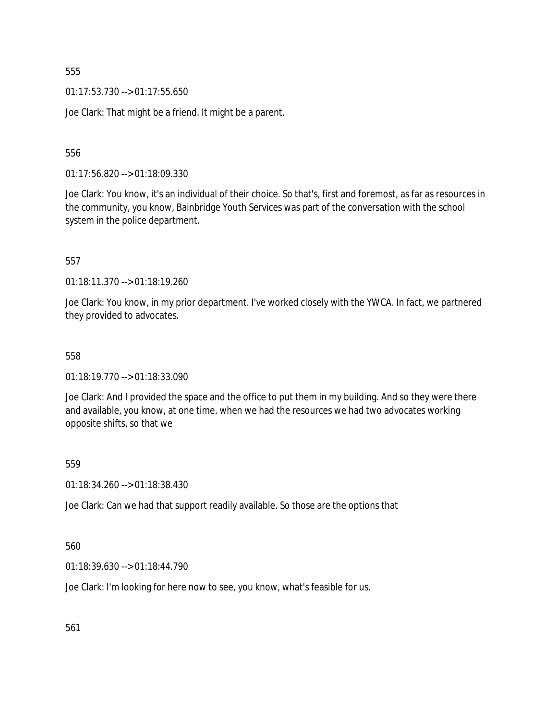01:17:53.730 --> 01:17:55.650

Joe Clark: That might be a friend. It might be a parent.

556

01:17:56.820 --> 01:18:09.330

Joe Clark: You know, it's an individual of their choice. So that's, first and foremost, as far as resources in the community, you know, Bainbridge Youth Services was part of the conversation with the school system in the police department.

557

01:18:11.370 --> 01:18:19.260

Joe Clark: You know, in my prior department. I've worked closely with the YWCA. In fact, we partnered they provided to advocates.

558

01:18:19.770 --> 01:18:33.090

Joe Clark: And I provided the space and the office to put them in my building. And so they were there and available, you know, at one time, when we had the resources we had two advocates working opposite shifts, so that we

559

01:18:34.260 --> 01:18:38.430

Joe Clark: Can we had that support readily available. So those are the options that

560

01:18:39.630 --> 01:18:44.790

Joe Clark: I'm looking for here now to see, you know, what's feasible for us.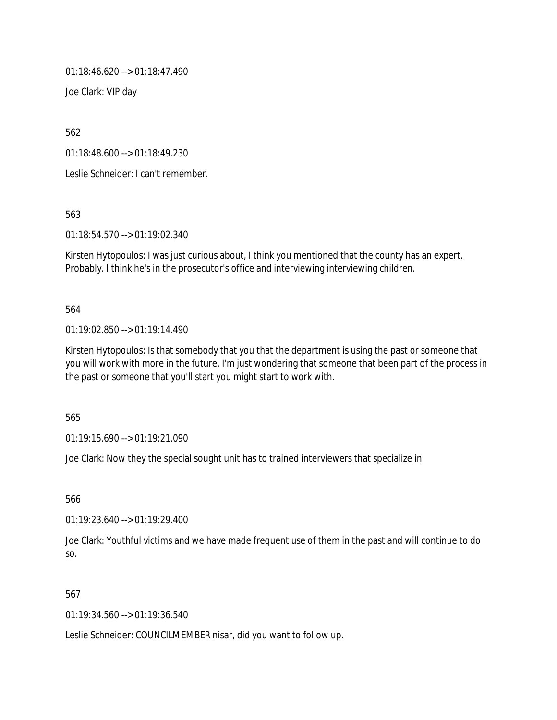01:18:46.620 --> 01:18:47.490

Joe Clark: VIP day

562

01:18:48.600 --> 01:18:49.230

Leslie Schneider: I can't remember.

563

01:18:54.570 --> 01:19:02.340

Kirsten Hytopoulos: I was just curious about, I think you mentioned that the county has an expert. Probably. I think he's in the prosecutor's office and interviewing interviewing children.

564

01:19:02.850 --> 01:19:14.490

Kirsten Hytopoulos: Is that somebody that you that the department is using the past or someone that you will work with more in the future. I'm just wondering that someone that been part of the process in the past or someone that you'll start you might start to work with.

565

01:19:15.690 --> 01:19:21.090

Joe Clark: Now they the special sought unit has to trained interviewers that specialize in

566

01:19:23.640 --> 01:19:29.400

Joe Clark: Youthful victims and we have made frequent use of them in the past and will continue to do so.

567

01:19:34.560 --> 01:19:36.540

Leslie Schneider: COUNCILMEMBER nisar, did you want to follow up.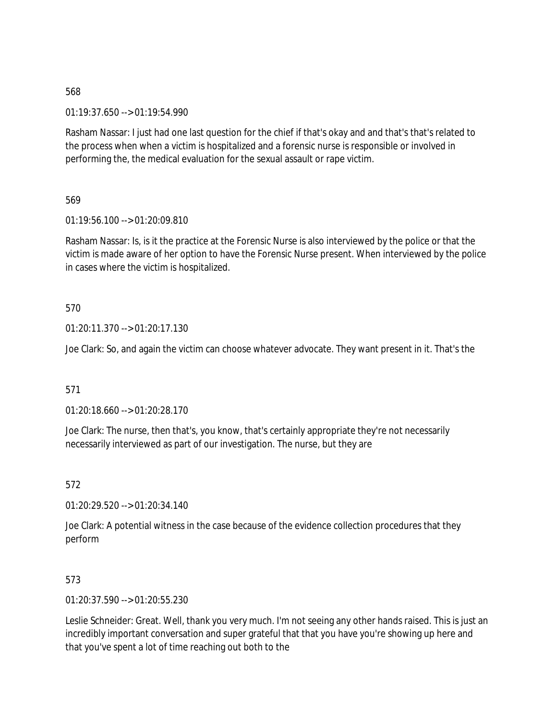01:19:37.650 --> 01:19:54.990

Rasham Nassar: I just had one last question for the chief if that's okay and and that's that's related to the process when when a victim is hospitalized and a forensic nurse is responsible or involved in performing the, the medical evaluation for the sexual assault or rape victim.

569

01:19:56.100 --> 01:20:09.810

Rasham Nassar: Is, is it the practice at the Forensic Nurse is also interviewed by the police or that the victim is made aware of her option to have the Forensic Nurse present. When interviewed by the police in cases where the victim is hospitalized.

570

01:20:11.370 --> 01:20:17.130

Joe Clark: So, and again the victim can choose whatever advocate. They want present in it. That's the

571

01:20:18.660 --> 01:20:28.170

Joe Clark: The nurse, then that's, you know, that's certainly appropriate they're not necessarily necessarily interviewed as part of our investigation. The nurse, but they are

572

01:20:29.520 --> 01:20:34.140

Joe Clark: A potential witness in the case because of the evidence collection procedures that they perform

573

01:20:37.590 --> 01:20:55.230

Leslie Schneider: Great. Well, thank you very much. I'm not seeing any other hands raised. This is just an incredibly important conversation and super grateful that that you have you're showing up here and that you've spent a lot of time reaching out both to the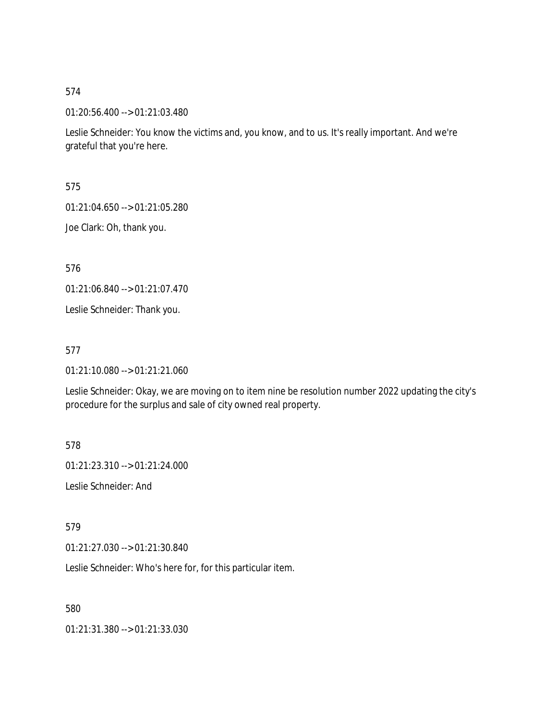01:20:56.400 --> 01:21:03.480

Leslie Schneider: You know the victims and, you know, and to us. It's really important. And we're grateful that you're here.

575

01:21:04.650 --> 01:21:05.280

Joe Clark: Oh, thank you.

576

01:21:06.840 --> 01:21:07.470

Leslie Schneider: Thank you.

577

01:21:10.080 --> 01:21:21.060

Leslie Schneider: Okay, we are moving on to item nine be resolution number 2022 updating the city's procedure for the surplus and sale of city owned real property.

578

01:21:23.310 --> 01:21:24.000

Leslie Schneider: And

579

01:21:27.030 --> 01:21:30.840

Leslie Schneider: Who's here for, for this particular item.

580

01:21:31.380 --> 01:21:33.030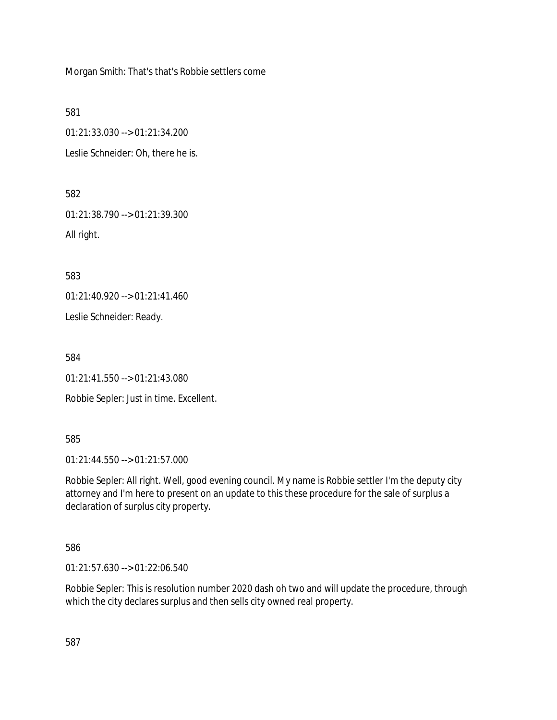Morgan Smith: That's that's Robbie settlers come

581

01:21:33.030 --> 01:21:34.200 Leslie Schneider: Oh, there he is.

582

01:21:38.790 --> 01:21:39.300 All right.

583

01:21:40.920 --> 01:21:41.460

Leslie Schneider: Ready.

584

01:21:41.550 --> 01:21:43.080

Robbie Sepler: Just in time. Excellent.

585

01:21:44.550 --> 01:21:57.000

Robbie Sepler: All right. Well, good evening council. My name is Robbie settler I'm the deputy city attorney and I'm here to present on an update to this these procedure for the sale of surplus a declaration of surplus city property.

586

01:21:57.630 --> 01:22:06.540

Robbie Sepler: This is resolution number 2020 dash oh two and will update the procedure, through which the city declares surplus and then sells city owned real property.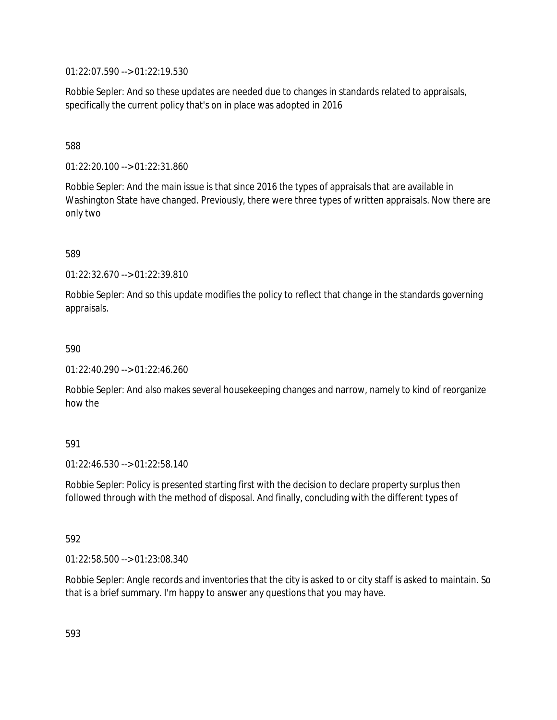01:22:07.590 --> 01:22:19.530

Robbie Sepler: And so these updates are needed due to changes in standards related to appraisals, specifically the current policy that's on in place was adopted in 2016

### 588

01:22:20.100 --> 01:22:31.860

Robbie Sepler: And the main issue is that since 2016 the types of appraisals that are available in Washington State have changed. Previously, there were three types of written appraisals. Now there are only two

## 589

01:22:32.670 --> 01:22:39.810

Robbie Sepler: And so this update modifies the policy to reflect that change in the standards governing appraisals.

### 590

01:22:40.290 --> 01:22:46.260

Robbie Sepler: And also makes several housekeeping changes and narrow, namely to kind of reorganize how the

### 591

01:22:46.530 --> 01:22:58.140

Robbie Sepler: Policy is presented starting first with the decision to declare property surplus then followed through with the method of disposal. And finally, concluding with the different types of

### 592

01:22:58.500 --> 01:23:08.340

Robbie Sepler: Angle records and inventories that the city is asked to or city staff is asked to maintain. So that is a brief summary. I'm happy to answer any questions that you may have.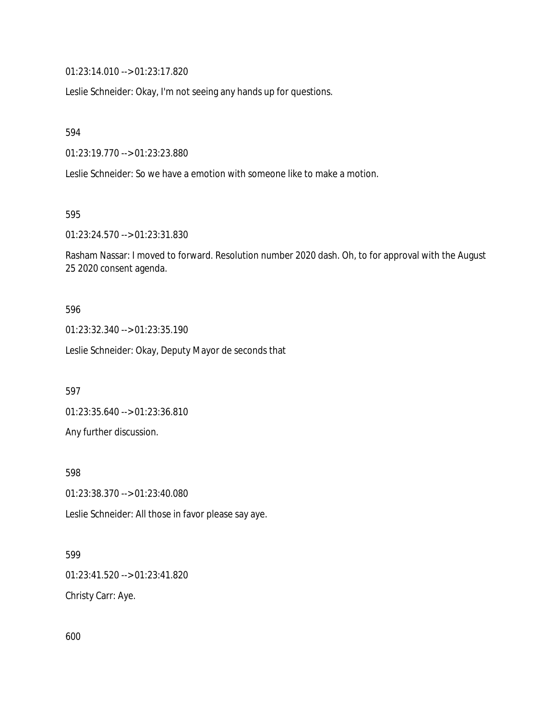01:23:14.010 --> 01:23:17.820

Leslie Schneider: Okay, I'm not seeing any hands up for questions.

594

01:23:19.770 --> 01:23:23.880

Leslie Schneider: So we have a emotion with someone like to make a motion.

595

01:23:24.570 --> 01:23:31.830

Rasham Nassar: I moved to forward. Resolution number 2020 dash. Oh, to for approval with the August 25 2020 consent agenda.

#### 596

01:23:32.340 --> 01:23:35.190

Leslie Schneider: Okay, Deputy Mayor de seconds that

597

01:23:35.640 --> 01:23:36.810

Any further discussion.

598

01:23:38.370 --> 01:23:40.080

Leslie Schneider: All those in favor please say aye.

### 599

01:23:41.520 --> 01:23:41.820

Christy Carr: Aye.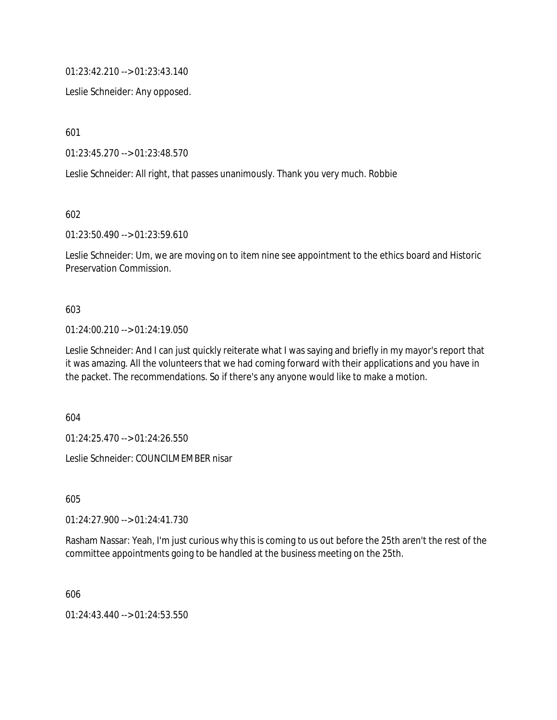01:23:42.210 --> 01:23:43.140

Leslie Schneider: Any opposed.

601

01:23:45.270 --> 01:23:48.570

Leslie Schneider: All right, that passes unanimously. Thank you very much. Robbie

602

01:23:50.490 --> 01:23:59.610

Leslie Schneider: Um, we are moving on to item nine see appointment to the ethics board and Historic Preservation Commission.

#### 603

### 01:24:00.210 --> 01:24:19.050

Leslie Schneider: And I can just quickly reiterate what I was saying and briefly in my mayor's report that it was amazing. All the volunteers that we had coming forward with their applications and you have in the packet. The recommendations. So if there's any anyone would like to make a motion.

604

01:24:25.470 --> 01:24:26.550

Leslie Schneider: COUNCILMEMBER nisar

605

01:24:27.900 --> 01:24:41.730

Rasham Nassar: Yeah, I'm just curious why this is coming to us out before the 25th aren't the rest of the committee appointments going to be handled at the business meeting on the 25th.

606

01:24:43.440 --> 01:24:53.550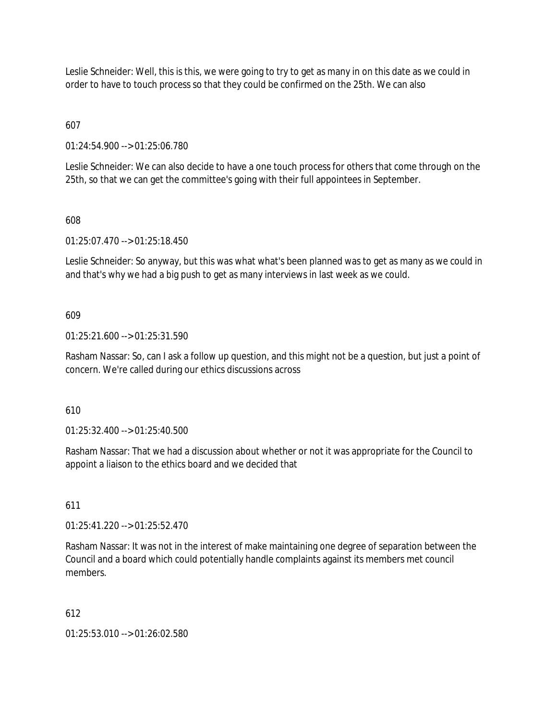Leslie Schneider: Well, this is this, we were going to try to get as many in on this date as we could in order to have to touch process so that they could be confirmed on the 25th. We can also

607

01:24:54.900 --> 01:25:06.780

Leslie Schneider: We can also decide to have a one touch process for others that come through on the 25th, so that we can get the committee's going with their full appointees in September.

## 608

01:25:07.470 --> 01:25:18.450

Leslie Schneider: So anyway, but this was what what's been planned was to get as many as we could in and that's why we had a big push to get as many interviews in last week as we could.

## 609

01:25:21.600 --> 01:25:31.590

Rasham Nassar: So, can I ask a follow up question, and this might not be a question, but just a point of concern. We're called during our ethics discussions across

610

01:25:32.400 --> 01:25:40.500

Rasham Nassar: That we had a discussion about whether or not it was appropriate for the Council to appoint a liaison to the ethics board and we decided that

### 611

01:25:41.220 --> 01:25:52.470

Rasham Nassar: It was not in the interest of make maintaining one degree of separation between the Council and a board which could potentially handle complaints against its members met council members.

# 612

01:25:53.010 --> 01:26:02.580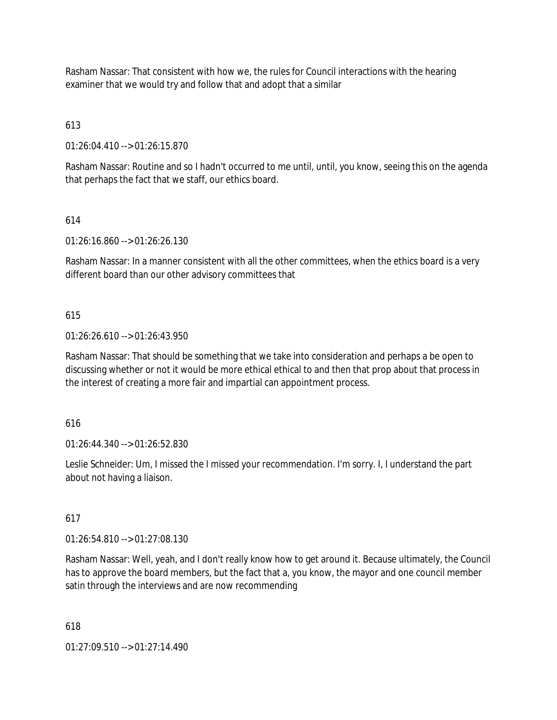Rasham Nassar: That consistent with how we, the rules for Council interactions with the hearing examiner that we would try and follow that and adopt that a similar

# 613

01:26:04.410 --> 01:26:15.870

Rasham Nassar: Routine and so I hadn't occurred to me until, until, you know, seeing this on the agenda that perhaps the fact that we staff, our ethics board.

# 614

01:26:16.860 --> 01:26:26.130

Rasham Nassar: In a manner consistent with all the other committees, when the ethics board is a very different board than our other advisory committees that

# 615

01:26:26.610 --> 01:26:43.950

Rasham Nassar: That should be something that we take into consideration and perhaps a be open to discussing whether or not it would be more ethical ethical to and then that prop about that process in the interest of creating a more fair and impartial can appointment process.

# 616

01:26:44.340 --> 01:26:52.830

Leslie Schneider: Um, I missed the I missed your recommendation. I'm sorry. I, I understand the part about not having a liaison.

# 617

01:26:54.810 --> 01:27:08.130

Rasham Nassar: Well, yeah, and I don't really know how to get around it. Because ultimately, the Council has to approve the board members, but the fact that a, you know, the mayor and one council member satin through the interviews and are now recommending

618

01:27:09.510 --> 01:27:14.490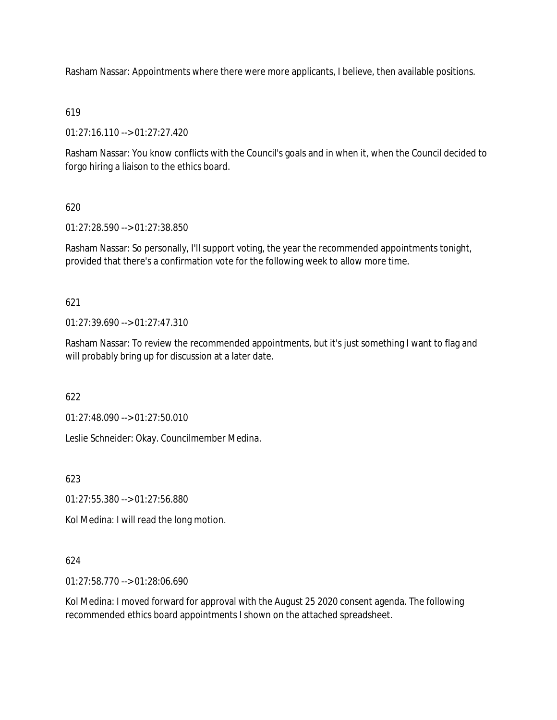Rasham Nassar: Appointments where there were more applicants, I believe, then available positions.

## 619

01:27:16.110 --> 01:27:27.420

Rasham Nassar: You know conflicts with the Council's goals and in when it, when the Council decided to forgo hiring a liaison to the ethics board.

# 620

01:27:28.590 --> 01:27:38.850

Rasham Nassar: So personally, I'll support voting, the year the recommended appointments tonight, provided that there's a confirmation vote for the following week to allow more time.

# 621

01:27:39.690 --> 01:27:47.310

Rasham Nassar: To review the recommended appointments, but it's just something I want to flag and will probably bring up for discussion at a later date.

622

01:27:48.090 --> 01:27:50.010

Leslie Schneider: Okay. Councilmember Medina.

623

01:27:55.380 --> 01:27:56.880

Kol Medina: I will read the long motion.

# 624

01:27:58.770 --> 01:28:06.690

Kol Medina: I moved forward for approval with the August 25 2020 consent agenda. The following recommended ethics board appointments I shown on the attached spreadsheet.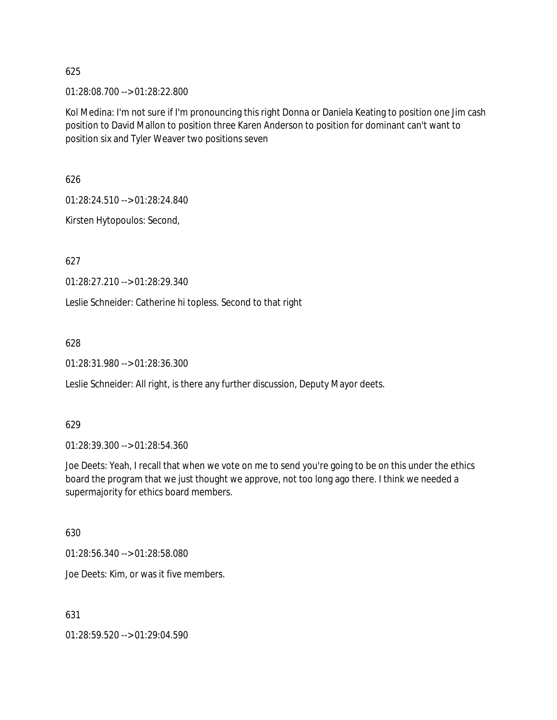01:28:08.700 --> 01:28:22.800

Kol Medina: I'm not sure if I'm pronouncing this right Donna or Daniela Keating to position one Jim cash position to David Mallon to position three Karen Anderson to position for dominant can't want to position six and Tyler Weaver two positions seven

626

01:28:24.510 --> 01:28:24.840

Kirsten Hytopoulos: Second,

627

01:28:27.210 --> 01:28:29.340

Leslie Schneider: Catherine hi topless. Second to that right

628

01:28:31.980 --> 01:28:36.300

Leslie Schneider: All right, is there any further discussion, Deputy Mayor deets.

629

01:28:39.300 --> 01:28:54.360

Joe Deets: Yeah, I recall that when we vote on me to send you're going to be on this under the ethics board the program that we just thought we approve, not too long ago there. I think we needed a supermajority for ethics board members.

630

01:28:56.340 --> 01:28:58.080

Joe Deets: Kim, or was it five members.

631

01:28:59.520 --> 01:29:04.590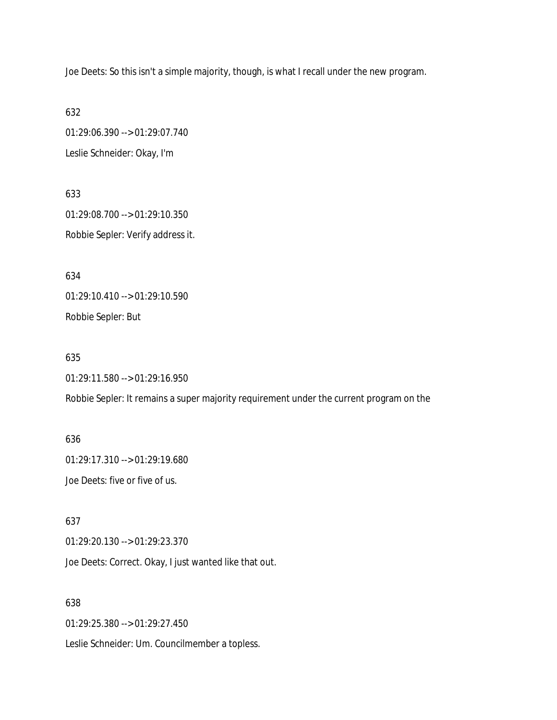Joe Deets: So this isn't a simple majority, though, is what I recall under the new program.

632 01:29:06.390 --> 01:29:07.740 Leslie Schneider: Okay, I'm

633 01:29:08.700 --> 01:29:10.350 Robbie Sepler: Verify address it.

634

01:29:10.410 --> 01:29:10.590

Robbie Sepler: But

635

01:29:11.580 --> 01:29:16.950

Robbie Sepler: It remains a super majority requirement under the current program on the

636 01:29:17.310 --> 01:29:19.680 Joe Deets: five or five of us.

637 01:29:20.130 --> 01:29:23.370 Joe Deets: Correct. Okay, I just wanted like that out.

638

01:29:25.380 --> 01:29:27.450

Leslie Schneider: Um. Councilmember a topless.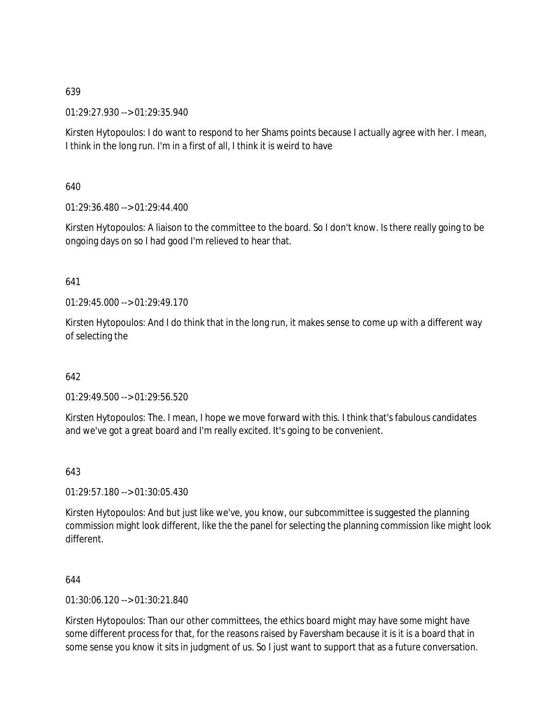01:29:27.930 --> 01:29:35.940

Kirsten Hytopoulos: I do want to respond to her Shams points because I actually agree with her. I mean, I think in the long run. I'm in a first of all, I think it is weird to have

640

01:29:36.480 --> 01:29:44.400

Kirsten Hytopoulos: A liaison to the committee to the board. So I don't know. Is there really going to be ongoing days on so I had good I'm relieved to hear that.

641

 $01.29.45.000 -> 01.29.49.170$ 

Kirsten Hytopoulos: And I do think that in the long run, it makes sense to come up with a different way of selecting the

642

01:29:49.500 --> 01:29:56.520

Kirsten Hytopoulos: The. I mean, I hope we move forward with this. I think that's fabulous candidates and we've got a great board and I'm really excited. It's going to be convenient.

643

01:29:57.180 --> 01:30:05.430

Kirsten Hytopoulos: And but just like we've, you know, our subcommittee is suggested the planning commission might look different, like the the panel for selecting the planning commission like might look different.

644

01:30:06.120 --> 01:30:21.840

Kirsten Hytopoulos: Than our other committees, the ethics board might may have some might have some different process for that, for the reasons raised by Faversham because it is it is a board that in some sense you know it sits in judgment of us. So I just want to support that as a future conversation.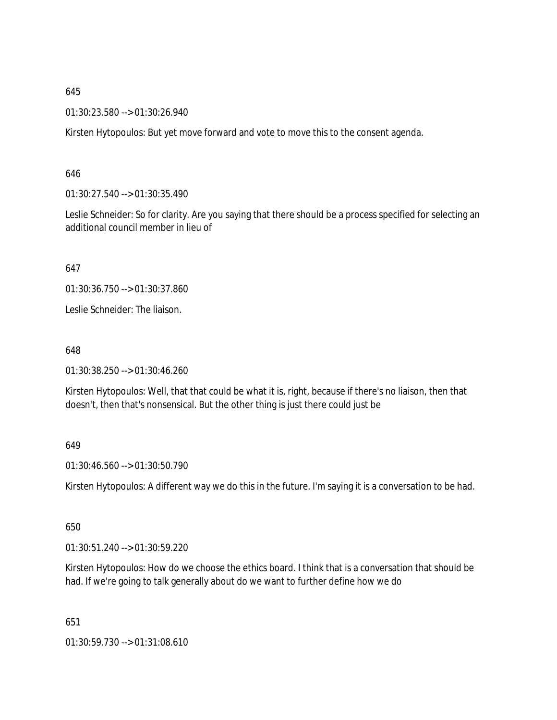01:30:23.580 --> 01:30:26.940

Kirsten Hytopoulos: But yet move forward and vote to move this to the consent agenda.

646

01:30:27.540 --> 01:30:35.490

Leslie Schneider: So for clarity. Are you saying that there should be a process specified for selecting an additional council member in lieu of

647

01:30:36.750 --> 01:30:37.860

Leslie Schneider: The liaison.

648

01:30:38.250 --> 01:30:46.260

Kirsten Hytopoulos: Well, that that could be what it is, right, because if there's no liaison, then that doesn't, then that's nonsensical. But the other thing is just there could just be

#### 649

01:30:46.560 --> 01:30:50.790

Kirsten Hytopoulos: A different way we do this in the future. I'm saying it is a conversation to be had.

650

01:30:51.240 --> 01:30:59.220

Kirsten Hytopoulos: How do we choose the ethics board. I think that is a conversation that should be had. If we're going to talk generally about do we want to further define how we do

651

01:30:59.730 --> 01:31:08.610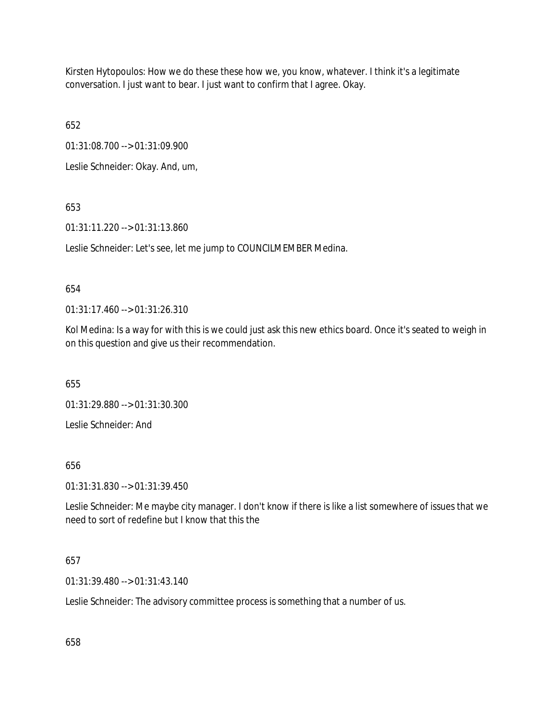Kirsten Hytopoulos: How we do these these how we, you know, whatever. I think it's a legitimate conversation. I just want to bear. I just want to confirm that I agree. Okay.

652

01:31:08.700 --> 01:31:09.900

Leslie Schneider: Okay. And, um,

653

01:31:11.220 --> 01:31:13.860

Leslie Schneider: Let's see, let me jump to COUNCILMEMBER Medina.

## 654

01:31:17.460 --> 01:31:26.310

Kol Medina: Is a way for with this is we could just ask this new ethics board. Once it's seated to weigh in on this question and give us their recommendation.

655

01:31:29.880 --> 01:31:30.300

Leslie Schneider: And

656

01:31:31.830 --> 01:31:39.450

Leslie Schneider: Me maybe city manager. I don't know if there is like a list somewhere of issues that we need to sort of redefine but I know that this the

# 657

01:31:39.480 --> 01:31:43.140

Leslie Schneider: The advisory committee process is something that a number of us.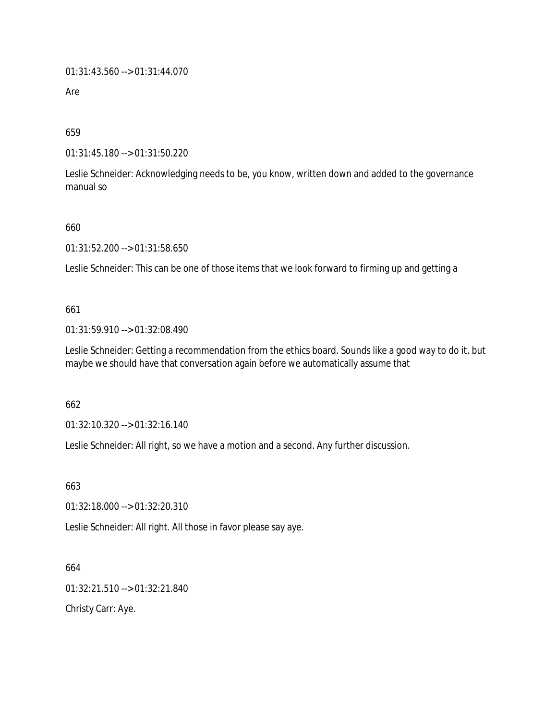01:31:43.560 --> 01:31:44.070

Are

659

01:31:45.180 --> 01:31:50.220

Leslie Schneider: Acknowledging needs to be, you know, written down and added to the governance manual so

660

01:31:52.200 --> 01:31:58.650

Leslie Schneider: This can be one of those items that we look forward to firming up and getting a

661

01:31:59.910 --> 01:32:08.490

Leslie Schneider: Getting a recommendation from the ethics board. Sounds like a good way to do it, but maybe we should have that conversation again before we automatically assume that

662

01:32:10.320 --> 01:32:16.140

Leslie Schneider: All right, so we have a motion and a second. Any further discussion.

663

01:32:18.000 --> 01:32:20.310

Leslie Schneider: All right. All those in favor please say aye.

664

01:32:21.510 --> 01:32:21.840

Christy Carr: Aye.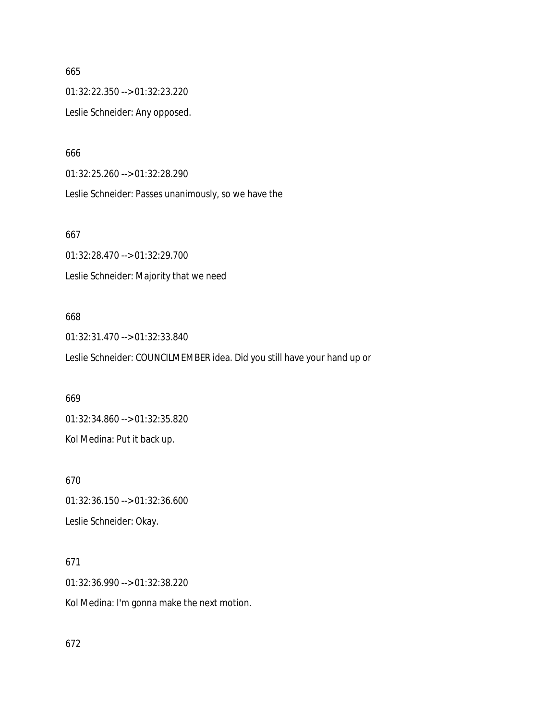01:32:22.350 --> 01:32:23.220

Leslie Schneider: Any opposed.

666

01:32:25.260 --> 01:32:28.290

Leslie Schneider: Passes unanimously, so we have the

667

01:32:28.470 --> 01:32:29.700 Leslie Schneider: Majority that we need

### 668

01:32:31.470 --> 01:32:33.840 Leslie Schneider: COUNCILMEMBER idea. Did you still have your hand up or

669

01:32:34.860 --> 01:32:35.820 Kol Medina: Put it back up.

670

01:32:36.150 --> 01:32:36.600 Leslie Schneider: Okay.

# 671

01:32:36.990 --> 01:32:38.220 Kol Medina: I'm gonna make the next motion.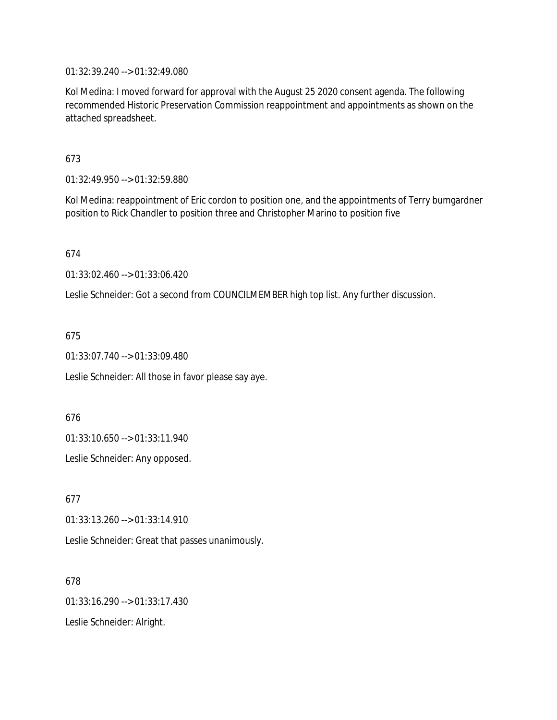01:32:39.240 --> 01:32:49.080

Kol Medina: I moved forward for approval with the August 25 2020 consent agenda. The following recommended Historic Preservation Commission reappointment and appointments as shown on the attached spreadsheet.

673

01:32:49.950 --> 01:32:59.880

Kol Medina: reappointment of Eric cordon to position one, and the appointments of Terry bumgardner position to Rick Chandler to position three and Christopher Marino to position five

674

01:33:02.460 --> 01:33:06.420

Leslie Schneider: Got a second from COUNCILMEMBER high top list. Any further discussion.

675

01:33:07.740 --> 01:33:09.480

Leslie Schneider: All those in favor please say aye.

676

01:33:10.650 --> 01:33:11.940

Leslie Schneider: Any opposed.

677 01:33:13.260 --> 01:33:14.910 Leslie Schneider: Great that passes unanimously.

678 01:33:16.290 --> 01:33:17.430 Leslie Schneider: Alright.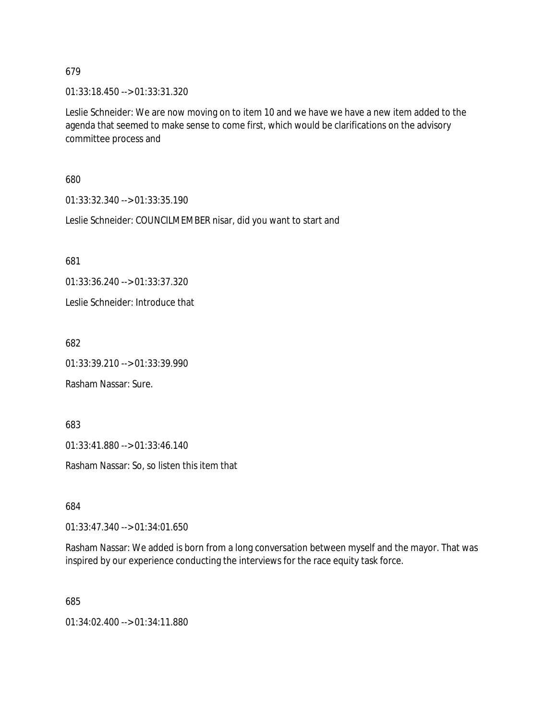01:33:18.450 --> 01:33:31.320

Leslie Schneider: We are now moving on to item 10 and we have we have a new item added to the agenda that seemed to make sense to come first, which would be clarifications on the advisory committee process and

680

01:33:32.340 --> 01:33:35.190

Leslie Schneider: COUNCILMEMBER nisar, did you want to start and

681

01:33:36.240 --> 01:33:37.320

Leslie Schneider: Introduce that

682

01:33:39.210 --> 01:33:39.990

Rasham Nassar: Sure.

683

01:33:41.880 --> 01:33:46.140

Rasham Nassar: So, so listen this item that

684

01:33:47.340 --> 01:34:01.650

Rasham Nassar: We added is born from a long conversation between myself and the mayor. That was inspired by our experience conducting the interviews for the race equity task force.

685

01:34:02.400 --> 01:34:11.880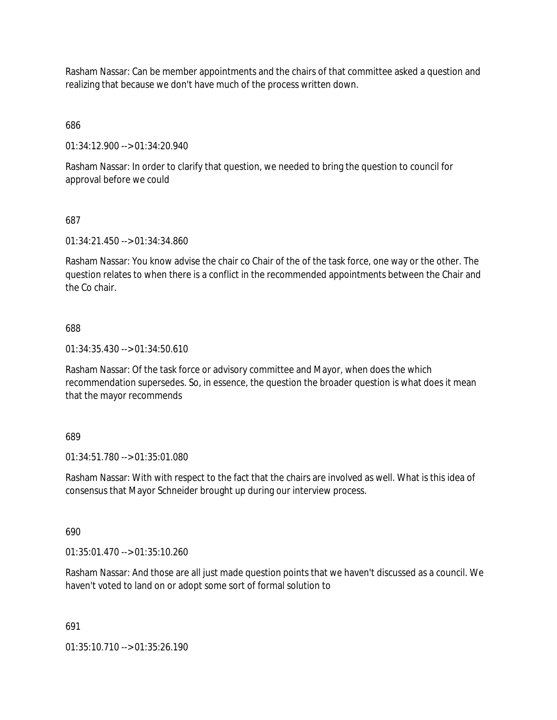Rasham Nassar: Can be member appointments and the chairs of that committee asked a question and realizing that because we don't have much of the process written down.

686

01:34:12.900 --> 01:34:20.940

Rasham Nassar: In order to clarify that question, we needed to bring the question to council for approval before we could

#### 687

01:34:21.450 --> 01:34:34.860

Rasham Nassar: You know advise the chair co Chair of the of the task force, one way or the other. The question relates to when there is a conflict in the recommended appointments between the Chair and the Co chair.

#### 688

01:34:35.430 --> 01:34:50.610

Rasham Nassar: Of the task force or advisory committee and Mayor, when does the which recommendation supersedes. So, in essence, the question the broader question is what does it mean that the mayor recommends

#### 689

01:34:51.780 --> 01:35:01.080

Rasham Nassar: With with respect to the fact that the chairs are involved as well. What is this idea of consensus that Mayor Schneider brought up during our interview process.

#### 690

01:35:01.470 --> 01:35:10.260

Rasham Nassar: And those are all just made question points that we haven't discussed as a council. We haven't voted to land on or adopt some sort of formal solution to

#### 691

01:35:10.710 --> 01:35:26.190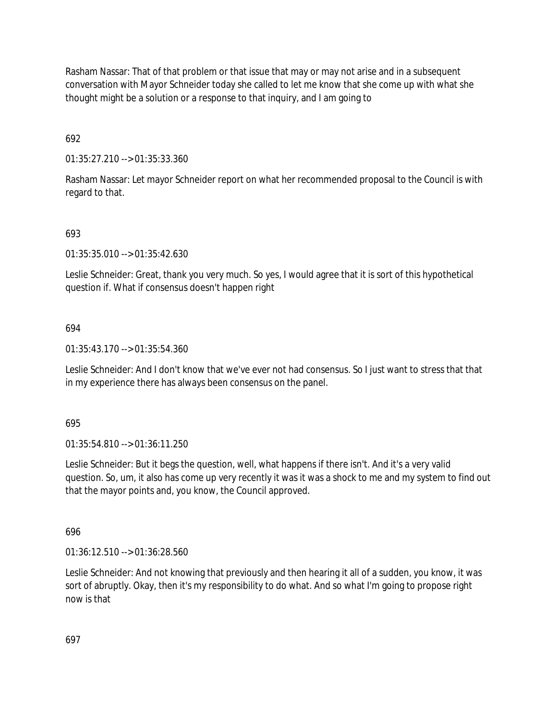Rasham Nassar: That of that problem or that issue that may or may not arise and in a subsequent conversation with Mayor Schneider today she called to let me know that she come up with what she thought might be a solution or a response to that inquiry, and I am going to

692

01:35:27.210 --> 01:35:33.360

Rasham Nassar: Let mayor Schneider report on what her recommended proposal to the Council is with regard to that.

# 693

01:35:35.010 --> 01:35:42.630

Leslie Schneider: Great, thank you very much. So yes, I would agree that it is sort of this hypothetical question if. What if consensus doesn't happen right

## 694

01:35:43.170 --> 01:35:54.360

Leslie Schneider: And I don't know that we've ever not had consensus. So I just want to stress that that in my experience there has always been consensus on the panel.

695

01:35:54.810 --> 01:36:11.250

Leslie Schneider: But it begs the question, well, what happens if there isn't. And it's a very valid question. So, um, it also has come up very recently it was it was a shock to me and my system to find out that the mayor points and, you know, the Council approved.

696

01:36:12.510 --> 01:36:28.560

Leslie Schneider: And not knowing that previously and then hearing it all of a sudden, you know, it was sort of abruptly. Okay, then it's my responsibility to do what. And so what I'm going to propose right now is that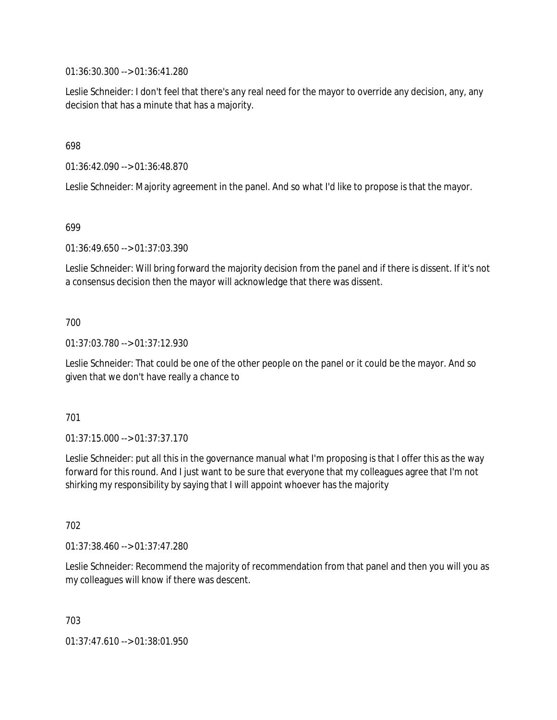01:36:30.300 --> 01:36:41.280

Leslie Schneider: I don't feel that there's any real need for the mayor to override any decision, any, any decision that has a minute that has a majority.

698

01:36:42.090 --> 01:36:48.870

Leslie Schneider: Majority agreement in the panel. And so what I'd like to propose is that the mayor.

#### 699

01:36:49.650 --> 01:37:03.390

Leslie Schneider: Will bring forward the majority decision from the panel and if there is dissent. If it's not a consensus decision then the mayor will acknowledge that there was dissent.

## 700

01:37:03.780 --> 01:37:12.930

Leslie Schneider: That could be one of the other people on the panel or it could be the mayor. And so given that we don't have really a chance to

## 701

01:37:15.000 --> 01:37:37.170

Leslie Schneider: put all this in the governance manual what I'm proposing is that I offer this as the way forward for this round. And I just want to be sure that everyone that my colleagues agree that I'm not shirking my responsibility by saying that I will appoint whoever has the majority

702

01:37:38.460 --> 01:37:47.280

Leslie Schneider: Recommend the majority of recommendation from that panel and then you will you as my colleagues will know if there was descent.

703

01:37:47.610 --> 01:38:01.950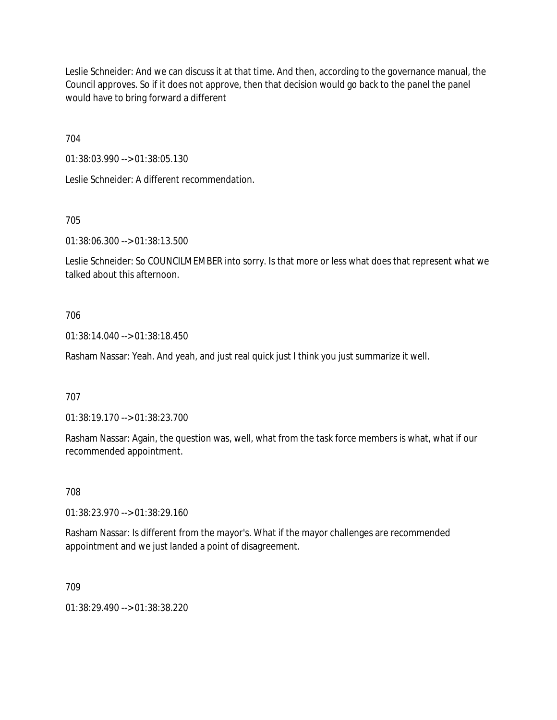Leslie Schneider: And we can discuss it at that time. And then, according to the governance manual, the Council approves. So if it does not approve, then that decision would go back to the panel the panel would have to bring forward a different

704

01:38:03.990 --> 01:38:05.130

Leslie Schneider: A different recommendation.

705

01:38:06.300 --> 01:38:13.500

Leslie Schneider: So COUNCILMEMBER into sorry. Is that more or less what does that represent what we talked about this afternoon.

## 706

01:38:14.040 --> 01:38:18.450

Rasham Nassar: Yeah. And yeah, and just real quick just I think you just summarize it well.

707

01:38:19.170 --> 01:38:23.700

Rasham Nassar: Again, the question was, well, what from the task force members is what, what if our recommended appointment.

708

01:38:23.970 --> 01:38:29.160

Rasham Nassar: Is different from the mayor's. What if the mayor challenges are recommended appointment and we just landed a point of disagreement.

709

01:38:29.490 --> 01:38:38.220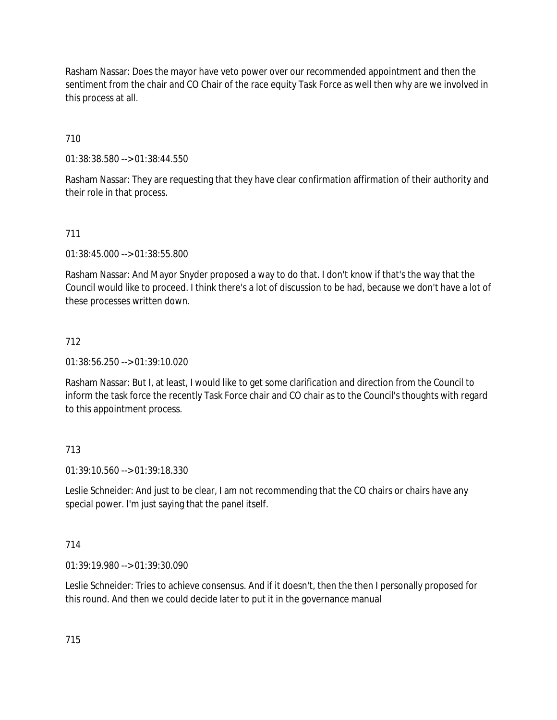Rasham Nassar: Does the mayor have veto power over our recommended appointment and then the sentiment from the chair and CO Chair of the race equity Task Force as well then why are we involved in this process at all.

# 710

01:38:38.580 --> 01:38:44.550

Rasham Nassar: They are requesting that they have clear confirmation affirmation of their authority and their role in that process.

## 711

01:38:45.000 --> 01:38:55.800

Rasham Nassar: And Mayor Snyder proposed a way to do that. I don't know if that's the way that the Council would like to proceed. I think there's a lot of discussion to be had, because we don't have a lot of these processes written down.

## 712

01:38:56.250 --> 01:39:10.020

Rasham Nassar: But I, at least, I would like to get some clarification and direction from the Council to inform the task force the recently Task Force chair and CO chair as to the Council's thoughts with regard to this appointment process.

# 713

01:39:10.560 --> 01:39:18.330

Leslie Schneider: And just to be clear, I am not recommending that the CO chairs or chairs have any special power. I'm just saying that the panel itself.

## 714

01:39:19.980 --> 01:39:30.090

Leslie Schneider: Tries to achieve consensus. And if it doesn't, then the then I personally proposed for this round. And then we could decide later to put it in the governance manual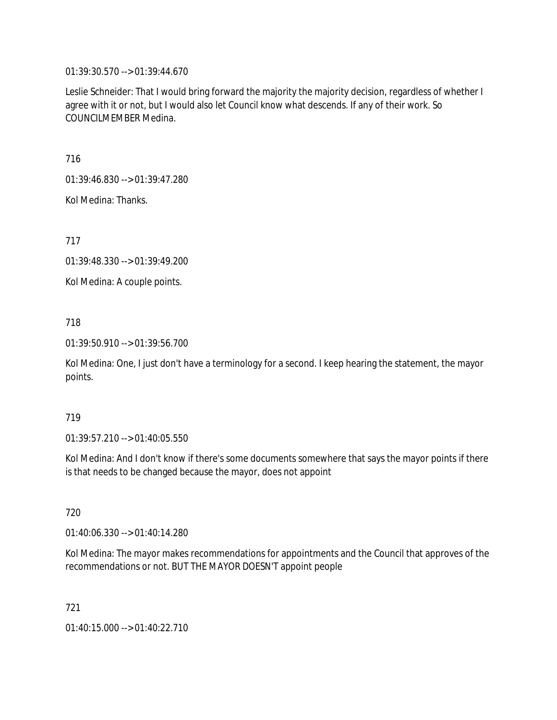01:39:30.570 --> 01:39:44.670

Leslie Schneider: That I would bring forward the majority the majority decision, regardless of whether I agree with it or not, but I would also let Council know what descends. If any of their work. So COUNCILMEMBER Medina.

716

01:39:46.830 --> 01:39:47.280

Kol Medina: Thanks.

717

01:39:48.330 --> 01:39:49.200

Kol Medina: A couple points.

718

01:39:50.910 --> 01:39:56.700

Kol Medina: One, I just don't have a terminology for a second. I keep hearing the statement, the mayor points.

## 719

01:39:57.210 --> 01:40:05.550

Kol Medina: And I don't know if there's some documents somewhere that says the mayor points if there is that needs to be changed because the mayor, does not appoint

720

01:40:06.330 --> 01:40:14.280

Kol Medina: The mayor makes recommendations for appointments and the Council that approves of the recommendations or not. BUT THE MAYOR DOESN'T appoint people

721

01:40:15.000 --> 01:40:22.710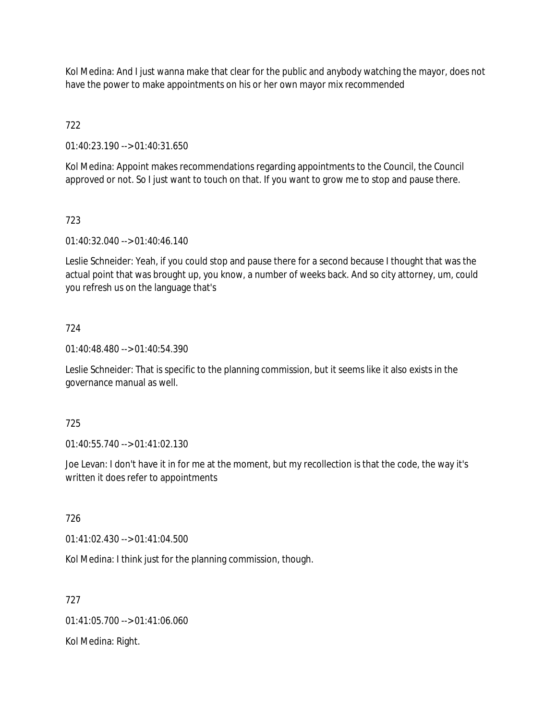Kol Medina: And I just wanna make that clear for the public and anybody watching the mayor, does not have the power to make appointments on his or her own mayor mix recommended

722

01:40:23.190 --> 01:40:31.650

Kol Medina: Appoint makes recommendations regarding appointments to the Council, the Council approved or not. So I just want to touch on that. If you want to grow me to stop and pause there.

# 723

01:40:32.040 --> 01:40:46.140

Leslie Schneider: Yeah, if you could stop and pause there for a second because I thought that was the actual point that was brought up, you know, a number of weeks back. And so city attorney, um, could you refresh us on the language that's

## 724

01:40:48.480 --> 01:40:54.390

Leslie Schneider: That is specific to the planning commission, but it seems like it also exists in the governance manual as well.

## 725

01:40:55.740 --> 01:41:02.130

Joe Levan: I don't have it in for me at the moment, but my recollection is that the code, the way it's written it does refer to appointments

## 726

01:41:02.430 --> 01:41:04.500

Kol Medina: I think just for the planning commission, though.

## 727

01:41:05.700 --> 01:41:06.060

Kol Medina: Right.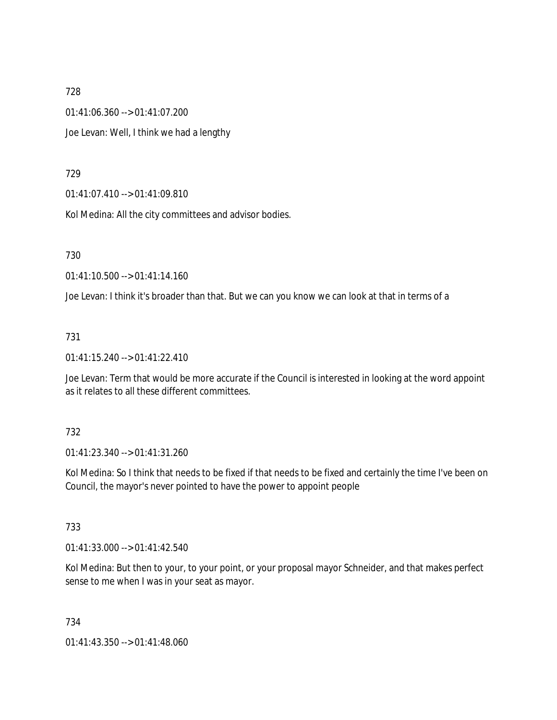01:41:06.360 --> 01:41:07.200 Joe Levan: Well, I think we had a lengthy

729

01:41:07.410 --> 01:41:09.810

Kol Medina: All the city committees and advisor bodies.

730

01:41:10.500 --> 01:41:14.160

Joe Levan: I think it's broader than that. But we can you know we can look at that in terms of a

731

01:41:15.240 --> 01:41:22.410

Joe Levan: Term that would be more accurate if the Council is interested in looking at the word appoint as it relates to all these different committees.

732

01:41:23.340 --> 01:41:31.260

Kol Medina: So I think that needs to be fixed if that needs to be fixed and certainly the time I've been on Council, the mayor's never pointed to have the power to appoint people

733

01:41:33.000 --> 01:41:42.540

Kol Medina: But then to your, to your point, or your proposal mayor Schneider, and that makes perfect sense to me when I was in your seat as mayor.

734

01:41:43.350 --> 01:41:48.060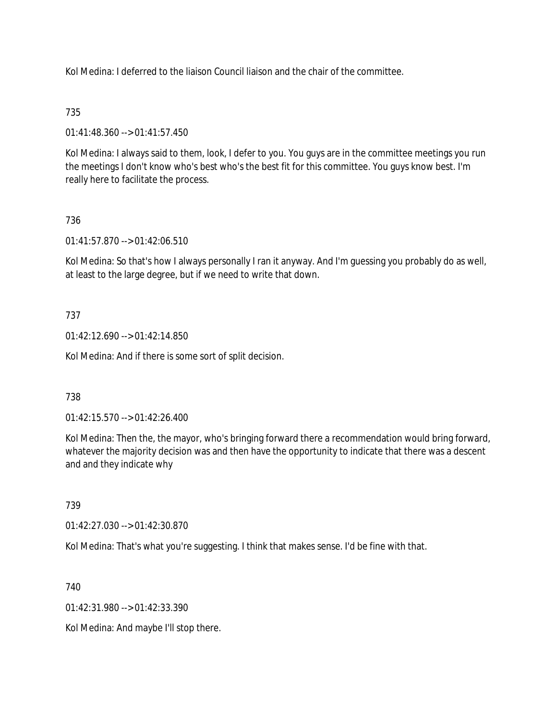Kol Medina: I deferred to the liaison Council liaison and the chair of the committee.

# 735

01:41:48.360 --> 01:41:57.450

Kol Medina: I always said to them, look, I defer to you. You guys are in the committee meetings you run the meetings I don't know who's best who's the best fit for this committee. You guys know best. I'm really here to facilitate the process.

# 736

01:41:57.870 --> 01:42:06.510

Kol Medina: So that's how I always personally I ran it anyway. And I'm guessing you probably do as well, at least to the large degree, but if we need to write that down.

# 737

01:42:12.690 --> 01:42:14.850

Kol Medina: And if there is some sort of split decision.

# 738

01:42:15.570 --> 01:42:26.400

Kol Medina: Then the, the mayor, who's bringing forward there a recommendation would bring forward, whatever the majority decision was and then have the opportunity to indicate that there was a descent and and they indicate why

# 739

01:42:27.030 --> 01:42:30.870

Kol Medina: That's what you're suggesting. I think that makes sense. I'd be fine with that.

740

 $01:42:31.980 \rightarrow 01:42:33.390$ 

Kol Medina: And maybe I'll stop there.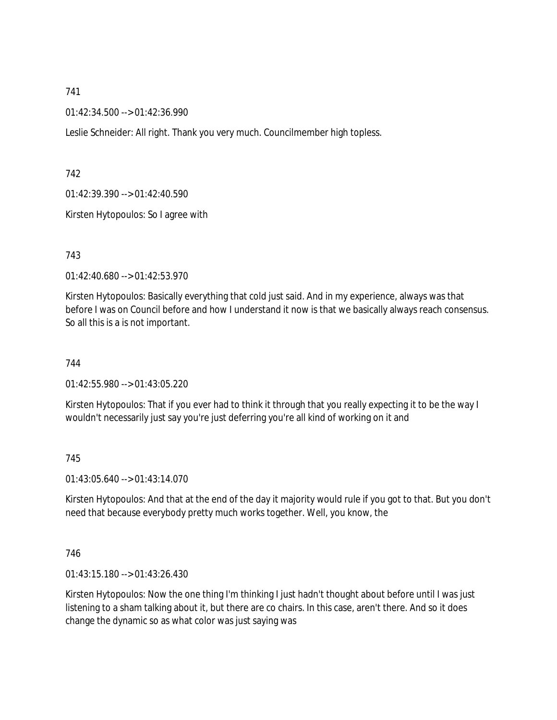01:42:34.500 --> 01:42:36.990

Leslie Schneider: All right. Thank you very much. Councilmember high topless.

742

01:42:39.390 --> 01:42:40.590

Kirsten Hytopoulos: So I agree with

743

01:42:40.680 --> 01:42:53.970

Kirsten Hytopoulos: Basically everything that cold just said. And in my experience, always was that before I was on Council before and how I understand it now is that we basically always reach consensus. So all this is a is not important.

744

01:42:55.980 --> 01:43:05.220

Kirsten Hytopoulos: That if you ever had to think it through that you really expecting it to be the way I wouldn't necessarily just say you're just deferring you're all kind of working on it and

745

01:43:05.640 --> 01:43:14.070

Kirsten Hytopoulos: And that at the end of the day it majority would rule if you got to that. But you don't need that because everybody pretty much works together. Well, you know, the

746

01:43:15.180 --> 01:43:26.430

Kirsten Hytopoulos: Now the one thing I'm thinking I just hadn't thought about before until I was just listening to a sham talking about it, but there are co chairs. In this case, aren't there. And so it does change the dynamic so as what color was just saying was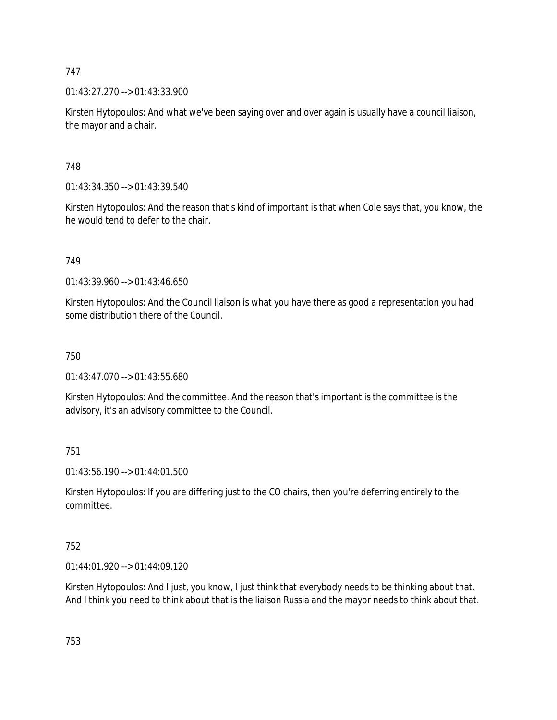01:43:27.270 --> 01:43:33.900

Kirsten Hytopoulos: And what we've been saying over and over again is usually have a council liaison, the mayor and a chair.

748

01:43:34.350 --> 01:43:39.540

Kirsten Hytopoulos: And the reason that's kind of important is that when Cole says that, you know, the he would tend to defer to the chair.

749

01:43:39.960 --> 01:43:46.650

Kirsten Hytopoulos: And the Council liaison is what you have there as good a representation you had some distribution there of the Council.

750

01:43:47.070 --> 01:43:55.680

Kirsten Hytopoulos: And the committee. And the reason that's important is the committee is the advisory, it's an advisory committee to the Council.

751

01:43:56.190 --> 01:44:01.500

Kirsten Hytopoulos: If you are differing just to the CO chairs, then you're deferring entirely to the committee.

752

01:44:01.920 --> 01:44:09.120

Kirsten Hytopoulos: And I just, you know, I just think that everybody needs to be thinking about that. And I think you need to think about that is the liaison Russia and the mayor needs to think about that.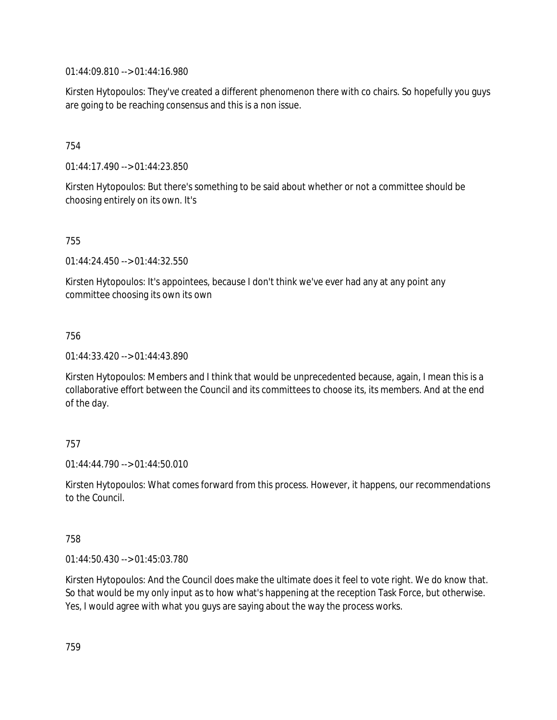01:44:09.810 --> 01:44:16.980

Kirsten Hytopoulos: They've created a different phenomenon there with co chairs. So hopefully you guys are going to be reaching consensus and this is a non issue.

## 754

01:44:17.490 --> 01:44:23.850

Kirsten Hytopoulos: But there's something to be said about whether or not a committee should be choosing entirely on its own. It's

## 755

01:44:24.450 --> 01:44:32.550

Kirsten Hytopoulos: It's appointees, because I don't think we've ever had any at any point any committee choosing its own its own

## 756

01:44:33.420 --> 01:44:43.890

Kirsten Hytopoulos: Members and I think that would be unprecedented because, again, I mean this is a collaborative effort between the Council and its committees to choose its, its members. And at the end of the day.

## 757

01:44:44.790 --> 01:44:50.010

Kirsten Hytopoulos: What comes forward from this process. However, it happens, our recommendations to the Council.

## 758

01:44:50.430 --> 01:45:03.780

Kirsten Hytopoulos: And the Council does make the ultimate does it feel to vote right. We do know that. So that would be my only input as to how what's happening at the reception Task Force, but otherwise. Yes, I would agree with what you guys are saying about the way the process works.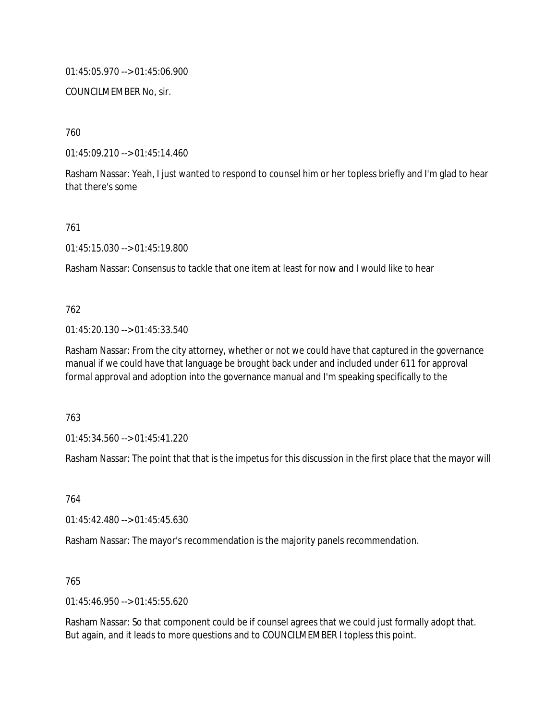01:45:05.970 --> 01:45:06.900

COUNCILMEMBER No, sir.

760

01:45:09.210 --> 01:45:14.460

Rasham Nassar: Yeah, I just wanted to respond to counsel him or her topless briefly and I'm glad to hear that there's some

761

01:45:15.030 --> 01:45:19.800

Rasham Nassar: Consensus to tackle that one item at least for now and I would like to hear

## 762

01:45:20.130 --> 01:45:33.540

Rasham Nassar: From the city attorney, whether or not we could have that captured in the governance manual if we could have that language be brought back under and included under 611 for approval formal approval and adoption into the governance manual and I'm speaking specifically to the

763

01:45:34.560 --> 01:45:41.220

Rasham Nassar: The point that that is the impetus for this discussion in the first place that the mayor will

764

01:45:42.480 --> 01:45:45.630

Rasham Nassar: The mayor's recommendation is the majority panels recommendation.

765

01:45:46.950 --> 01:45:55.620

Rasham Nassar: So that component could be if counsel agrees that we could just formally adopt that. But again, and it leads to more questions and to COUNCILMEMBER I topless this point.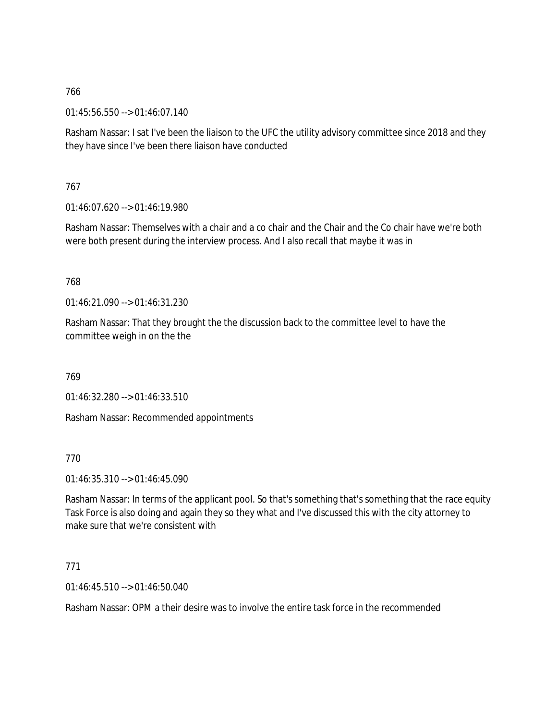01:45:56.550 --> 01:46:07.140

Rasham Nassar: I sat I've been the liaison to the UFC the utility advisory committee since 2018 and they they have since I've been there liaison have conducted

767

01:46:07.620 --> 01:46:19.980

Rasham Nassar: Themselves with a chair and a co chair and the Chair and the Co chair have we're both were both present during the interview process. And I also recall that maybe it was in

768

01:46:21.090 --> 01:46:31.230

Rasham Nassar: That they brought the the discussion back to the committee level to have the committee weigh in on the the

769

01:46:32.280 --> 01:46:33.510

Rasham Nassar: Recommended appointments

770

01:46:35.310 --> 01:46:45.090

Rasham Nassar: In terms of the applicant pool. So that's something that's something that the race equity Task Force is also doing and again they so they what and I've discussed this with the city attorney to make sure that we're consistent with

771

 $01:46:45.510 \rightarrow 01:46:50.040$ 

Rasham Nassar: OPM a their desire was to involve the entire task force in the recommended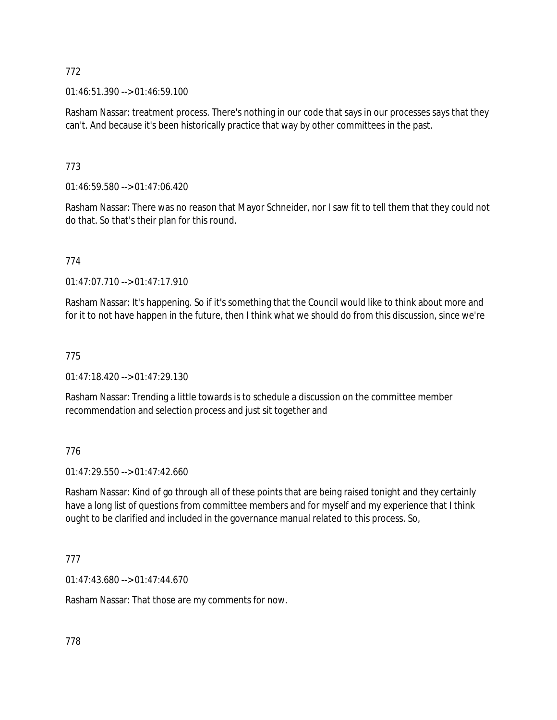01:46:51.390 --> 01:46:59.100

Rasham Nassar: treatment process. There's nothing in our code that says in our processes says that they can't. And because it's been historically practice that way by other committees in the past.

# 773

01:46:59.580 --> 01:47:06.420

Rasham Nassar: There was no reason that Mayor Schneider, nor I saw fit to tell them that they could not do that. So that's their plan for this round.

# 774

01:47:07.710 --> 01:47:17.910

Rasham Nassar: It's happening. So if it's something that the Council would like to think about more and for it to not have happen in the future, then I think what we should do from this discussion, since we're

# 775

01:47:18.420 --> 01:47:29.130

Rasham Nassar: Trending a little towards is to schedule a discussion on the committee member recommendation and selection process and just sit together and

# 776

01:47:29.550 --> 01:47:42.660

Rasham Nassar: Kind of go through all of these points that are being raised tonight and they certainly have a long list of questions from committee members and for myself and my experience that I think ought to be clarified and included in the governance manual related to this process. So,

# 777

01:47:43.680 --> 01:47:44.670

Rasham Nassar: That those are my comments for now.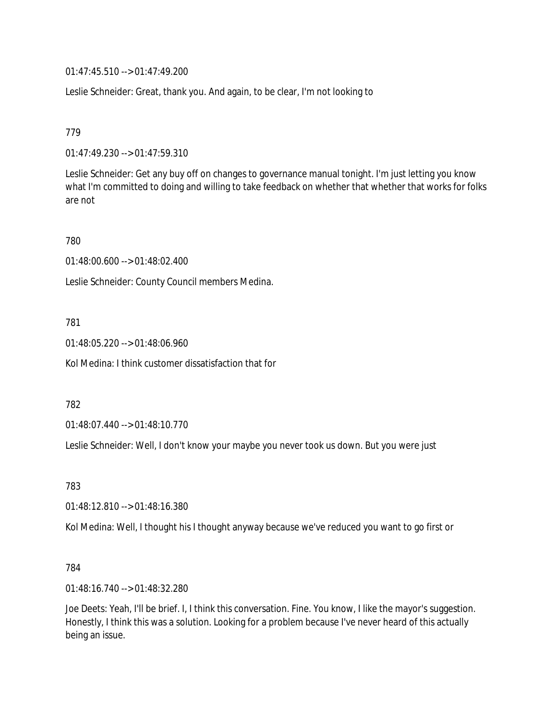01:47:45.510 --> 01:47:49.200

Leslie Schneider: Great, thank you. And again, to be clear, I'm not looking to

779

01:47:49.230 --> 01:47:59.310

Leslie Schneider: Get any buy off on changes to governance manual tonight. I'm just letting you know what I'm committed to doing and willing to take feedback on whether that whether that works for folks are not

780

01:48:00.600 --> 01:48:02.400

Leslie Schneider: County Council members Medina.

781

01:48:05.220 --> 01:48:06.960

Kol Medina: I think customer dissatisfaction that for

782

01:48:07.440 --> 01:48:10.770

Leslie Schneider: Well, I don't know your maybe you never took us down. But you were just

783

01:48:12.810 --> 01:48:16.380

Kol Medina: Well, I thought his I thought anyway because we've reduced you want to go first or

784

01:48:16.740 --> 01:48:32.280

Joe Deets: Yeah, I'll be brief. I, I think this conversation. Fine. You know, I like the mayor's suggestion. Honestly, I think this was a solution. Looking for a problem because I've never heard of this actually being an issue.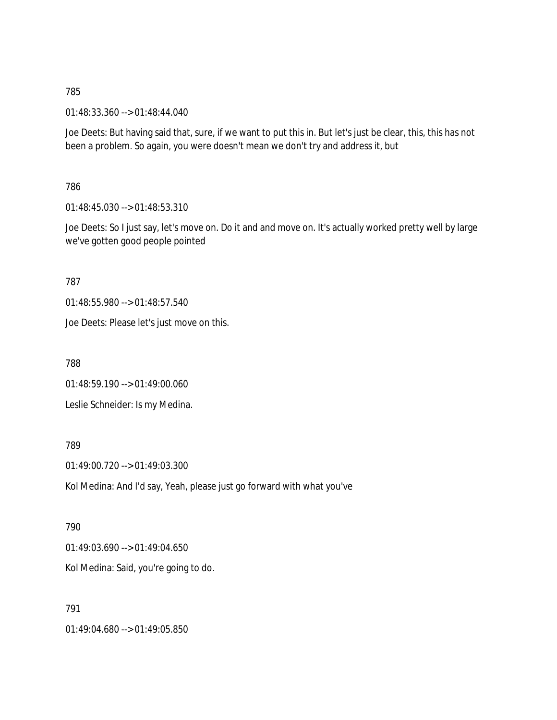01:48:33.360 --> 01:48:44.040

Joe Deets: But having said that, sure, if we want to put this in. But let's just be clear, this, this has not been a problem. So again, you were doesn't mean we don't try and address it, but

786

01:48:45.030 --> 01:48:53.310

Joe Deets: So I just say, let's move on. Do it and and move on. It's actually worked pretty well by large we've gotten good people pointed

787

01:48:55.980 --> 01:48:57.540

Joe Deets: Please let's just move on this.

788

01:48:59.190 --> 01:49:00.060

Leslie Schneider: Is my Medina.

789

01:49:00.720 --> 01:49:03.300

Kol Medina: And I'd say, Yeah, please just go forward with what you've

790

01:49:03.690 --> 01:49:04.650

Kol Medina: Said, you're going to do.

791

01:49:04.680 --> 01:49:05.850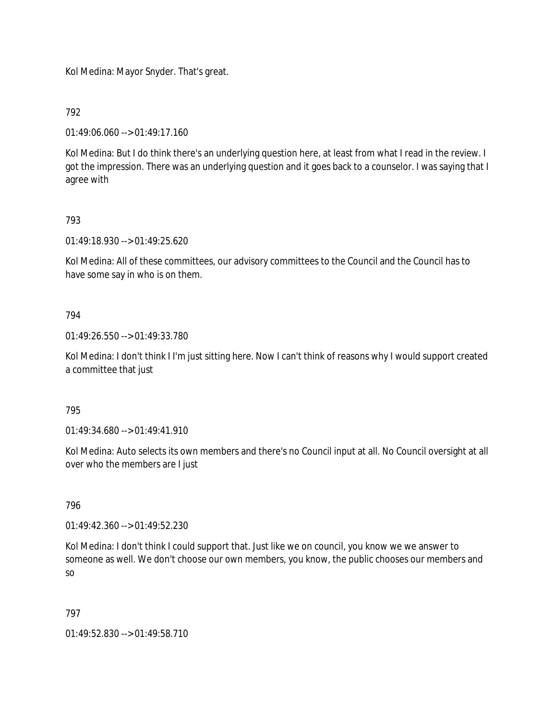Kol Medina: Mayor Snyder. That's great.

792

01:49:06.060 --> 01:49:17.160

Kol Medina: But I do think there's an underlying question here, at least from what I read in the review. I got the impression. There was an underlying question and it goes back to a counselor. I was saying that I agree with

## 793

01:49:18.930 --> 01:49:25.620

Kol Medina: All of these committees, our advisory committees to the Council and the Council has to have some say in who is on them.

## 794

01:49:26.550 --> 01:49:33.780

Kol Medina: I don't think I I'm just sitting here. Now I can't think of reasons why I would support created a committee that just

## 795

01:49:34.680 --> 01:49:41.910

Kol Medina: Auto selects its own members and there's no Council input at all. No Council oversight at all over who the members are I just

## 796

01:49:42.360 --> 01:49:52.230

Kol Medina: I don't think I could support that. Just like we on council, you know we we answer to someone as well. We don't choose our own members, you know, the public chooses our members and so

## 797

01:49:52.830 --> 01:49:58.710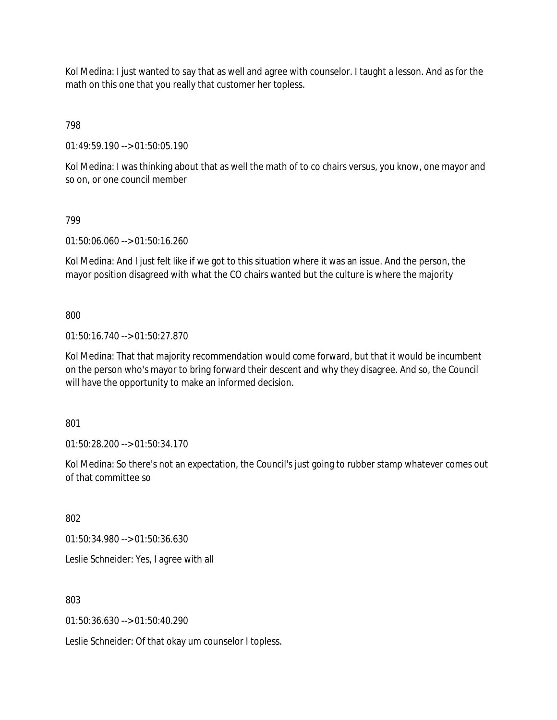Kol Medina: I just wanted to say that as well and agree with counselor. I taught a lesson. And as for the math on this one that you really that customer her topless.

798

01:49:59.190 --> 01:50:05.190

Kol Medina: I was thinking about that as well the math of to co chairs versus, you know, one mayor and so on, or one council member

# 799

01:50:06.060 --> 01:50:16.260

Kol Medina: And I just felt like if we got to this situation where it was an issue. And the person, the mayor position disagreed with what the CO chairs wanted but the culture is where the majority

800

01:50:16.740 --> 01:50:27.870

Kol Medina: That that majority recommendation would come forward, but that it would be incumbent on the person who's mayor to bring forward their descent and why they disagree. And so, the Council will have the opportunity to make an informed decision.

801

01:50:28.200 --> 01:50:34.170

Kol Medina: So there's not an expectation, the Council's just going to rubber stamp whatever comes out of that committee so

802

01:50:34.980 --> 01:50:36.630

Leslie Schneider: Yes, I agree with all

803

01:50:36.630 --> 01:50:40.290

Leslie Schneider: Of that okay um counselor I topless.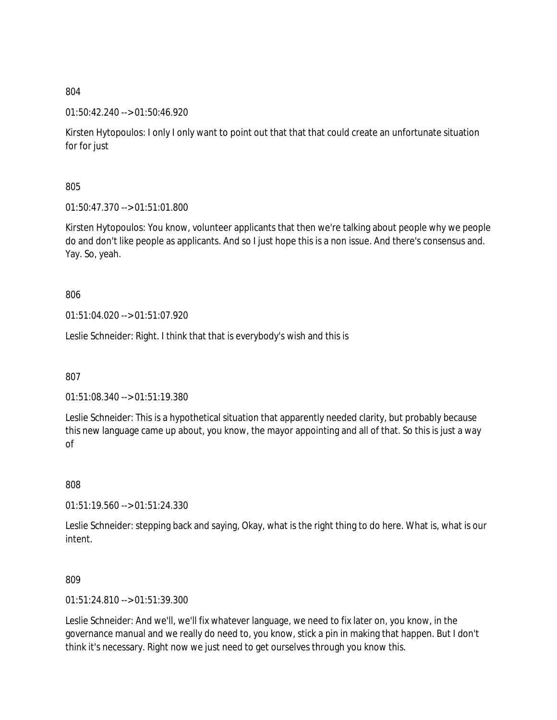## 01:50:42.240 --> 01:50:46.920

Kirsten Hytopoulos: I only I only want to point out that that that could create an unfortunate situation for for just

# 805

01:50:47.370 --> 01:51:01.800

Kirsten Hytopoulos: You know, volunteer applicants that then we're talking about people why we people do and don't like people as applicants. And so I just hope this is a non issue. And there's consensus and. Yay. So, yeah.

## 806

01:51:04.020 --> 01:51:07.920

Leslie Schneider: Right. I think that that is everybody's wish and this is

807

01:51:08.340 --> 01:51:19.380

Leslie Schneider: This is a hypothetical situation that apparently needed clarity, but probably because this new language came up about, you know, the mayor appointing and all of that. So this is just a way of

808

01:51:19.560 --> 01:51:24.330

Leslie Schneider: stepping back and saying, Okay, what is the right thing to do here. What is, what is our intent.

## 809

01:51:24.810 --> 01:51:39.300

Leslie Schneider: And we'll, we'll fix whatever language, we need to fix later on, you know, in the governance manual and we really do need to, you know, stick a pin in making that happen. But I don't think it's necessary. Right now we just need to get ourselves through you know this.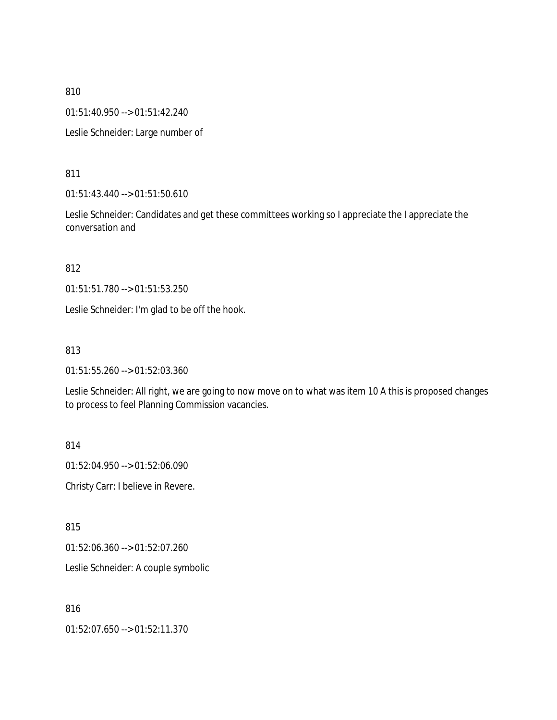01:51:40.950 --> 01:51:42.240

Leslie Schneider: Large number of

811

01:51:43.440 --> 01:51:50.610

Leslie Schneider: Candidates and get these committees working so I appreciate the I appreciate the conversation and

812

01:51:51.780 --> 01:51:53.250

Leslie Schneider: I'm glad to be off the hook.

#### 813

01:51:55.260 --> 01:52:03.360

Leslie Schneider: All right, we are going to now move on to what was item 10 A this is proposed changes to process to feel Planning Commission vacancies.

814

01:52:04.950 --> 01:52:06.090

Christy Carr: I believe in Revere.

815

01:52:06.360 --> 01:52:07.260

Leslie Schneider: A couple symbolic

816

01:52:07.650 --> 01:52:11.370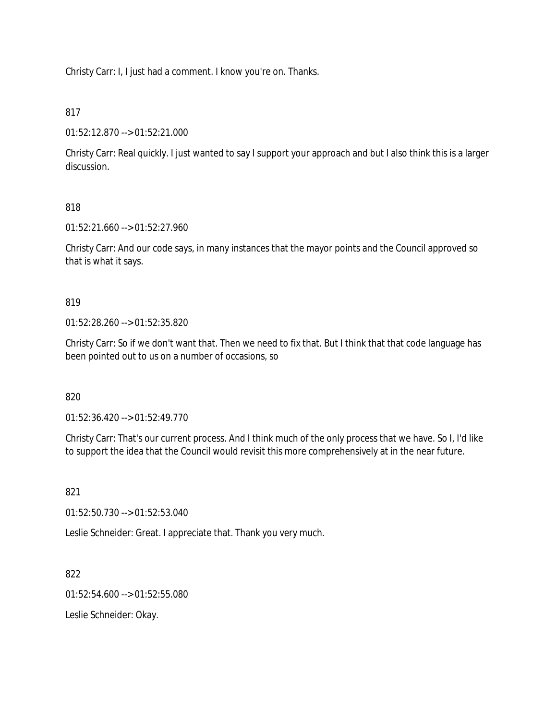Christy Carr: I, I just had a comment. I know you're on. Thanks.

## 817

01:52:12.870 --> 01:52:21.000

Christy Carr: Real quickly. I just wanted to say I support your approach and but I also think this is a larger discussion.

# 818

01:52:21.660 --> 01:52:27.960

Christy Carr: And our code says, in many instances that the mayor points and the Council approved so that is what it says.

## 819

01:52:28.260 --> 01:52:35.820

Christy Carr: So if we don't want that. Then we need to fix that. But I think that that code language has been pointed out to us on a number of occasions, so

## 820

01:52:36.420 --> 01:52:49.770

Christy Carr: That's our current process. And I think much of the only process that we have. So I, I'd like to support the idea that the Council would revisit this more comprehensively at in the near future.

## 821

01:52:50.730 --> 01:52:53.040

Leslie Schneider: Great. I appreciate that. Thank you very much.

## 822

01:52:54.600 --> 01:52:55.080

Leslie Schneider: Okay.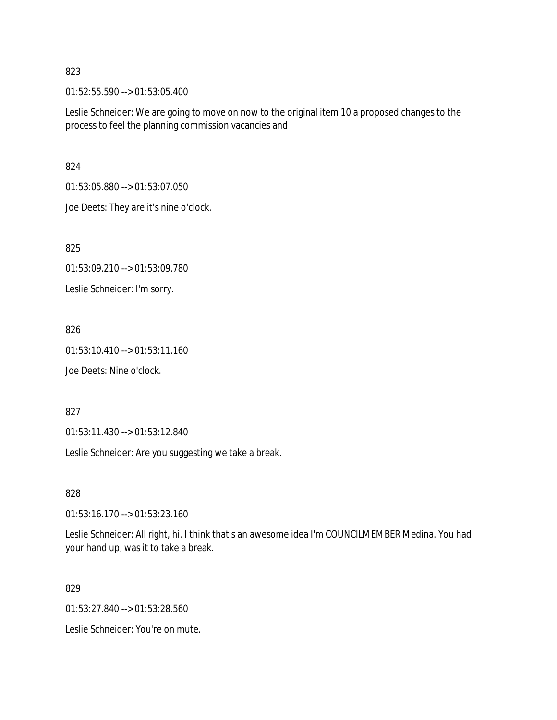01:52:55.590 --> 01:53:05.400

Leslie Schneider: We are going to move on now to the original item 10 a proposed changes to the process to feel the planning commission vacancies and

824

01:53:05.880 --> 01:53:07.050

Joe Deets: They are it's nine o'clock.

825

01:53:09.210 --> 01:53:09.780

Leslie Schneider: I'm sorry.

826

01:53:10.410 --> 01:53:11.160

Joe Deets: Nine o'clock.

827

01:53:11.430 --> 01:53:12.840

Leslie Schneider: Are you suggesting we take a break.

828

01:53:16.170 --> 01:53:23.160

Leslie Schneider: All right, hi. I think that's an awesome idea I'm COUNCILMEMBER Medina. You had your hand up, was it to take a break.

829

01:53:27.840 --> 01:53:28.560

Leslie Schneider: You're on mute.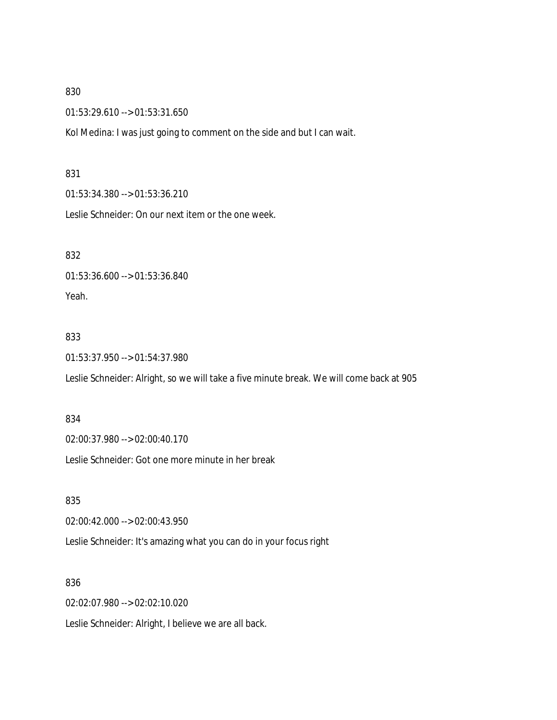01:53:29.610 --> 01:53:31.650

Kol Medina: I was just going to comment on the side and but I can wait.

#### 831

01:53:34.380 --> 01:53:36.210

Leslie Schneider: On our next item or the one week.

832

01:53:36.600 --> 01:53:36.840 Yeah.

833

01:53:37.950 --> 01:54:37.980

Leslie Schneider: Alright, so we will take a five minute break. We will come back at 905

## 834

02:00:37.980 --> 02:00:40.170

Leslie Schneider: Got one more minute in her break

835

02:00:42.000 --> 02:00:43.950

Leslie Schneider: It's amazing what you can do in your focus right

#### 836

02:02:07.980 --> 02:02:10.020

Leslie Schneider: Alright, I believe we are all back.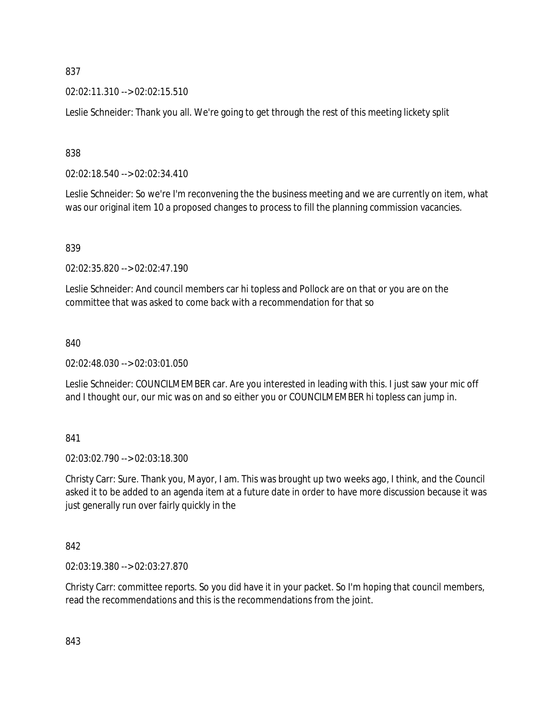02:02:11.310 --> 02:02:15.510

Leslie Schneider: Thank you all. We're going to get through the rest of this meeting lickety split

838

02:02:18.540 --> 02:02:34.410

Leslie Schneider: So we're I'm reconvening the the business meeting and we are currently on item, what was our original item 10 a proposed changes to process to fill the planning commission vacancies.

#### 839

02:02:35.820 --> 02:02:47.190

Leslie Schneider: And council members car hi topless and Pollock are on that or you are on the committee that was asked to come back with a recommendation for that so

#### 840

02:02:48.030 --> 02:03:01.050

Leslie Schneider: COUNCILMEMBER car. Are you interested in leading with this. I just saw your mic off and I thought our, our mic was on and so either you or COUNCILMEMBER hi topless can jump in.

841

02:03:02.790 --> 02:03:18.300

Christy Carr: Sure. Thank you, Mayor, I am. This was brought up two weeks ago, I think, and the Council asked it to be added to an agenda item at a future date in order to have more discussion because it was just generally run over fairly quickly in the

#### 842

02:03:19.380 --> 02:03:27.870

Christy Carr: committee reports. So you did have it in your packet. So I'm hoping that council members, read the recommendations and this is the recommendations from the joint.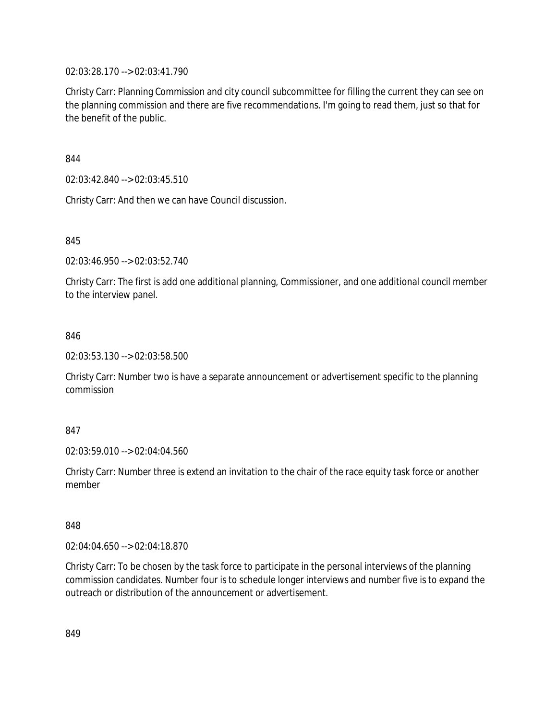02:03:28.170 --> 02:03:41.790

Christy Carr: Planning Commission and city council subcommittee for filling the current they can see on the planning commission and there are five recommendations. I'm going to read them, just so that for the benefit of the public.

844

02:03:42.840 --> 02:03:45.510

Christy Carr: And then we can have Council discussion.

845

02:03:46.950 --> 02:03:52.740

Christy Carr: The first is add one additional planning, Commissioner, and one additional council member to the interview panel.

#### 846

02:03:53.130 --> 02:03:58.500

Christy Carr: Number two is have a separate announcement or advertisement specific to the planning commission

#### 847

02:03:59.010 --> 02:04:04.560

Christy Carr: Number three is extend an invitation to the chair of the race equity task force or another member

#### 848

02:04:04.650 --> 02:04:18.870

Christy Carr: To be chosen by the task force to participate in the personal interviews of the planning commission candidates. Number four is to schedule longer interviews and number five is to expand the outreach or distribution of the announcement or advertisement.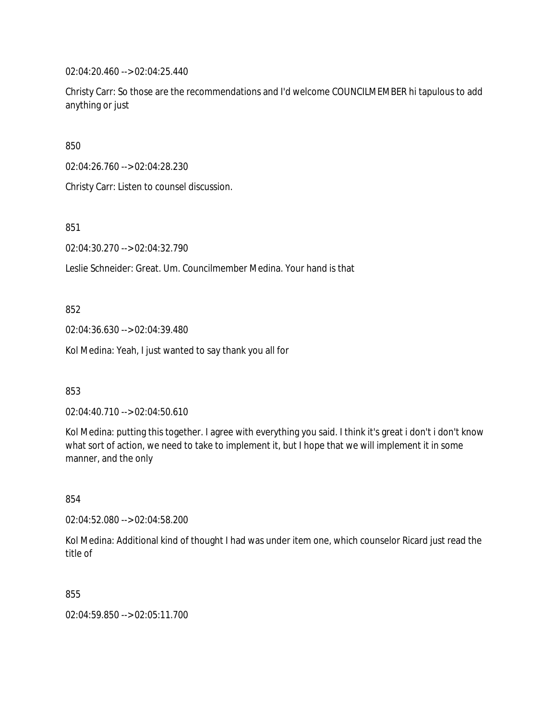02:04:20.460 --> 02:04:25.440

Christy Carr: So those are the recommendations and I'd welcome COUNCILMEMBER hi tapulous to add anything or just

850

02:04:26.760 --> 02:04:28.230

Christy Carr: Listen to counsel discussion.

851

02:04:30.270 --> 02:04:32.790

Leslie Schneider: Great. Um. Councilmember Medina. Your hand is that

852

02:04:36.630 --> 02:04:39.480

Kol Medina: Yeah, I just wanted to say thank you all for

853

02:04:40.710 --> 02:04:50.610

Kol Medina: putting this together. I agree with everything you said. I think it's great i don't i don't know what sort of action, we need to take to implement it, but I hope that we will implement it in some manner, and the only

854

02:04:52.080 --> 02:04:58.200

Kol Medina: Additional kind of thought I had was under item one, which counselor Ricard just read the title of

855

02:04:59.850 --> 02:05:11.700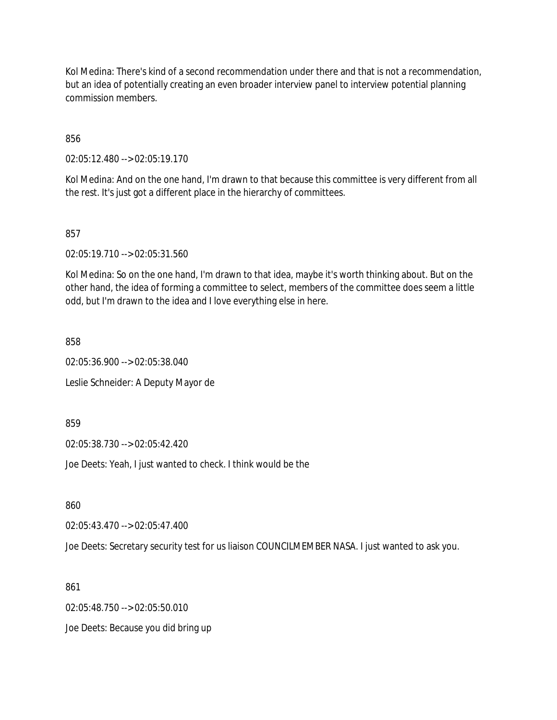Kol Medina: There's kind of a second recommendation under there and that is not a recommendation, but an idea of potentially creating an even broader interview panel to interview potential planning commission members.

856

02:05:12.480 --> 02:05:19.170

Kol Medina: And on the one hand, I'm drawn to that because this committee is very different from all the rest. It's just got a different place in the hierarchy of committees.

857

02:05:19.710 --> 02:05:31.560

Kol Medina: So on the one hand, I'm drawn to that idea, maybe it's worth thinking about. But on the other hand, the idea of forming a committee to select, members of the committee does seem a little odd, but I'm drawn to the idea and I love everything else in here.

858

02:05:36.900 --> 02:05:38.040

Leslie Schneider: A Deputy Mayor de

859

02:05:38.730 --> 02:05:42.420

Joe Deets: Yeah, I just wanted to check. I think would be the

860

02:05:43.470 --> 02:05:47.400

Joe Deets: Secretary security test for us liaison COUNCILMEMBER NASA. I just wanted to ask you.

861

02:05:48.750 --> 02:05:50.010

Joe Deets: Because you did bring up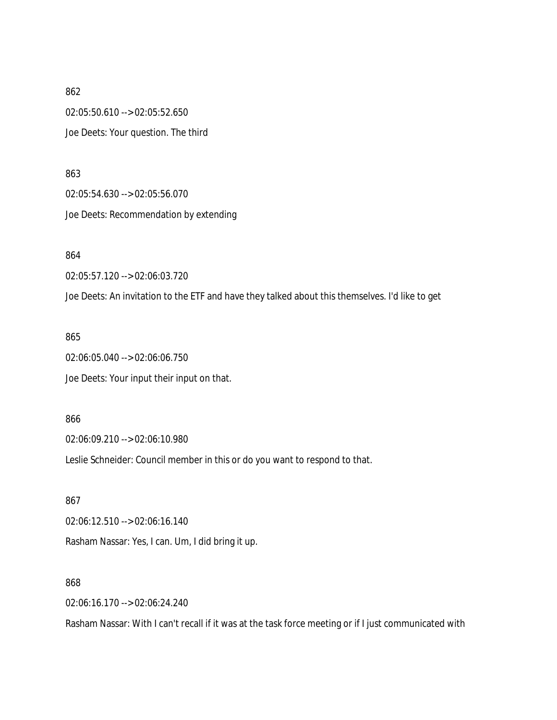862 02:05:50.610 --> 02:05:52.650 Joe Deets: Your question. The third

863 02:05:54.630 --> 02:05:56.070 Joe Deets: Recommendation by extending

864

02:05:57.120 --> 02:06:03.720

Joe Deets: An invitation to the ETF and have they talked about this themselves. I'd like to get

865

02:06:05.040 --> 02:06:06.750 Joe Deets: Your input their input on that.

866

02:06:09.210 --> 02:06:10.980

Leslie Schneider: Council member in this or do you want to respond to that.

867 02:06:12.510 --> 02:06:16.140 Rasham Nassar: Yes, I can. Um, I did bring it up.

868

02:06:16.170 --> 02:06:24.240

Rasham Nassar: With I can't recall if it was at the task force meeting or if I just communicated with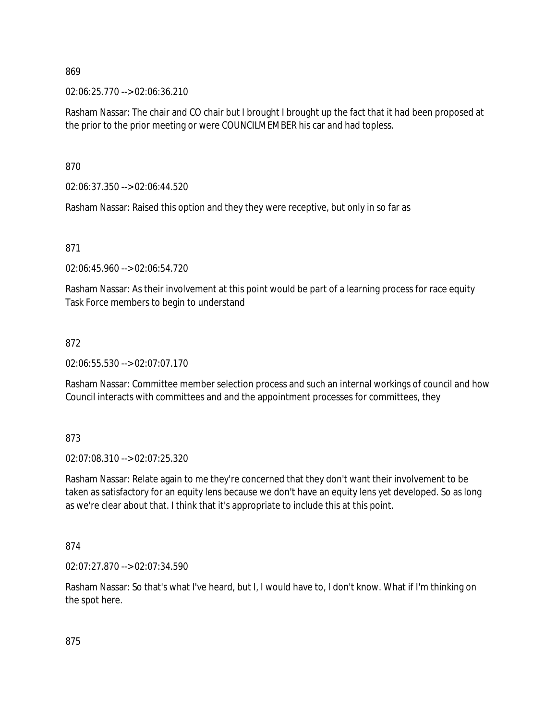02:06:25.770 --> 02:06:36.210

Rasham Nassar: The chair and CO chair but I brought I brought up the fact that it had been proposed at the prior to the prior meeting or were COUNCILMEMBER his car and had topless.

870

02:06:37.350 --> 02:06:44.520

Rasham Nassar: Raised this option and they they were receptive, but only in so far as

871

02:06:45.960 --> 02:06:54.720

Rasham Nassar: As their involvement at this point would be part of a learning process for race equity Task Force members to begin to understand

## 872

02:06:55.530 --> 02:07:07.170

Rasham Nassar: Committee member selection process and such an internal workings of council and how Council interacts with committees and and the appointment processes for committees, they

873

02:07:08.310 --> 02:07:25.320

Rasham Nassar: Relate again to me they're concerned that they don't want their involvement to be taken as satisfactory for an equity lens because we don't have an equity lens yet developed. So as long as we're clear about that. I think that it's appropriate to include this at this point.

874

02:07:27.870 --> 02:07:34.590

Rasham Nassar: So that's what I've heard, but I, I would have to, I don't know. What if I'm thinking on the spot here.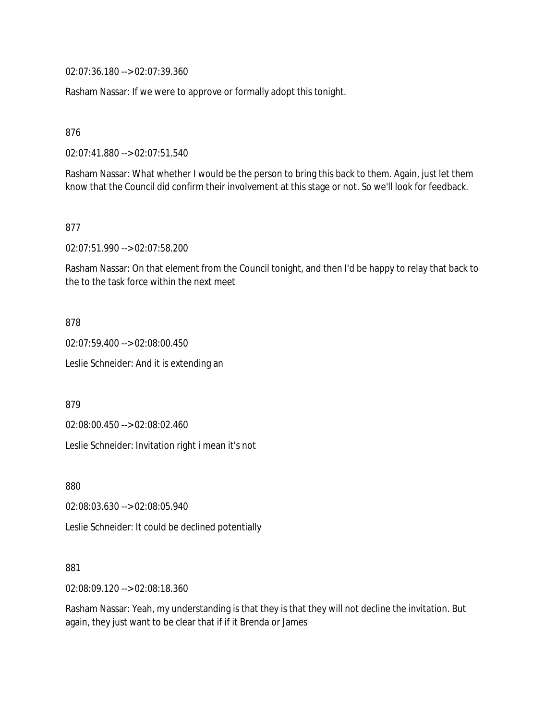02:07:36.180 --> 02:07:39.360

Rasham Nassar: If we were to approve or formally adopt this tonight.

876

02:07:41.880 --> 02:07:51.540

Rasham Nassar: What whether I would be the person to bring this back to them. Again, just let them know that the Council did confirm their involvement at this stage or not. So we'll look for feedback.

877

02:07:51.990 --> 02:07:58.200

Rasham Nassar: On that element from the Council tonight, and then I'd be happy to relay that back to the to the task force within the next meet

878

02:07:59.400 --> 02:08:00.450 Leslie Schneider: And it is extending an

879

02:08:00.450 --> 02:08:02.460

Leslie Schneider: Invitation right i mean it's not

880

02:08:03.630 --> 02:08:05.940

Leslie Schneider: It could be declined potentially

881

02:08:09.120 --> 02:08:18.360

Rasham Nassar: Yeah, my understanding is that they is that they will not decline the invitation. But again, they just want to be clear that if if it Brenda or James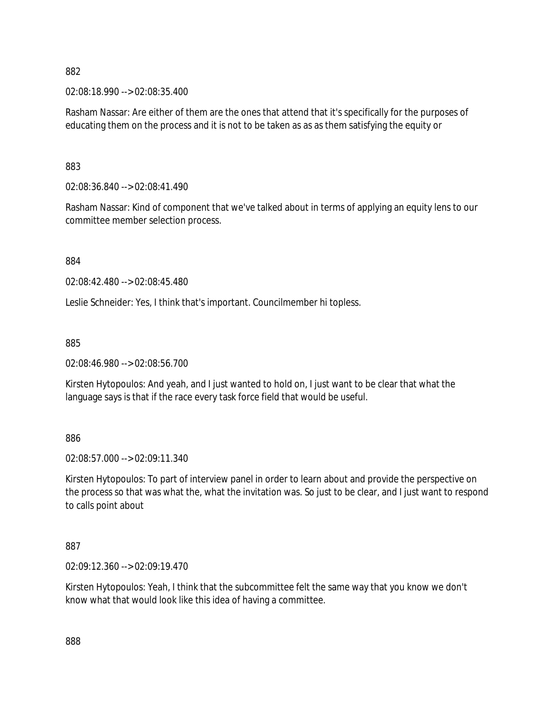02:08:18.990 --> 02:08:35.400

Rasham Nassar: Are either of them are the ones that attend that it's specifically for the purposes of educating them on the process and it is not to be taken as as as them satisfying the equity or

883

02:08:36.840 --> 02:08:41.490

Rasham Nassar: Kind of component that we've talked about in terms of applying an equity lens to our committee member selection process.

884

02:08:42.480 --> 02:08:45.480

Leslie Schneider: Yes, I think that's important. Councilmember hi topless.

885

02:08:46.980 --> 02:08:56.700

Kirsten Hytopoulos: And yeah, and I just wanted to hold on, I just want to be clear that what the language says is that if the race every task force field that would be useful.

886

02:08:57.000 --> 02:09:11.340

Kirsten Hytopoulos: To part of interview panel in order to learn about and provide the perspective on the process so that was what the, what the invitation was. So just to be clear, and I just want to respond to calls point about

887

02:09:12.360 --> 02:09:19.470

Kirsten Hytopoulos: Yeah, I think that the subcommittee felt the same way that you know we don't know what that would look like this idea of having a committee.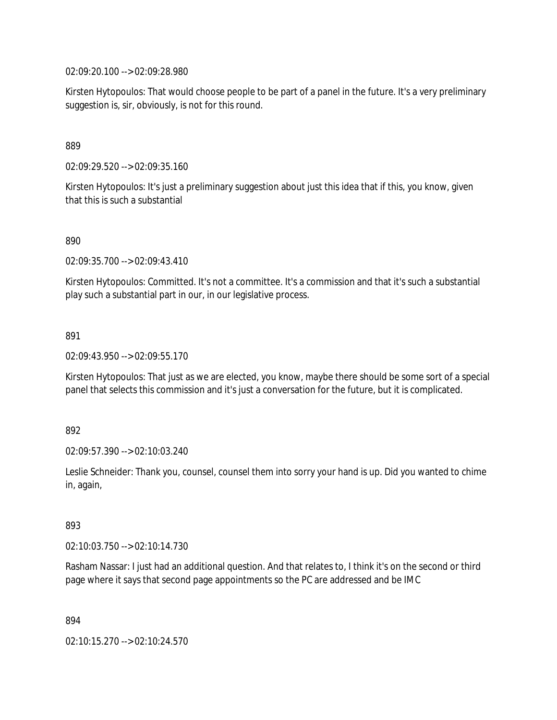02:09:20.100 --> 02:09:28.980

Kirsten Hytopoulos: That would choose people to be part of a panel in the future. It's a very preliminary suggestion is, sir, obviously, is not for this round.

889

02:09:29.520 --> 02:09:35.160

Kirsten Hytopoulos: It's just a preliminary suggestion about just this idea that if this, you know, given that this is such a substantial

890

02:09:35.700 --> 02:09:43.410

Kirsten Hytopoulos: Committed. It's not a committee. It's a commission and that it's such a substantial play such a substantial part in our, in our legislative process.

891

02:09:43.950 --> 02:09:55.170

Kirsten Hytopoulos: That just as we are elected, you know, maybe there should be some sort of a special panel that selects this commission and it's just a conversation for the future, but it is complicated.

892

02:09:57.390 --> 02:10:03.240

Leslie Schneider: Thank you, counsel, counsel them into sorry your hand is up. Did you wanted to chime in, again,

893

02:10:03.750 --> 02:10:14.730

Rasham Nassar: I just had an additional question. And that relates to, I think it's on the second or third page where it says that second page appointments so the PC are addressed and be IMC

894

02:10:15.270 --> 02:10:24.570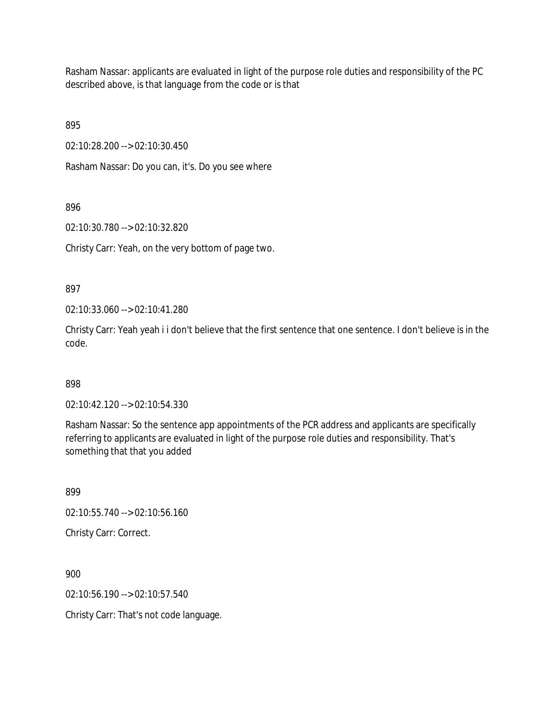Rasham Nassar: applicants are evaluated in light of the purpose role duties and responsibility of the PC described above, is that language from the code or is that

895

02:10:28.200 --> 02:10:30.450

Rasham Nassar: Do you can, it's. Do you see where

896

02:10:30.780 --> 02:10:32.820

Christy Carr: Yeah, on the very bottom of page two.

897

02:10:33.060 --> 02:10:41.280

Christy Carr: Yeah yeah i i don't believe that the first sentence that one sentence. I don't believe is in the code.

898

02:10:42.120 --> 02:10:54.330

Rasham Nassar: So the sentence app appointments of the PCR address and applicants are specifically referring to applicants are evaluated in light of the purpose role duties and responsibility. That's something that that you added

899

02:10:55.740 --> 02:10:56.160

Christy Carr: Correct.

900

02:10:56.190 --> 02:10:57.540

Christy Carr: That's not code language.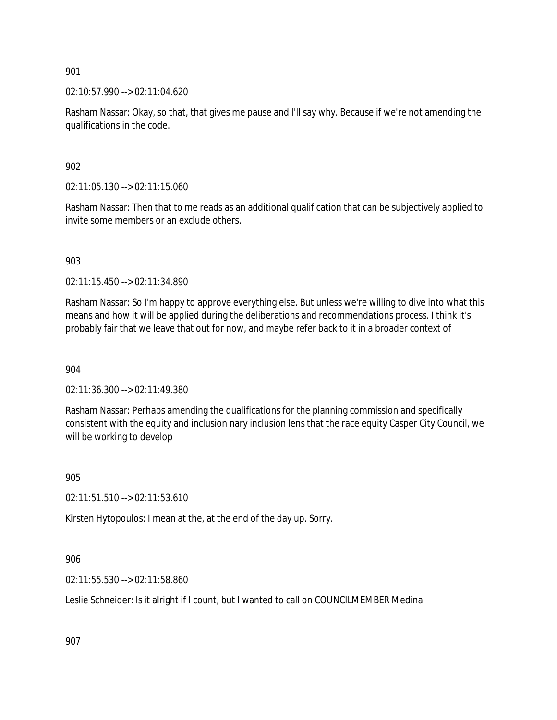02:10:57.990 --> 02:11:04.620

Rasham Nassar: Okay, so that, that gives me pause and I'll say why. Because if we're not amending the qualifications in the code.

902

02:11:05.130 --> 02:11:15.060

Rasham Nassar: Then that to me reads as an additional qualification that can be subjectively applied to invite some members or an exclude others.

903

02:11:15.450 --> 02:11:34.890

Rasham Nassar: So I'm happy to approve everything else. But unless we're willing to dive into what this means and how it will be applied during the deliberations and recommendations process. I think it's probably fair that we leave that out for now, and maybe refer back to it in a broader context of

904

02:11:36.300 --> 02:11:49.380

Rasham Nassar: Perhaps amending the qualifications for the planning commission and specifically consistent with the equity and inclusion nary inclusion lens that the race equity Casper City Council, we will be working to develop

905

02:11:51.510 --> 02:11:53.610

Kirsten Hytopoulos: I mean at the, at the end of the day up. Sorry.

906

02:11:55.530 --> 02:11:58.860

Leslie Schneider: Is it alright if I count, but I wanted to call on COUNCILMEMBER Medina.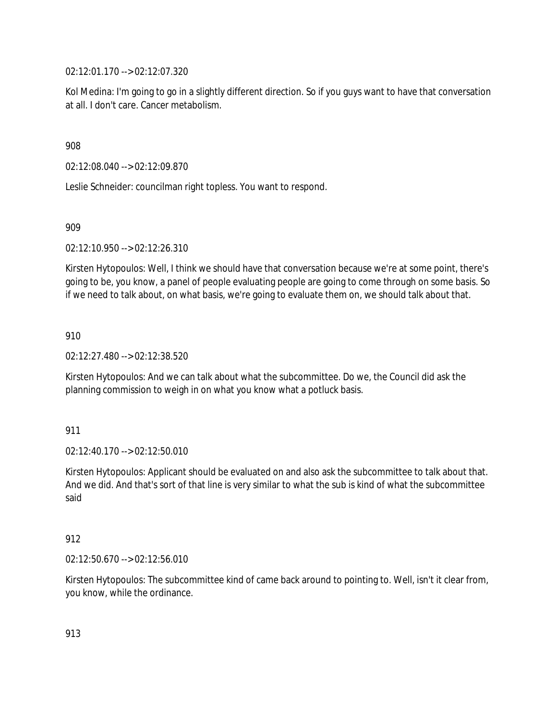02:12:01.170 --> 02:12:07.320

Kol Medina: I'm going to go in a slightly different direction. So if you guys want to have that conversation at all. I don't care. Cancer metabolism.

908

02:12:08.040 --> 02:12:09.870

Leslie Schneider: councilman right topless. You want to respond.

909

02:12:10.950 --> 02:12:26.310

Kirsten Hytopoulos: Well, I think we should have that conversation because we're at some point, there's going to be, you know, a panel of people evaluating people are going to come through on some basis. So if we need to talk about, on what basis, we're going to evaluate them on, we should talk about that.

910

02:12:27.480 --> 02:12:38.520

Kirsten Hytopoulos: And we can talk about what the subcommittee. Do we, the Council did ask the planning commission to weigh in on what you know what a potluck basis.

911

02:12:40.170 --> 02:12:50.010

Kirsten Hytopoulos: Applicant should be evaluated on and also ask the subcommittee to talk about that. And we did. And that's sort of that line is very similar to what the sub is kind of what the subcommittee said

## 912

02:12:50.670 --> 02:12:56.010

Kirsten Hytopoulos: The subcommittee kind of came back around to pointing to. Well, isn't it clear from, you know, while the ordinance.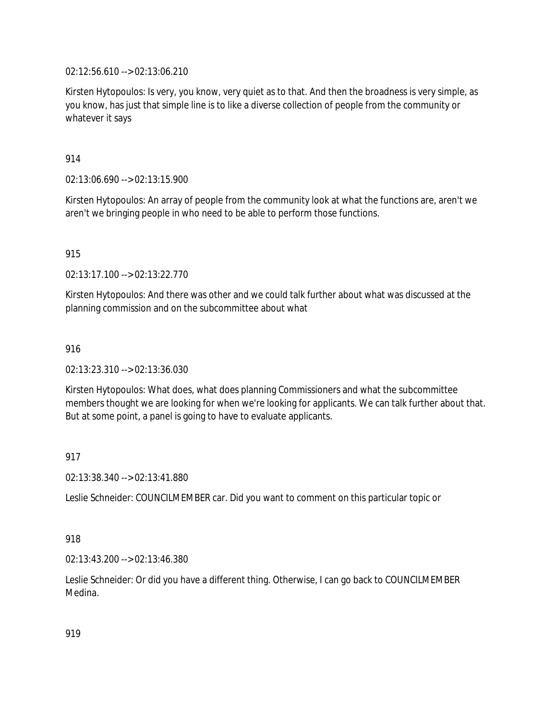02:12:56.610 --> 02:13:06.210

Kirsten Hytopoulos: Is very, you know, very quiet as to that. And then the broadness is very simple, as you know, has just that simple line is to like a diverse collection of people from the community or whatever it says

914

02:13:06.690 --> 02:13:15.900

Kirsten Hytopoulos: An array of people from the community look at what the functions are, aren't we aren't we bringing people in who need to be able to perform those functions.

915

02:13:17.100 --> 02:13:22.770

Kirsten Hytopoulos: And there was other and we could talk further about what was discussed at the planning commission and on the subcommittee about what

916

02:13:23.310 --> 02:13:36.030

Kirsten Hytopoulos: What does, what does planning Commissioners and what the subcommittee members thought we are looking for when we're looking for applicants. We can talk further about that. But at some point, a panel is going to have to evaluate applicants.

917

02:13:38.340 --> 02:13:41.880

Leslie Schneider: COUNCILMEMBER car. Did you want to comment on this particular topic or

## 918

02:13:43.200 --> 02:13:46.380

Leslie Schneider: Or did you have a different thing. Otherwise, I can go back to COUNCILMEMBER Medina.

919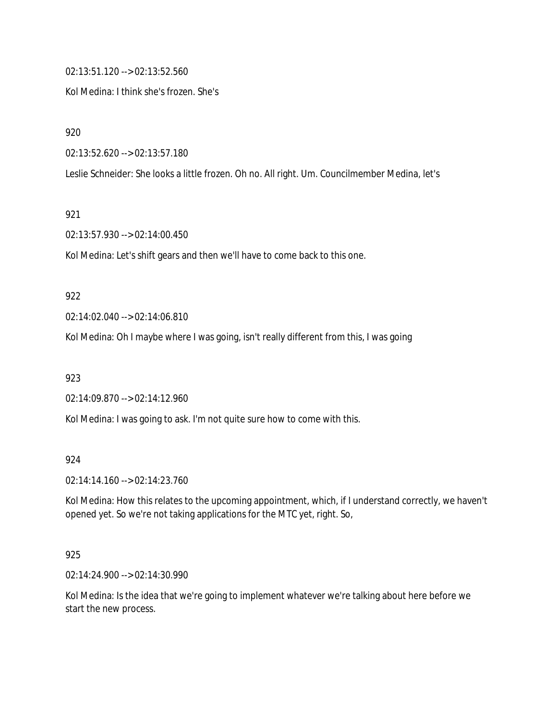02:13:51.120 --> 02:13:52.560

Kol Medina: I think she's frozen. She's

920

02:13:52.620 --> 02:13:57.180

Leslie Schneider: She looks a little frozen. Oh no. All right. Um. Councilmember Medina, let's

921

02:13:57.930 --> 02:14:00.450

Kol Medina: Let's shift gears and then we'll have to come back to this one.

#### 922

02:14:02.040 --> 02:14:06.810

Kol Medina: Oh I maybe where I was going, isn't really different from this, I was going

923

02:14:09.870 --> 02:14:12.960

Kol Medina: I was going to ask. I'm not quite sure how to come with this.

924

02:14:14.160 --> 02:14:23.760

Kol Medina: How this relates to the upcoming appointment, which, if I understand correctly, we haven't opened yet. So we're not taking applications for the MTC yet, right. So,

### 925

02:14:24.900 --> 02:14:30.990

Kol Medina: Is the idea that we're going to implement whatever we're talking about here before we start the new process.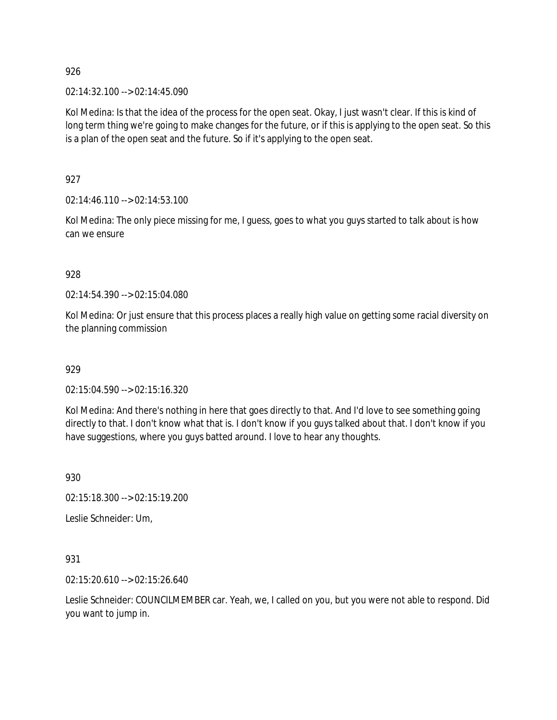02:14:32.100 --> 02:14:45.090

Kol Medina: Is that the idea of the process for the open seat. Okay, I just wasn't clear. If this is kind of long term thing we're going to make changes for the future, or if this is applying to the open seat. So this is a plan of the open seat and the future. So if it's applying to the open seat.

927

02:14:46.110 --> 02:14:53.100

Kol Medina: The only piece missing for me, I guess, goes to what you guys started to talk about is how can we ensure

928

02:14:54.390 --> 02:15:04.080

Kol Medina: Or just ensure that this process places a really high value on getting some racial diversity on the planning commission

929

02:15:04.590 --> 02:15:16.320

Kol Medina: And there's nothing in here that goes directly to that. And I'd love to see something going directly to that. I don't know what that is. I don't know if you guys talked about that. I don't know if you have suggestions, where you guys batted around. I love to hear any thoughts.

930

02:15:18.300 --> 02:15:19.200

Leslie Schneider: Um,

931

02:15:20.610 --> 02:15:26.640

Leslie Schneider: COUNCILMEMBER car. Yeah, we, I called on you, but you were not able to respond. Did you want to jump in.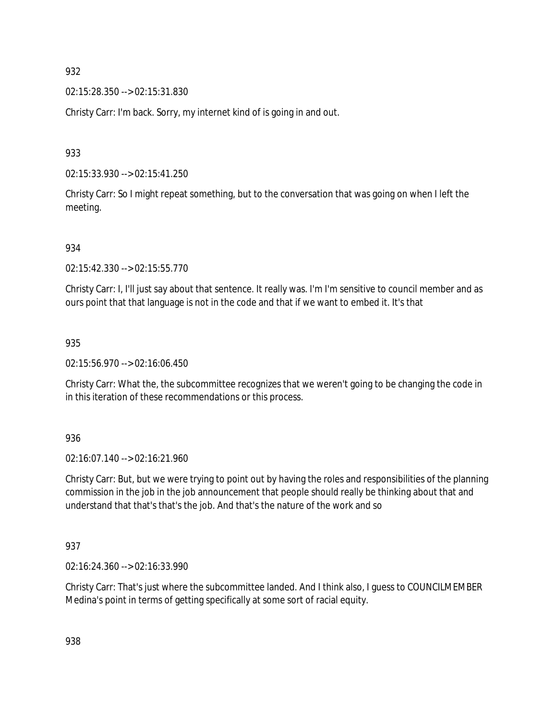02:15:28.350 --> 02:15:31.830

Christy Carr: I'm back. Sorry, my internet kind of is going in and out.

933

02:15:33.930 --> 02:15:41.250

Christy Carr: So I might repeat something, but to the conversation that was going on when I left the meeting.

934

02:15:42.330 --> 02:15:55.770

Christy Carr: I, I'll just say about that sentence. It really was. I'm I'm sensitive to council member and as ours point that that language is not in the code and that if we want to embed it. It's that

935

02:15:56.970 --> 02:16:06.450

Christy Carr: What the, the subcommittee recognizes that we weren't going to be changing the code in in this iteration of these recommendations or this process.

936

02:16:07.140 --> 02:16:21.960

Christy Carr: But, but we were trying to point out by having the roles and responsibilities of the planning commission in the job in the job announcement that people should really be thinking about that and understand that that's that's the job. And that's the nature of the work and so

937

02:16:24.360 --> 02:16:33.990

Christy Carr: That's just where the subcommittee landed. And I think also, I guess to COUNCILMEMBER Medina's point in terms of getting specifically at some sort of racial equity.

938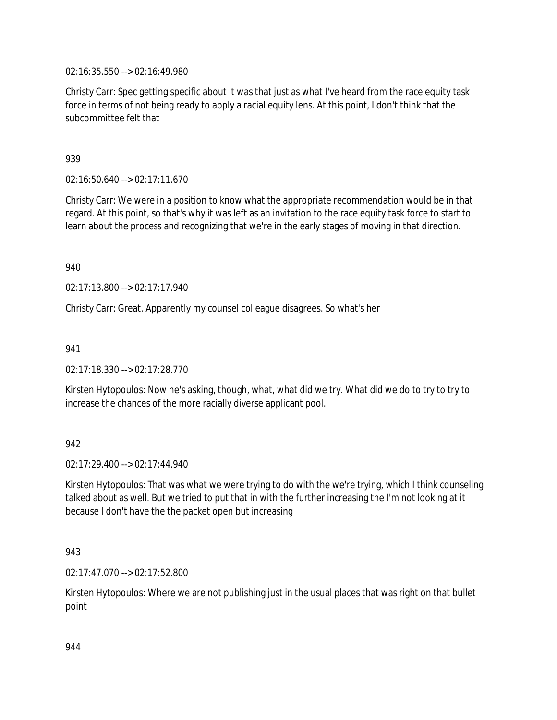02:16:35.550 --> 02:16:49.980

Christy Carr: Spec getting specific about it was that just as what I've heard from the race equity task force in terms of not being ready to apply a racial equity lens. At this point, I don't think that the subcommittee felt that

939

02:16:50.640 --> 02:17:11.670

Christy Carr: We were in a position to know what the appropriate recommendation would be in that regard. At this point, so that's why it was left as an invitation to the race equity task force to start to learn about the process and recognizing that we're in the early stages of moving in that direction.

940

02:17:13.800 --> 02:17:17.940

Christy Carr: Great. Apparently my counsel colleague disagrees. So what's her

941

02:17:18.330 --> 02:17:28.770

Kirsten Hytopoulos: Now he's asking, though, what, what did we try. What did we do to try to try to increase the chances of the more racially diverse applicant pool.

942

02:17:29.400 --> 02:17:44.940

Kirsten Hytopoulos: That was what we were trying to do with the we're trying, which I think counseling talked about as well. But we tried to put that in with the further increasing the I'm not looking at it because I don't have the the packet open but increasing

943

02:17:47.070 --> 02:17:52.800

Kirsten Hytopoulos: Where we are not publishing just in the usual places that was right on that bullet point

944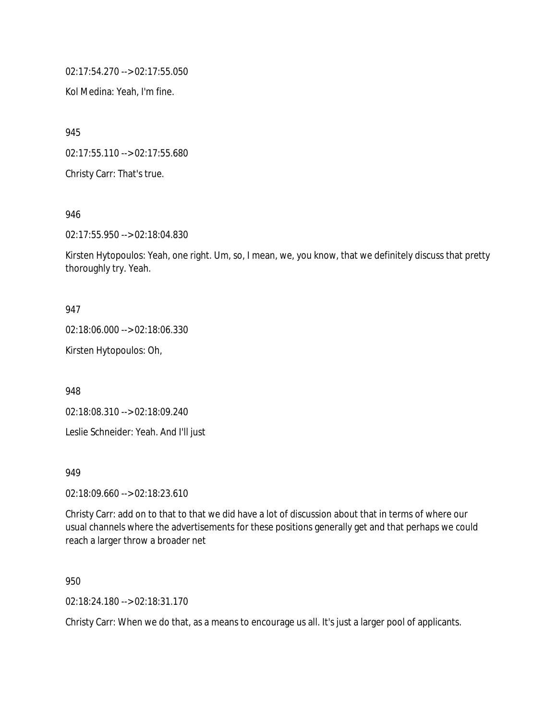02:17:54.270 --> 02:17:55.050

Kol Medina: Yeah, I'm fine.

945

02:17:55.110 --> 02:17:55.680

Christy Carr: That's true.

946

02:17:55.950 --> 02:18:04.830

Kirsten Hytopoulos: Yeah, one right. Um, so, I mean, we, you know, that we definitely discuss that pretty thoroughly try. Yeah.

### 947

02:18:06.000 --> 02:18:06.330

Kirsten Hytopoulos: Oh,

948

02:18:08.310 --> 02:18:09.240

Leslie Schneider: Yeah. And I'll just

949

02:18:09.660 --> 02:18:23.610

Christy Carr: add on to that to that we did have a lot of discussion about that in terms of where our usual channels where the advertisements for these positions generally get and that perhaps we could reach a larger throw a broader net

950

02:18:24.180 --> 02:18:31.170

Christy Carr: When we do that, as a means to encourage us all. It's just a larger pool of applicants.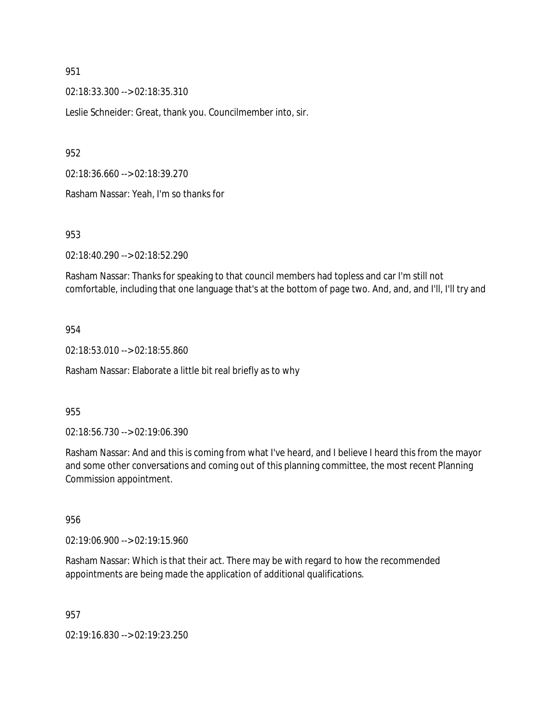02:18:33.300 --> 02:18:35.310

Leslie Schneider: Great, thank you. Councilmember into, sir.

952

02:18:36.660 --> 02:18:39.270

Rasham Nassar: Yeah, I'm so thanks for

953

02:18:40.290 --> 02:18:52.290

Rasham Nassar: Thanks for speaking to that council members had topless and car I'm still not comfortable, including that one language that's at the bottom of page two. And, and, and I'll, I'll try and

### 954

02:18:53.010 --> 02:18:55.860

Rasham Nassar: Elaborate a little bit real briefly as to why

#### 955

02:18:56.730 --> 02:19:06.390

Rasham Nassar: And and this is coming from what I've heard, and I believe I heard this from the mayor and some other conversations and coming out of this planning committee, the most recent Planning Commission appointment.

956

02:19:06.900 --> 02:19:15.960

Rasham Nassar: Which is that their act. There may be with regard to how the recommended appointments are being made the application of additional qualifications.

957

02:19:16.830 --> 02:19:23.250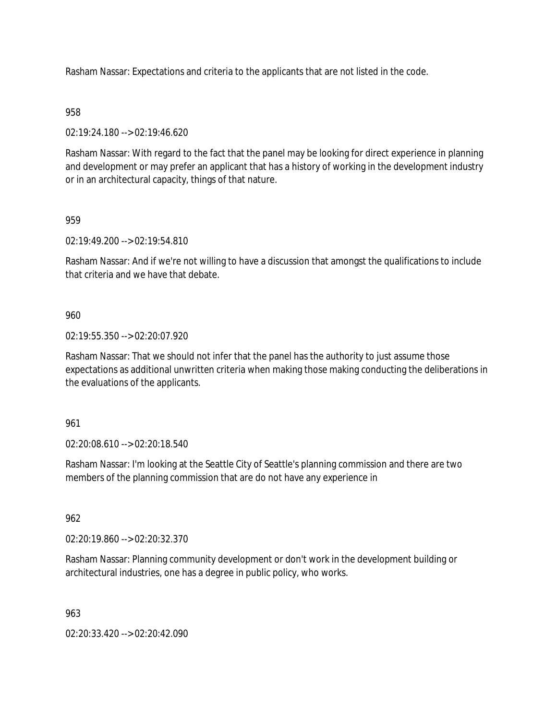Rasham Nassar: Expectations and criteria to the applicants that are not listed in the code.

## 958

02:19:24.180 --> 02:19:46.620

Rasham Nassar: With regard to the fact that the panel may be looking for direct experience in planning and development or may prefer an applicant that has a history of working in the development industry or in an architectural capacity, things of that nature.

## 959

02:19:49.200 --> 02:19:54.810

Rasham Nassar: And if we're not willing to have a discussion that amongst the qualifications to include that criteria and we have that debate.

### 960

02:19:55.350 --> 02:20:07.920

Rasham Nassar: That we should not infer that the panel has the authority to just assume those expectations as additional unwritten criteria when making those making conducting the deliberations in the evaluations of the applicants.

#### 961

02:20:08.610 --> 02:20:18.540

Rasham Nassar: I'm looking at the Seattle City of Seattle's planning commission and there are two members of the planning commission that are do not have any experience in

# 962

02:20:19.860 --> 02:20:32.370

Rasham Nassar: Planning community development or don't work in the development building or architectural industries, one has a degree in public policy, who works.

#### 963

02:20:33.420 --> 02:20:42.090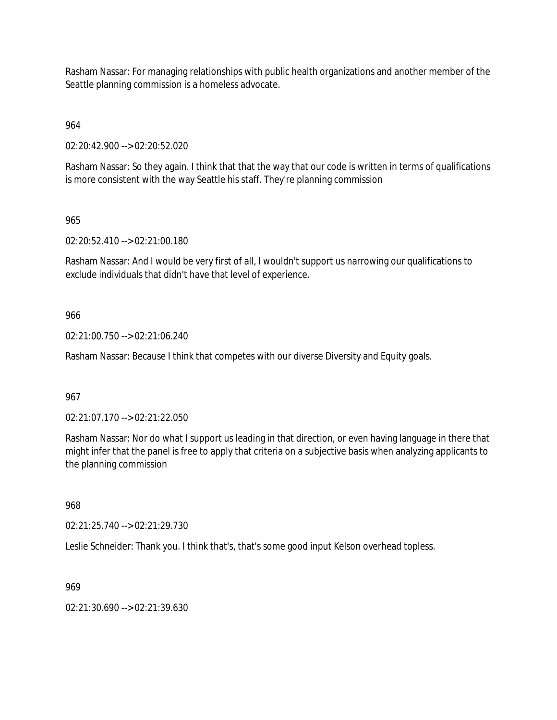Rasham Nassar: For managing relationships with public health organizations and another member of the Seattle planning commission is a homeless advocate.

964

02:20:42.900 --> 02:20:52.020

Rasham Nassar: So they again. I think that that the way that our code is written in terms of qualifications is more consistent with the way Seattle his staff. They're planning commission

965

02:20:52.410 --> 02:21:00.180

Rasham Nassar: And I would be very first of all, I wouldn't support us narrowing our qualifications to exclude individuals that didn't have that level of experience.

## 966

02:21:00.750 --> 02:21:06.240

Rasham Nassar: Because I think that competes with our diverse Diversity and Equity goals.

967

02:21:07.170 --> 02:21:22.050

Rasham Nassar: Nor do what I support us leading in that direction, or even having language in there that might infer that the panel is free to apply that criteria on a subjective basis when analyzing applicants to the planning commission

968

02:21:25.740 --> 02:21:29.730

Leslie Schneider: Thank you. I think that's, that's some good input Kelson overhead topless.

969

02:21:30.690 --> 02:21:39.630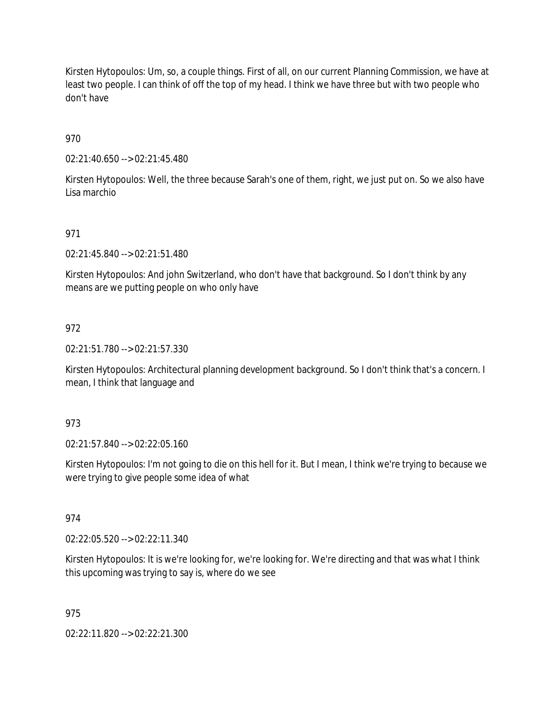Kirsten Hytopoulos: Um, so, a couple things. First of all, on our current Planning Commission, we have at least two people. I can think of off the top of my head. I think we have three but with two people who don't have

970

02:21:40.650 --> 02:21:45.480

Kirsten Hytopoulos: Well, the three because Sarah's one of them, right, we just put on. So we also have Lisa marchio

# 971

02:21:45.840 --> 02:21:51.480

Kirsten Hytopoulos: And john Switzerland, who don't have that background. So I don't think by any means are we putting people on who only have

## 972

02:21:51.780 --> 02:21:57.330

Kirsten Hytopoulos: Architectural planning development background. So I don't think that's a concern. I mean, I think that language and

## 973

02:21:57.840 --> 02:22:05.160

Kirsten Hytopoulos: I'm not going to die on this hell for it. But I mean, I think we're trying to because we were trying to give people some idea of what

## 974

02:22:05.520 --> 02:22:11.340

Kirsten Hytopoulos: It is we're looking for, we're looking for. We're directing and that was what I think this upcoming was trying to say is, where do we see

## 975

02:22:11.820 --> 02:22:21.300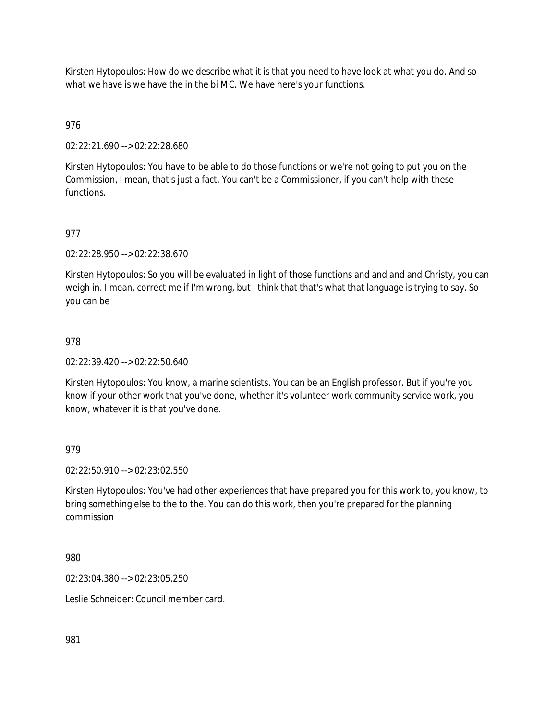Kirsten Hytopoulos: How do we describe what it is that you need to have look at what you do. And so what we have is we have the in the bi MC. We have here's your functions.

# 976

02:22:21.690 --> 02:22:28.680

Kirsten Hytopoulos: You have to be able to do those functions or we're not going to put you on the Commission, I mean, that's just a fact. You can't be a Commissioner, if you can't help with these functions.

# 977

02:22:28.950 --> 02:22:38.670

Kirsten Hytopoulos: So you will be evaluated in light of those functions and and and and Christy, you can weigh in. I mean, correct me if I'm wrong, but I think that that's what that language is trying to say. So you can be

# 978

02:22:39.420 --> 02:22:50.640

Kirsten Hytopoulos: You know, a marine scientists. You can be an English professor. But if you're you know if your other work that you've done, whether it's volunteer work community service work, you know, whatever it is that you've done.

## 979

02:22:50.910 --> 02:23:02.550

Kirsten Hytopoulos: You've had other experiences that have prepared you for this work to, you know, to bring something else to the to the. You can do this work, then you're prepared for the planning commission

980

02:23:04.380 --> 02:23:05.250

Leslie Schneider: Council member card.

981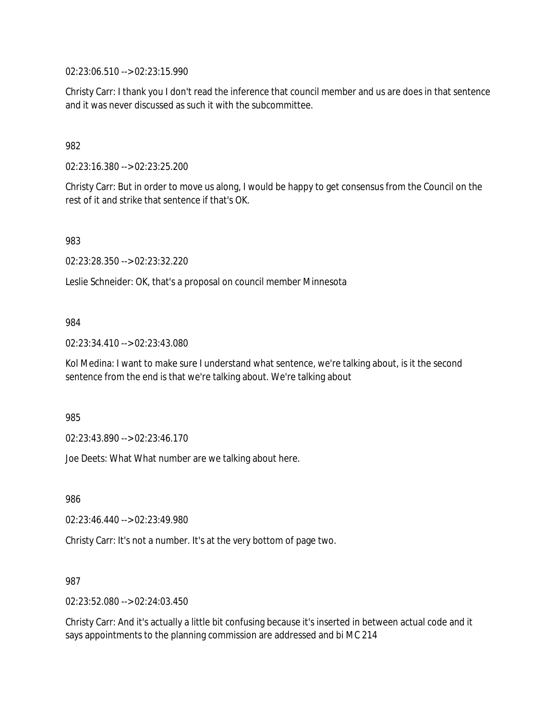02:23:06.510 --> 02:23:15.990

Christy Carr: I thank you I don't read the inference that council member and us are does in that sentence and it was never discussed as such it with the subcommittee.

## 982

02:23:16.380 --> 02:23:25.200

Christy Carr: But in order to move us along, I would be happy to get consensus from the Council on the rest of it and strike that sentence if that's OK.

983

02:23:28.350 --> 02:23:32.220

Leslie Schneider: OK, that's a proposal on council member Minnesota

### 984

02:23:34.410 --> 02:23:43.080

Kol Medina: I want to make sure I understand what sentence, we're talking about, is it the second sentence from the end is that we're talking about. We're talking about

985

02:23:43.890 --> 02:23:46.170

Joe Deets: What What number are we talking about here.

986

02:23:46.440 --> 02:23:49.980

Christy Carr: It's not a number. It's at the very bottom of page two.

987

02:23:52.080 --> 02:24:03.450

Christy Carr: And it's actually a little bit confusing because it's inserted in between actual code and it says appointments to the planning commission are addressed and bi MC 214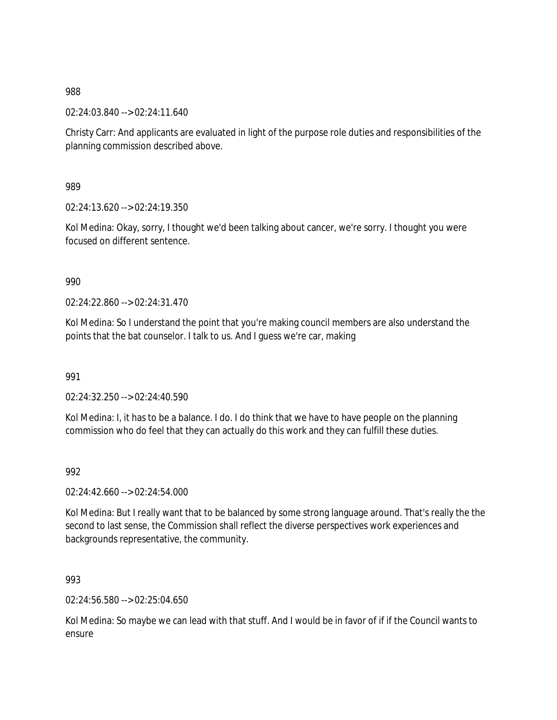02:24:03.840 --> 02:24:11.640

Christy Carr: And applicants are evaluated in light of the purpose role duties and responsibilities of the planning commission described above.

989

02:24:13.620 --> 02:24:19.350

Kol Medina: Okay, sorry, I thought we'd been talking about cancer, we're sorry. I thought you were focused on different sentence.

990

 $02.24.22.860 -5.02.24.31.470$ 

Kol Medina: So I understand the point that you're making council members are also understand the points that the bat counselor. I talk to us. And I guess we're car, making

991

02:24:32.250 --> 02:24:40.590

Kol Medina: I, it has to be a balance. I do. I do think that we have to have people on the planning commission who do feel that they can actually do this work and they can fulfill these duties.

992

02:24:42.660 --> 02:24:54.000

Kol Medina: But I really want that to be balanced by some strong language around. That's really the the second to last sense, the Commission shall reflect the diverse perspectives work experiences and backgrounds representative, the community.

993

02:24:56.580 --> 02:25:04.650

Kol Medina: So maybe we can lead with that stuff. And I would be in favor of if if the Council wants to ensure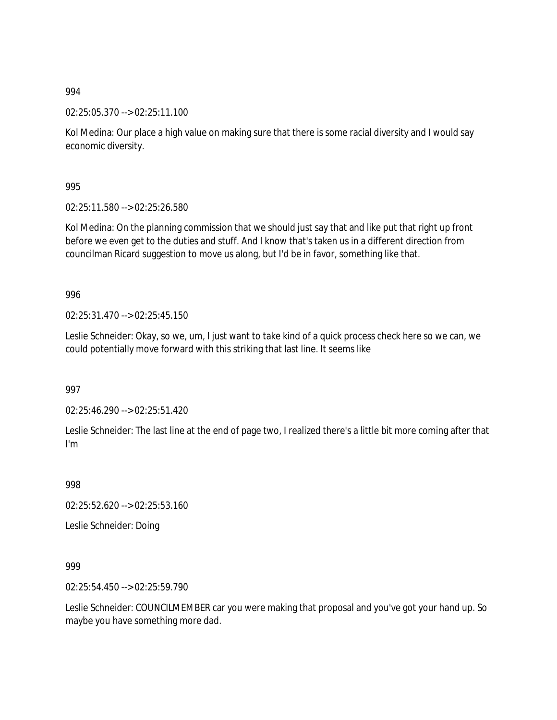02:25:05.370 --> 02:25:11.100

Kol Medina: Our place a high value on making sure that there is some racial diversity and I would say economic diversity.

995

02:25:11.580 --> 02:25:26.580

Kol Medina: On the planning commission that we should just say that and like put that right up front before we even get to the duties and stuff. And I know that's taken us in a different direction from councilman Ricard suggestion to move us along, but I'd be in favor, something like that.

996

02:25:31.470 --> 02:25:45.150

Leslie Schneider: Okay, so we, um, I just want to take kind of a quick process check here so we can, we could potentially move forward with this striking that last line. It seems like

997

02:25:46.290 --> 02:25:51.420

Leslie Schneider: The last line at the end of page two, I realized there's a little bit more coming after that I'm

998

02:25:52.620 --> 02:25:53.160

Leslie Schneider: Doing

999

02:25:54.450 --> 02:25:59.790

Leslie Schneider: COUNCILMEMBER car you were making that proposal and you've got your hand up. So maybe you have something more dad.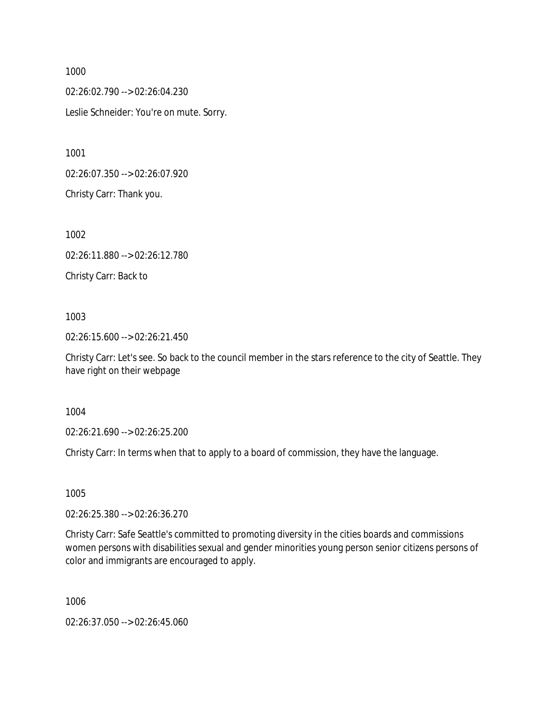02:26:02.790 --> 02:26:04.230 Leslie Schneider: You're on mute. Sorry.

1001

02:26:07.350 --> 02:26:07.920

Christy Carr: Thank you.

1002

02:26:11.880 --> 02:26:12.780

Christy Carr: Back to

1003

02:26:15.600 --> 02:26:21.450

Christy Carr: Let's see. So back to the council member in the stars reference to the city of Seattle. They have right on their webpage

1004

02:26:21.690 --> 02:26:25.200

Christy Carr: In terms when that to apply to a board of commission, they have the language.

1005

02:26:25.380 --> 02:26:36.270

Christy Carr: Safe Seattle's committed to promoting diversity in the cities boards and commissions women persons with disabilities sexual and gender minorities young person senior citizens persons of color and immigrants are encouraged to apply.

1006

02:26:37.050 --> 02:26:45.060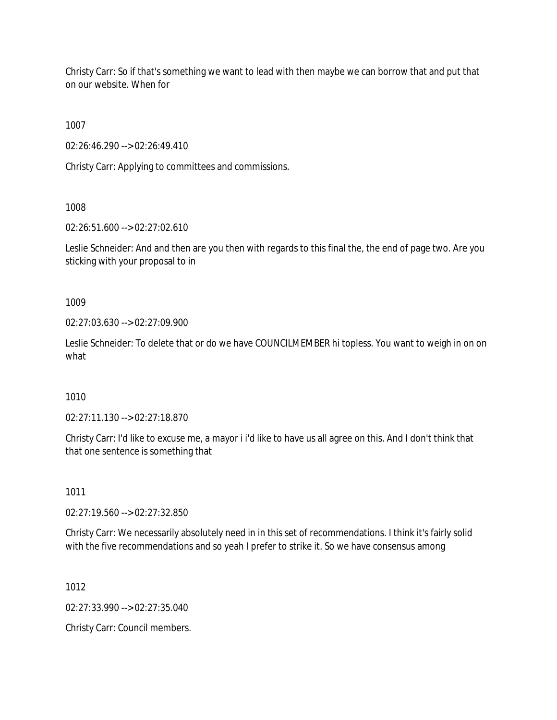Christy Carr: So if that's something we want to lead with then maybe we can borrow that and put that on our website. When for

1007

02:26:46.290 --> 02:26:49.410

Christy Carr: Applying to committees and commissions.

1008

02:26:51.600 --> 02:27:02.610

Leslie Schneider: And and then are you then with regards to this final the, the end of page two. Are you sticking with your proposal to in

1009

02:27:03.630 --> 02:27:09.900

Leslie Schneider: To delete that or do we have COUNCILMEMBER hi topless. You want to weigh in on on what

1010

02:27:11.130 --> 02:27:18.870

Christy Carr: I'd like to excuse me, a mayor i i'd like to have us all agree on this. And I don't think that that one sentence is something that

1011

02:27:19.560 --> 02:27:32.850

Christy Carr: We necessarily absolutely need in in this set of recommendations. I think it's fairly solid with the five recommendations and so yeah I prefer to strike it. So we have consensus among

1012

02:27:33.990 --> 02:27:35.040

Christy Carr: Council members.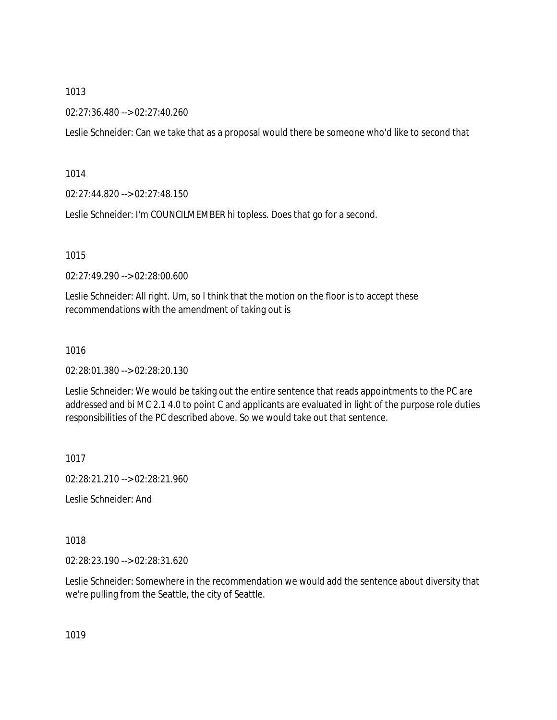02:27:36.480 --> 02:27:40.260

Leslie Schneider: Can we take that as a proposal would there be someone who'd like to second that

1014

02:27:44.820 --> 02:27:48.150

Leslie Schneider: I'm COUNCILMEMBER hi topless. Does that go for a second.

1015

02:27:49.290 --> 02:28:00.600

Leslie Schneider: All right. Um, so I think that the motion on the floor is to accept these recommendations with the amendment of taking out is

1016

02:28:01.380 --> 02:28:20.130

Leslie Schneider: We would be taking out the entire sentence that reads appointments to the PC are addressed and bi MC 2.1 4.0 to point C and applicants are evaluated in light of the purpose role duties responsibilities of the PC described above. So we would take out that sentence.

1017

02:28:21.210 --> 02:28:21.960

Leslie Schneider: And

1018

02:28:23.190 --> 02:28:31.620

Leslie Schneider: Somewhere in the recommendation we would add the sentence about diversity that we're pulling from the Seattle, the city of Seattle.

1019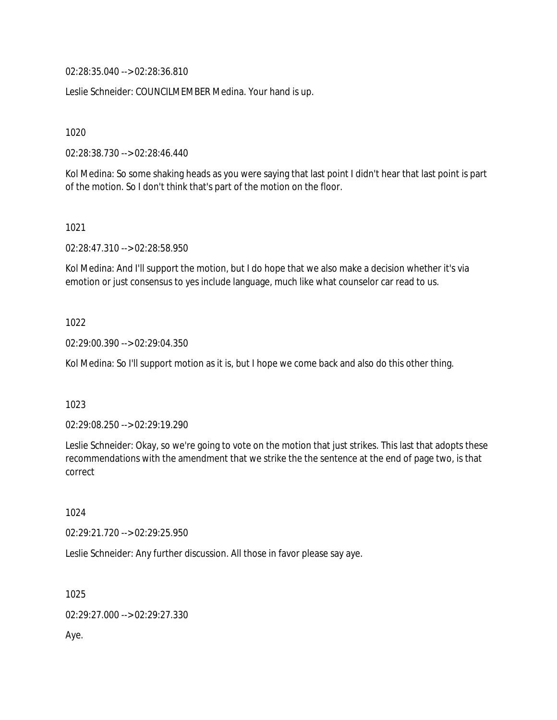02:28:35.040 --> 02:28:36.810

Leslie Schneider: COUNCILMEMBER Medina. Your hand is up.

1020

02:28:38.730 --> 02:28:46.440

Kol Medina: So some shaking heads as you were saying that last point I didn't hear that last point is part of the motion. So I don't think that's part of the motion on the floor.

1021

02:28:47.310 --> 02:28:58.950

Kol Medina: And I'll support the motion, but I do hope that we also make a decision whether it's via emotion or just consensus to yes include language, much like what counselor car read to us.

1022

02:29:00.390 --> 02:29:04.350

Kol Medina: So I'll support motion as it is, but I hope we come back and also do this other thing.

1023

02:29:08.250 --> 02:29:19.290

Leslie Schneider: Okay, so we're going to vote on the motion that just strikes. This last that adopts these recommendations with the amendment that we strike the the sentence at the end of page two, is that correct

1024

02:29:21.720 --> 02:29:25.950

Leslie Schneider: Any further discussion. All those in favor please say aye.

1025

02:29:27.000 --> 02:29:27.330

Aye.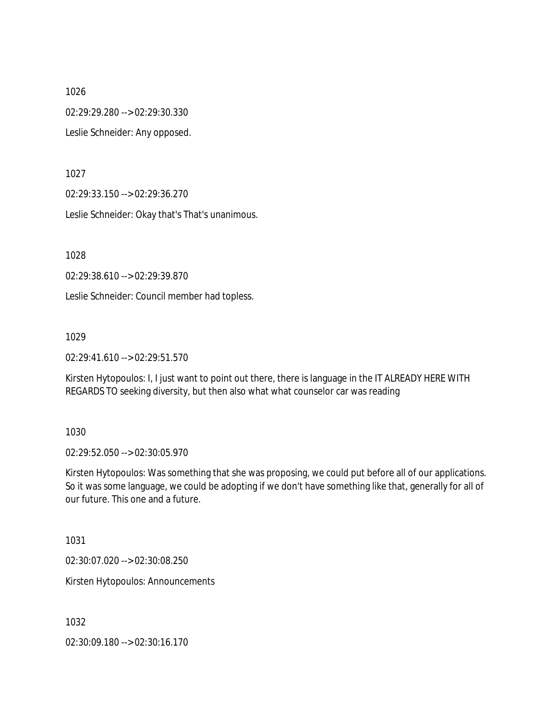02:29:29.280 --> 02:29:30.330

Leslie Schneider: Any opposed.

1027

02:29:33.150 --> 02:29:36.270

Leslie Schneider: Okay that's That's unanimous.

1028

02:29:38.610 --> 02:29:39.870

Leslie Schneider: Council member had topless.

1029

02:29:41.610 --> 02:29:51.570

Kirsten Hytopoulos: I, I just want to point out there, there is language in the IT ALREADY HERE WITH REGARDS TO seeking diversity, but then also what what counselor car was reading

1030

02:29:52.050 --> 02:30:05.970

Kirsten Hytopoulos: Was something that she was proposing, we could put before all of our applications. So it was some language, we could be adopting if we don't have something like that, generally for all of our future. This one and a future.

1031

02:30:07.020 --> 02:30:08.250

Kirsten Hytopoulos: Announcements

1032

02:30:09.180 --> 02:30:16.170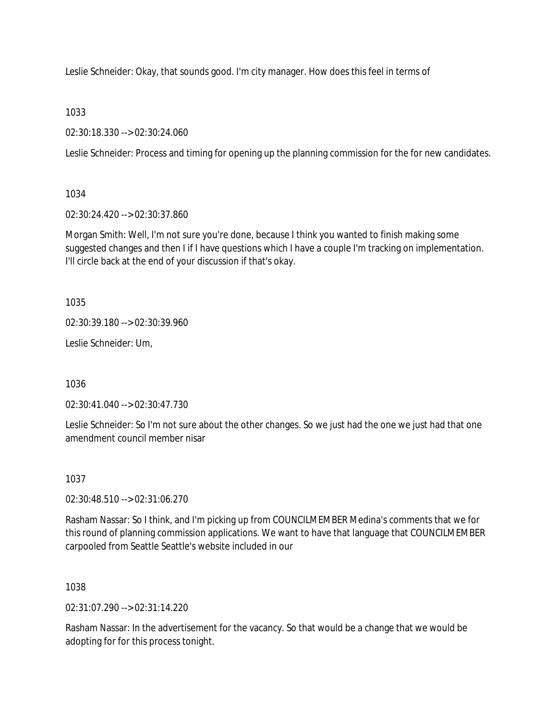Leslie Schneider: Okay, that sounds good. I'm city manager. How does this feel in terms of

1033

02:30:18.330 --> 02:30:24.060

Leslie Schneider: Process and timing for opening up the planning commission for the for new candidates.

1034

02:30:24.420 --> 02:30:37.860

Morgan Smith: Well, I'm not sure you're done, because I think you wanted to finish making some suggested changes and then I if I have questions which I have a couple I'm tracking on implementation. I'll circle back at the end of your discussion if that's okay.

1035

02:30:39.180 --> 02:30:39.960

Leslie Schneider: Um,

1036

02:30:41.040 --> 02:30:47.730

Leslie Schneider: So I'm not sure about the other changes. So we just had the one we just had that one amendment council member nisar

1037

02:30:48.510 --> 02:31:06.270

Rasham Nassar: So I think, and I'm picking up from COUNCILMEMBER Medina's comments that we for this round of planning commission applications. We want to have that language that COUNCILMEMBER carpooled from Seattle Seattle's website included in our

1038

02:31:07.290 --> 02:31:14.220

Rasham Nassar: In the advertisement for the vacancy. So that would be a change that we would be adopting for for this process tonight.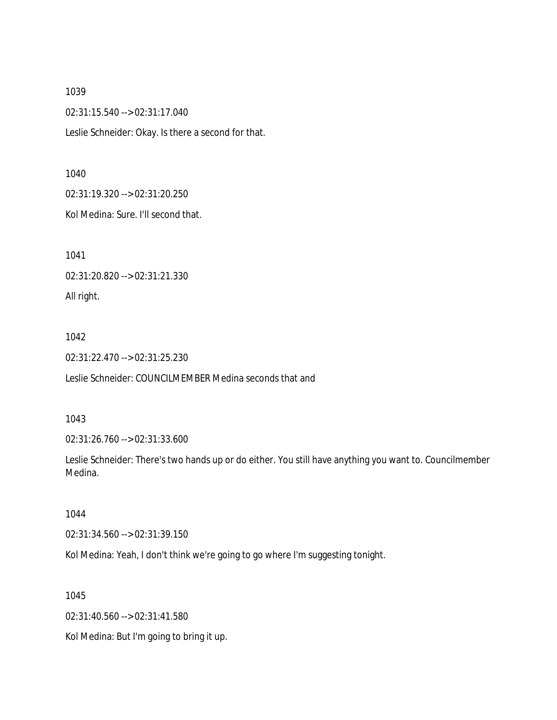02:31:15.540 --> 02:31:17.040

Leslie Schneider: Okay. Is there a second for that.

#### 1040

02:31:19.320 --> 02:31:20.250

Kol Medina: Sure. I'll second that.

1041

02:31:20.820 --> 02:31:21.330

All right.

### 1042

02:31:22.470 --> 02:31:25.230

Leslie Schneider: COUNCILMEMBER Medina seconds that and

### 1043

02:31:26.760 --> 02:31:33.600

Leslie Schneider: There's two hands up or do either. You still have anything you want to. Councilmember Medina.

## 1044

02:31:34.560 --> 02:31:39.150

Kol Medina: Yeah, I don't think we're going to go where I'm suggesting tonight.

1045

02:31:40.560 --> 02:31:41.580

Kol Medina: But I'm going to bring it up.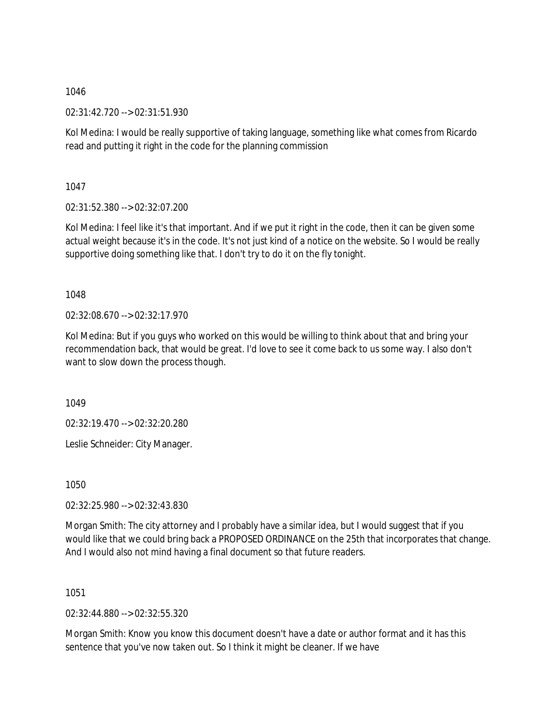02:31:42.720 --> 02:31:51.930

Kol Medina: I would be really supportive of taking language, something like what comes from Ricardo read and putting it right in the code for the planning commission

1047

02:31:52.380 --> 02:32:07.200

Kol Medina: I feel like it's that important. And if we put it right in the code, then it can be given some actual weight because it's in the code. It's not just kind of a notice on the website. So I would be really supportive doing something like that. I don't try to do it on the fly tonight.

1048

02:32:08.670 --> 02:32:17.970

Kol Medina: But if you guys who worked on this would be willing to think about that and bring your recommendation back, that would be great. I'd love to see it come back to us some way. I also don't want to slow down the process though.

1049

02:32:19.470 --> 02:32:20.280

Leslie Schneider: City Manager.

1050

02:32:25.980 --> 02:32:43.830

Morgan Smith: The city attorney and I probably have a similar idea, but I would suggest that if you would like that we could bring back a PROPOSED ORDINANCE on the 25th that incorporates that change. And I would also not mind having a final document so that future readers.

1051

02:32:44.880 --> 02:32:55.320

Morgan Smith: Know you know this document doesn't have a date or author format and it has this sentence that you've now taken out. So I think it might be cleaner. If we have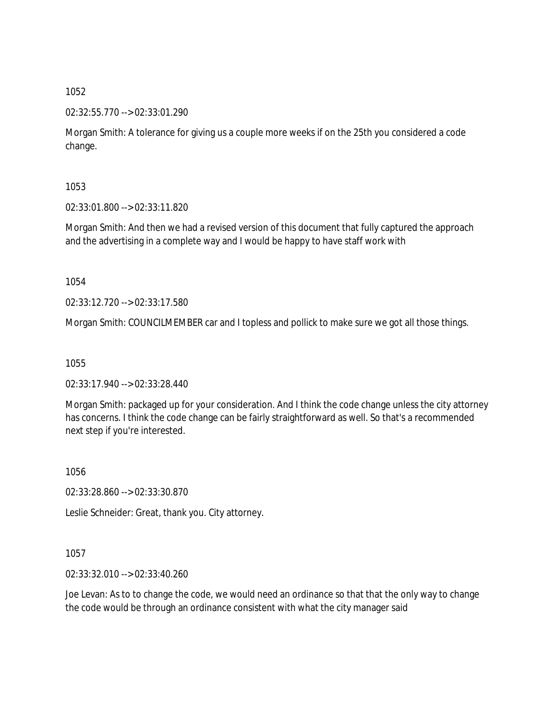02:32:55.770 --> 02:33:01.290

Morgan Smith: A tolerance for giving us a couple more weeks if on the 25th you considered a code change.

1053

02:33:01.800 --> 02:33:11.820

Morgan Smith: And then we had a revised version of this document that fully captured the approach and the advertising in a complete way and I would be happy to have staff work with

1054

02:33:12.720 --> 02:33:17.580

Morgan Smith: COUNCILMEMBER car and I topless and pollick to make sure we got all those things.

1055

02:33:17.940 --> 02:33:28.440

Morgan Smith: packaged up for your consideration. And I think the code change unless the city attorney has concerns. I think the code change can be fairly straightforward as well. So that's a recommended next step if you're interested.

1056

02:33:28.860 --> 02:33:30.870

Leslie Schneider: Great, thank you. City attorney.

1057

02:33:32.010 --> 02:33:40.260

Joe Levan: As to to change the code, we would need an ordinance so that that the only way to change the code would be through an ordinance consistent with what the city manager said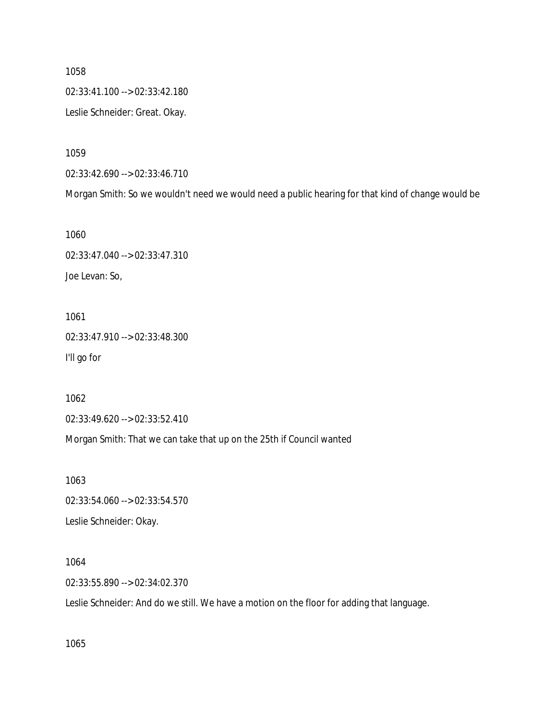02:33:41.100 --> 02:33:42.180 Leslie Schneider: Great. Okay.

1059

02:33:42.690 --> 02:33:46.710

Morgan Smith: So we wouldn't need we would need a public hearing for that kind of change would be

1060

02:33:47.040 --> 02:33:47.310 Joe Levan: So,

1061 02:33:47.910 --> 02:33:48.300 I'll go for

1062

02:33:49.620 --> 02:33:52.410

Morgan Smith: That we can take that up on the 25th if Council wanted

1063 02:33:54.060 --> 02:33:54.570

Leslie Schneider: Okay.

1064

02:33:55.890 --> 02:34:02.370

Leslie Schneider: And do we still. We have a motion on the floor for adding that language.

1065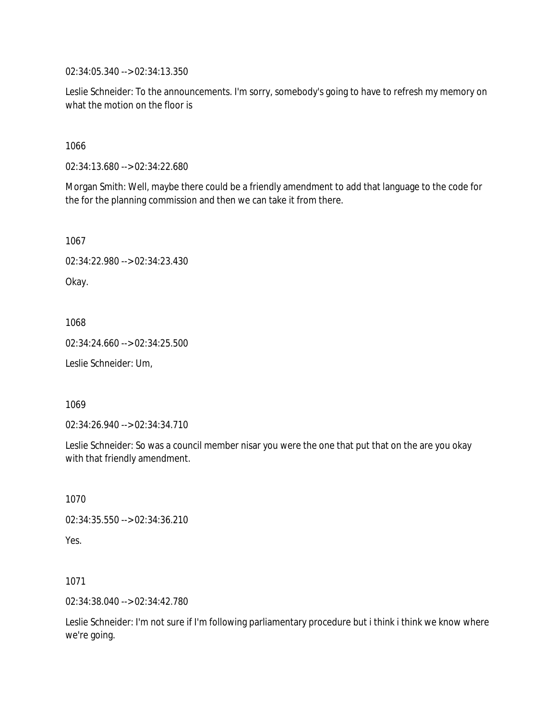02:34:05.340 --> 02:34:13.350

Leslie Schneider: To the announcements. I'm sorry, somebody's going to have to refresh my memory on what the motion on the floor is

1066

02:34:13.680 --> 02:34:22.680

Morgan Smith: Well, maybe there could be a friendly amendment to add that language to the code for the for the planning commission and then we can take it from there.

1067

02:34:22.980 --> 02:34:23.430

Okay.

1068

02:34:24.660 --> 02:34:25.500

Leslie Schneider: Um,

1069

02:34:26.940 --> 02:34:34.710

Leslie Schneider: So was a council member nisar you were the one that put that on the are you okay with that friendly amendment.

1070

02:34:35.550 --> 02:34:36.210 Yes.

1071

02:34:38.040 --> 02:34:42.780

Leslie Schneider: I'm not sure if I'm following parliamentary procedure but i think i think we know where we're going.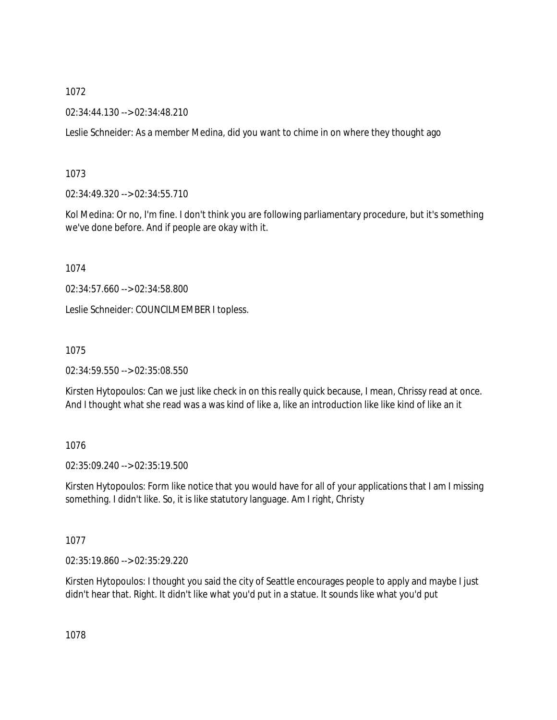02:34:44.130 --> 02:34:48.210

Leslie Schneider: As a member Medina, did you want to chime in on where they thought ago

# 1073

02:34:49.320 --> 02:34:55.710

Kol Medina: Or no, I'm fine. I don't think you are following parliamentary procedure, but it's something we've done before. And if people are okay with it.

1074

02:34:57.660 --> 02:34:58.800

Leslie Schneider: COUNCILMEMBER I topless.

# 1075

02:34:59.550 --> 02:35:08.550

Kirsten Hytopoulos: Can we just like check in on this really quick because, I mean, Chrissy read at once. And I thought what she read was a was kind of like a, like an introduction like like kind of like an it

# 1076

02:35:09.240 --> 02:35:19.500

Kirsten Hytopoulos: Form like notice that you would have for all of your applications that I am I missing something. I didn't like. So, it is like statutory language. Am I right, Christy

# 1077

02:35:19.860 --> 02:35:29.220

Kirsten Hytopoulos: I thought you said the city of Seattle encourages people to apply and maybe I just didn't hear that. Right. It didn't like what you'd put in a statue. It sounds like what you'd put

1078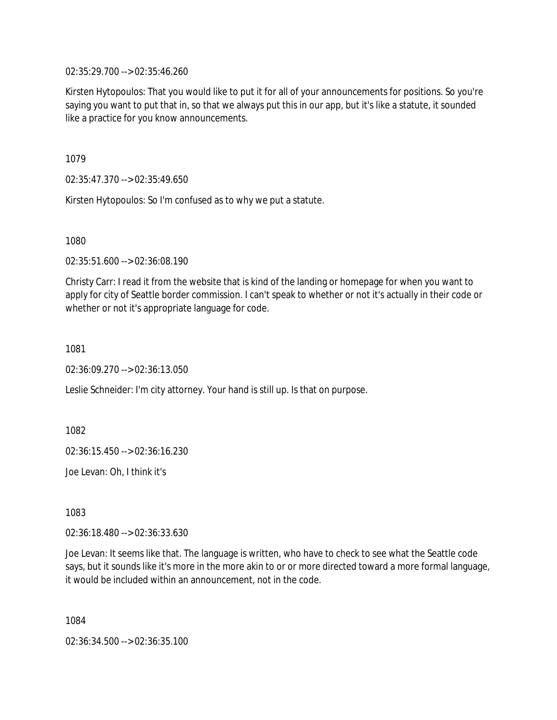02:35:29.700 --> 02:35:46.260

Kirsten Hytopoulos: That you would like to put it for all of your announcements for positions. So you're saying you want to put that in, so that we always put this in our app, but it's like a statute, it sounded like a practice for you know announcements.

1079

02:35:47.370 --> 02:35:49.650

Kirsten Hytopoulos: So I'm confused as to why we put a statute.

1080

02:35:51.600 --> 02:36:08.190

Christy Carr: I read it from the website that is kind of the landing or homepage for when you want to apply for city of Seattle border commission. I can't speak to whether or not it's actually in their code or whether or not it's appropriate language for code.

1081

02:36:09.270 --> 02:36:13.050

Leslie Schneider: I'm city attorney. Your hand is still up. Is that on purpose.

1082

02:36:15.450 --> 02:36:16.230

Joe Levan: Oh, I think it's

1083

02:36:18.480 --> 02:36:33.630

Joe Levan: It seems like that. The language is written, who have to check to see what the Seattle code says, but it sounds like it's more in the more akin to or or more directed toward a more formal language, it would be included within an announcement, not in the code.

1084

02:36:34.500 --> 02:36:35.100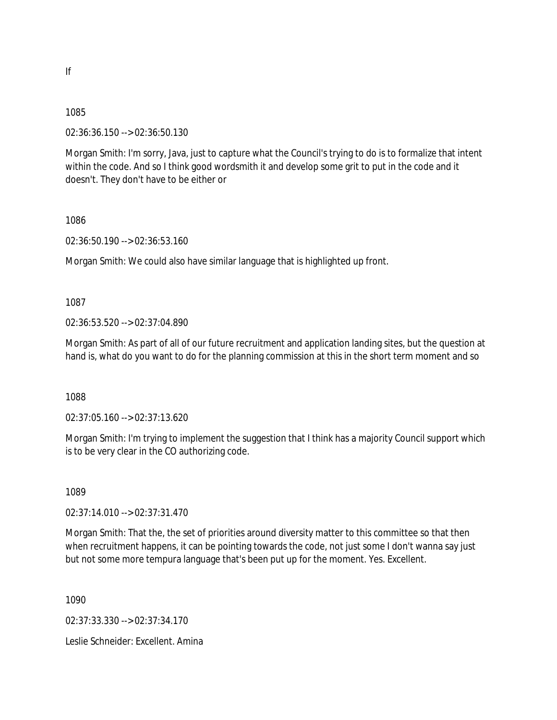02:36:36.150 --> 02:36:50.130

Morgan Smith: I'm sorry, Java, just to capture what the Council's trying to do is to formalize that intent within the code. And so I think good wordsmith it and develop some grit to put in the code and it doesn't. They don't have to be either or

1086

02:36:50.190 --> 02:36:53.160

Morgan Smith: We could also have similar language that is highlighted up front.

1087

02:36:53.520 --> 02:37:04.890

Morgan Smith: As part of all of our future recruitment and application landing sites, but the question at hand is, what do you want to do for the planning commission at this in the short term moment and so

1088

02:37:05.160 --> 02:37:13.620

Morgan Smith: I'm trying to implement the suggestion that I think has a majority Council support which is to be very clear in the CO authorizing code.

1089

02:37:14.010 --> 02:37:31.470

Morgan Smith: That the, the set of priorities around diversity matter to this committee so that then when recruitment happens, it can be pointing towards the code, not just some I don't wanna say just but not some more tempura language that's been put up for the moment. Yes. Excellent.

1090

02:37:33.330 --> 02:37:34.170

Leslie Schneider: Excellent. Amina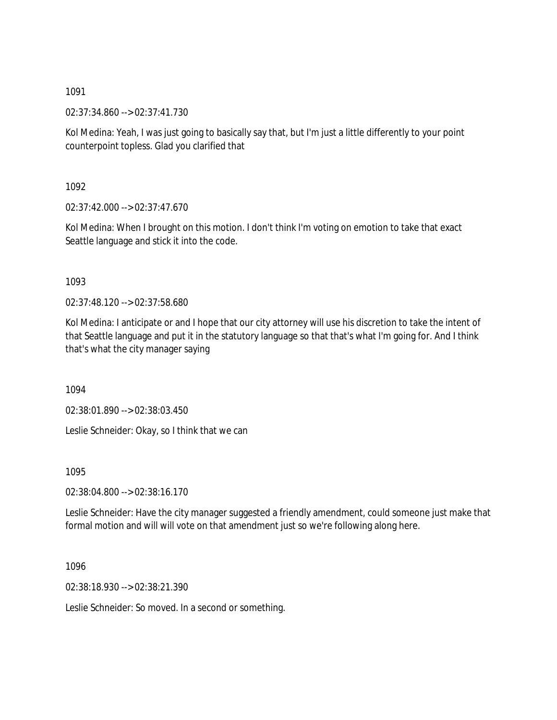02:37:34.860 --> 02:37:41.730

Kol Medina: Yeah, I was just going to basically say that, but I'm just a little differently to your point counterpoint topless. Glad you clarified that

1092

02:37:42.000 --> 02:37:47.670

Kol Medina: When I brought on this motion. I don't think I'm voting on emotion to take that exact Seattle language and stick it into the code.

1093

02:37:48.120 --> 02:37:58.680

Kol Medina: I anticipate or and I hope that our city attorney will use his discretion to take the intent of that Seattle language and put it in the statutory language so that that's what I'm going for. And I think that's what the city manager saying

1094

02:38:01.890 --> 02:38:03.450

Leslie Schneider: Okay, so I think that we can

1095

02:38:04.800 --> 02:38:16.170

Leslie Schneider: Have the city manager suggested a friendly amendment, could someone just make that formal motion and will will vote on that amendment just so we're following along here.

1096

02:38:18.930 --> 02:38:21.390

Leslie Schneider: So moved. In a second or something.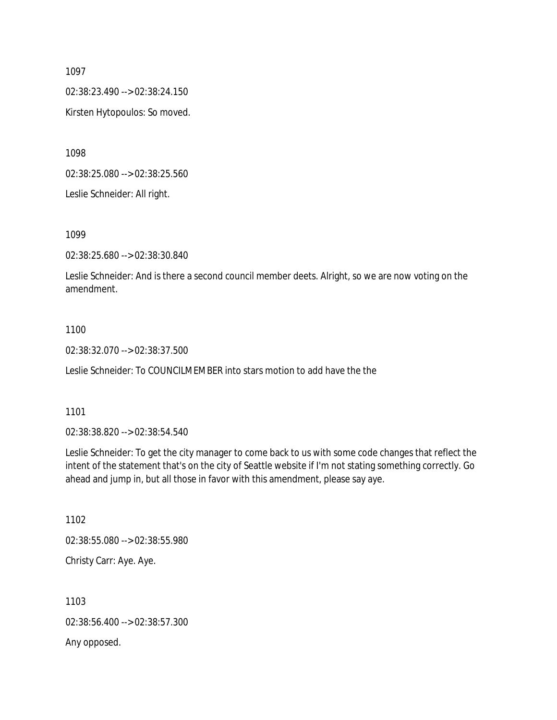02:38:23.490 --> 02:38:24.150

Kirsten Hytopoulos: So moved.

1098

02:38:25.080 --> 02:38:25.560

Leslie Schneider: All right.

1099

02:38:25.680 --> 02:38:30.840

Leslie Schneider: And is there a second council member deets. Alright, so we are now voting on the amendment.

### 1100

02:38:32.070 --> 02:38:37.500

Leslie Schneider: To COUNCILMEMBER into stars motion to add have the the

1101

02:38:38.820 --> 02:38:54.540

Leslie Schneider: To get the city manager to come back to us with some code changes that reflect the intent of the statement that's on the city of Seattle website if I'm not stating something correctly. Go ahead and jump in, but all those in favor with this amendment, please say aye.

1102 02:38:55.080 --> 02:38:55.980 Christy Carr: Aye. Aye.

1103 02:38:56.400 --> 02:38:57.300 Any opposed.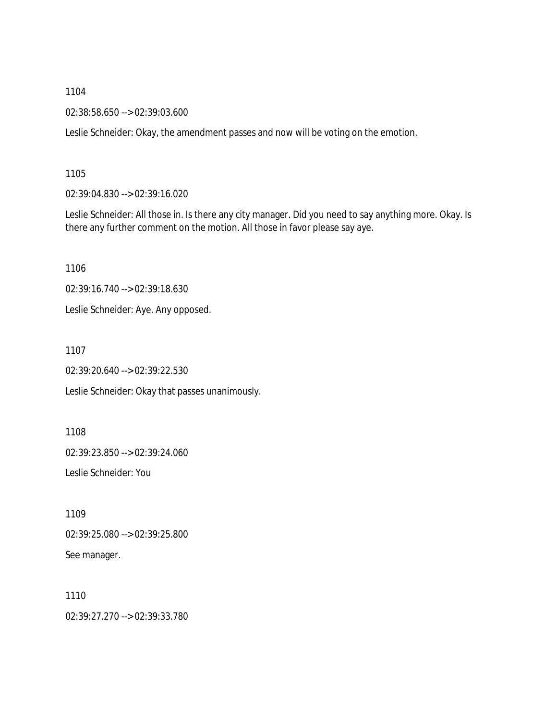02:38:58.650 --> 02:39:03.600

Leslie Schneider: Okay, the amendment passes and now will be voting on the emotion.

1105

02:39:04.830 --> 02:39:16.020

Leslie Schneider: All those in. Is there any city manager. Did you need to say anything more. Okay. Is there any further comment on the motion. All those in favor please say aye.

1106

02:39:16.740 --> 02:39:18.630

Leslie Schneider: Aye. Any opposed.

1107

02:39:20.640 --> 02:39:22.530

Leslie Schneider: Okay that passes unanimously.

1108

02:39:23.850 --> 02:39:24.060

Leslie Schneider: You

1109 02:39:25.080 --> 02:39:25.800 See manager.

1110 02:39:27.270 --> 02:39:33.780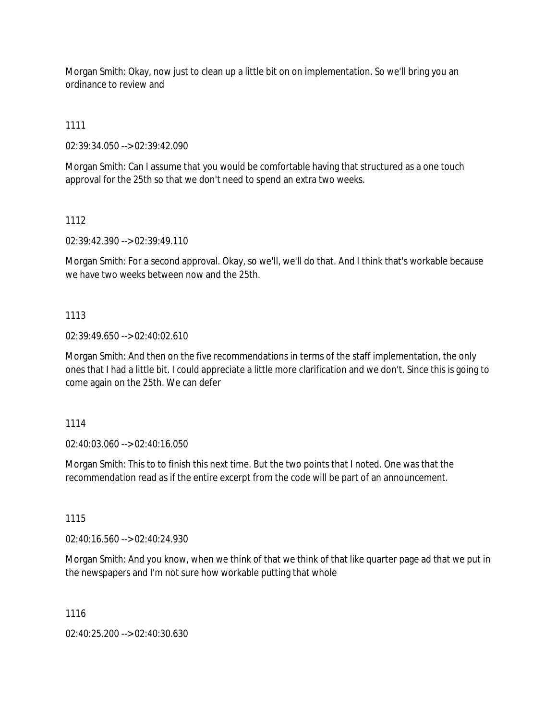Morgan Smith: Okay, now just to clean up a little bit on on implementation. So we'll bring you an ordinance to review and

1111

02:39:34.050 --> 02:39:42.090

Morgan Smith: Can I assume that you would be comfortable having that structured as a one touch approval for the 25th so that we don't need to spend an extra two weeks.

1112

02:39:42.390 --> 02:39:49.110

Morgan Smith: For a second approval. Okay, so we'll, we'll do that. And I think that's workable because we have two weeks between now and the 25th.

# 1113

02:39:49.650 --> 02:40:02.610

Morgan Smith: And then on the five recommendations in terms of the staff implementation, the only ones that I had a little bit. I could appreciate a little more clarification and we don't. Since this is going to come again on the 25th. We can defer

1114

02:40:03.060 --> 02:40:16.050

Morgan Smith: This to to finish this next time. But the two points that I noted. One was that the recommendation read as if the entire excerpt from the code will be part of an announcement.

1115

02:40:16.560 --> 02:40:24.930

Morgan Smith: And you know, when we think of that we think of that like quarter page ad that we put in the newspapers and I'm not sure how workable putting that whole

1116

02:40:25.200 --> 02:40:30.630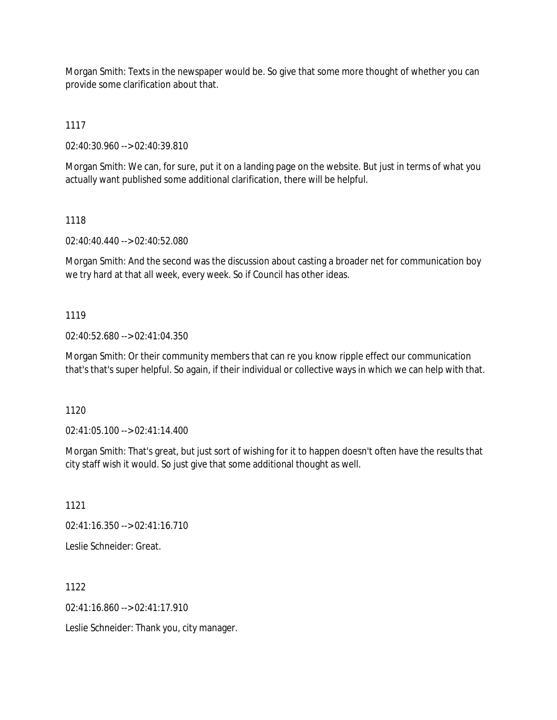Morgan Smith: Texts in the newspaper would be. So give that some more thought of whether you can provide some clarification about that.

1117

02:40:30.960 --> 02:40:39.810

Morgan Smith: We can, for sure, put it on a landing page on the website. But just in terms of what you actually want published some additional clarification, there will be helpful.

# 1118

02:40:40.440 --> 02:40:52.080

Morgan Smith: And the second was the discussion about casting a broader net for communication boy we try hard at that all week, every week. So if Council has other ideas.

# 1119

02:40:52.680 --> 02:41:04.350

Morgan Smith: Or their community members that can re you know ripple effect our communication that's that's super helpful. So again, if their individual or collective ways in which we can help with that.

1120

02:41:05.100 --> 02:41:14.400

Morgan Smith: That's great, but just sort of wishing for it to happen doesn't often have the results that city staff wish it would. So just give that some additional thought as well.

1121

02:41:16.350 --> 02:41:16.710

Leslie Schneider: Great.

1122

 $02:41:16.860 \rightarrow 02:41:17.910$ 

Leslie Schneider: Thank you, city manager.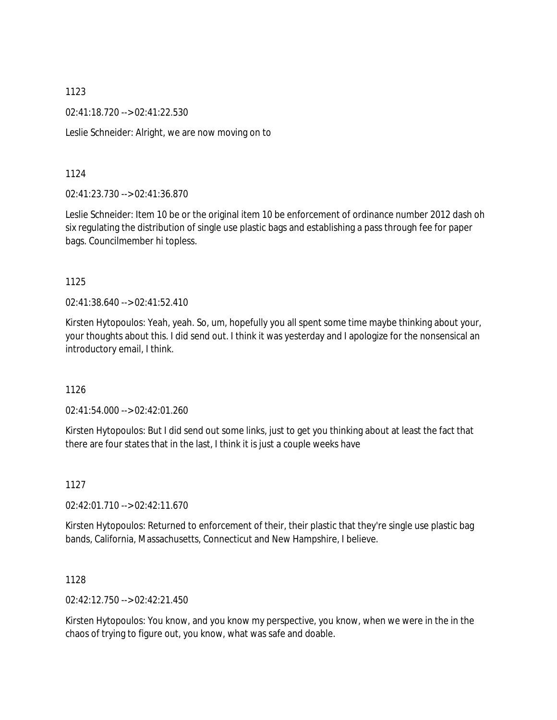02:41:18.720 --> 02:41:22.530

Leslie Schneider: Alright, we are now moving on to

1124

02:41:23.730 --> 02:41:36.870

Leslie Schneider: Item 10 be or the original item 10 be enforcement of ordinance number 2012 dash oh six regulating the distribution of single use plastic bags and establishing a pass through fee for paper bags. Councilmember hi topless.

1125

02:41:38.640 --> 02:41:52.410

Kirsten Hytopoulos: Yeah, yeah. So, um, hopefully you all spent some time maybe thinking about your, your thoughts about this. I did send out. I think it was yesterday and I apologize for the nonsensical an introductory email, I think.

1126

02:41:54.000 --> 02:42:01.260

Kirsten Hytopoulos: But I did send out some links, just to get you thinking about at least the fact that there are four states that in the last, I think it is just a couple weeks have

1127

02:42:01.710 --> 02:42:11.670

Kirsten Hytopoulos: Returned to enforcement of their, their plastic that they're single use plastic bag bands, California, Massachusetts, Connecticut and New Hampshire, I believe.

1128

02:42:12.750 --> 02:42:21.450

Kirsten Hytopoulos: You know, and you know my perspective, you know, when we were in the in the chaos of trying to figure out, you know, what was safe and doable.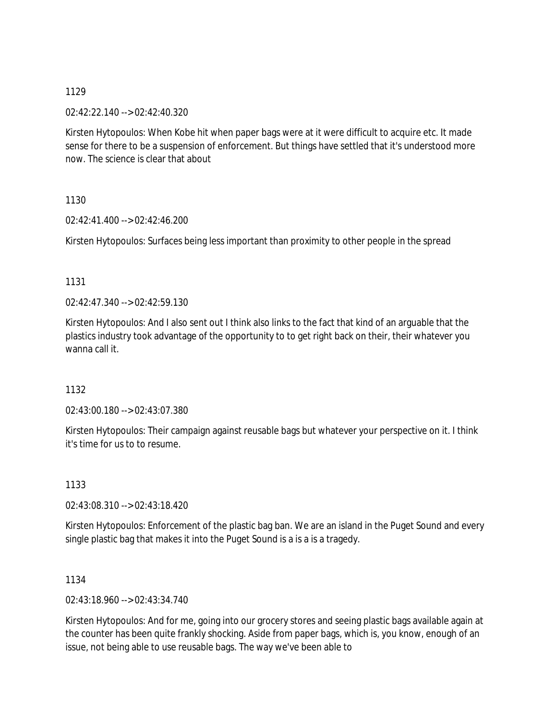02:42:22.140 --> 02:42:40.320

Kirsten Hytopoulos: When Kobe hit when paper bags were at it were difficult to acquire etc. It made sense for there to be a suspension of enforcement. But things have settled that it's understood more now. The science is clear that about

1130

02:42:41.400 --> 02:42:46.200

Kirsten Hytopoulos: Surfaces being less important than proximity to other people in the spread

# 1131

 $02.42.47.340 -502.42.59.130$ 

Kirsten Hytopoulos: And I also sent out I think also links to the fact that kind of an arguable that the plastics industry took advantage of the opportunity to to get right back on their, their whatever you wanna call it.

# 1132

02:43:00.180 --> 02:43:07.380

Kirsten Hytopoulos: Their campaign against reusable bags but whatever your perspective on it. I think it's time for us to to resume.

1133

02:43:08.310 --> 02:43:18.420

Kirsten Hytopoulos: Enforcement of the plastic bag ban. We are an island in the Puget Sound and every single plastic bag that makes it into the Puget Sound is a is a is a tragedy.

1134

02:43:18.960 --> 02:43:34.740

Kirsten Hytopoulos: And for me, going into our grocery stores and seeing plastic bags available again at the counter has been quite frankly shocking. Aside from paper bags, which is, you know, enough of an issue, not being able to use reusable bags. The way we've been able to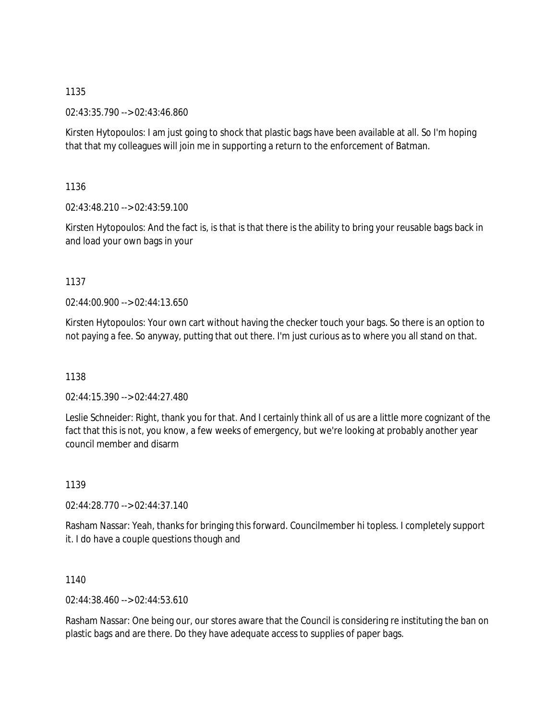02:43:35.790 --> 02:43:46.860

Kirsten Hytopoulos: I am just going to shock that plastic bags have been available at all. So I'm hoping that that my colleagues will join me in supporting a return to the enforcement of Batman.

1136

02:43:48.210 --> 02:43:59.100

Kirsten Hytopoulos: And the fact is, is that is that there is the ability to bring your reusable bags back in and load your own bags in your

1137

02:44:00.900 --> 02:44:13.650

Kirsten Hytopoulos: Your own cart without having the checker touch your bags. So there is an option to not paying a fee. So anyway, putting that out there. I'm just curious as to where you all stand on that.

1138

02:44:15.390 --> 02:44:27.480

Leslie Schneider: Right, thank you for that. And I certainly think all of us are a little more cognizant of the fact that this is not, you know, a few weeks of emergency, but we're looking at probably another year council member and disarm

1139

02:44:28.770 --> 02:44:37.140

Rasham Nassar: Yeah, thanks for bringing this forward. Councilmember hi topless. I completely support it. I do have a couple questions though and

1140

02:44:38.460 --> 02:44:53.610

Rasham Nassar: One being our, our stores aware that the Council is considering re instituting the ban on plastic bags and are there. Do they have adequate access to supplies of paper bags.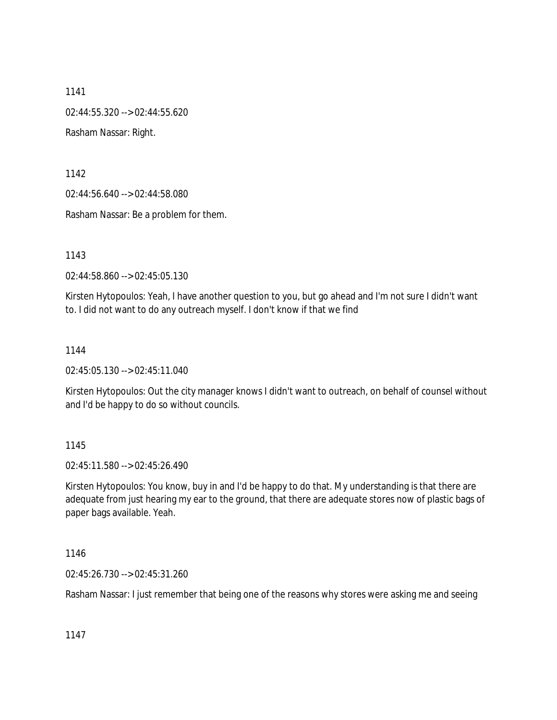1141 02:44:55.320 --> 02:44:55.620 Rasham Nassar: Right.

1142

02:44:56.640 --> 02:44:58.080

Rasham Nassar: Be a problem for them.

1143

02:44:58.860 --> 02:45:05.130

Kirsten Hytopoulos: Yeah, I have another question to you, but go ahead and I'm not sure I didn't want to. I did not want to do any outreach myself. I don't know if that we find

1144

02:45:05.130 --> 02:45:11.040

Kirsten Hytopoulos: Out the city manager knows I didn't want to outreach, on behalf of counsel without and I'd be happy to do so without councils.

### 1145

02:45:11.580 --> 02:45:26.490

Kirsten Hytopoulos: You know, buy in and I'd be happy to do that. My understanding is that there are adequate from just hearing my ear to the ground, that there are adequate stores now of plastic bags of paper bags available. Yeah.

1146

02:45:26.730 --> 02:45:31.260

Rasham Nassar: I just remember that being one of the reasons why stores were asking me and seeing

1147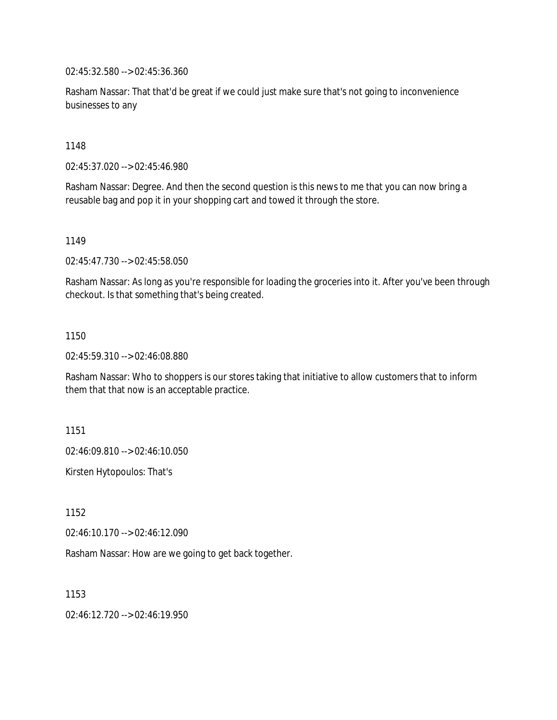02:45:32.580 --> 02:45:36.360

Rasham Nassar: That that'd be great if we could just make sure that's not going to inconvenience businesses to any

1148

02:45:37.020 --> 02:45:46.980

Rasham Nassar: Degree. And then the second question is this news to me that you can now bring a reusable bag and pop it in your shopping cart and towed it through the store.

1149

02:45:47.730 --> 02:45:58.050

Rasham Nassar: As long as you're responsible for loading the groceries into it. After you've been through checkout. Is that something that's being created.

1150

02:45:59.310 --> 02:46:08.880

Rasham Nassar: Who to shoppers is our stores taking that initiative to allow customers that to inform them that that now is an acceptable practice.

1151

02:46:09.810 --> 02:46:10.050

Kirsten Hytopoulos: That's

1152

02:46:10.170 --> 02:46:12.090

Rasham Nassar: How are we going to get back together.

1153

02:46:12.720 --> 02:46:19.950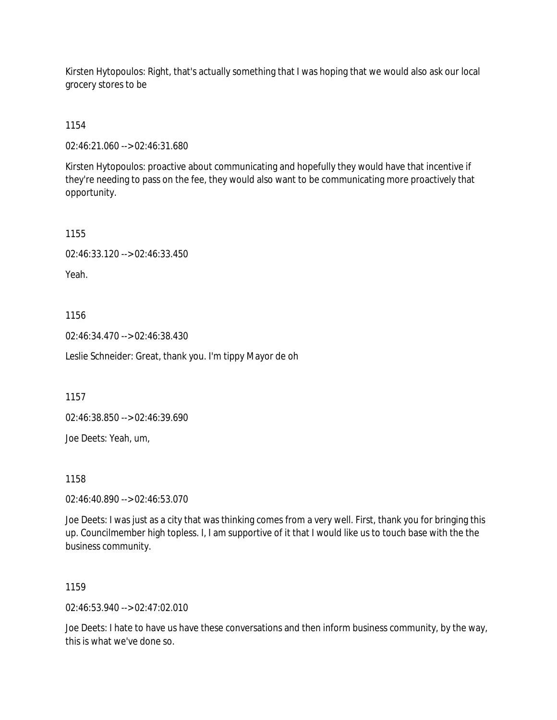Kirsten Hytopoulos: Right, that's actually something that I was hoping that we would also ask our local grocery stores to be

1154

02:46:21.060 --> 02:46:31.680

Kirsten Hytopoulos: proactive about communicating and hopefully they would have that incentive if they're needing to pass on the fee, they would also want to be communicating more proactively that opportunity.

1155

02:46:33.120 --> 02:46:33.450

Yeah.

1156

02:46:34.470 --> 02:46:38.430

Leslie Schneider: Great, thank you. I'm tippy Mayor de oh

1157

02:46:38.850 --> 02:46:39.690

Joe Deets: Yeah, um,

1158

02:46:40.890 --> 02:46:53.070

Joe Deets: I was just as a city that was thinking comes from a very well. First, thank you for bringing this up. Councilmember high topless. I, I am supportive of it that I would like us to touch base with the the business community.

1159

02:46:53.940 --> 02:47:02.010

Joe Deets: I hate to have us have these conversations and then inform business community, by the way, this is what we've done so.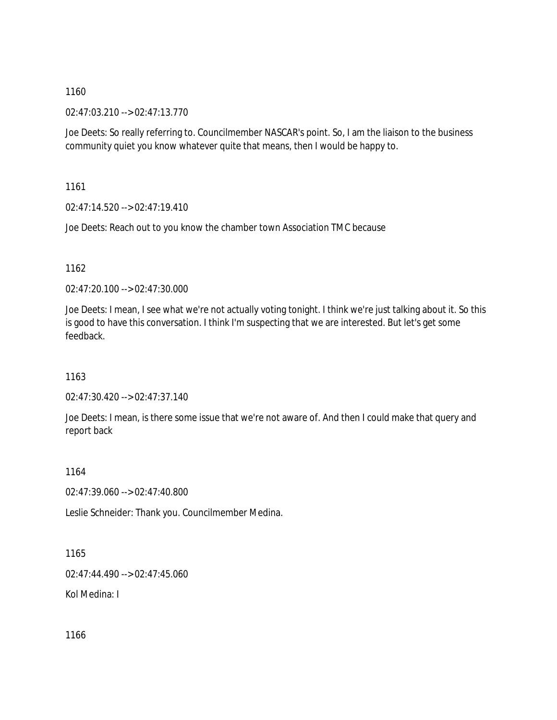02:47:03.210 --> 02:47:13.770

Joe Deets: So really referring to. Councilmember NASCAR's point. So, I am the liaison to the business community quiet you know whatever quite that means, then I would be happy to.

1161

02:47:14.520 --> 02:47:19.410

Joe Deets: Reach out to you know the chamber town Association TMC because

1162

02:47:20.100 --> 02:47:30.000

Joe Deets: I mean, I see what we're not actually voting tonight. I think we're just talking about it. So this is good to have this conversation. I think I'm suspecting that we are interested. But let's get some feedback.

1163

02:47:30.420 --> 02:47:37.140

Joe Deets: I mean, is there some issue that we're not aware of. And then I could make that query and report back

1164

02:47:39.060 --> 02:47:40.800

Leslie Schneider: Thank you. Councilmember Medina.

1165

02:47:44.490 --> 02:47:45.060

Kol Medina: I

1166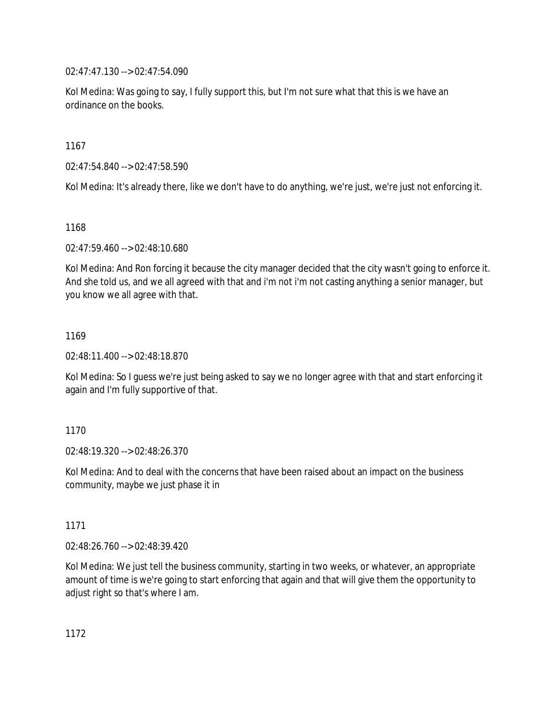02:47:47.130 --> 02:47:54.090

Kol Medina: Was going to say, I fully support this, but I'm not sure what that this is we have an ordinance on the books.

1167

02:47:54.840 --> 02:47:58.590

Kol Medina: It's already there, like we don't have to do anything, we're just, we're just not enforcing it.

1168

02:47:59.460 --> 02:48:10.680

Kol Medina: And Ron forcing it because the city manager decided that the city wasn't going to enforce it. And she told us, and we all agreed with that and i'm not i'm not casting anything a senior manager, but you know we all agree with that.

1169

02:48:11.400 --> 02:48:18.870

Kol Medina: So I guess we're just being asked to say we no longer agree with that and start enforcing it again and I'm fully supportive of that.

1170

02:48:19.320 --> 02:48:26.370

Kol Medina: And to deal with the concerns that have been raised about an impact on the business community, maybe we just phase it in

1171

02:48:26.760 --> 02:48:39.420

Kol Medina: We just tell the business community, starting in two weeks, or whatever, an appropriate amount of time is we're going to start enforcing that again and that will give them the opportunity to adjust right so that's where I am.

1172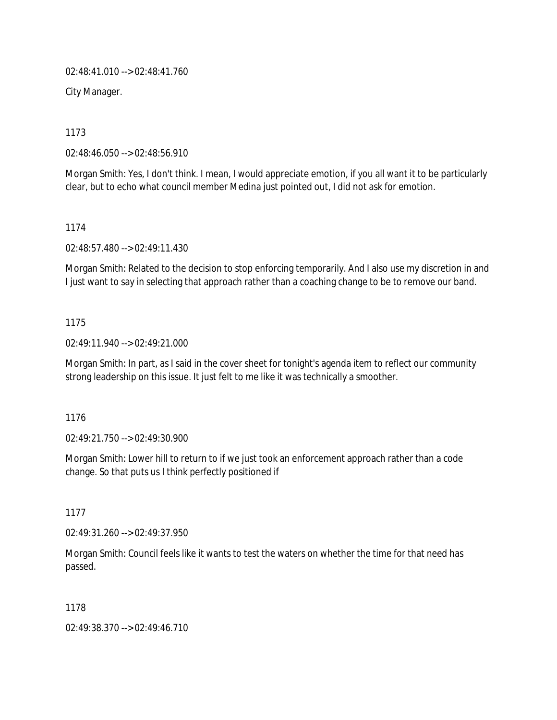02:48:41.010 --> 02:48:41.760

City Manager.

1173

02:48:46.050 --> 02:48:56.910

Morgan Smith: Yes, I don't think. I mean, I would appreciate emotion, if you all want it to be particularly clear, but to echo what council member Medina just pointed out, I did not ask for emotion.

1174

02:48:57.480 --> 02:49:11.430

Morgan Smith: Related to the decision to stop enforcing temporarily. And I also use my discretion in and I just want to say in selecting that approach rather than a coaching change to be to remove our band.

### 1175

02:49:11.940 --> 02:49:21.000

Morgan Smith: In part, as I said in the cover sheet for tonight's agenda item to reflect our community strong leadership on this issue. It just felt to me like it was technically a smoother.

### 1176

02:49:21.750 --> 02:49:30.900

Morgan Smith: Lower hill to return to if we just took an enforcement approach rather than a code change. So that puts us I think perfectly positioned if

1177

02:49:31.260 --> 02:49:37.950

Morgan Smith: Council feels like it wants to test the waters on whether the time for that need has passed.

1178

02:49:38.370 --> 02:49:46.710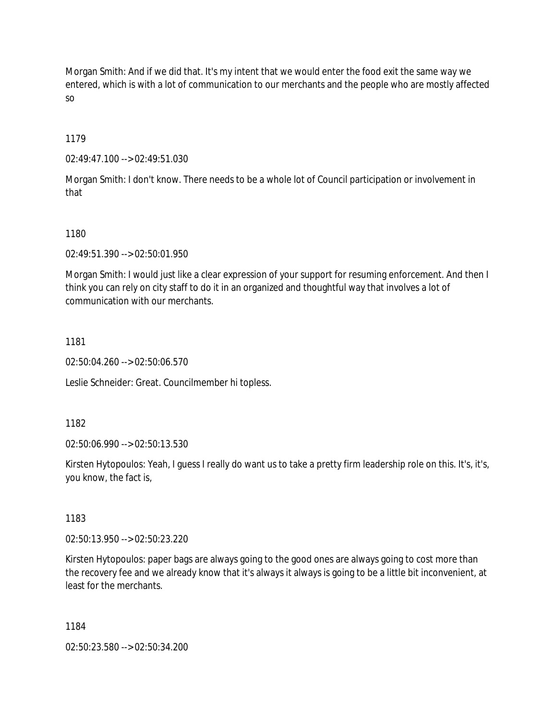Morgan Smith: And if we did that. It's my intent that we would enter the food exit the same way we entered, which is with a lot of communication to our merchants and the people who are mostly affected so

1179

02:49:47.100 --> 02:49:51.030

Morgan Smith: I don't know. There needs to be a whole lot of Council participation or involvement in that

1180

02:49:51.390 --> 02:50:01.950

Morgan Smith: I would just like a clear expression of your support for resuming enforcement. And then I think you can rely on city staff to do it in an organized and thoughtful way that involves a lot of communication with our merchants.

1181

02:50:04.260 --> 02:50:06.570

Leslie Schneider: Great. Councilmember hi topless.

1182

02:50:06.990 --> 02:50:13.530

Kirsten Hytopoulos: Yeah, I guess I really do want us to take a pretty firm leadership role on this. It's, it's, you know, the fact is,

1183

02:50:13.950 --> 02:50:23.220

Kirsten Hytopoulos: paper bags are always going to the good ones are always going to cost more than the recovery fee and we already know that it's always it always is going to be a little bit inconvenient, at least for the merchants.

1184

02:50:23.580 --> 02:50:34.200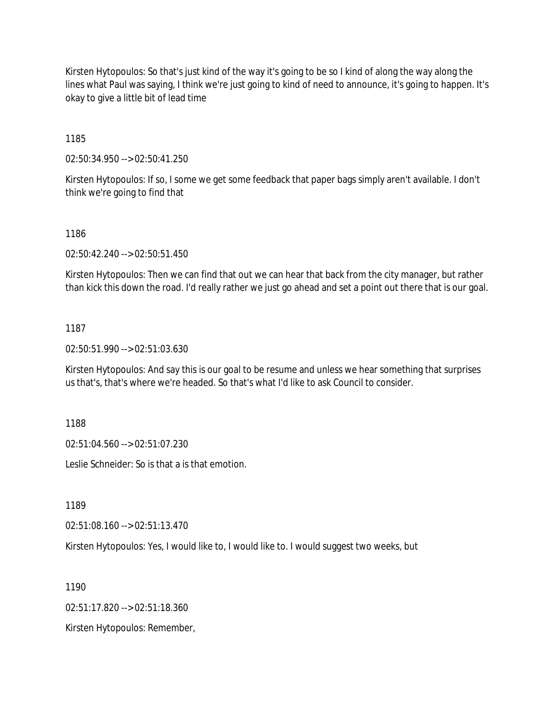Kirsten Hytopoulos: So that's just kind of the way it's going to be so I kind of along the way along the lines what Paul was saying, I think we're just going to kind of need to announce, it's going to happen. It's okay to give a little bit of lead time

1185

02:50:34.950 --> 02:50:41.250

Kirsten Hytopoulos: If so, I some we get some feedback that paper bags simply aren't available. I don't think we're going to find that

#### 1186

02:50:42.240 --> 02:50:51.450

Kirsten Hytopoulos: Then we can find that out we can hear that back from the city manager, but rather than kick this down the road. I'd really rather we just go ahead and set a point out there that is our goal.

#### 1187

02:50:51.990 --> 02:51:03.630

Kirsten Hytopoulos: And say this is our goal to be resume and unless we hear something that surprises us that's, that's where we're headed. So that's what I'd like to ask Council to consider.

1188

02:51:04.560 --> 02:51:07.230

Leslie Schneider: So is that a is that emotion.

1189

02:51:08.160 --> 02:51:13.470

Kirsten Hytopoulos: Yes, I would like to, I would like to. I would suggest two weeks, but

1190

02:51:17.820 --> 02:51:18.360

Kirsten Hytopoulos: Remember,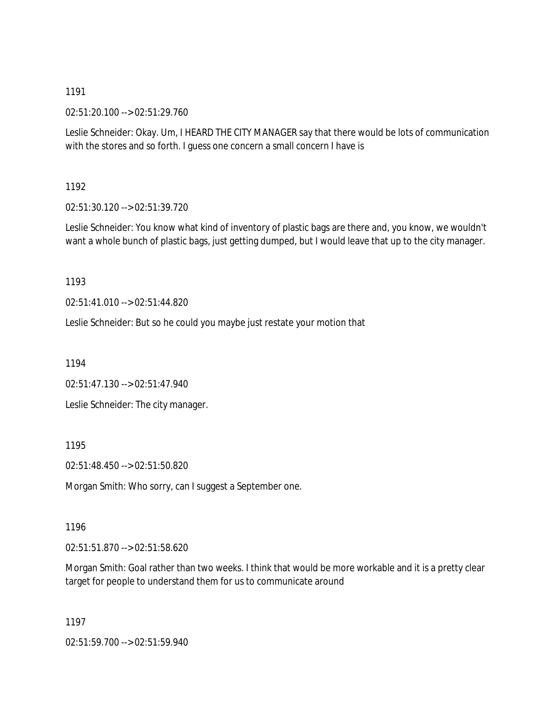02:51:20.100 --> 02:51:29.760

Leslie Schneider: Okay. Um, I HEARD THE CITY MANAGER say that there would be lots of communication with the stores and so forth. I guess one concern a small concern I have is

1192

02:51:30.120 --> 02:51:39.720

Leslie Schneider: You know what kind of inventory of plastic bags are there and, you know, we wouldn't want a whole bunch of plastic bags, just getting dumped, but I would leave that up to the city manager.

1193

02:51:41.010 --> 02:51:44.820

Leslie Schneider: But so he could you maybe just restate your motion that

1194

02:51:47.130 --> 02:51:47.940

Leslie Schneider: The city manager.

1195

02:51:48.450 --> 02:51:50.820

Morgan Smith: Who sorry, can I suggest a September one.

1196

02:51:51.870 --> 02:51:58.620

Morgan Smith: Goal rather than two weeks. I think that would be more workable and it is a pretty clear target for people to understand them for us to communicate around

1197

02:51:59.700 --> 02:51:59.940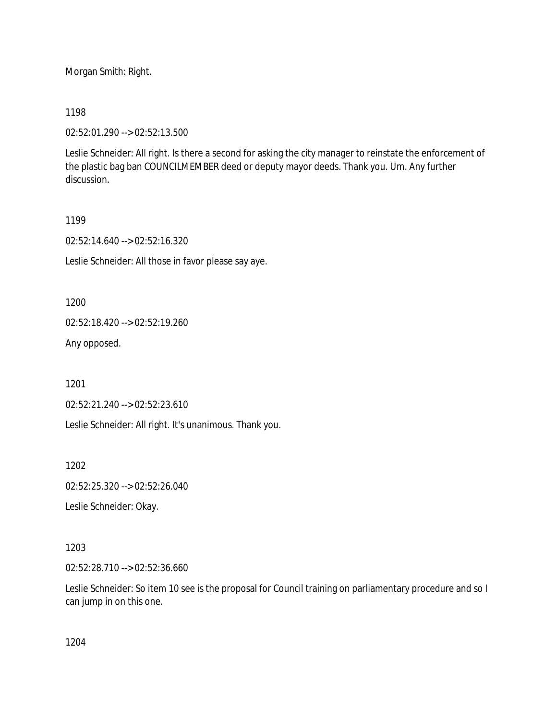Morgan Smith: Right.

1198

02:52:01.290 --> 02:52:13.500

Leslie Schneider: All right. Is there a second for asking the city manager to reinstate the enforcement of the plastic bag ban COUNCILMEMBER deed or deputy mayor deeds. Thank you. Um. Any further discussion.

1199

02:52:14.640 --> 02:52:16.320

Leslie Schneider: All those in favor please say aye.

1200

02:52:18.420 --> 02:52:19.260

Any opposed.

1201

02:52:21.240 --> 02:52:23.610

Leslie Schneider: All right. It's unanimous. Thank you.

1202

02:52:25.320 --> 02:52:26.040

Leslie Schneider: Okay.

1203

02:52:28.710 --> 02:52:36.660

Leslie Schneider: So item 10 see is the proposal for Council training on parliamentary procedure and so I can jump in on this one.

1204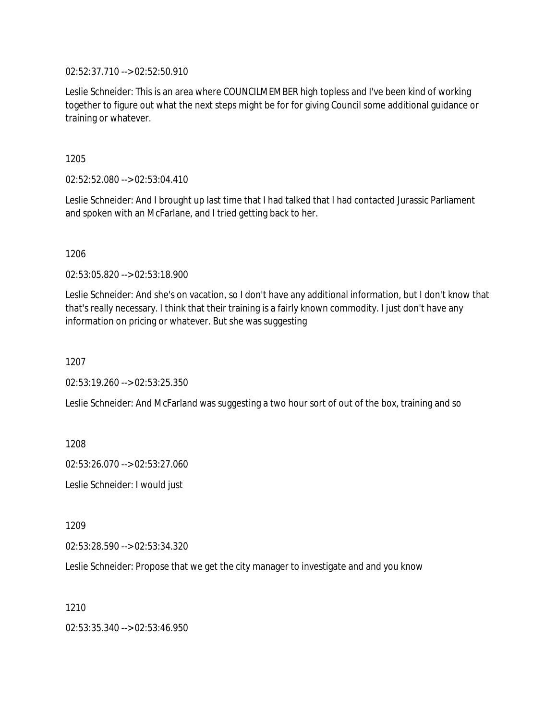02:52:37.710 --> 02:52:50.910

Leslie Schneider: This is an area where COUNCILMEMBER high topless and I've been kind of working together to figure out what the next steps might be for for giving Council some additional guidance or training or whatever.

1205

02:52:52.080 --> 02:53:04.410

Leslie Schneider: And I brought up last time that I had talked that I had contacted Jurassic Parliament and spoken with an McFarlane, and I tried getting back to her.

1206

02:53:05.820 --> 02:53:18.900

Leslie Schneider: And she's on vacation, so I don't have any additional information, but I don't know that that's really necessary. I think that their training is a fairly known commodity. I just don't have any information on pricing or whatever. But she was suggesting

1207

02:53:19.260 --> 02:53:25.350

Leslie Schneider: And McFarland was suggesting a two hour sort of out of the box, training and so

1208

02:53:26.070 --> 02:53:27.060

Leslie Schneider: I would just

1209

02:53:28.590 --> 02:53:34.320

Leslie Schneider: Propose that we get the city manager to investigate and and you know

1210

02:53:35.340 --> 02:53:46.950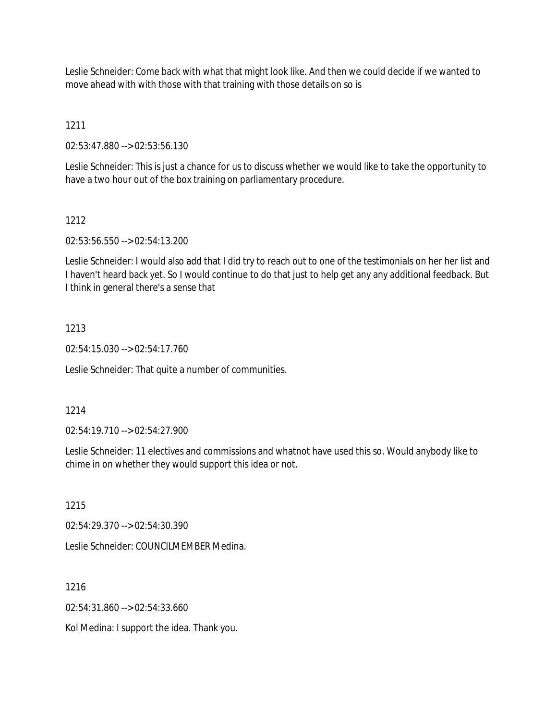Leslie Schneider: Come back with what that might look like. And then we could decide if we wanted to move ahead with with those with that training with those details on so is

1211

02:53:47.880 --> 02:53:56.130

Leslie Schneider: This is just a chance for us to discuss whether we would like to take the opportunity to have a two hour out of the box training on parliamentary procedure.

# 1212

02:53:56.550 --> 02:54:13.200

Leslie Schneider: I would also add that I did try to reach out to one of the testimonials on her her list and I haven't heard back yet. So I would continue to do that just to help get any any additional feedback. But I think in general there's a sense that

# 1213

02:54:15.030 --> 02:54:17.760

Leslie Schneider: That quite a number of communities.

### 1214

02:54:19.710 --> 02:54:27.900

Leslie Schneider: 11 electives and commissions and whatnot have used this so. Would anybody like to chime in on whether they would support this idea or not.

1215

02:54:29.370 --> 02:54:30.390

Leslie Schneider: COUNCILMEMBER Medina.

1216

02:54:31.860 --> 02:54:33.660

Kol Medina: I support the idea. Thank you.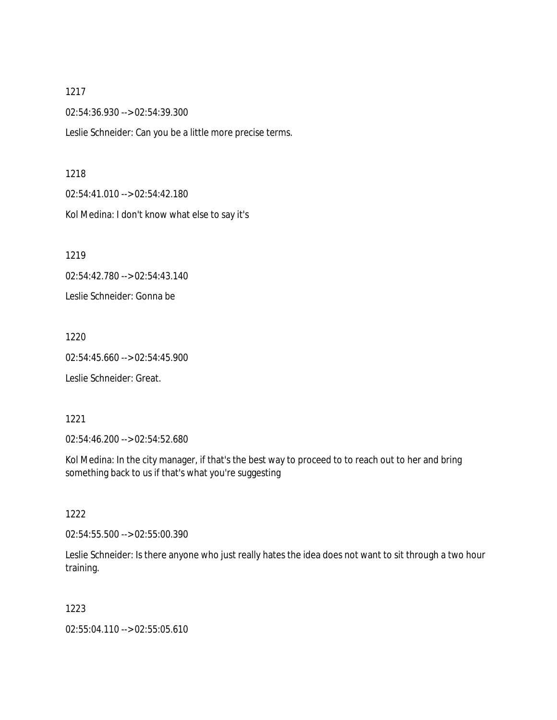02:54:36.930 --> 02:54:39.300

Leslie Schneider: Can you be a little more precise terms.

#### 1218

02:54:41.010 --> 02:54:42.180 Kol Medina: I don't know what else to say it's

1219

02:54:42.780 --> 02:54:43.140

Leslie Schneider: Gonna be

1220

02:54:45.660 --> 02:54:45.900

Leslie Schneider: Great.

#### 1221

02:54:46.200 --> 02:54:52.680

Kol Medina: In the city manager, if that's the best way to proceed to to reach out to her and bring something back to us if that's what you're suggesting

1222

02:54:55.500 --> 02:55:00.390

Leslie Schneider: Is there anyone who just really hates the idea does not want to sit through a two hour training.

### 1223

02:55:04.110 --> 02:55:05.610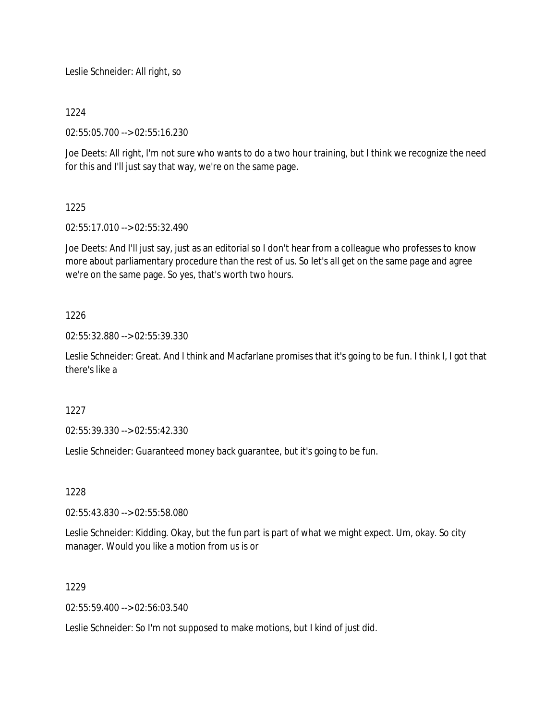Leslie Schneider: All right, so

1224

02:55:05.700 --> 02:55:16.230

Joe Deets: All right, I'm not sure who wants to do a two hour training, but I think we recognize the need for this and I'll just say that way, we're on the same page.

# 1225

02:55:17.010 --> 02:55:32.490

Joe Deets: And I'll just say, just as an editorial so I don't hear from a colleague who professes to know more about parliamentary procedure than the rest of us. So let's all get on the same page and agree we're on the same page. So yes, that's worth two hours.

# 1226

02:55:32.880 --> 02:55:39.330

Leslie Schneider: Great. And I think and Macfarlane promises that it's going to be fun. I think I, I got that there's like a

# 1227

02:55:39.330 --> 02:55:42.330

Leslie Schneider: Guaranteed money back guarantee, but it's going to be fun.

### 1228

02:55:43.830 --> 02:55:58.080

Leslie Schneider: Kidding. Okay, but the fun part is part of what we might expect. Um, okay. So city manager. Would you like a motion from us is or

# 1229

02:55:59.400 --> 02:56:03.540

Leslie Schneider: So I'm not supposed to make motions, but I kind of just did.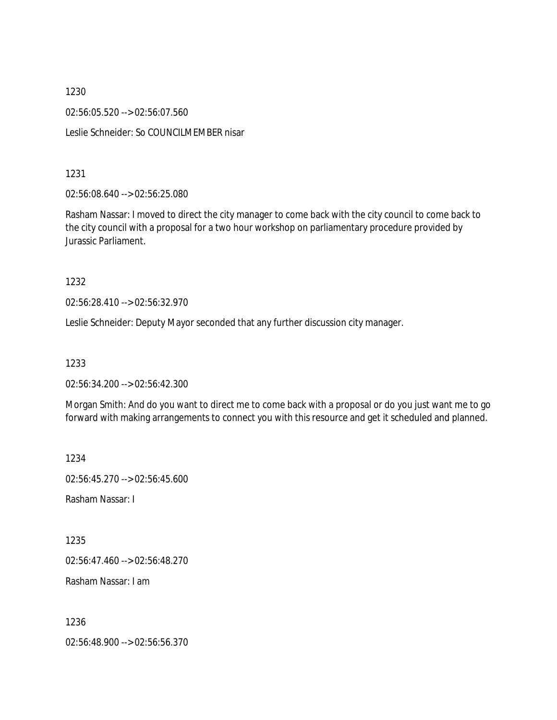1230 02:56:05.520 --> 02:56:07.560 Leslie Schneider: So COUNCILMEMBER nisar

1231

02:56:08.640 --> 02:56:25.080

Rasham Nassar: I moved to direct the city manager to come back with the city council to come back to the city council with a proposal for a two hour workshop on parliamentary procedure provided by Jurassic Parliament.

1232

02:56:28.410 --> 02:56:32.970

Leslie Schneider: Deputy Mayor seconded that any further discussion city manager.

1233

02:56:34.200 --> 02:56:42.300

Morgan Smith: And do you want to direct me to come back with a proposal or do you just want me to go forward with making arrangements to connect you with this resource and get it scheduled and planned.

1234

02:56:45.270 --> 02:56:45.600

Rasham Nassar: I

1235

02:56:47.460 --> 02:56:48.270

Rasham Nassar: I am

1236

02:56:48.900 --> 02:56:56.370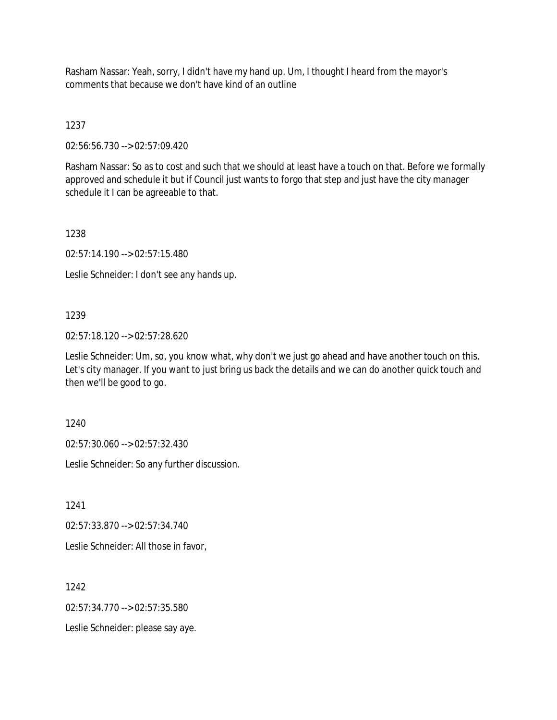Rasham Nassar: Yeah, sorry, I didn't have my hand up. Um, I thought I heard from the mayor's comments that because we don't have kind of an outline

1237

02:56:56.730 --> 02:57:09.420

Rasham Nassar: So as to cost and such that we should at least have a touch on that. Before we formally approved and schedule it but if Council just wants to forgo that step and just have the city manager schedule it I can be agreeable to that.

1238

02:57:14.190 --> 02:57:15.480

Leslie Schneider: I don't see any hands up.

# 1239

02:57:18.120 --> 02:57:28.620

Leslie Schneider: Um, so, you know what, why don't we just go ahead and have another touch on this. Let's city manager. If you want to just bring us back the details and we can do another quick touch and then we'll be good to go.

1240

02:57:30.060 --> 02:57:32.430

Leslie Schneider: So any further discussion.

1241

02:57:33.870 --> 02:57:34.740

Leslie Schneider: All those in favor,

1242

02:57:34.770 --> 02:57:35.580

Leslie Schneider: please say aye.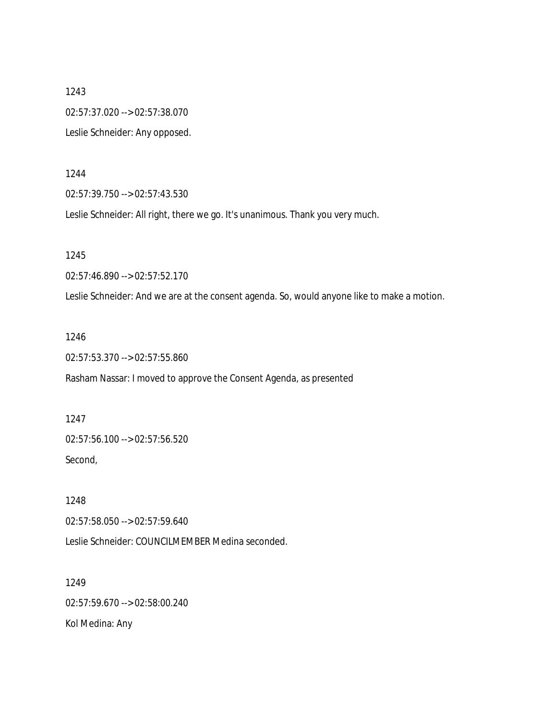1243 02:57:37.020 --> 02:57:38.070 Leslie Schneider: Any opposed.

1244

02:57:39.750 --> 02:57:43.530

Leslie Schneider: All right, there we go. It's unanimous. Thank you very much.

1245

02:57:46.890 --> 02:57:52.170

Leslie Schneider: And we are at the consent agenda. So, would anyone like to make a motion.

1246

02:57:53.370 --> 02:57:55.860

Rasham Nassar: I moved to approve the Consent Agenda, as presented

1247 02:57:56.100 --> 02:57:56.520 Second,

1248 02:57:58.050 --> 02:57:59.640

Leslie Schneider: COUNCILMEMBER Medina seconded.

1249 02:57:59.670 --> 02:58:00.240 Kol Medina: Any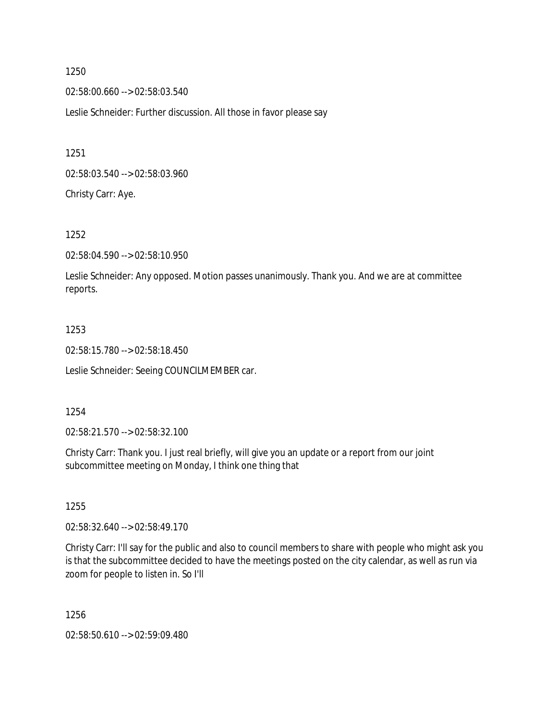02:58:00.660 --> 02:58:03.540

Leslie Schneider: Further discussion. All those in favor please say

1251

02:58:03.540 --> 02:58:03.960

Christy Carr: Aye.

1252

02:58:04.590 --> 02:58:10.950

Leslie Schneider: Any opposed. Motion passes unanimously. Thank you. And we are at committee reports.

### 1253

02:58:15.780 --> 02:58:18.450

Leslie Schneider: Seeing COUNCILMEMBER car.

### 1254

02:58:21.570 --> 02:58:32.100

Christy Carr: Thank you. I just real briefly, will give you an update or a report from our joint subcommittee meeting on Monday, I think one thing that

1255

02:58:32.640 --> 02:58:49.170

Christy Carr: I'll say for the public and also to council members to share with people who might ask you is that the subcommittee decided to have the meetings posted on the city calendar, as well as run via zoom for people to listen in. So I'll

1256

02:58:50.610 --> 02:59:09.480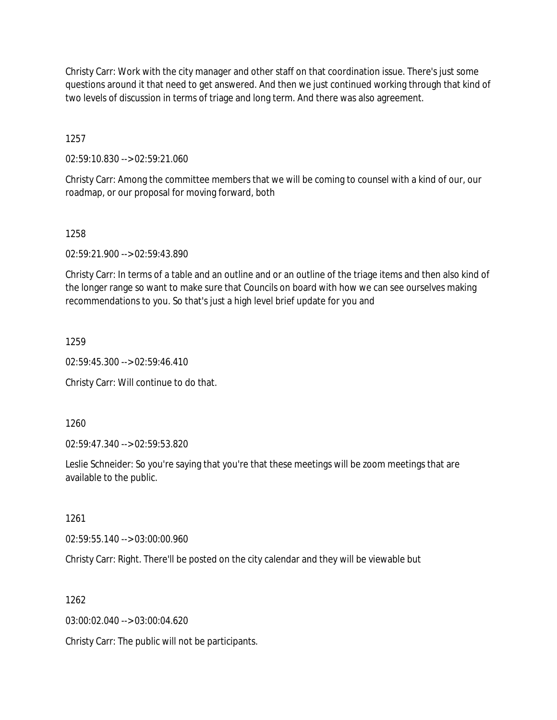Christy Carr: Work with the city manager and other staff on that coordination issue. There's just some questions around it that need to get answered. And then we just continued working through that kind of two levels of discussion in terms of triage and long term. And there was also agreement.

1257

02:59:10.830 --> 02:59:21.060

Christy Carr: Among the committee members that we will be coming to counsel with a kind of our, our roadmap, or our proposal for moving forward, both

1258

02:59:21.900 --> 02:59:43.890

Christy Carr: In terms of a table and an outline and or an outline of the triage items and then also kind of the longer range so want to make sure that Councils on board with how we can see ourselves making recommendations to you. So that's just a high level brief update for you and

1259

02:59:45.300 --> 02:59:46.410

Christy Carr: Will continue to do that.

1260

02:59:47.340 --> 02:59:53.820

Leslie Schneider: So you're saying that you're that these meetings will be zoom meetings that are available to the public.

1261

02:59:55.140 --> 03:00:00.960

Christy Carr: Right. There'll be posted on the city calendar and they will be viewable but

1262

03:00:02.040 --> 03:00:04.620

Christy Carr: The public will not be participants.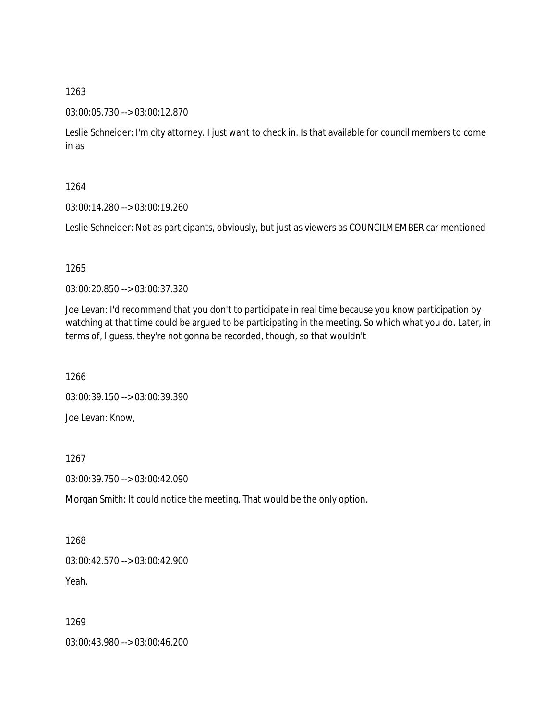### 03:00:05.730 --> 03:00:12.870

Leslie Schneider: I'm city attorney. I just want to check in. Is that available for council members to come in as

### 1264

03:00:14.280 --> 03:00:19.260

Leslie Schneider: Not as participants, obviously, but just as viewers as COUNCILMEMBER car mentioned

### 1265

03:00:20.850 --> 03:00:37.320

Joe Levan: I'd recommend that you don't to participate in real time because you know participation by watching at that time could be argued to be participating in the meeting. So which what you do. Later, in terms of, I guess, they're not gonna be recorded, though, so that wouldn't

1266

03:00:39.150 --> 03:00:39.390 Joe Levan: Know,

1267

03:00:39.750 --> 03:00:42.090

Morgan Smith: It could notice the meeting. That would be the only option.

1268 03:00:42.570 --> 03:00:42.900 Yeah.

1269

03:00:43.980 --> 03:00:46.200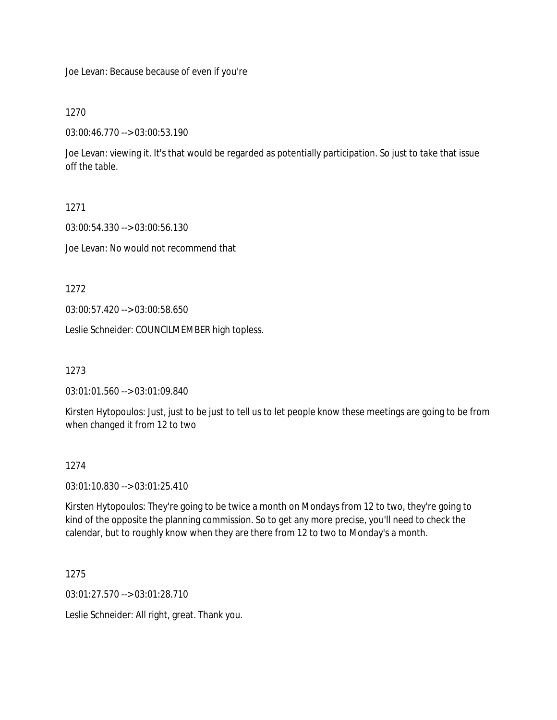Joe Levan: Because because of even if you're

1270

03:00:46.770 --> 03:00:53.190

Joe Levan: viewing it. It's that would be regarded as potentially participation. So just to take that issue off the table.

1271

03:00:54.330 --> 03:00:56.130

Joe Levan: No would not recommend that

1272

03:00:57.420 --> 03:00:58.650

Leslie Schneider: COUNCILMEMBER high topless.

1273

03:01:01.560 --> 03:01:09.840

Kirsten Hytopoulos: Just, just to be just to tell us to let people know these meetings are going to be from when changed it from 12 to two

### 1274

03:01:10.830 --> 03:01:25.410

Kirsten Hytopoulos: They're going to be twice a month on Mondays from 12 to two, they're going to kind of the opposite the planning commission. So to get any more precise, you'll need to check the calendar, but to roughly know when they are there from 12 to two to Monday's a month.

1275

03:01:27.570 --> 03:01:28.710

Leslie Schneider: All right, great. Thank you.